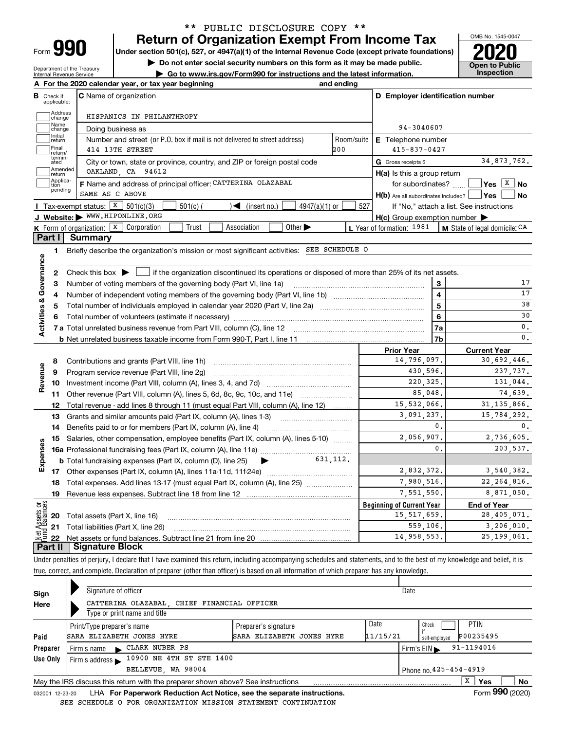| -orm |  |
|------|--|

## **Return of Organization Exempt From Income Tax** \*\* PUBLIC DISCLOSURE COPY \*\*

**Under section 501(c), 527, or 4947(a)(1) of the Internal Revenue Code (except private foundations) 2020**

**| Do not enter social security numbers on this form as it may be made public.**

Department of the Treasury Internal Revenue Service

**| Go to www.irs.gov/Form990 for instructions and the latest information. Inspection**



|                                   | A For the 2020 calendar year, or tax year beginning                                                                                                                                                                      | and ending |                                                     |                                          |  |  |  |  |
|-----------------------------------|--------------------------------------------------------------------------------------------------------------------------------------------------------------------------------------------------------------------------|------------|-----------------------------------------------------|------------------------------------------|--|--|--|--|
| В<br>Check if<br>applicable:      | <b>C</b> Name of organization                                                                                                                                                                                            |            | D Employer identification number                    |                                          |  |  |  |  |
| Address<br>change                 | HISPANICS IN PHILANTHROPY                                                                                                                                                                                                |            |                                                     |                                          |  |  |  |  |
| Name<br>change                    | Doing business as                                                                                                                                                                                                        | 94-3040607 |                                                     |                                          |  |  |  |  |
| Initial<br>return                 | Number and street (or P.O. box if mail is not delivered to street address)<br>Room/suite<br><b>E</b> Telephone number                                                                                                    |            |                                                     |                                          |  |  |  |  |
| Final<br>return/                  | 414 13TH STREET                                                                                                                                                                                                          | 200        | $415 - 837 - 0427$                                  |                                          |  |  |  |  |
| termin-<br>ated                   | City or town, state or province, country, and ZIP or foreign postal code                                                                                                                                                 |            | G Gross receipts \$                                 | 34,873,762.                              |  |  |  |  |
| Amended<br>Ireturn                | OAKLAND, CA 94612                                                                                                                                                                                                        |            | $H(a)$ is this a group return                       |                                          |  |  |  |  |
| Applica-<br>tion<br>pending       | F Name and address of principal officer: CATTERINA OLAZABAL                                                                                                                                                              |            | for subordinates?                                   | $ Yes X $ No                             |  |  |  |  |
|                                   | SAME AS C ABOVE                                                                                                                                                                                                          |            | H(b) Are all subordinates included?   Yes           | l No                                     |  |  |  |  |
|                                   | Tax-exempt status: $X$ 501(c)(3)<br>$501(c)$ (<br>$\sqrt{\bullet}$ (insert no.)<br>$4947(a)(1)$ or<br>J Website: WWW.HIPONLINE.ORG                                                                                       | 527        |                                                     | If "No," attach a list. See instructions |  |  |  |  |
|                                   | Other $\blacktriangleright$<br>Trust<br>Association                                                                                                                                                                      |            | $H(c)$ Group exemption number $\blacktriangleright$ |                                          |  |  |  |  |
| Part I                            | <b>K</b> Form of organization: $\boxed{\textbf{X}}$ Corporation<br>Summary                                                                                                                                               |            | L Year of formation: 1981                           | M State of legal domicile: CA            |  |  |  |  |
|                                   | Briefly describe the organization's mission or most significant activities: SEE SCHEDULE O                                                                                                                               |            |                                                     |                                          |  |  |  |  |
| 1.                                |                                                                                                                                                                                                                          |            |                                                     |                                          |  |  |  |  |
|                                   |                                                                                                                                                                                                                          |            |                                                     |                                          |  |  |  |  |
| Activities & Governance<br>2<br>3 | Check this box $\blacktriangleright$ $\blacksquare$ if the organization discontinued its operations or disposed of more than 25% of its net assets.<br>Number of voting members of the governing body (Part VI, line 1a) |            | 3                                                   | 17                                       |  |  |  |  |
| 4                                 |                                                                                                                                                                                                                          |            | $\overline{4}$                                      | 17                                       |  |  |  |  |
| 5                                 | Total number of individuals employed in calendar year 2020 (Part V, line 2a)                                                                                                                                             | 5          | 38                                                  |                                          |  |  |  |  |
| 6                                 |                                                                                                                                                                                                                          | 6          | 30                                                  |                                          |  |  |  |  |
|                                   |                                                                                                                                                                                                                          | 7a         | $\mathsf{0}\,.$                                     |                                          |  |  |  |  |
|                                   |                                                                                                                                                                                                                          |            | 7 <sub>b</sub>                                      | $\mathbf 0$ .                            |  |  |  |  |
|                                   |                                                                                                                                                                                                                          |            | <b>Prior Year</b>                                   | <b>Current Year</b>                      |  |  |  |  |
| 8                                 | Contributions and grants (Part VIII, line 1h)                                                                                                                                                                            |            | 14,796,097.                                         | 30,692,446.                              |  |  |  |  |
| Revenue<br>9                      | Program service revenue (Part VIII, line 2g)                                                                                                                                                                             |            | 430,596.                                            | 237,737.                                 |  |  |  |  |
| 10                                |                                                                                                                                                                                                                          |            | 220.325.                                            | 131.044.                                 |  |  |  |  |
| 11                                | Other revenue (Part VIII, column (A), lines 5, 6d, 8c, 9c, 10c, and 11e)                                                                                                                                                 |            | 85,048.                                             | 74.639.                                  |  |  |  |  |
| 12                                | Total revenue - add lines 8 through 11 (must equal Part VIII, column (A), line 12)                                                                                                                                       |            | 15,532,066.                                         | 31, 135, 866.                            |  |  |  |  |
| 13                                | Grants and similar amounts paid (Part IX, column (A), lines 1-3)                                                                                                                                                         |            | 3.091.237.                                          | 15,784,292.                              |  |  |  |  |
| 14                                |                                                                                                                                                                                                                          |            | $\mathbf{0}$ .                                      | 0.                                       |  |  |  |  |
| 15                                | Salaries, other compensation, employee benefits (Part IX, column (A), lines 5-10)                                                                                                                                        |            | 2,056,907.                                          | 2,736,605.                               |  |  |  |  |
|                                   |                                                                                                                                                                                                                          |            | $\mathbf{0}$ .                                      | 203,537.                                 |  |  |  |  |
|                                   | 631.112.<br><b>b</b> Total fundraising expenses (Part IX, column (D), line 25)<br>$\blacktriangleright$ and $\blacktriangleright$                                                                                        |            |                                                     |                                          |  |  |  |  |
| Expenses                          |                                                                                                                                                                                                                          |            | 2,832,372.                                          | 3,540,382.                               |  |  |  |  |
| 18                                | Total expenses. Add lines 13-17 (must equal Part IX, column (A), line 25)                                                                                                                                                |            | 7,980,516.                                          | 22, 264, 816.                            |  |  |  |  |
| 19                                |                                                                                                                                                                                                                          |            | 7,551,550.                                          | 8,871,050.                               |  |  |  |  |
| ۆچ                                |                                                                                                                                                                                                                          |            | <b>Beginning of Current Year</b>                    | <b>End of Year</b>                       |  |  |  |  |
| sets<br>20                        | Total assets (Part X, line 16)                                                                                                                                                                                           |            | 15, 517, 659.                                       | 28,405,071.                              |  |  |  |  |
|                                   | 21 Total liabilities (Part X, line 26)                                                                                                                                                                                   |            | 559,106.                                            | 3,206,010.                               |  |  |  |  |
| 22                                |                                                                                                                                                                                                                          |            | 14,958,553.                                         | 25, 199, 061.                            |  |  |  |  |
| Part II I                         | <b>Signature Block</b>                                                                                                                                                                                                   |            |                                                     |                                          |  |  |  |  |

Under penalties of perjury, I declare that I have examined this return, including accompanying schedules and statements, and to the best of my knowledge and belief, it is true, correct, and complete. Declaration of preparer (other than officer) is based on all information of which preparer has any knowledge.

| Sign     | Signature of officer       |                                                                                 |                           |          | Date                             |                          |    |
|----------|----------------------------|---------------------------------------------------------------------------------|---------------------------|----------|----------------------------------|--------------------------|----|
| Here     |                            | CATTERINA OLAZABAL, CHIEF FINANCIAL OFFICER                                     |                           |          |                                  |                          |    |
|          |                            | Type or print name and title                                                    |                           |          |                                  |                          |    |
|          | Print/Type preparer's name |                                                                                 | Preparer's signature      | Date     | Check                            | PTIN                     |    |
| Paid     |                            | SARA ELIZABETH JONES HYRE                                                       | SARA ELIZABETH JONES HYRE | 11/15/21 | self-emploved                    | P00235495                |    |
| Preparer | Firm's name                | CLARK NUBER PS                                                                  |                           |          | Firm's $EIN \blacktriangleright$ | $91 - 1194016$           |    |
| Use Only |                            | Firm's address > 10900 NE 4TH ST STE 1400                                       |                           |          |                                  |                          |    |
|          |                            | BELLEVUE, WA 98004                                                              |                           |          | Phone no. 425-454-4919           |                          |    |
|          |                            | May the IRS discuss this return with the preparer shown above? See instructions |                           |          |                                  | x<br>Yes                 | No |
|          |                            |                                                                                 |                           |          |                                  | $F = 000 \text{ (0000)}$ |    |

032001 12-23-20 LHA **For Paperwork Reduction Act Notice, see the separate instructions. Form 990 (2020)** SEE SCHEDULE O FOR ORGANIZATION MISSION STATEMENT CONTINUATION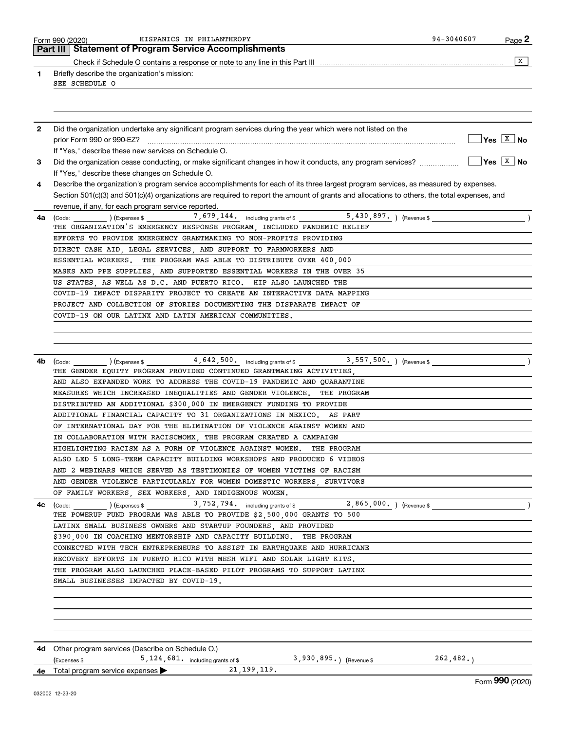|              | 94-3040607<br>HISPANICS IN PHILANTHROPY<br>Page 2<br>Form 990 (2020)                                                                                                                                                                                                                                                                                                                                                                                                                                                                                                                                                                                                                                                                                                                                                                                                                                                                                                                                                                                                                                                                                                                                                                                                                                                                    |
|--------------|-----------------------------------------------------------------------------------------------------------------------------------------------------------------------------------------------------------------------------------------------------------------------------------------------------------------------------------------------------------------------------------------------------------------------------------------------------------------------------------------------------------------------------------------------------------------------------------------------------------------------------------------------------------------------------------------------------------------------------------------------------------------------------------------------------------------------------------------------------------------------------------------------------------------------------------------------------------------------------------------------------------------------------------------------------------------------------------------------------------------------------------------------------------------------------------------------------------------------------------------------------------------------------------------------------------------------------------------|
|              | <b>Part III   Statement of Program Service Accomplishments</b>                                                                                                                                                                                                                                                                                                                                                                                                                                                                                                                                                                                                                                                                                                                                                                                                                                                                                                                                                                                                                                                                                                                                                                                                                                                                          |
|              | X                                                                                                                                                                                                                                                                                                                                                                                                                                                                                                                                                                                                                                                                                                                                                                                                                                                                                                                                                                                                                                                                                                                                                                                                                                                                                                                                       |
| 1            | Briefly describe the organization's mission:<br>SEE SCHEDULE O                                                                                                                                                                                                                                                                                                                                                                                                                                                                                                                                                                                                                                                                                                                                                                                                                                                                                                                                                                                                                                                                                                                                                                                                                                                                          |
|              |                                                                                                                                                                                                                                                                                                                                                                                                                                                                                                                                                                                                                                                                                                                                                                                                                                                                                                                                                                                                                                                                                                                                                                                                                                                                                                                                         |
| $\mathbf{2}$ | Did the organization undertake any significant program services during the year which were not listed on the<br>$\sqrt{}$ Yes $\sqrt{}$ x $\sqrt{}$ No                                                                                                                                                                                                                                                                                                                                                                                                                                                                                                                                                                                                                                                                                                                                                                                                                                                                                                                                                                                                                                                                                                                                                                                  |
|              | If "Yes," describe these new services on Schedule O.                                                                                                                                                                                                                                                                                                                                                                                                                                                                                                                                                                                                                                                                                                                                                                                                                                                                                                                                                                                                                                                                                                                                                                                                                                                                                    |
| 3            | $Yes \vert X \vert$ No<br>If "Yes," describe these changes on Schedule O.                                                                                                                                                                                                                                                                                                                                                                                                                                                                                                                                                                                                                                                                                                                                                                                                                                                                                                                                                                                                                                                                                                                                                                                                                                                               |
| 4            | Describe the organization's program service accomplishments for each of its three largest program services, as measured by expenses.                                                                                                                                                                                                                                                                                                                                                                                                                                                                                                                                                                                                                                                                                                                                                                                                                                                                                                                                                                                                                                                                                                                                                                                                    |
|              | Section 501(c)(3) and 501(c)(4) organizations are required to report the amount of grants and allocations to others, the total expenses, and<br>revenue, if any, for each program service reported.                                                                                                                                                                                                                                                                                                                                                                                                                                                                                                                                                                                                                                                                                                                                                                                                                                                                                                                                                                                                                                                                                                                                     |
| 4a           | $(\text{Code:})$ $(\text{Expenses $})$ $(\text{Expenses $})$ $(7,679,144, \text{ including grants of $})$                                                                                                                                                                                                                                                                                                                                                                                                                                                                                                                                                                                                                                                                                                                                                                                                                                                                                                                                                                                                                                                                                                                                                                                                                               |
|              | THE ORGANIZATION'S EMERGENCY RESPONSE PROGRAM, INCLUDED PANDEMIC RELIEF                                                                                                                                                                                                                                                                                                                                                                                                                                                                                                                                                                                                                                                                                                                                                                                                                                                                                                                                                                                                                                                                                                                                                                                                                                                                 |
|              | EFFORTS TO PROVIDE EMERGENCY GRANTMAKING TO NON-PROFITS PROVIDING                                                                                                                                                                                                                                                                                                                                                                                                                                                                                                                                                                                                                                                                                                                                                                                                                                                                                                                                                                                                                                                                                                                                                                                                                                                                       |
|              | DIRECT CASH AID, LEGAL SERVICES, AND SUPPORT TO FARMWORKERS AND                                                                                                                                                                                                                                                                                                                                                                                                                                                                                                                                                                                                                                                                                                                                                                                                                                                                                                                                                                                                                                                                                                                                                                                                                                                                         |
|              | ESSENTIAL WORKERS. THE PROGRAM WAS ABLE TO DISTRIBUTE OVER 400,000                                                                                                                                                                                                                                                                                                                                                                                                                                                                                                                                                                                                                                                                                                                                                                                                                                                                                                                                                                                                                                                                                                                                                                                                                                                                      |
|              | MASKS AND PPE SUPPLIES, AND SUPPORTED ESSENTIAL WORKERS IN THE OVER 35                                                                                                                                                                                                                                                                                                                                                                                                                                                                                                                                                                                                                                                                                                                                                                                                                                                                                                                                                                                                                                                                                                                                                                                                                                                                  |
|              | US STATES, AS WELL AS D.C. AND PUERTO RICO. HIP ALSO LAUNCHED THE                                                                                                                                                                                                                                                                                                                                                                                                                                                                                                                                                                                                                                                                                                                                                                                                                                                                                                                                                                                                                                                                                                                                                                                                                                                                       |
|              | COVID-19 IMPACT DISPARITY PROJECT TO CREATE AN INTERACTIVE DATA MAPPING                                                                                                                                                                                                                                                                                                                                                                                                                                                                                                                                                                                                                                                                                                                                                                                                                                                                                                                                                                                                                                                                                                                                                                                                                                                                 |
|              | PROJECT AND COLLECTION OF STORIES DOCUMENTING THE DISPARATE IMPACT OF                                                                                                                                                                                                                                                                                                                                                                                                                                                                                                                                                                                                                                                                                                                                                                                                                                                                                                                                                                                                                                                                                                                                                                                                                                                                   |
|              | COVID-19 ON OUR LATINX AND LATIN AMERICAN COMMUNITIES.                                                                                                                                                                                                                                                                                                                                                                                                                                                                                                                                                                                                                                                                                                                                                                                                                                                                                                                                                                                                                                                                                                                                                                                                                                                                                  |
| 4с           | THE GENDER EQUITY PROGRAM PROVIDED CONTINUED GRANTMAKING ACTIVITIES.<br>AND ALSO EXPANDED WORK TO ADDRESS THE COVID-19 PANDEMIC AND QUARANTINE<br>MEASURES WHICH INCREASED INEQUALITIES AND GENDER VIOLENCE.<br>THE PROGRAM<br>DISTRIBUTED AN ADDITIONAL \$300,000 IN EMERGENCY FUNDING TO PROVIDE<br>ADDITIONAL FINANCIAL CAPACITY TO 31 ORGANIZATIONS IN MEXICO. AS PART<br>OF INTERNATIONAL DAY FOR THE ELIMINATION OF VIOLENCE AGAINST WOMEN AND<br>IN COLLABORATION WITH RACISCMOMX, THE PROGRAM CREATED A CAMPAIGN<br>HIGHLIGHTING RACISM AS A FORM OF VIOLENCE AGAINST WOMEN. THE PROGRAM<br>ALSO LED 5 LONG-TERM CAPACITY BUILDING WORKSHOPS AND PRODUCED 6 VIDEOS<br>AND 2 WEBINARS WHICH SERVED AS TESTIMONIES OF WOMEN VICTIMS OF RACISM<br>AND GENDER VIOLENCE PARTICULARLY FOR WOMEN DOMESTIC WORKERS, SURVIVORS<br>OF FAMILY WORKERS, SEX WORKERS, AND INDIGENOUS WOMEN.<br>THE POWERUP FUND PROGRAM WAS ABLE TO PROVIDE \$2,500,000 GRANTS TO 500<br>LATINX SMALL BUSINESS OWNERS AND STARTUP FOUNDERS, AND PROVIDED<br>\$390,000 IN COACHING MENTORSHIP AND CAPACITY BUILDING. THE PROGRAM<br>CONNECTED WITH TECH ENTREPRENEURS TO ASSIST IN EARTHQUAKE AND HURRICANE<br>RECOVERY EFFORTS IN PUERTO RICO WITH MESH WIFI AND SOLAR LIGHT KITS.<br>THE PROGRAM ALSO LAUNCHED PLACE-BASED PILOT PROGRAMS TO SUPPORT LATINX |
|              | SMALL BUSINESSES IMPACTED BY COVID-19.                                                                                                                                                                                                                                                                                                                                                                                                                                                                                                                                                                                                                                                                                                                                                                                                                                                                                                                                                                                                                                                                                                                                                                                                                                                                                                  |
|              |                                                                                                                                                                                                                                                                                                                                                                                                                                                                                                                                                                                                                                                                                                                                                                                                                                                                                                                                                                                                                                                                                                                                                                                                                                                                                                                                         |
|              |                                                                                                                                                                                                                                                                                                                                                                                                                                                                                                                                                                                                                                                                                                                                                                                                                                                                                                                                                                                                                                                                                                                                                                                                                                                                                                                                         |
|              | 4d Other program services (Describe on Schedule O.)<br>5, 124, 681. including grants of \$3, 930, 895.) (Revenue \$262, 482.)<br>(Expenses \$                                                                                                                                                                                                                                                                                                                                                                                                                                                                                                                                                                                                                                                                                                                                                                                                                                                                                                                                                                                                                                                                                                                                                                                           |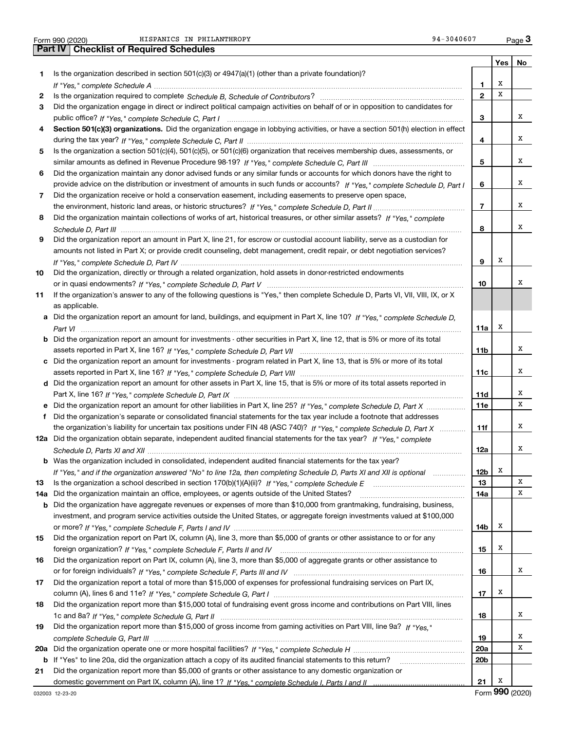|  | Form 990 (2020) |
|--|-----------------|

Form 990 (2020) HISPANICS IN PHILANTHROPY 94-3040607 Page Form 990 (2020) HISPANICS\_IN\_PHILANTHROPY 94-3040607 <sub>Page</sub> 3<br>Part IV | Checklist of Required Schedules

|     |                                                                                                                                                                                                                                |                 | Yes      | No |
|-----|--------------------------------------------------------------------------------------------------------------------------------------------------------------------------------------------------------------------------------|-----------------|----------|----|
| 1   | Is the organization described in section $501(c)(3)$ or $4947(a)(1)$ (other than a private foundation)?                                                                                                                        |                 |          |    |
|     | If "Yes," complete Schedule A measure and a control of the state of the state of the state of the state of the state of the state of the state of the state of the state of the state of the state of the state of the state o | 1               | х        |    |
| 2   |                                                                                                                                                                                                                                | $\mathbf{2}$    | х        |    |
| 3   | Did the organization engage in direct or indirect political campaign activities on behalf of or in opposition to candidates for                                                                                                |                 |          |    |
|     |                                                                                                                                                                                                                                | 3               |          | х  |
| 4   | Section 501(c)(3) organizations. Did the organization engage in lobbying activities, or have a section 501(h) election in effect                                                                                               |                 |          |    |
|     |                                                                                                                                                                                                                                | 4               |          | х  |
| 5   | Is the organization a section 501(c)(4), 501(c)(5), or 501(c)(6) organization that receives membership dues, assessments, or                                                                                                   |                 |          |    |
|     |                                                                                                                                                                                                                                | 5               |          | х  |
| 6   | Did the organization maintain any donor advised funds or any similar funds or accounts for which donors have the right to                                                                                                      |                 |          |    |
|     | provide advice on the distribution or investment of amounts in such funds or accounts? If "Yes," complete Schedule D, Part I                                                                                                   | 6               |          | х  |
| 7   | Did the organization receive or hold a conservation easement, including easements to preserve open space,                                                                                                                      |                 |          |    |
|     |                                                                                                                                                                                                                                | $\overline{7}$  |          | X  |
| 8   | Did the organization maintain collections of works of art, historical treasures, or other similar assets? If "Yes," complete                                                                                                   |                 |          |    |
|     |                                                                                                                                                                                                                                | 8               |          | х  |
| 9   | Did the organization report an amount in Part X, line 21, for escrow or custodial account liability, serve as a custodian for                                                                                                  |                 |          |    |
|     | amounts not listed in Part X; or provide credit counseling, debt management, credit repair, or debt negotiation services?                                                                                                      |                 |          |    |
|     |                                                                                                                                                                                                                                | 9               | х        |    |
| 10  | Did the organization, directly or through a related organization, hold assets in donor-restricted endowments                                                                                                                   |                 |          |    |
|     |                                                                                                                                                                                                                                | 10              |          | х  |
|     | If the organization's answer to any of the following questions is "Yes," then complete Schedule D, Parts VI, VII, VIII, IX, or X                                                                                               |                 |          |    |
| 11  |                                                                                                                                                                                                                                |                 |          |    |
|     | as applicable.<br>Did the organization report an amount for land, buildings, and equipment in Part X, line 10? If "Yes," complete Schedule D.                                                                                  |                 |          |    |
|     |                                                                                                                                                                                                                                |                 | х        |    |
|     |                                                                                                                                                                                                                                | 11a             |          |    |
| b   | Did the organization report an amount for investments - other securities in Part X, line 12, that is 5% or more of its total                                                                                                   |                 |          | х  |
|     |                                                                                                                                                                                                                                | 11b             |          |    |
|     | c Did the organization report an amount for investments - program related in Part X, line 13, that is 5% or more of its total                                                                                                  |                 |          | х  |
|     |                                                                                                                                                                                                                                | 11c             |          |    |
|     | d Did the organization report an amount for other assets in Part X, line 15, that is 5% or more of its total assets reported in                                                                                                |                 |          | X  |
|     |                                                                                                                                                                                                                                | 11d             |          | X  |
|     | e Did the organization report an amount for other liabilities in Part X, line 25? If "Yes," complete Schedule D, Part X                                                                                                        | 11e             |          |    |
| f   | Did the organization's separate or consolidated financial statements for the tax year include a footnote that addresses                                                                                                        |                 |          |    |
|     | the organization's liability for uncertain tax positions under FIN 48 (ASC 740)? If "Yes," complete Schedule D, Part X                                                                                                         | 11f             |          | х  |
|     | 12a Did the organization obtain separate, independent audited financial statements for the tax year? If "Yes," complete                                                                                                        |                 |          |    |
|     |                                                                                                                                                                                                                                | 12a             |          | х  |
|     | <b>b</b> Was the organization included in consolidated, independent audited financial statements for the tax year?                                                                                                             |                 |          |    |
|     | If "Yes," and if the organization answered "No" to line 12a, then completing Schedule D, Parts XI and XII is optional                                                                                                          | 12 <sub>b</sub> | х        |    |
| 13  | Is the organization a school described in section 170(b)(1)(A)(ii)? If "Yes," complete Schedule E                                                                                                                              | 13              |          | x  |
| 14a | Did the organization maintain an office, employees, or agents outside of the United States?                                                                                                                                    | 14a             |          | X  |
| b   | Did the organization have aggregate revenues or expenses of more than \$10,000 from grantmaking, fundraising, business,                                                                                                        |                 |          |    |
|     | investment, and program service activities outside the United States, or aggregate foreign investments valued at \$100,000                                                                                                     |                 |          |    |
|     |                                                                                                                                                                                                                                | 14b             | x        |    |
| 15  | Did the organization report on Part IX, column (A), line 3, more than \$5,000 of grants or other assistance to or for any                                                                                                      |                 |          |    |
|     |                                                                                                                                                                                                                                | 15              | x        |    |
| 16  | Did the organization report on Part IX, column (A), line 3, more than \$5,000 of aggregate grants or other assistance to                                                                                                       |                 |          |    |
|     |                                                                                                                                                                                                                                | 16              |          | x  |
| 17  | Did the organization report a total of more than \$15,000 of expenses for professional fundraising services on Part IX,                                                                                                        |                 |          |    |
|     |                                                                                                                                                                                                                                | 17              | x        |    |
| 18  | Did the organization report more than \$15,000 total of fundraising event gross income and contributions on Part VIII, lines                                                                                                   |                 |          |    |
|     |                                                                                                                                                                                                                                | 18              |          | x  |
| 19  | Did the organization report more than \$15,000 of gross income from gaming activities on Part VIII, line 9a? If "Yes."                                                                                                         |                 |          |    |
|     |                                                                                                                                                                                                                                | 19              |          | x  |
| 20a |                                                                                                                                                                                                                                | 20a             |          | X  |
| b   | If "Yes" to line 20a, did the organization attach a copy of its audited financial statements to this return?                                                                                                                   | 20 <sub>b</sub> |          |    |
| 21  | Did the organization report more than \$5,000 of grants or other assistance to any domestic organization or                                                                                                                    |                 |          |    |
|     |                                                                                                                                                                                                                                | 21              | х<br>റററ |    |

Form (2020) **990**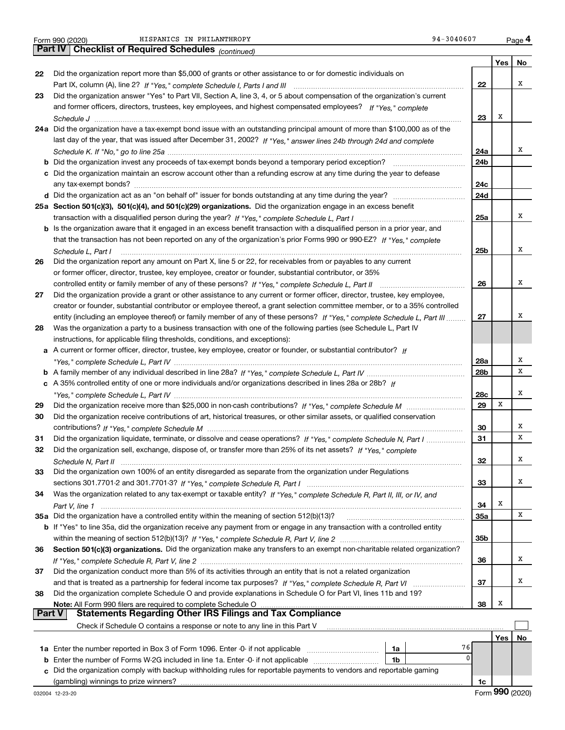|               | 94-3040607<br>HISPANICS IN PHILANTHROPY<br>Form 990 (2020)                                                                   |     |     | Page 4 |
|---------------|------------------------------------------------------------------------------------------------------------------------------|-----|-----|--------|
|               | Part IV   Checklist of Required Schedules (continued)                                                                        |     |     |        |
|               |                                                                                                                              |     | Yes | No     |
| 22            | Did the organization report more than \$5,000 of grants or other assistance to or for domestic individuals on                |     |     |        |
|               |                                                                                                                              | 22  |     | х      |
| 23            | Did the organization answer "Yes" to Part VII, Section A, line 3, 4, or 5 about compensation of the organization's current   |     |     |        |
|               | and former officers, directors, trustees, key employees, and highest compensated employees? If "Yes," complete               |     |     |        |
|               |                                                                                                                              | 23  | х   |        |
|               | 24a Did the organization have a tax-exempt bond issue with an outstanding principal amount of more than \$100,000 as of the  |     |     |        |
|               | last day of the year, that was issued after December 31, 2002? If "Yes," answer lines 24b through 24d and complete           |     |     |        |
|               |                                                                                                                              | 24a |     | х      |
|               | <b>b</b> Did the organization invest any proceeds of tax-exempt bonds beyond a temporary period exception?                   | 24b |     |        |
|               | c Did the organization maintain an escrow account other than a refunding escrow at any time during the year to defease       |     |     |        |
|               |                                                                                                                              | 24c |     |        |
|               |                                                                                                                              | 24d |     |        |
|               | 25a Section 501(c)(3), 501(c)(4), and 501(c)(29) organizations. Did the organization engage in an excess benefit             |     |     |        |
|               |                                                                                                                              | 25a |     | х      |
|               | b Is the organization aware that it engaged in an excess benefit transaction with a disqualified person in a prior year, and |     |     |        |
|               | that the transaction has not been reported on any of the organization's prior Forms 990 or 990-EZ? If "Yes," complete        |     |     |        |
|               | Schedule L. Part I                                                                                                           | 25b |     | х      |
| 26            | Did the organization report any amount on Part X, line 5 or 22, for receivables from or payables to any current              |     |     |        |
|               | or former officer, director, trustee, key employee, creator or founder, substantial contributor, or 35%                      |     |     |        |
|               |                                                                                                                              | 26  |     | х      |
| 27            | Did the organization provide a grant or other assistance to any current or former officer, director, trustee, key employee,  |     |     |        |
|               | creator or founder, substantial contributor or employee thereof, a grant selection committee member, or to a 35% controlled  |     |     |        |
|               | entity (including an employee thereof) or family member of any of these persons? If "Yes," complete Schedule L, Part III     | 27  |     | х      |
| 28            | Was the organization a party to a business transaction with one of the following parties (see Schedule L, Part IV            |     |     |        |
|               | instructions, for applicable filing thresholds, conditions, and exceptions):                                                 |     |     |        |
|               | a A current or former officer, director, trustee, key employee, creator or founder, or substantial contributor? If           |     |     |        |
|               |                                                                                                                              | 28a |     | х      |
|               |                                                                                                                              | 28b |     | X      |
|               | c A 35% controlled entity of one or more individuals and/or organizations described in lines 28a or 28b? If                  |     |     |        |
|               |                                                                                                                              | 28c |     | х      |
| 29            |                                                                                                                              | 29  | х   |        |
| 30            |                                                                                                                              |     |     |        |
|               | Did the organization receive contributions of art, historical treasures, or other similar assets, or qualified conservation  |     |     | х      |
|               |                                                                                                                              | 30  |     | X      |
| 31            | Did the organization liquidate, terminate, or dissolve and cease operations? If "Yes," complete Schedule N, Part I           | 31  |     |        |
| 32            | Did the organization sell, exchange, dispose of, or transfer more than 25% of its net assets? If "Yes," complete             |     |     | Χ      |
|               |                                                                                                                              | 32  |     |        |
| 33            | Did the organization own 100% of an entity disregarded as separate from the organization under Regulations                   |     |     |        |
|               |                                                                                                                              | 33  |     | x      |
| 34            | Was the organization related to any tax-exempt or taxable entity? If "Yes," complete Schedule R, Part II, III, or IV, and    |     |     |        |
|               |                                                                                                                              | 34  | Х   |        |
|               | 35a Did the organization have a controlled entity within the meaning of section 512(b)(13)?                                  | 35a |     | х      |
|               | b If "Yes" to line 35a, did the organization receive any payment from or engage in any transaction with a controlled entity  |     |     |        |
|               |                                                                                                                              | 35b |     |        |
| 36            | Section 501(c)(3) organizations. Did the organization make any transfers to an exempt non-charitable related organization?   |     |     |        |
|               |                                                                                                                              | 36  |     | х      |
| 37            | Did the organization conduct more than 5% of its activities through an entity that is not a related organization             |     |     |        |
|               |                                                                                                                              | 37  |     | x      |
| 38            | Did the organization complete Schedule O and provide explanations in Schedule O for Part VI, lines 11b and 19?               |     |     |        |
|               | Note: All Form 990 filers are required to complete Schedule O                                                                | 38  | х   |        |
| <b>Part V</b> | <b>Statements Regarding Other IRS Filings and Tax Compliance</b>                                                             |     |     |        |
|               | Check if Schedule O contains a response or note to any line in this Part V                                                   |     |     |        |
|               |                                                                                                                              |     | Yes | No     |
|               | 76<br>1a                                                                                                                     |     |     |        |
|               | 0<br><b>b</b> Enter the number of Forms W-2G included in line 1a. Enter -0- if not applicable<br>1b                          |     |     |        |
| c.            | Did the organization comply with backup withholding rules for reportable payments to vendors and reportable gaming           |     |     |        |
|               | (gambling) winnings to prize winners?                                                                                        | 1c  |     |        |

Form (2020) **990**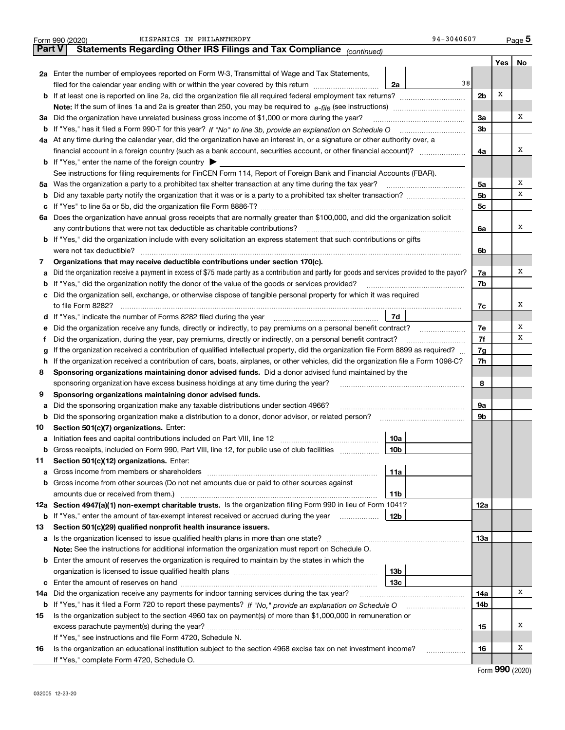|               | 94-3040607<br>HISPANICS IN PHILANTHROPY<br>Form 990 (2020)                                                                                      |                |     | $_{\text{Page}}$ 5 |
|---------------|-------------------------------------------------------------------------------------------------------------------------------------------------|----------------|-----|--------------------|
| <b>Part V</b> | Statements Regarding Other IRS Filings and Tax Compliance (continued)                                                                           |                |     |                    |
|               |                                                                                                                                                 |                | Yes | No                 |
|               | 2a Enter the number of employees reported on Form W-3, Transmittal of Wage and Tax Statements,                                                  |                |     |                    |
|               | 38<br>filed for the calendar year ending with or within the year covered by this return<br>2a                                                   |                |     |                    |
|               | <b>b</b> If at least one is reported on line 2a, did the organization file all required federal employment tax returns?                         | 2 <sub>b</sub> | Х   |                    |
|               |                                                                                                                                                 |                |     |                    |
|               | 3a Did the organization have unrelated business gross income of \$1,000 or more during the year?                                                | 3a             |     | x                  |
|               |                                                                                                                                                 | 3b             |     |                    |
|               | 4a At any time during the calendar year, did the organization have an interest in, or a signature or other authority over, a                    |                |     |                    |
|               | financial account in a foreign country (such as a bank account, securities account, or other financial account)?                                | 4a             |     | x                  |
|               | <b>b</b> If "Yes," enter the name of the foreign country $\blacktriangleright$                                                                  |                |     |                    |
|               | See instructions for filing requirements for FinCEN Form 114, Report of Foreign Bank and Financial Accounts (FBAR).                             |                |     |                    |
|               | 5a Was the organization a party to a prohibited tax shelter transaction at any time during the tax year?                                        | 5a             |     | x                  |
| b             |                                                                                                                                                 | 5b             |     | х                  |
| с             |                                                                                                                                                 | 5c             |     |                    |
| 6a            | Does the organization have annual gross receipts that are normally greater than \$100,000, and did the organization solicit                     |                |     |                    |
|               | any contributions that were not tax deductible as charitable contributions?                                                                     | 6a             |     | x                  |
|               | b If "Yes," did the organization include with every solicitation an express statement that such contributions or gifts                          |                |     |                    |
|               | were not tax deductible?                                                                                                                        | 6b             |     |                    |
| 7             | Organizations that may receive deductible contributions under section 170(c).                                                                   |                |     |                    |
| a             | Did the organization receive a payment in excess of \$75 made partly as a contribution and partly for goods and services provided to the payor? | 7a             |     | x                  |
| b             | If "Yes," did the organization notify the donor of the value of the goods or services provided?                                                 | 7b             |     |                    |
| c             | Did the organization sell, exchange, or otherwise dispose of tangible personal property for which it was required                               |                |     |                    |
|               | to file Form 8282?                                                                                                                              | 7c             |     | x                  |
| d             | 7d<br>If "Yes," indicate the number of Forms 8282 filed during the year                                                                         |                |     |                    |
| е             | Did the organization receive any funds, directly or indirectly, to pay premiums on a personal benefit contract?                                 | 7e             |     | x                  |
| f             | Did the organization, during the year, pay premiums, directly or indirectly, on a personal benefit contract?                                    | 7f             |     | х                  |
| g             | If the organization received a contribution of qualified intellectual property, did the organization file Form 8899 as required?                | 7g             |     |                    |
| h             | If the organization received a contribution of cars, boats, airplanes, or other vehicles, did the organization file a Form 1098-C?              | 7h             |     |                    |
| 8             | Sponsoring organizations maintaining donor advised funds. Did a donor advised fund maintained by the                                            |                |     |                    |
|               | sponsoring organization have excess business holdings at any time during the year?                                                              | 8              |     |                    |
| 9             | Sponsoring organizations maintaining donor advised funds.                                                                                       |                |     |                    |
| а             | Did the sponsoring organization make any taxable distributions under section 4966?                                                              | 9а             |     |                    |
| b             | Did the sponsoring organization make a distribution to a donor, donor advisor, or related person?                                               | 9b             |     |                    |
| 10            | Section 501(c)(7) organizations. Enter:                                                                                                         |                |     |                    |
| а             | 10a<br>Initiation fees and capital contributions included on Part VIII, line 12                                                                 |                |     |                    |
| b             | Gross receipts, included on Form 990, Part VIII, line 12, for public use of club facilities<br>10b                                              |                |     |                    |
| 11            | Section 501(c)(12) organizations. Enter:                                                                                                        |                |     |                    |
| а             | 11a                                                                                                                                             |                |     |                    |
| b             | Gross income from other sources (Do not net amounts due or paid to other sources against                                                        |                |     |                    |
|               | 11b                                                                                                                                             |                |     |                    |
| 12a           | Section 4947(a)(1) non-exempt charitable trusts. Is the organization filing Form 990 in lieu of Form 1041?                                      | 12a            |     |                    |
| b             | If "Yes," enter the amount of tax-exempt interest received or accrued during the year<br>12b                                                    |                |     |                    |
| 13            | Section 501(c)(29) qualified nonprofit health insurance issuers.                                                                                |                |     |                    |
| а             |                                                                                                                                                 | 13a            |     |                    |
|               | Note: See the instructions for additional information the organization must report on Schedule O.                                               |                |     |                    |
| b             | Enter the amount of reserves the organization is required to maintain by the states in which the                                                |                |     |                    |
|               | 13b                                                                                                                                             |                |     |                    |
| c             | 13с                                                                                                                                             |                |     |                    |
| 14a           | Did the organization receive any payments for indoor tanning services during the tax year?                                                      | 14a            |     | x                  |
| b             |                                                                                                                                                 | 14b            |     |                    |
| 15            | Is the organization subject to the section 4960 tax on payment(s) of more than \$1,000,000 in remuneration or                                   |                |     |                    |
|               |                                                                                                                                                 | 15             |     | x                  |
|               | If "Yes," see instructions and file Form 4720, Schedule N.                                                                                      |                |     |                    |
| 16            | Is the organization an educational institution subject to the section 4968 excise tax on net investment income?<br>.                            | 16             |     | х                  |
|               | If "Yes," complete Form 4720, Schedule O.                                                                                                       |                |     |                    |

|  | Form 990 (2020) |
|--|-----------------|
|--|-----------------|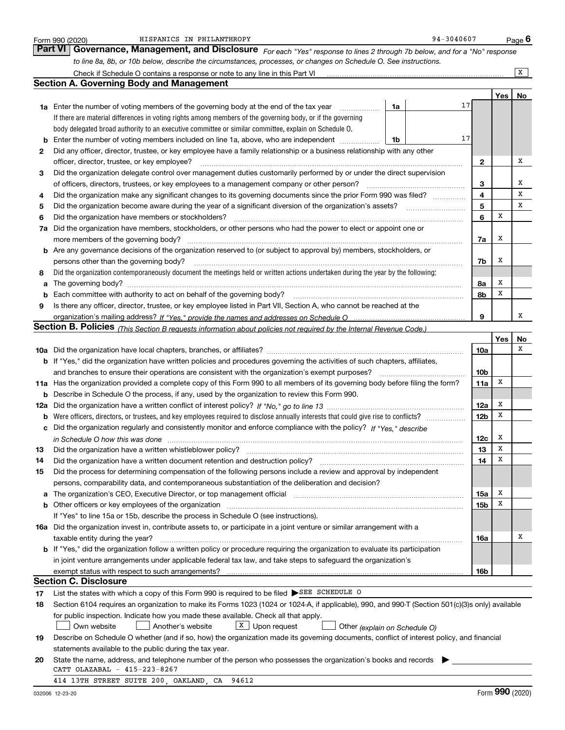|          | HISPANICS IN PHILANTHROPY<br>Form 990 (2020)                                                                                                                                                                                     |    | 94-3040607 |                 |             | <u>Pag</u> e 6          |
|----------|----------------------------------------------------------------------------------------------------------------------------------------------------------------------------------------------------------------------------------|----|------------|-----------------|-------------|-------------------------|
|          | <b>Part VI</b><br>Governance, Management, and Disclosure For each "Yes" response to lines 2 through 7b below, and for a "No" response                                                                                            |    |            |                 |             |                         |
|          | to line 8a, 8b, or 10b below, describe the circumstances, processes, or changes on Schedule O. See instructions.                                                                                                                 |    |            |                 |             |                         |
|          | Check if Schedule O contains a response or note to any line in this Part VI [11] [12] Check if Schedule O contains a response or note to any line in this Part VI                                                                |    |            |                 |             | $\overline{\mathbf{x}}$ |
|          | <b>Section A. Governing Body and Management</b>                                                                                                                                                                                  |    |            |                 |             |                         |
|          |                                                                                                                                                                                                                                  |    |            |                 | Yes         | No                      |
|          | <b>1a</b> Enter the number of voting members of the governing body at the end of the tax year<br>.                                                                                                                               | 1a | 17         |                 |             |                         |
|          | If there are material differences in voting rights among members of the governing body, or if the governing                                                                                                                      |    |            |                 |             |                         |
|          | body delegated broad authority to an executive committee or similar committee, explain on Schedule O.                                                                                                                            |    |            |                 |             |                         |
| b        | Enter the number of voting members included on line 1a, above, who are independent                                                                                                                                               | 1b | 17         |                 |             |                         |
| 2        | Did any officer, director, trustee, or key employee have a family relationship or a business relationship with any other                                                                                                         |    |            |                 |             |                         |
|          | officer, director, trustee, or key employee?                                                                                                                                                                                     |    |            | $\mathbf{2}$    |             | х                       |
| 3        | Did the organization delegate control over management duties customarily performed by or under the direct supervision                                                                                                            |    |            |                 |             |                         |
|          | of officers, directors, trustees, or key employees to a management company or other person?                                                                                                                                      |    |            | 3               |             | x                       |
| 4        | Did the organization make any significant changes to its governing documents since the prior Form 990 was filed?                                                                                                                 |    |            | 4               |             | X                       |
| 5        | Did the organization become aware during the year of a significant diversion of the organization's assets?                                                                                                                       |    |            | 5               |             | x                       |
| 6        | Did the organization have members or stockholders?                                                                                                                                                                               |    |            | 6               | х           |                         |
| 7a       | Did the organization have members, stockholders, or other persons who had the power to elect or appoint one or                                                                                                                   |    |            |                 |             |                         |
|          | more members of the governing body?                                                                                                                                                                                              |    |            | 7a              | х           |                         |
| b        | Are any governance decisions of the organization reserved to (or subject to approval by) members, stockholders, or                                                                                                               |    |            |                 |             |                         |
|          | persons other than the governing body?                                                                                                                                                                                           |    |            | 7b              | х           |                         |
| 8        | Did the organization contemporaneously document the meetings held or written actions undertaken during the year by the following:                                                                                                |    |            |                 |             |                         |
| a        |                                                                                                                                                                                                                                  |    |            | 8а              | Х           |                         |
| b        | Each committee with authority to act on behalf of the governing body?                                                                                                                                                            |    |            | 8b              | X           |                         |
| 9        | Is there any officer, director, trustee, or key employee listed in Part VII, Section A, who cannot be reached at the                                                                                                             |    |            |                 |             |                         |
|          |                                                                                                                                                                                                                                  |    |            | 9               |             | х                       |
|          | Section B. Policies (This Section B requests information about policies not required by the Internal Revenue Code.)                                                                                                              |    |            |                 |             |                         |
|          |                                                                                                                                                                                                                                  |    |            |                 | Yes         | No<br>x                 |
|          |                                                                                                                                                                                                                                  |    |            | 10a             |             |                         |
|          | b If "Yes," did the organization have written policies and procedures governing the activities of such chapters, affiliates,                                                                                                     |    |            |                 |             |                         |
|          | and branches to ensure their operations are consistent with the organization's exempt purposes?                                                                                                                                  |    |            | 10 <sub>b</sub> | x           |                         |
|          | 11a Has the organization provided a complete copy of this Form 990 to all members of its governing body before filing the form?<br>Describe in Schedule O the process, if any, used by the organization to review this Form 990. |    |            | 11a             |             |                         |
| b        |                                                                                                                                                                                                                                  |    |            | 12a             | Х           |                         |
| 12a<br>b | Were officers, directors, or trustees, and key employees required to disclose annually interests that could give rise to conflicts?                                                                                              |    |            | 12 <sub>b</sub> | X           |                         |
| с        | Did the organization regularly and consistently monitor and enforce compliance with the policy? If "Yes," describe                                                                                                               |    |            |                 |             |                         |
|          |                                                                                                                                                                                                                                  |    |            | 12c             | х           |                         |
| 13       | Did the organization have a written whistleblower policy?                                                                                                                                                                        |    |            | 13              | $\mathbf X$ |                         |
| 14       | Did the organization have a written document retention and destruction policy?                                                                                                                                                   |    |            | 14              | X           |                         |
| 15       | Did the process for determining compensation of the following persons include a review and approval by independent                                                                                                               |    |            |                 |             |                         |
|          | persons, comparability data, and contemporaneous substantiation of the deliberation and decision?                                                                                                                                |    |            |                 |             |                         |
| а        | The organization's CEO, Executive Director, or top management official manufactured content of the organization's CEO, Executive Director, or top management official                                                            |    |            | 15a             | х           |                         |
| b        | Other officers or key employees of the organization                                                                                                                                                                              |    |            | 15b             | Х           |                         |
|          | If "Yes" to line 15a or 15b, describe the process in Schedule O (see instructions).                                                                                                                                              |    |            |                 |             |                         |
|          | 16a Did the organization invest in, contribute assets to, or participate in a joint venture or similar arrangement with a                                                                                                        |    |            |                 |             |                         |
|          | taxable entity during the year?                                                                                                                                                                                                  |    |            | 16a             |             | Х                       |
|          | b If "Yes," did the organization follow a written policy or procedure requiring the organization to evaluate its participation                                                                                                   |    |            |                 |             |                         |
|          | in joint venture arrangements under applicable federal tax law, and take steps to safeguard the organization's                                                                                                                   |    |            |                 |             |                         |
|          | exempt status with respect to such arrangements?                                                                                                                                                                                 |    |            | 16b             |             |                         |
|          | <b>Section C. Disclosure</b>                                                                                                                                                                                                     |    |            |                 |             |                         |
| 17       | List the states with which a copy of this Form 990 is required to be filed SEE SCHEDULE O                                                                                                                                        |    |            |                 |             |                         |
| 18       | Section 6104 requires an organization to make its Forms 1023 (1024 or 1024-A, if applicable), 990, and 990-T (Section 501(c)(3)s only) available                                                                                 |    |            |                 |             |                         |
|          | for public inspection. Indicate how you made these available. Check all that apply.                                                                                                                                              |    |            |                 |             |                         |
|          | $X$ Upon request<br>Own website<br>Another's website<br>Other (explain on Schedule O)                                                                                                                                            |    |            |                 |             |                         |
| 19       | Describe on Schedule O whether (and if so, how) the organization made its governing documents, conflict of interest policy, and financial                                                                                        |    |            |                 |             |                         |
|          | statements available to the public during the tax year.                                                                                                                                                                          |    |            |                 |             |                         |
| 20       | State the name, address, and telephone number of the person who possesses the organization's books and records                                                                                                                   |    |            |                 |             |                         |
|          | CATT OLAZABAL - 415-223-8267                                                                                                                                                                                                     |    |            |                 |             |                         |
|          | 414 13TH STREET SUITE 200, OAKLAND, CA<br>94612                                                                                                                                                                                  |    |            |                 |             |                         |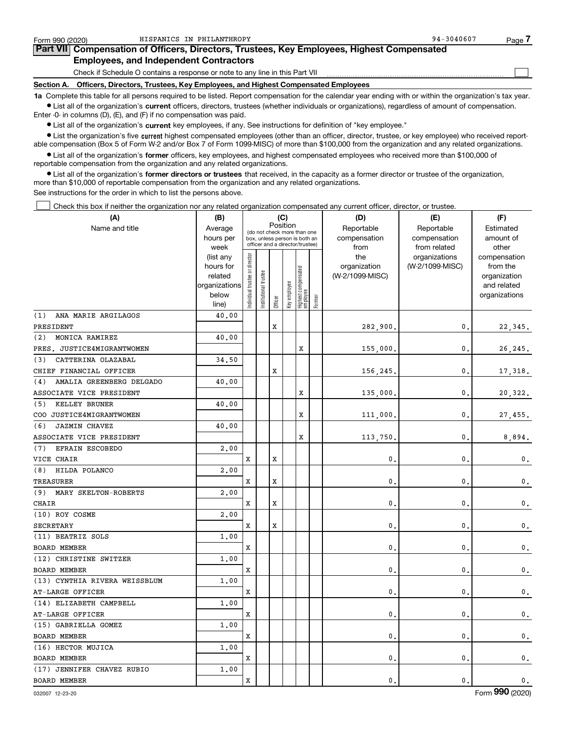| Form 990 (2020) | HISPANICS IN PHILANTHROPY                                                                                                                                  | $94 - 3040607$ | Page $\cdot$ |
|-----------------|------------------------------------------------------------------------------------------------------------------------------------------------------------|----------------|--------------|
|                 | Part VII Compensation of Officers, Directors, Trustees, Key Employees, Highest Compensated                                                                 |                |              |
|                 | <b>Employees, and Independent Contractors</b>                                                                                                              |                |              |
|                 | Check if Schedule O contains a response or note to any line in this Part VII                                                                               |                |              |
|                 | Section A. Officers, Directors, Trustees, Key Employees, and Highest Compensated Employees                                                                 |                |              |
|                 | 1a Complete this table for all persons required to be listed. Report compensation for the calendar year ending with or within the organization's tax year. |                |              |

HISPANICS IN PHILANTHROPY 94-3040607

**•** List all of the organization's current officers, directors, trustees (whether individuals or organizations), regardless of amount of compensation. Enter -0- in columns (D), (E), and (F) if no compensation was paid.

 $\bullet$  List all of the organization's  $\,$ current key employees, if any. See instructions for definition of "key employee."

**•** List the organization's five current highest compensated employees (other than an officer, director, trustee, or key employee) who received reportable compensation (Box 5 of Form W-2 and/or Box 7 of Form 1099-MISC) of more than \$100,000 from the organization and any related organizations.

**•** List all of the organization's former officers, key employees, and highest compensated employees who received more than \$100,000 of reportable compensation from the organization and any related organizations.

**former directors or trustees**  ¥ List all of the organization's that received, in the capacity as a former director or trustee of the organization, more than \$10,000 of reportable compensation from the organization and any related organizations.

See instructions for the order in which to list the persons above.

Check this box if neither the organization nor any related organization compensated any current officer, director, or trustee.  $\mathcal{L}^{\text{max}}$ 

| (A)                             | (C)<br>(B)     |                                |                       |         |              |                                  |        | (D)             | (E)             | (F)             |
|---------------------------------|----------------|--------------------------------|-----------------------|---------|--------------|----------------------------------|--------|-----------------|-----------------|-----------------|
| Name and title                  | Average        |                                |                       |         | Position     | (do not check more than one      |        | Reportable      | Reportable      | Estimated       |
|                                 | hours per      |                                |                       |         |              | box, unless person is both an    |        | compensation    | compensation    | amount of       |
|                                 | week           |                                |                       |         |              | officer and a director/trustee)  |        | from            | from related    | other           |
|                                 | (list any      |                                |                       |         |              |                                  |        | the             | organizations   | compensation    |
|                                 | hours for      |                                |                       |         |              |                                  |        | organization    | (W-2/1099-MISC) | from the        |
|                                 | related        |                                |                       |         |              |                                  |        | (W-2/1099-MISC) |                 | organization    |
|                                 | organizations  |                                |                       |         |              |                                  |        |                 |                 | and related     |
|                                 | below<br>line) | Individual trustee or director | Institutional trustee | Officer | Key employee | Highest compensated<br> employee | Former |                 |                 | organizations   |
| (1)<br>ANA MARIE ARGILAGOS      | 40.00          |                                |                       |         |              |                                  |        |                 |                 |                 |
| PRESIDENT                       |                |                                |                       | X       |              |                                  |        | 282,900.        | $\mathbf 0$ .   | 22,345.         |
| MONICA RAMIREZ<br>(2)           | 40.00          |                                |                       |         |              |                                  |        |                 |                 |                 |
| PRES. JUSTICE4MIGRANTWOMEN      |                |                                |                       |         |              | X                                |        | 155,000.        | $\mathbf{0}$    | 26,245.         |
| (3)<br>CATTERINA OLAZABAL       | 34.50          |                                |                       |         |              |                                  |        |                 |                 |                 |
| CHIEF FINANCIAL OFFICER         |                |                                |                       | X       |              |                                  |        | 156,245         | $\mathbf{0}$    | 17,318.         |
| AMALIA GREENBERG DELGADO<br>(4) | 40.00          |                                |                       |         |              |                                  |        |                 |                 |                 |
| ASSOCIATE VICE PRESIDENT        |                |                                |                       |         |              | X                                |        | 135,000         | 0               | 20,322.         |
| KELLEY BRUNER<br>(5)            | 40.00          |                                |                       |         |              |                                  |        |                 |                 |                 |
| COO JUSTICE4MIGRANTWOMEN        |                |                                |                       |         |              | X                                |        | 111,000,        | $\mathbf{0}$    | 27,455.         |
| JAZMIN CHAVEZ<br>(6)            | 40.00          |                                |                       |         |              |                                  |        |                 |                 |                 |
| ASSOCIATE VICE PRESIDENT        |                |                                |                       |         |              | X                                |        | 113,750.        | $\mathbf{0}$    | 8,894.          |
| EFRAIN ESCOBEDO<br>(7)          | 2,00           |                                |                       |         |              |                                  |        |                 |                 |                 |
| VICE CHAIR                      |                | x                              |                       | X       |              |                                  |        | 0.              | 0               | $\mathbf{0}$ .  |
| HILDA POLANCO<br>(8)            | 2,00           |                                |                       |         |              |                                  |        |                 |                 |                 |
| TREASURER                       |                | x                              |                       | X       |              |                                  |        | 0.              | 0               | $\mathbf{0}$ .  |
| (9)<br>MARY SKELTON-ROBERTS     | 2,00           |                                |                       |         |              |                                  |        |                 |                 |                 |
| CHAIR                           |                | x                              |                       | X       |              |                                  |        | 0.              | $\mathbf 0$     | $\mathbf 0$ .   |
| (10) ROY COSME                  | 2,00           |                                |                       |         |              |                                  |        |                 |                 |                 |
| SECRETARY                       |                | x                              |                       | X       |              |                                  |        | 0.              | $\mathbf 0$     | $\mathbf 0$ .   |
| (11) BEATRIZ SOLS               | 1,00           |                                |                       |         |              |                                  |        |                 |                 |                 |
| <b>BOARD MEMBER</b>             |                | X                              |                       |         |              |                                  |        | $\mathbf{0}$ .  | $\mathbf{0}$    | $\mathbf 0$ .   |
| (12) CHRISTINE SWITZER          | 1.00           |                                |                       |         |              |                                  |        |                 |                 |                 |
| BOARD MEMBER                    |                | x                              |                       |         |              |                                  |        | $\mathbf{0}$ .  | 0               | $\mathsf{0}\,.$ |
| (13) CYNTHIA RIVERA WEISSBLUM   | 1.00           |                                |                       |         |              |                                  |        |                 |                 |                 |
| AT-LARGE OFFICER                |                | x                              |                       |         |              |                                  |        | $\mathbf{0}$ .  | $\mathbf{0}$    | $\mathsf{0}\,.$ |
| (14) ELIZABETH CAMPBELL         | 1.00           |                                |                       |         |              |                                  |        |                 |                 |                 |
| AT-LARGE OFFICER                |                | x                              |                       |         |              |                                  |        | 0.              | $\mathbf{0}$    | $\mathbf 0$ .   |
| (15) GABRIELLA GOMEZ            | 1.00           |                                |                       |         |              |                                  |        |                 |                 |                 |
| <b>BOARD MEMBER</b>             |                | x                              |                       |         |              |                                  |        | $\mathbf{0}$ .  | $\mathbf{0}$    | $\mathsf{0}\,.$ |
| (16) HECTOR MUJICA              | 1.00           |                                |                       |         |              |                                  |        |                 |                 |                 |
| <b>BOARD MEMBER</b>             |                | x                              |                       |         |              |                                  |        | 0.              | $\mathbf{0}$    | $\mathbf 0$ .   |
| (17) JENNIFER CHAVEZ RUBIO      | 1.00           |                                |                       |         |              |                                  |        |                 |                 |                 |
| <b>BOARD MEMBER</b>             |                | x                              |                       |         |              |                                  |        | $\mathbf{0}$ .  | $\mathbf{0}$ .  | $\mathbf{0}$ .  |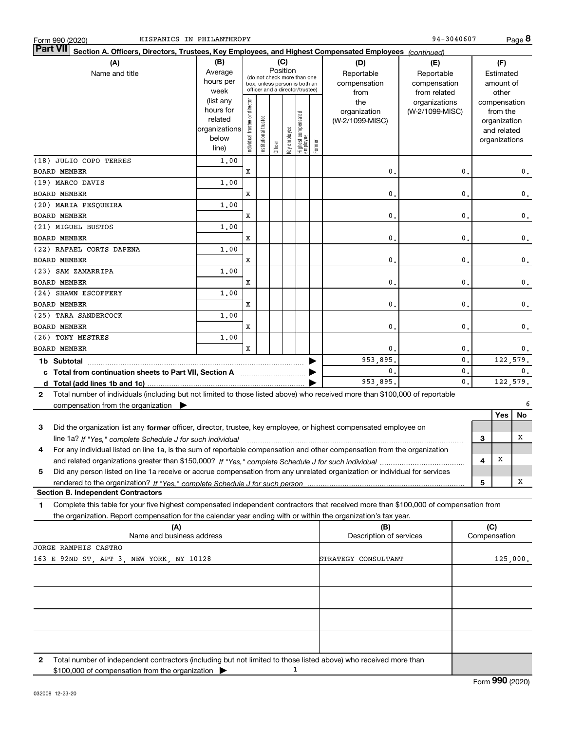|                      | HISPANICS IN PHILANTHROPY<br>Form 990 (2020)                                                                                                                                                                                                           |                      |                                                              |                 |          |              |                                  |        |                         | 94-3040607      |                |       |                              | Page 8         |
|----------------------|--------------------------------------------------------------------------------------------------------------------------------------------------------------------------------------------------------------------------------------------------------|----------------------|--------------------------------------------------------------|-----------------|----------|--------------|----------------------------------|--------|-------------------------|-----------------|----------------|-------|------------------------------|----------------|
| <b>Part VII</b>      | Section A. Officers, Directors, Trustees, Key Employees, and Highest Compensated Employees (continued)                                                                                                                                                 |                      |                                                              |                 |          |              |                                  |        |                         |                 |                |       |                              |                |
|                      | (A)                                                                                                                                                                                                                                                    | (B)                  |                                                              |                 |          | (C)          |                                  |        | (D)                     | (E)             |                |       | (F)                          |                |
|                      | Name and title                                                                                                                                                                                                                                         | Average              |                                                              |                 | Position |              |                                  |        | Reportable              | Reportable      |                |       | Estimated                    |                |
|                      |                                                                                                                                                                                                                                                        | hours per            | (do not check more than one<br>box, unless person is both an |                 |          |              |                                  |        | compensation            | compensation    |                |       | amount of                    |                |
|                      |                                                                                                                                                                                                                                                        | week                 |                                                              |                 |          |              | officer and a director/trustee)  |        | from                    | from related    |                | other |                              |                |
|                      |                                                                                                                                                                                                                                                        | (list any            |                                                              |                 |          |              |                                  |        | the                     | organizations   |                |       | compensation                 |                |
|                      |                                                                                                                                                                                                                                                        | hours for<br>related |                                                              |                 |          |              |                                  |        | organization            | (W-2/1099-MISC) |                |       | from the                     |                |
|                      |                                                                                                                                                                                                                                                        | organizations        |                                                              | trustee         |          |              |                                  |        | (W-2/1099-MISC)         |                 |                |       | organization                 |                |
|                      |                                                                                                                                                                                                                                                        | below                |                                                              |                 |          |              |                                  |        |                         |                 |                |       | and related<br>organizations |                |
|                      |                                                                                                                                                                                                                                                        | line)                | Individual trustee or director                               | Institutional t | Officer  | key employee | Highest compensated<br> employee | Former |                         |                 |                |       |                              |                |
|                      | (18) JULIO COPO TERRES                                                                                                                                                                                                                                 | 1,00                 |                                                              |                 |          |              |                                  |        |                         |                 |                |       |                              |                |
|                      | <b>BOARD MEMBER</b>                                                                                                                                                                                                                                    |                      | X                                                            |                 |          |              |                                  |        | $\mathbf{0}$            |                 | $\mathbf{0}$ . |       |                              | 0.             |
|                      | (19) MARCO DAVIS                                                                                                                                                                                                                                       | 1,00                 |                                                              |                 |          |              |                                  |        |                         |                 |                |       |                              |                |
|                      | <b>BOARD MEMBER</b><br>(20) MARIA PESQUEIRA                                                                                                                                                                                                            | 1,00                 | X                                                            |                 |          |              |                                  |        | 0.                      |                 | $\mathbf{0}$ . |       |                              | $\mathbf 0$ .  |
|                      | <b>BOARD MEMBER</b>                                                                                                                                                                                                                                    |                      | X                                                            |                 |          |              |                                  |        | 0.                      |                 | $\mathbf{0}$ . |       |                              | $\mathbf 0$ .  |
|                      | (21) MIGUEL BUSTOS                                                                                                                                                                                                                                     | 1,00                 |                                                              |                 |          |              |                                  |        |                         |                 |                |       |                              |                |
|                      | <b>BOARD MEMBER</b>                                                                                                                                                                                                                                    |                      | x                                                            |                 |          |              |                                  |        | 0.                      |                 | $\mathbf{0}$ . |       |                              | $\mathbf 0$ .  |
|                      | (22) RAFAEL CORTS DAPENA                                                                                                                                                                                                                               | 1,00                 |                                                              |                 |          |              |                                  |        |                         |                 |                |       |                              |                |
|                      | <b>BOARD MEMBER</b>                                                                                                                                                                                                                                    |                      | x                                                            |                 |          |              |                                  |        | 0.                      |                 | $\mathbf{0}$ . |       |                              | $\mathbf 0$ .  |
|                      | (23) SAM ZAMARRIPA                                                                                                                                                                                                                                     | 1,00                 |                                                              |                 |          |              |                                  |        |                         |                 |                |       |                              |                |
|                      | <b>BOARD MEMBER</b>                                                                                                                                                                                                                                    |                      | x                                                            |                 |          |              |                                  |        | 0.                      |                 | 0.             |       |                              | $\mathbf 0$ .  |
| (24) SHAWN ESCOFFERY |                                                                                                                                                                                                                                                        | 1,00                 |                                                              |                 |          |              |                                  |        |                         |                 |                |       |                              |                |
|                      | <b>BOARD MEMBER</b>                                                                                                                                                                                                                                    |                      | x                                                            |                 |          |              |                                  |        | 0.                      |                 | 0.             |       |                              | $\mathbf 0$ .  |
|                      | (25) TARA SANDERCOCK                                                                                                                                                                                                                                   | 1,00                 |                                                              |                 |          |              |                                  |        |                         |                 |                |       |                              |                |
|                      | <b>BOARD MEMBER</b>                                                                                                                                                                                                                                    |                      | x                                                            |                 |          |              |                                  |        | $\mathbf{0}$            |                 | 0.             |       |                              | $\mathbf 0$ .  |
|                      | (26) TONY MESTRES                                                                                                                                                                                                                                      | 1,00                 |                                                              |                 |          |              |                                  |        |                         |                 |                |       |                              |                |
|                      | <b>BOARD MEMBER</b>                                                                                                                                                                                                                                    |                      | X                                                            |                 |          |              |                                  |        | 0.                      |                 | 0.             |       |                              | 0.             |
|                      | 1b Subtotal                                                                                                                                                                                                                                            |                      |                                                              |                 |          |              |                                  |        | 953,895.                |                 | 0.             |       |                              | 122,579.       |
|                      | c Total from continuation sheets to Part VII, Section A                                                                                                                                                                                                |                      |                                                              |                 |          |              |                                  |        | $\mathbf{0}$            |                 | 0.             |       |                              | $\mathbf{0}$ . |
|                      |                                                                                                                                                                                                                                                        |                      |                                                              |                 |          |              |                                  |        | 953,895.                |                 | 0.             |       |                              | 122,579.       |
| 2                    | Total number of individuals (including but not limited to those listed above) who received more than \$100,000 of reportable                                                                                                                           |                      |                                                              |                 |          |              |                                  |        |                         |                 |                |       |                              |                |
|                      | compensation from the organization $\blacktriangleright$                                                                                                                                                                                               |                      |                                                              |                 |          |              |                                  |        |                         |                 |                |       |                              | 6              |
|                      |                                                                                                                                                                                                                                                        |                      |                                                              |                 |          |              |                                  |        |                         |                 |                |       | Yes                          | No             |
| 3                    | Did the organization list any former officer, director, trustee, key employee, or highest compensated employee on                                                                                                                                      |                      |                                                              |                 |          |              |                                  |        |                         |                 |                |       |                              |                |
|                      | line 1a? If "Yes," complete Schedule J for such individual manufactured contained and the line 1a? If "Yes," complete Schedule J for such individual                                                                                                   |                      |                                                              |                 |          |              |                                  |        |                         |                 |                | 3     |                              | х              |
|                      | For any individual listed on line 1a, is the sum of reportable compensation and other compensation from the organization                                                                                                                               |                      |                                                              |                 |          |              |                                  |        |                         |                 |                |       |                              |                |
|                      |                                                                                                                                                                                                                                                        |                      |                                                              |                 |          |              |                                  |        |                         |                 |                | 4     | X                            |                |
| 5                    | Did any person listed on line 1a receive or accrue compensation from any unrelated organization or individual for services                                                                                                                             |                      |                                                              |                 |          |              |                                  |        |                         |                 |                |       |                              |                |
|                      |                                                                                                                                                                                                                                                        |                      |                                                              |                 |          |              |                                  |        |                         |                 |                | 5     |                              | х              |
|                      | <b>Section B. Independent Contractors</b>                                                                                                                                                                                                              |                      |                                                              |                 |          |              |                                  |        |                         |                 |                |       |                              |                |
| 1                    | Complete this table for your five highest compensated independent contractors that received more than \$100,000 of compensation from<br>the organization. Report compensation for the calendar year ending with or within the organization's tax year. |                      |                                                              |                 |          |              |                                  |        |                         |                 |                |       |                              |                |
|                      | (A)                                                                                                                                                                                                                                                    |                      |                                                              |                 |          |              |                                  |        | (B)                     |                 |                | (C)   |                              |                |
|                      | Name and business address                                                                                                                                                                                                                              |                      |                                                              |                 |          |              |                                  |        | Description of services |                 |                |       | Compensation                 |                |
|                      | JORGE RAMPHIS CASTRO                                                                                                                                                                                                                                   |                      |                                                              |                 |          |              |                                  |        |                         |                 |                |       |                              |                |
|                      | 163 E 92ND ST, APT 3, NEW YORK, NY 10128                                                                                                                                                                                                               |                      |                                                              |                 |          |              |                                  |        | STRATEGY CONSULTANT     |                 |                |       |                              | 125,000.       |
|                      |                                                                                                                                                                                                                                                        |                      |                                                              |                 |          |              |                                  |        |                         |                 |                |       |                              |                |

| Total number of independent contractors (including but not limited to those listed above) who received more than<br>\$100,000 of compensation from the organization $\blacktriangleright$ |  |  |
|-------------------------------------------------------------------------------------------------------------------------------------------------------------------------------------------|--|--|

**2**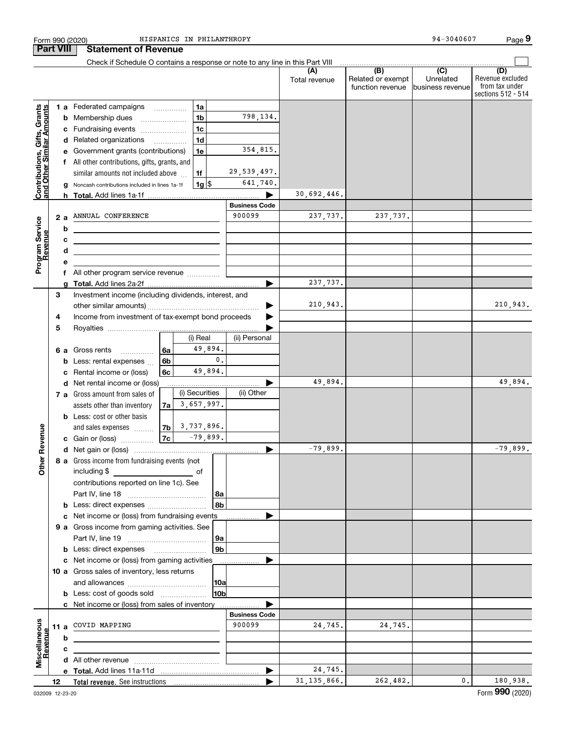| <b>Part VIII</b>                                          |                                                         |        | <b>Statement of Revenue</b>                                                   |      |                     |                |                                |                      |                                       |                                                 |                                                                 |
|-----------------------------------------------------------|---------------------------------------------------------|--------|-------------------------------------------------------------------------------|------|---------------------|----------------|--------------------------------|----------------------|---------------------------------------|-------------------------------------------------|-----------------------------------------------------------------|
|                                                           |                                                         |        | Check if Schedule O contains a response or note to any line in this Part VIII |      |                     |                |                                |                      | (B)                                   |                                                 |                                                                 |
|                                                           |                                                         |        |                                                                               |      |                     |                |                                | (A)<br>Total revenue | Related or exempt<br>function revenue | $\overline{C}$<br>Unrelated<br>business revenue | (D)<br>Revenue excluded<br>from tax under<br>sections 512 - 514 |
|                                                           |                                                         |        | 1 a Federated campaigns                                                       |      | <b>1a</b>           |                |                                |                      |                                       |                                                 |                                                                 |
| Contributions, Gifts, Grants<br>and Other Similar Amounts |                                                         |        | <b>b</b> Membership dues                                                      |      | 1 <sub>b</sub>      |                | 798,134.                       |                      |                                       |                                                 |                                                                 |
|                                                           |                                                         |        | c Fundraising events                                                          |      | 1 <sub>c</sub>      |                |                                |                      |                                       |                                                 |                                                                 |
|                                                           |                                                         |        | d Related organizations                                                       |      | 1 <sub>d</sub>      |                |                                |                      |                                       |                                                 |                                                                 |
|                                                           |                                                         |        | e Government grants (contributions)                                           |      | 1e                  |                | 354,815.                       |                      |                                       |                                                 |                                                                 |
|                                                           |                                                         |        | f All other contributions, gifts, grants, and                                 |      |                     |                |                                |                      |                                       |                                                 |                                                                 |
|                                                           |                                                         |        | similar amounts not included above                                            |      | 1f                  |                | 29,539,497.                    |                      |                                       |                                                 |                                                                 |
|                                                           |                                                         |        | g Noncash contributions included in lines 1a-1f                               |      | $1g$ \$             |                | 641,740.                       |                      |                                       |                                                 |                                                                 |
|                                                           |                                                         |        | h Total. Add lines 1a-1f                                                      |      |                     |                |                                | 30,692,446.          |                                       |                                                 |                                                                 |
|                                                           |                                                         |        | 2 a ANNUAL CONFERENCE                                                         |      |                     |                | <b>Business Code</b><br>900099 | 237,737.             | 237,737.                              |                                                 |                                                                 |
|                                                           |                                                         |        |                                                                               |      |                     |                |                                |                      |                                       |                                                 |                                                                 |
|                                                           |                                                         | b      | <u> 1989 - Johann Barbara, martxa alemaniar a</u>                             |      |                     |                |                                |                      |                                       |                                                 |                                                                 |
|                                                           |                                                         | c<br>d | <u> 1989 - Johann Stoff, Amerikaansk politiker (</u>                          |      |                     |                |                                |                      |                                       |                                                 |                                                                 |
|                                                           |                                                         | е      | <u> 1989 - Johann Barbara, martxa eta idazlea (h. 1989).</u>                  |      |                     |                |                                |                      |                                       |                                                 |                                                                 |
| Program Service<br>Revenue                                |                                                         |        |                                                                               |      |                     |                |                                |                      |                                       |                                                 |                                                                 |
|                                                           |                                                         |        | f All other program service revenue                                           |      |                     | 237,737.       |                                |                      |                                       |                                                 |                                                                 |
|                                                           | 3                                                       |        | Investment income (including dividends, interest, and                         |      |                     |                |                                |                      |                                       |                                                 |                                                                 |
|                                                           |                                                         |        |                                                                               |      |                     |                | 210,943.                       |                      |                                       | 210,943.                                        |                                                                 |
|                                                           | Income from investment of tax-exempt bond proceeds<br>4 |        |                                                                               |      |                     |                |                                |                      |                                       |                                                 |                                                                 |
|                                                           | 5                                                       |        |                                                                               |      |                     |                |                                |                      |                                       |                                                 |                                                                 |
|                                                           |                                                         |        |                                                                               |      | (i) Real            |                | (ii) Personal                  |                      |                                       |                                                 |                                                                 |
|                                                           |                                                         |        | <b>6 a</b> Gross rents                                                        | l 6a | 49,894.             |                |                                |                      |                                       |                                                 |                                                                 |
|                                                           |                                                         |        | <b>b</b> Less: rental expenses                                                | 6b   |                     | $\mathbf{0}$ . |                                |                      |                                       |                                                 |                                                                 |
|                                                           |                                                         |        | c Rental income or (loss)                                                     | 6с   | 49,894.             |                |                                |                      |                                       |                                                 |                                                                 |
|                                                           |                                                         |        | d Net rental income or (loss)                                                 |      |                     |                |                                | 49,894.              |                                       |                                                 | 49,894.                                                         |
|                                                           |                                                         |        | 7 a Gross amount from sales of                                                |      | (i) Securities      |                | (ii) Other                     |                      |                                       |                                                 |                                                                 |
|                                                           |                                                         |        | assets other than inventory                                                   | 7a   | 3,657,997.          |                |                                |                      |                                       |                                                 |                                                                 |
|                                                           |                                                         |        | <b>b</b> Less: cost or other basis                                            |      |                     |                |                                |                      |                                       |                                                 |                                                                 |
|                                                           |                                                         |        | and sales expenses                                                            |      | $ 7b $ 3, 737, 896. |                |                                |                      |                                       |                                                 |                                                                 |
| Revenue                                                   |                                                         |        | c Gain or (loss)                                                              | 7c   | $-79,899.$          |                |                                |                      |                                       |                                                 |                                                                 |
|                                                           |                                                         |        |                                                                               |      |                     |                |                                | $-79,899.$           |                                       |                                                 | $-79,899.$                                                      |
| Other                                                     |                                                         |        | 8 a Gross income from fundraising events (not                                 |      |                     |                |                                |                      |                                       |                                                 |                                                                 |
|                                                           |                                                         |        | including \$                                                                  |      |                     |                |                                |                      |                                       |                                                 |                                                                 |
|                                                           |                                                         |        | contributions reported on line 1c). See                                       |      |                     | l 8a           |                                |                      |                                       |                                                 |                                                                 |
|                                                           |                                                         |        | <b>b</b> Less: direct expenses <b>constants b</b>                             |      |                     | 8 <sub>b</sub> |                                |                      |                                       |                                                 |                                                                 |
|                                                           |                                                         |        | c Net income or (loss) from fundraising events                                |      |                     |                |                                |                      |                                       |                                                 |                                                                 |
|                                                           |                                                         |        | 9 a Gross income from gaming activities. See                                  |      |                     |                |                                |                      |                                       |                                                 |                                                                 |
|                                                           |                                                         |        |                                                                               |      |                     | 9a             |                                |                      |                                       |                                                 |                                                                 |
|                                                           |                                                         |        | <b>b</b> Less: direct expenses <b>manually</b>                                |      |                     | 9 <sub>b</sub> |                                |                      |                                       |                                                 |                                                                 |
|                                                           |                                                         |        | c Net income or (loss) from gaming activities                                 |      |                     |                |                                |                      |                                       |                                                 |                                                                 |
|                                                           |                                                         |        | 10 a Gross sales of inventory, less returns                                   |      |                     |                |                                |                      |                                       |                                                 |                                                                 |
|                                                           |                                                         |        |                                                                               |      |                     | 10a            |                                |                      |                                       |                                                 |                                                                 |
|                                                           |                                                         |        | <b>b</b> Less: cost of goods sold                                             |      |                     | 10ь            |                                |                      |                                       |                                                 |                                                                 |
|                                                           |                                                         |        | c Net income or (loss) from sales of inventory                                |      |                     |                |                                |                      |                                       |                                                 |                                                                 |
|                                                           |                                                         |        |                                                                               |      |                     |                | <b>Business Code</b>           |                      |                                       |                                                 |                                                                 |
|                                                           |                                                         |        | 11 a COVID MAPPING                                                            |      |                     |                | 900099                         | 24,745.              | 24,745.                               |                                                 |                                                                 |
|                                                           |                                                         | b      |                                                                               |      |                     |                |                                |                      |                                       |                                                 |                                                                 |
| Miscellaneous<br>Revenue                                  |                                                         | c      |                                                                               |      |                     |                |                                |                      |                                       |                                                 |                                                                 |
|                                                           |                                                         |        |                                                                               |      |                     |                |                                |                      |                                       |                                                 |                                                                 |
|                                                           |                                                         |        |                                                                               |      |                     |                |                                | 24,745.              |                                       |                                                 |                                                                 |
|                                                           | 12                                                      |        |                                                                               |      |                     |                |                                | 31, 135, 866.        | 262,482.                              | 0.                                              | 180,938.                                                        |

Form 990 (2020) Page HISPANICS IN PHILANTHROPY 94-3040607

**9**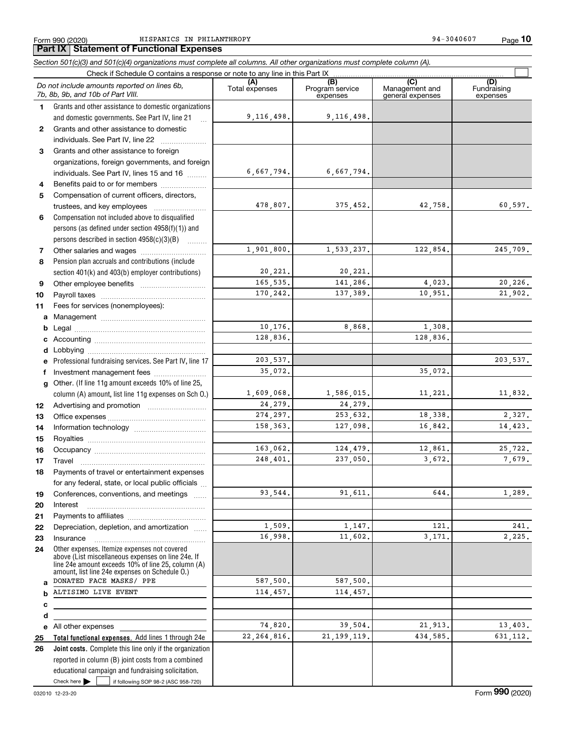Form 990 (2020) Page HISPANICS IN PHILANTHROPY 94-3040607

**10**

#### **Total functional expenses.**  Add lines 1 through 24e **Joint costs.** Complete this line only if the organization **(A)**<br>Total expenses **(B) (C) (D) 123** Grants and other assistance to foreign **4567891011abcdefg12131415161718192021222324abcde2526***Section 501(c)(3) and 501(c)(4) organizations must complete all columns. All other organizations must complete column (A).* Grants and other assistance to domestic organizations and domestic governments. See Part IV, line 21 Compensation not included above to disqualified persons (as defined under section 4958(f)(1)) and persons described in section 4958(c)(3)(B)  $\quad \ldots \ldots \ldots$ Pension plan accruals and contributions (include section 401(k) and 403(b) employer contributions) Professional fundraising services. See Part IV, line 17 Other. (If line 11g amount exceeds 10% of line 25, column (A) amount, list line 11g expenses on Sch O.) Other expenses. Itemize expenses not covered above (List miscellaneous expenses on line 24e. If line 24e amount exceeds 10% of line 25, column (A) amount, list line 24e expenses on Schedule O.) reported in column (B) joint costs from a combined Check if Schedule O contains a response or note to any line in this Part IX (C) (C) (C) (C) (C) (C) Program service expensesManagement and general expenses Fundraising expensesGrants and other assistance to domestic individuals. See Part IV, line 22 ~~~~~~~ organizations, foreign governments, and foreign individuals. See Part IV, lines 15 and 16  $\ldots$ Benefits paid to or for members .................... Compensation of current officers, directors, trustees, and key employees  $\ldots$   $\ldots$   $\ldots$   $\ldots$   $\ldots$ Other salaries and wages ~~~~~~~~~~ Other employee benefits ~~~~~~~~~~ Payroll taxes ~~~~~~~~~~~~~~~~ Fees for services (nonemployees): Management ~~~~~~~~~~~~~~~~ Legal ~~~~~~~~~~~~~~~~~~~~Accounting ~~~~~~~~~~~~~~~~~ Lobbying ~~~~~~~~~~~~~~~~~~ lnvestment management fees ....................... Advertising and promotion \_\_\_\_\_\_\_\_\_\_\_\_\_\_\_\_\_\_\_ Office expenses ~~~~~~~~~~~~~~~ Information technology ~~~~~~~~~~~ Royalties ~~~~~~~~~~~~~~~~~~ Occupancy ~~~~~~~~~~~~~~~~~ Travel ……………………………………………… Payments of travel or entertainment expenses for any federal, state, or local public officials ... Conferences, conventions, and meetings Interest Payments to affiliates ~~~~~~~~~~~~ Depreciation, depletion, and amortization  $\,\,\ldots\,\,$ Insurance~~~~~~~~~~~~~~~~~All other expenses *Do not include amounts reported on lines 6b, 7b, 8b, 9b, and 10b of Part VIII.*  $\mathcal{L}^{\text{max}}$ 9,116,498. 6,667,794. 478,807. 1,901,800. 20,221. 165,535. 170,242. 10,176. 128,836. 203,537. 1,609,068. 24,279. 274,297. 158,363. 163,062. 248,401. 93,544. 1,509. 16,998. 587,500. 114,457. 74,820. 22,264,816. 35,072. 9,116,498. 6,667,794. 375,452. 42,758. 60,597. 1,533,237. 122,854. 245,709. 20,221. 141,286. 4,023. 20,226. 137,389. 10,951. 21,902. 8,868. 1,308. 128,836. 203,537. 35,072. 1,586,015. 11,221. 11,832. 24,279. 253,632. 18,338. 2,327. 127,098. 16,842. 14,423. 124,479. 12,861. 25,722. 237,050. 3,672. 7,679. 91,611. 644. 1,289.  $1,147.$   $121.$   $241.$ 11,602. 3,171. 2,225. 587,500. 114,457. 39,504. 21,913. 13,403. 21,199,119. 434,585. 631,112. DONATED FACE MASKS/ PPE ALTISIMO LIVE EVENT

Check here  $\blacktriangleright$ 

Check here  $\bullet$  if following SOP 98-2 (ASC 958-720)

educational campaign and fundraising solicitation.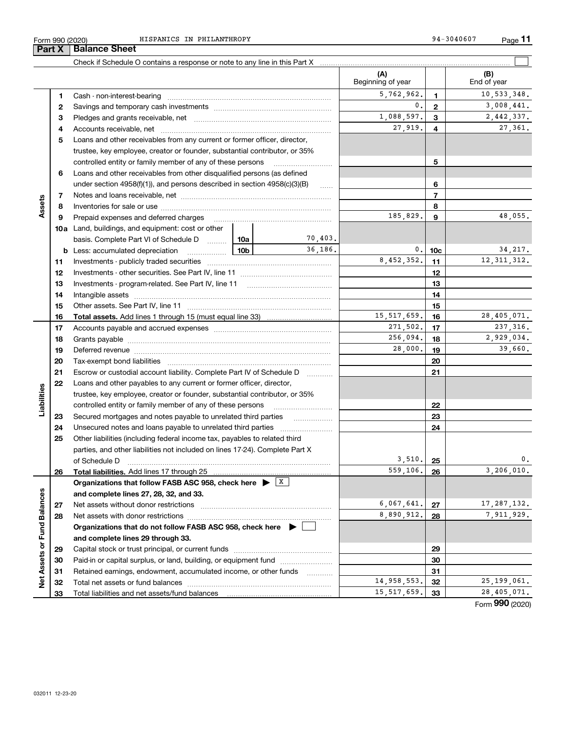|                             | Form 990 (2020)<br><b>Part X</b> | HISPANICS IN PHILANTHROPY<br><b>Balance Sheet</b>                                                                                                                                                                              |                 |               |                     | 94-3040607      | Page 11       |
|-----------------------------|----------------------------------|--------------------------------------------------------------------------------------------------------------------------------------------------------------------------------------------------------------------------------|-----------------|---------------|---------------------|-----------------|---------------|
|                             |                                  | Check if Schedule O contains a response or note to any line in this Part X [11] manufacture in the state of schedule O contains a response or note to any line in this Part X [11] manufacture in the Schedule O contains a re |                 |               |                     |                 |               |
|                             |                                  |                                                                                                                                                                                                                                |                 |               | (A)                 |                 | (B)           |
|                             |                                  |                                                                                                                                                                                                                                |                 |               | Beginning of year   |                 | End of year   |
|                             | 1.                               | Cash - non-interest-bearing                                                                                                                                                                                                    |                 |               | 5,762,962.          | 1               | 10,533,348.   |
|                             | $\mathbf{2}$                     |                                                                                                                                                                                                                                |                 |               | 0.                  | $\mathbf{2}$    | 3,008,441.    |
|                             | з                                |                                                                                                                                                                                                                                |                 |               | 1,088,597.          | 3               | 2,442,337.    |
|                             | 4                                |                                                                                                                                                                                                                                |                 |               | 27,919.             | 4               | 27,361.       |
|                             | 5                                | Loans and other receivables from any current or former officer, director,                                                                                                                                                      |                 |               |                     |                 |               |
|                             |                                  | trustee, key employee, creator or founder, substantial contributor, or 35%                                                                                                                                                     |                 |               |                     |                 |               |
|                             |                                  | controlled entity or family member of any of these persons                                                                                                                                                                     |                 |               |                     | 5               |               |
|                             | 6                                | Loans and other receivables from other disqualified persons (as defined                                                                                                                                                        |                 |               |                     |                 |               |
|                             |                                  | under section $4958(f)(1)$ , and persons described in section $4958(c)(3)(B)$                                                                                                                                                  |                 | <b>Carlos</b> |                     | 6               |               |
| Assets                      | 7                                |                                                                                                                                                                                                                                |                 |               | $\overline{7}$<br>8 |                 |               |
|                             | 8<br>9                           | Prepaid expenses and deferred charges                                                                                                                                                                                          |                 | 185,829.      | 9                   | 48,055.         |               |
|                             |                                  | <b>10a</b> Land, buildings, and equipment: cost or other                                                                                                                                                                       |                 |               |                     |                 |               |
|                             |                                  | basis. Complete Part VI of Schedule D  10a                                                                                                                                                                                     |                 | 70,403.       |                     |                 |               |
|                             |                                  | <b>b</b> Less: accumulated depreciation                                                                                                                                                                                        | 10 <sub>b</sub> | 36.186.       | 0.                  | 10 <sub>c</sub> | 34, 217.      |
|                             | 11                               | Investments - publicly traded securities                                                                                                                                                                                       |                 | 8,452,352.    | 11                  | 12, 311, 312.   |               |
|                             | 12                               |                                                                                                                                                                                                                                |                 |               | 12                  |                 |               |
|                             | 13                               |                                                                                                                                                                                                                                |                 |               | 13                  |                 |               |
|                             | 14                               | Intangible assets                                                                                                                                                                                                              |                 |               | 14                  |                 |               |
|                             | 15                               | Other assets. See Part IV, line 11                                                                                                                                                                                             |                 |               |                     | 15              |               |
|                             | 16                               |                                                                                                                                                                                                                                |                 |               | 15, 517, 659.       | 16              | 28,405,071.   |
|                             | 17                               |                                                                                                                                                                                                                                |                 |               | 271,502.            | 17              | 237, 316.     |
|                             | 18                               |                                                                                                                                                                                                                                |                 |               | 256,094.            | 18              | 2,929,034.    |
|                             | 19                               |                                                                                                                                                                                                                                |                 |               | 28,000.             | 19              | 39,660.       |
|                             | 20<br>21                         | Escrow or custodial account liability. Complete Part IV of Schedule D                                                                                                                                                          |                 |               |                     | 20<br>21        |               |
|                             | 22                               | Loans and other payables to any current or former officer, director,                                                                                                                                                           |                 |               |                     |                 |               |
| Liabilities                 |                                  | trustee, key employee, creator or founder, substantial contributor, or 35%                                                                                                                                                     |                 |               |                     |                 |               |
|                             |                                  | controlled entity or family member of any of these persons                                                                                                                                                                     |                 |               |                     | 22              |               |
|                             | 23                               | Secured mortgages and notes payable to unrelated third parties                                                                                                                                                                 |                 |               |                     | 23              |               |
|                             | 24                               | Unsecured notes and loans payable to unrelated third parties                                                                                                                                                                   |                 |               |                     | 24              |               |
|                             | 25                               | Other liabilities (including federal income tax, payables to related third                                                                                                                                                     |                 |               |                     |                 |               |
|                             |                                  | parties, and other liabilities not included on lines 17-24). Complete Part X                                                                                                                                                   |                 |               |                     |                 |               |
|                             |                                  | of Schedule D                                                                                                                                                                                                                  |                 |               | 3,510.              | 25              | 0.            |
|                             | 26                               |                                                                                                                                                                                                                                |                 |               | 559,106.            | 26              | 3,206,010.    |
|                             |                                  | Organizations that follow FASB ASC 958, check here $\triangleright$ $\frac{X}{X}$                                                                                                                                              |                 |               |                     |                 |               |
|                             |                                  | and complete lines 27, 28, 32, and 33.                                                                                                                                                                                         |                 |               | 6,067,641.          |                 | 17, 287, 132. |
|                             | 27<br>28                         |                                                                                                                                                                                                                                |                 |               | 8,890,912.          | 27<br>28        | 7,911,929.    |
|                             |                                  | Organizations that do not follow FASB ASC 958, check here $\blacktriangleright$                                                                                                                                                |                 |               |                     |                 |               |
|                             |                                  |                                                                                                                                                                                                                                |                 |               |                     |                 |               |
|                             |                                  |                                                                                                                                                                                                                                |                 |               |                     |                 |               |
|                             | 29                               | and complete lines 29 through 33.                                                                                                                                                                                              |                 |               |                     | 29              |               |
|                             | 30                               | Paid-in or capital surplus, or land, building, or equipment fund                                                                                                                                                               |                 |               |                     | 30              |               |
| Net Assets or Fund Balances | 31                               | Retained earnings, endowment, accumulated income, or other funds                                                                                                                                                               |                 |               | 14,958,553.         | 31              |               |

Total liabilities and net assets/fund balances

Form (2020) **990**

 $14,958,553.$  32 25,199,061. 15,517,659. 33 28,405,071.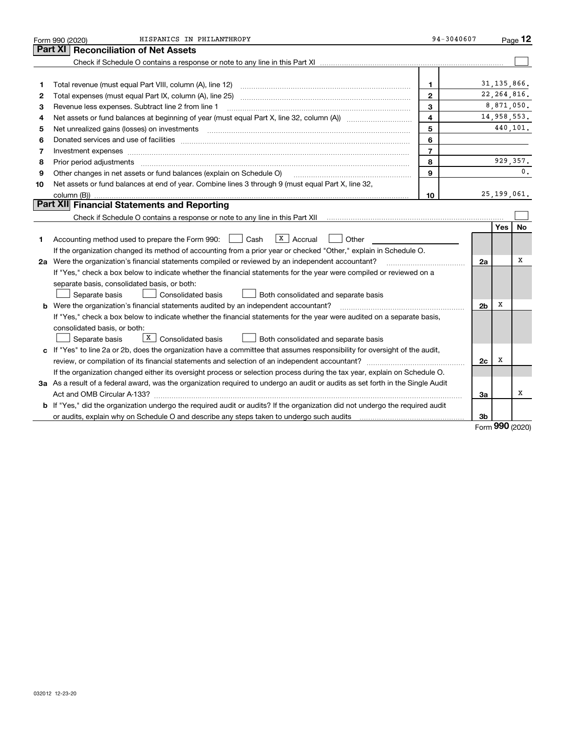|    | HISPANICS IN PHILANTHROPY<br>Form 990 (2020)                                                                                                                                                                                        | 94-3040607     |                |               | Page 12       |  |
|----|-------------------------------------------------------------------------------------------------------------------------------------------------------------------------------------------------------------------------------------|----------------|----------------|---------------|---------------|--|
|    | <b>Reconciliation of Net Assets</b><br>Part XI                                                                                                                                                                                      |                |                |               |               |  |
|    |                                                                                                                                                                                                                                     |                |                |               |               |  |
|    |                                                                                                                                                                                                                                     |                |                |               |               |  |
| 1  |                                                                                                                                                                                                                                     | 1              |                | 31, 135, 866. |               |  |
| 2  |                                                                                                                                                                                                                                     | $\mathbf{2}$   |                |               | 22, 264, 816. |  |
| З  | Revenue less expenses. Subtract line 2 from line 1                                                                                                                                                                                  | 3              |                |               | 8,871,050.    |  |
| 4  | 4                                                                                                                                                                                                                                   |                |                |               |               |  |
| 5  | 5<br>Net unrealized gains (losses) on investments [11] matter continuum matter of the state of the state of the state of the state of the state of the state of the state of the state of the state of the state of the state of th |                |                |               |               |  |
| 6  |                                                                                                                                                                                                                                     | 6              |                |               |               |  |
| 7  | Investment expenses www.communication.com/www.communication.com/www.communication.com/www.com                                                                                                                                       | $\overline{7}$ |                |               |               |  |
| 8  | Prior period adjustments                                                                                                                                                                                                            | 8              |                |               | 929, 357.     |  |
| 9  | Other changes in net assets or fund balances (explain on Schedule O)                                                                                                                                                                | 9              |                |               | 0.            |  |
| 10 | Net assets or fund balances at end of year. Combine lines 3 through 9 (must equal Part X, line 32,                                                                                                                                  |                |                |               |               |  |
|    | column (B))                                                                                                                                                                                                                         | 10             |                |               | 25, 199, 061. |  |
|    | Part XII Financial Statements and Reporting                                                                                                                                                                                         |                |                |               |               |  |
|    |                                                                                                                                                                                                                                     |                |                |               |               |  |
|    |                                                                                                                                                                                                                                     |                |                | <b>Yes</b>    | <b>No</b>     |  |
| 1. | $X$ Accrual<br>Accounting method used to prepare the Form 990: <u>I</u> Cash<br>Other                                                                                                                                               |                |                |               |               |  |
|    | If the organization changed its method of accounting from a prior year or checked "Other," explain in Schedule O.                                                                                                                   |                |                |               |               |  |
|    | 2a Were the organization's financial statements compiled or reviewed by an independent accountant?                                                                                                                                  |                | 2a             |               | X             |  |
|    | If "Yes," check a box below to indicate whether the financial statements for the year were compiled or reviewed on a                                                                                                                |                |                |               |               |  |
|    | separate basis, consolidated basis, or both:                                                                                                                                                                                        |                |                |               |               |  |
|    | Separate basis<br>Consolidated basis<br>Both consolidated and separate basis                                                                                                                                                        |                |                |               |               |  |
|    | <b>b</b> Were the organization's financial statements audited by an independent accountant?                                                                                                                                         |                | 2 <sub>b</sub> | x             |               |  |
|    | If "Yes," check a box below to indicate whether the financial statements for the year were audited on a separate basis,                                                                                                             |                |                |               |               |  |
|    | consolidated basis, or both:                                                                                                                                                                                                        |                |                |               |               |  |
|    | $X$ Consolidated basis<br>Separate basis<br>Both consolidated and separate basis                                                                                                                                                    |                |                |               |               |  |
|    | c If "Yes" to line 2a or 2b, does the organization have a committee that assumes responsibility for oversight of the audit,                                                                                                         |                |                |               |               |  |
|    |                                                                                                                                                                                                                                     |                | 2c             | х             |               |  |
|    | If the organization changed either its oversight process or selection process during the tax year, explain on Schedule O.                                                                                                           |                |                |               |               |  |
|    | 3a As a result of a federal award, was the organization required to undergo an audit or audits as set forth in the Single Audit                                                                                                     |                |                |               |               |  |
|    |                                                                                                                                                                                                                                     |                | 3a             |               | X             |  |
|    | b If "Yes," did the organization undergo the required audit or audits? If the organization did not undergo the required audit                                                                                                       |                |                |               |               |  |
|    |                                                                                                                                                                                                                                     |                | 3b             | <u>nnn</u>    |               |  |

Form (2020) **990**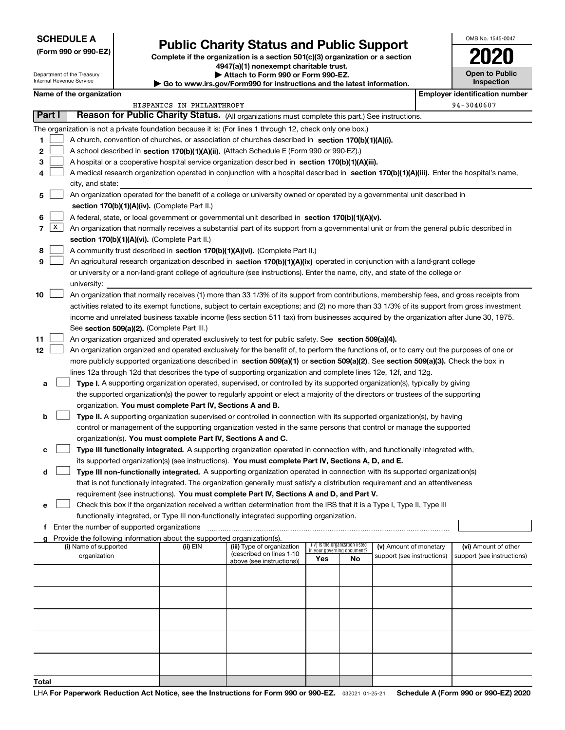## **SCHEDULE A**

Department of the Treasury Internal Revenue Service

**(Form 990 or 990-EZ)**

## **Public Charity Status and Public Support**

**Complete if the organization is a section 501(c)(3) organization or a section 4947(a)(1) nonexempt charitable trust. | Attach to Form 990 or Form 990-EZ.** 

|  | <b>P AUGULU FULLI 330 UL FULLI 330-LZ.</b> |                                                             |
|--|--------------------------------------------|-------------------------------------------------------------|
|  |                                            | au ire gou/Eorm000 for instructions and the latest informa- |

**| Go to www.irs.gov/Form990 for instructions and the latest information.**

| OMB No. 1545-0047 |
|-------------------|
| 2020              |
| Open to Public    |

**Inspection**

|              |                                                                                                                                                                                                                                                                                       | Name of the organization                                                                                                                   |                           |                                                       |                             |                                 |                            |            | <b>Employer identification number</b> |  |  |
|--------------|---------------------------------------------------------------------------------------------------------------------------------------------------------------------------------------------------------------------------------------------------------------------------------------|--------------------------------------------------------------------------------------------------------------------------------------------|---------------------------|-------------------------------------------------------|-----------------------------|---------------------------------|----------------------------|------------|---------------------------------------|--|--|
|              |                                                                                                                                                                                                                                                                                       |                                                                                                                                            | HISPANICS IN PHILANTHROPY |                                                       |                             |                                 |                            | 94-3040607 |                                       |  |  |
| Part I       |                                                                                                                                                                                                                                                                                       | Reason for Public Charity Status. (All organizations must complete this part.) See instructions.                                           |                           |                                                       |                             |                                 |                            |            |                                       |  |  |
|              |                                                                                                                                                                                                                                                                                       | The organization is not a private foundation because it is: (For lines 1 through 12, check only one box.)                                  |                           |                                                       |                             |                                 |                            |            |                                       |  |  |
| 1            |                                                                                                                                                                                                                                                                                       | A church, convention of churches, or association of churches described in section 170(b)(1)(A)(i).                                         |                           |                                                       |                             |                                 |                            |            |                                       |  |  |
| 2            |                                                                                                                                                                                                                                                                                       | A school described in section 170(b)(1)(A)(ii). (Attach Schedule E (Form 990 or 990-EZ).)                                                  |                           |                                                       |                             |                                 |                            |            |                                       |  |  |
| 3            |                                                                                                                                                                                                                                                                                       | A hospital or a cooperative hospital service organization described in section $170(b)(1)(A)(iii)$ .                                       |                           |                                                       |                             |                                 |                            |            |                                       |  |  |
|              |                                                                                                                                                                                                                                                                                       | A medical research organization operated in conjunction with a hospital described in section 170(b)(1)(A)(iii). Enter the hospital's name, |                           |                                                       |                             |                                 |                            |            |                                       |  |  |
|              |                                                                                                                                                                                                                                                                                       | city, and state:                                                                                                                           |                           |                                                       |                             |                                 |                            |            |                                       |  |  |
| 5            |                                                                                                                                                                                                                                                                                       | An organization operated for the benefit of a college or university owned or operated by a governmental unit described in                  |                           |                                                       |                             |                                 |                            |            |                                       |  |  |
|              |                                                                                                                                                                                                                                                                                       | section 170(b)(1)(A)(iv). (Complete Part II.)                                                                                              |                           |                                                       |                             |                                 |                            |            |                                       |  |  |
| 6            | A federal, state, or local government or governmental unit described in section 170(b)(1)(A)(v).                                                                                                                                                                                      |                                                                                                                                            |                           |                                                       |                             |                                 |                            |            |                                       |  |  |
| 7            | X                                                                                                                                                                                                                                                                                     | An organization that normally receives a substantial part of its support from a governmental unit or from the general public described in  |                           |                                                       |                             |                                 |                            |            |                                       |  |  |
|              |                                                                                                                                                                                                                                                                                       | section 170(b)(1)(A)(vi). (Complete Part II.)                                                                                              |                           |                                                       |                             |                                 |                            |            |                                       |  |  |
| 8            |                                                                                                                                                                                                                                                                                       | A community trust described in section 170(b)(1)(A)(vi). (Complete Part II.)                                                               |                           |                                                       |                             |                                 |                            |            |                                       |  |  |
| 9            |                                                                                                                                                                                                                                                                                       | An agricultural research organization described in section 170(b)(1)(A)(ix) operated in conjunction with a land-grant college              |                           |                                                       |                             |                                 |                            |            |                                       |  |  |
|              |                                                                                                                                                                                                                                                                                       | or university or a non-land-grant college of agriculture (see instructions). Enter the name, city, and state of the college or             |                           |                                                       |                             |                                 |                            |            |                                       |  |  |
|              |                                                                                                                                                                                                                                                                                       | university:                                                                                                                                |                           |                                                       |                             |                                 |                            |            |                                       |  |  |
| 10           |                                                                                                                                                                                                                                                                                       | An organization that normally receives (1) more than 33 1/3% of its support from contributions, membership fees, and gross receipts from   |                           |                                                       |                             |                                 |                            |            |                                       |  |  |
|              |                                                                                                                                                                                                                                                                                       |                                                                                                                                            |                           |                                                       |                             |                                 |                            |            |                                       |  |  |
|              | activities related to its exempt functions, subject to certain exceptions; and (2) no more than 33 1/3% of its support from gross investment<br>income and unrelated business taxable income (less section 511 tax) from businesses acquired by the organization after June 30, 1975. |                                                                                                                                            |                           |                                                       |                             |                                 |                            |            |                                       |  |  |
|              |                                                                                                                                                                                                                                                                                       | See section 509(a)(2). (Complete Part III.)                                                                                                |                           |                                                       |                             |                                 |                            |            |                                       |  |  |
| 11           | An organization organized and operated exclusively to test for public safety. See section 509(a)(4).                                                                                                                                                                                  |                                                                                                                                            |                           |                                                       |                             |                                 |                            |            |                                       |  |  |
| 12           |                                                                                                                                                                                                                                                                                       | An organization organized and operated exclusively for the benefit of, to perform the functions of, or to carry out the purposes of one or |                           |                                                       |                             |                                 |                            |            |                                       |  |  |
|              |                                                                                                                                                                                                                                                                                       | more publicly supported organizations described in section 509(a)(1) or section 509(a)(2). See section 509(a)(3). Check the box in         |                           |                                                       |                             |                                 |                            |            |                                       |  |  |
|              |                                                                                                                                                                                                                                                                                       | lines 12a through 12d that describes the type of supporting organization and complete lines 12e, 12f, and 12g.                             |                           |                                                       |                             |                                 |                            |            |                                       |  |  |
| а            |                                                                                                                                                                                                                                                                                       | Type I. A supporting organization operated, supervised, or controlled by its supported organization(s), typically by giving                |                           |                                                       |                             |                                 |                            |            |                                       |  |  |
|              |                                                                                                                                                                                                                                                                                       | the supported organization(s) the power to regularly appoint or elect a majority of the directors or trustees of the supporting            |                           |                                                       |                             |                                 |                            |            |                                       |  |  |
|              |                                                                                                                                                                                                                                                                                       | organization. You must complete Part IV, Sections A and B.                                                                                 |                           |                                                       |                             |                                 |                            |            |                                       |  |  |
| b            |                                                                                                                                                                                                                                                                                       | Type II. A supporting organization supervised or controlled in connection with its supported organization(s), by having                    |                           |                                                       |                             |                                 |                            |            |                                       |  |  |
|              |                                                                                                                                                                                                                                                                                       | control or management of the supporting organization vested in the same persons that control or manage the supported                       |                           |                                                       |                             |                                 |                            |            |                                       |  |  |
|              |                                                                                                                                                                                                                                                                                       | organization(s). You must complete Part IV, Sections A and C.                                                                              |                           |                                                       |                             |                                 |                            |            |                                       |  |  |
| c            |                                                                                                                                                                                                                                                                                       | Type III functionally integrated. A supporting organization operated in connection with, and functionally integrated with,                 |                           |                                                       |                             |                                 |                            |            |                                       |  |  |
|              |                                                                                                                                                                                                                                                                                       | its supported organization(s) (see instructions). You must complete Part IV, Sections A, D, and E.                                         |                           |                                                       |                             |                                 |                            |            |                                       |  |  |
| d            |                                                                                                                                                                                                                                                                                       | Type III non-functionally integrated. A supporting organization operated in connection with its supported organization(s)                  |                           |                                                       |                             |                                 |                            |            |                                       |  |  |
|              |                                                                                                                                                                                                                                                                                       | that is not functionally integrated. The organization generally must satisfy a distribution requirement and an attentiveness               |                           |                                                       |                             |                                 |                            |            |                                       |  |  |
|              |                                                                                                                                                                                                                                                                                       | requirement (see instructions). You must complete Part IV, Sections A and D, and Part V.                                                   |                           |                                                       |                             |                                 |                            |            |                                       |  |  |
|              |                                                                                                                                                                                                                                                                                       | Check this box if the organization received a written determination from the IRS that it is a Type I, Type II, Type III                    |                           |                                                       |                             |                                 |                            |            |                                       |  |  |
|              |                                                                                                                                                                                                                                                                                       | functionally integrated, or Type III non-functionally integrated supporting organization.                                                  |                           |                                                       |                             |                                 |                            |            |                                       |  |  |
|              |                                                                                                                                                                                                                                                                                       | f Enter the number of supported organizations                                                                                              |                           |                                                       |                             |                                 |                            |            |                                       |  |  |
|              |                                                                                                                                                                                                                                                                                       | g Provide the following information about the supported organization(s).                                                                   |                           |                                                       |                             |                                 |                            |            |                                       |  |  |
|              |                                                                                                                                                                                                                                                                                       | (i) Name of supported                                                                                                                      | (ii) EIN                  | (iii) Type of organization                            | in your governing document? | (iv) Is the organization listed | (v) Amount of monetary     |            | (vi) Amount of other                  |  |  |
|              |                                                                                                                                                                                                                                                                                       | organization                                                                                                                               |                           | (described on lines 1-10<br>above (see instructions)) | Yes                         | No                              | support (see instructions) |            | support (see instructions)            |  |  |
|              |                                                                                                                                                                                                                                                                                       |                                                                                                                                            |                           |                                                       |                             |                                 |                            |            |                                       |  |  |
|              |                                                                                                                                                                                                                                                                                       |                                                                                                                                            |                           |                                                       |                             |                                 |                            |            |                                       |  |  |
|              |                                                                                                                                                                                                                                                                                       |                                                                                                                                            |                           |                                                       |                             |                                 |                            |            |                                       |  |  |
|              |                                                                                                                                                                                                                                                                                       |                                                                                                                                            |                           |                                                       |                             |                                 |                            |            |                                       |  |  |
|              |                                                                                                                                                                                                                                                                                       |                                                                                                                                            |                           |                                                       |                             |                                 |                            |            |                                       |  |  |
|              |                                                                                                                                                                                                                                                                                       |                                                                                                                                            |                           |                                                       |                             |                                 |                            |            |                                       |  |  |
|              |                                                                                                                                                                                                                                                                                       |                                                                                                                                            |                           |                                                       |                             |                                 |                            |            |                                       |  |  |
|              |                                                                                                                                                                                                                                                                                       |                                                                                                                                            |                           |                                                       |                             |                                 |                            |            |                                       |  |  |
|              |                                                                                                                                                                                                                                                                                       |                                                                                                                                            |                           |                                                       |                             |                                 |                            |            |                                       |  |  |
|              |                                                                                                                                                                                                                                                                                       |                                                                                                                                            |                           |                                                       |                             |                                 |                            |            |                                       |  |  |
| <b>Total</b> |                                                                                                                                                                                                                                                                                       |                                                                                                                                            |                           |                                                       |                             |                                 |                            |            |                                       |  |  |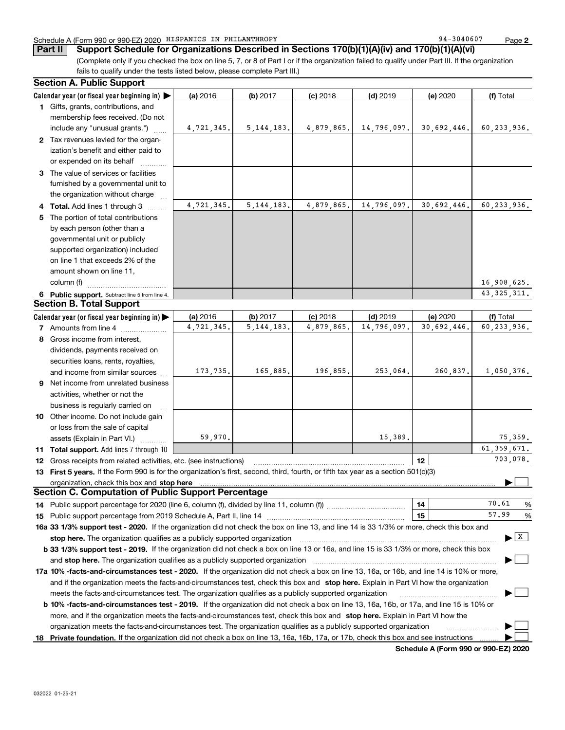### Schedule A (Form 990 or 990-EZ) 2020 Page HISPANICS IN PHILANTHROPY 94-3040607

**Part II Support Schedule for Organizations Described in Sections 170(b)(1)(A)(iv) and 170(b)(1)(A)(vi)**

(Complete only if you checked the box on line 5, 7, or 8 of Part I or if the organization failed to qualify under Part III. If the organization fails to qualify under the tests listed below, please complete Part III.)

|    | <b>Section A. Public Support</b>                                                                                                               |            |              |            |             |             |                                          |
|----|------------------------------------------------------------------------------------------------------------------------------------------------|------------|--------------|------------|-------------|-------------|------------------------------------------|
|    | Calendar year (or fiscal year beginning in)                                                                                                    | (a) 2016   | (b) 2017     | $(c)$ 2018 | $(d)$ 2019  | (e) 2020    | (f) Total                                |
|    | 1 Gifts, grants, contributions, and                                                                                                            |            |              |            |             |             |                                          |
|    | membership fees received. (Do not                                                                                                              |            |              |            |             |             |                                          |
|    | include any "unusual grants.")                                                                                                                 | 4,721,345. | 5, 144, 183. | 4,879,865. | 14,796,097. | 30,692,446. | 60,233,936.                              |
|    | 2 Tax revenues levied for the organ-                                                                                                           |            |              |            |             |             |                                          |
|    | ization's benefit and either paid to                                                                                                           |            |              |            |             |             |                                          |
|    | or expended on its behalf                                                                                                                      |            |              |            |             |             |                                          |
|    | 3 The value of services or facilities                                                                                                          |            |              |            |             |             |                                          |
|    | furnished by a governmental unit to                                                                                                            |            |              |            |             |             |                                          |
|    | the organization without charge                                                                                                                |            |              |            |             |             |                                          |
|    | 4 Total. Add lines 1 through 3                                                                                                                 | 4,721,345. | 5, 144, 183. | 4,879,865. | 14,796,097. | 30,692,446. | 60,233,936.                              |
|    | 5 The portion of total contributions                                                                                                           |            |              |            |             |             |                                          |
|    | by each person (other than a                                                                                                                   |            |              |            |             |             |                                          |
|    | governmental unit or publicly                                                                                                                  |            |              |            |             |             |                                          |
|    | supported organization) included                                                                                                               |            |              |            |             |             |                                          |
|    | on line 1 that exceeds 2% of the                                                                                                               |            |              |            |             |             |                                          |
|    | amount shown on line 11,                                                                                                                       |            |              |            |             |             |                                          |
|    | column (f)                                                                                                                                     |            |              |            |             |             | 16,908,625.                              |
|    | 6 Public support. Subtract line 5 from line 4.                                                                                                 |            |              |            |             |             | 43, 325, 311.                            |
|    | <b>Section B. Total Support</b>                                                                                                                |            |              |            |             |             |                                          |
|    | Calendar year (or fiscal year beginning in)                                                                                                    | (a) 2016   | (b) 2017     | $(c)$ 2018 | $(d)$ 2019  | (e) 2020    | (f) Total                                |
|    | <b>7</b> Amounts from line 4                                                                                                                   | 4,721,345. | 5, 144, 183. | 4,879,865. | 14,796,097. | 30,692,446. | 60,233,936.                              |
|    | 8 Gross income from interest,                                                                                                                  |            |              |            |             |             |                                          |
|    | dividends, payments received on                                                                                                                |            |              |            |             |             |                                          |
|    | securities loans, rents, royalties,                                                                                                            |            |              |            |             |             |                                          |
|    | and income from similar sources                                                                                                                | 173,735.   | 165,885.     | 196,855.   | 253,064.    | 260,837.    | 1,050,376.                               |
|    | 9 Net income from unrelated business                                                                                                           |            |              |            |             |             |                                          |
|    | activities, whether or not the                                                                                                                 |            |              |            |             |             |                                          |
|    | business is regularly carried on                                                                                                               |            |              |            |             |             |                                          |
|    | 10 Other income. Do not include gain                                                                                                           |            |              |            |             |             |                                          |
|    | or loss from the sale of capital                                                                                                               |            |              |            |             |             |                                          |
|    | assets (Explain in Part VI.)                                                                                                                   | 59,970.    |              |            | 15,389.     |             | 75,359.                                  |
|    | <b>11 Total support.</b> Add lines 7 through 10                                                                                                |            |              |            |             |             | $\overline{61}$ , 359, 671.              |
|    | 12 Gross receipts from related activities, etc. (see instructions)                                                                             |            |              |            |             | 12          | 703,078.                                 |
|    | 13 First 5 years. If the Form 990 is for the organization's first, second, third, fourth, or fifth tax year as a section 501(c)(3)             |            |              |            |             |             |                                          |
|    | organization, check this box and stop here                                                                                                     |            |              |            |             |             |                                          |
|    | <b>Section C. Computation of Public Support Percentage</b>                                                                                     |            |              |            |             |             |                                          |
|    | 14 Public support percentage for 2020 (line 6, column (f), divided by line 11, column (f) <i>marroummaname</i>                                 |            |              |            |             | 14          | 70.61<br>%                               |
|    |                                                                                                                                                |            |              |            |             | 15          | 57.99<br>%                               |
|    | 16a 33 1/3% support test - 2020. If the organization did not check the box on line 13, and line 14 is 33 1/3% or more, check this box and      |            |              |            |             |             |                                          |
|    | stop here. The organization qualifies as a publicly supported organization                                                                     |            |              |            |             |             | $\blacktriangleright$ $\boxed{\text{X}}$ |
|    | b 33 1/3% support test - 2019. If the organization did not check a box on line 13 or 16a, and line 15 is 33 1/3% or more, check this box       |            |              |            |             |             |                                          |
|    | and stop here. The organization qualifies as a publicly supported organization                                                                 |            |              |            |             |             |                                          |
|    | 17a 10% -facts-and-circumstances test - 2020. If the organization did not check a box on line 13, 16a, or 16b, and line 14 is 10% or more,     |            |              |            |             |             |                                          |
|    | and if the organization meets the facts-and-circumstances test, check this box and stop here. Explain in Part VI how the organization          |            |              |            |             |             |                                          |
|    | meets the facts-and-circumstances test. The organization qualifies as a publicly supported organization                                        |            |              |            |             |             |                                          |
|    | <b>b 10% -facts-and-circumstances test - 2019.</b> If the organization did not check a box on line 13, 16a, 16b, or 17a, and line 15 is 10% or |            |              |            |             |             |                                          |
|    | more, and if the organization meets the facts-and-circumstances test, check this box and stop here. Explain in Part VI how the                 |            |              |            |             |             |                                          |
|    | organization meets the facts-and-circumstances test. The organization qualifies as a publicly supported organization                           |            |              |            |             |             |                                          |
| 18 | Private foundation. If the organization did not check a box on line 13, 16a, 16b, 17a, or 17b, check this box and see instructions             |            |              |            |             |             |                                          |
|    |                                                                                                                                                |            |              |            |             |             |                                          |

**Schedule A (Form 990 or 990-EZ) 2020**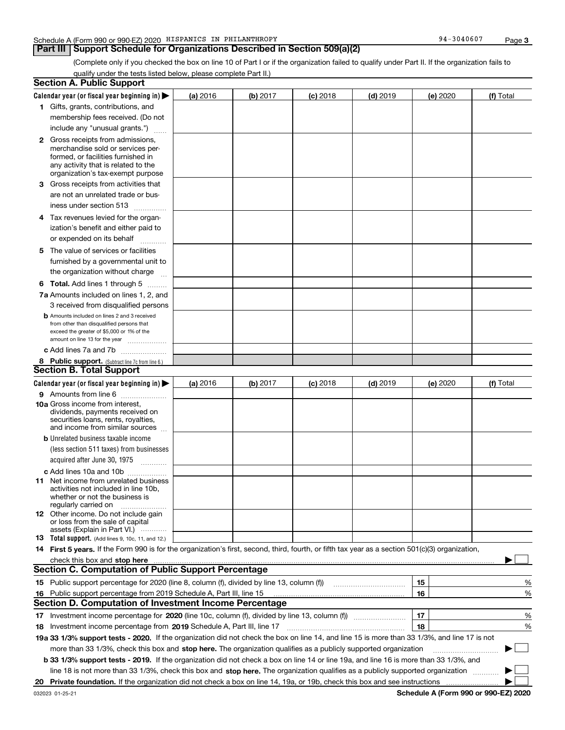## **Part III Support Schedule for Organizations Described in Section 509(a)(2)**

(Complete only if you checked the box on line 10 of Part I or if the organization failed to qualify under Part II. If the organization fails to qualify under the tests listed below, please complete Part II.)

|    | <b>Section A. Public Support</b>                                                                                                                 |          |          |            |            |          |           |
|----|--------------------------------------------------------------------------------------------------------------------------------------------------|----------|----------|------------|------------|----------|-----------|
|    | Calendar year (or fiscal year beginning in) $\blacktriangleright$                                                                                | (a) 2016 | (b) 2017 | $(c)$ 2018 | $(d)$ 2019 | (e) 2020 | (f) Total |
|    | 1 Gifts, grants, contributions, and                                                                                                              |          |          |            |            |          |           |
|    | membership fees received. (Do not                                                                                                                |          |          |            |            |          |           |
|    | include any "unusual grants.")                                                                                                                   |          |          |            |            |          |           |
|    | <b>2</b> Gross receipts from admissions,                                                                                                         |          |          |            |            |          |           |
|    | merchandise sold or services per-                                                                                                                |          |          |            |            |          |           |
|    | formed, or facilities furnished in                                                                                                               |          |          |            |            |          |           |
|    | any activity that is related to the<br>organization's tax-exempt purpose                                                                         |          |          |            |            |          |           |
|    | 3 Gross receipts from activities that                                                                                                            |          |          |            |            |          |           |
|    | are not an unrelated trade or bus-                                                                                                               |          |          |            |            |          |           |
|    | iness under section 513                                                                                                                          |          |          |            |            |          |           |
|    |                                                                                                                                                  |          |          |            |            |          |           |
|    | 4 Tax revenues levied for the organ-                                                                                                             |          |          |            |            |          |           |
|    | ization's benefit and either paid to                                                                                                             |          |          |            |            |          |           |
|    | or expended on its behalf<br>.                                                                                                                   |          |          |            |            |          |           |
|    | 5 The value of services or facilities                                                                                                            |          |          |            |            |          |           |
|    | furnished by a governmental unit to                                                                                                              |          |          |            |            |          |           |
|    | the organization without charge                                                                                                                  |          |          |            |            |          |           |
|    | <b>6 Total.</b> Add lines 1 through 5                                                                                                            |          |          |            |            |          |           |
|    | 7a Amounts included on lines 1, 2, and                                                                                                           |          |          |            |            |          |           |
|    | 3 received from disqualified persons                                                                                                             |          |          |            |            |          |           |
|    | <b>b</b> Amounts included on lines 2 and 3 received                                                                                              |          |          |            |            |          |           |
|    | from other than disqualified persons that<br>exceed the greater of \$5,000 or 1% of the                                                          |          |          |            |            |          |           |
|    | amount on line 13 for the year                                                                                                                   |          |          |            |            |          |           |
|    | c Add lines 7a and 7b                                                                                                                            |          |          |            |            |          |           |
|    | 8 Public support. (Subtract line 7c from line 6.)                                                                                                |          |          |            |            |          |           |
|    | <b>Section B. Total Support</b>                                                                                                                  |          |          |            |            |          |           |
|    | Calendar year (or fiscal year beginning in)                                                                                                      | (a) 2016 | (b) 2017 | $(c)$ 2018 | $(d)$ 2019 | (e) 2020 | (f) Total |
|    | 9 Amounts from line 6                                                                                                                            |          |          |            |            |          |           |
|    | <b>10a</b> Gross income from interest,                                                                                                           |          |          |            |            |          |           |
|    | dividends, payments received on<br>securities loans, rents, royalties,                                                                           |          |          |            |            |          |           |
|    | and income from similar sources                                                                                                                  |          |          |            |            |          |           |
|    | <b>b</b> Unrelated business taxable income                                                                                                       |          |          |            |            |          |           |
|    | (less section 511 taxes) from businesses                                                                                                         |          |          |            |            |          |           |
|    | acquired after June 30, 1975 [10001]                                                                                                             |          |          |            |            |          |           |
|    | c Add lines 10a and 10b                                                                                                                          |          |          |            |            |          |           |
|    | 11 Net income from unrelated business                                                                                                            |          |          |            |            |          |           |
|    | activities not included in line 10b,                                                                                                             |          |          |            |            |          |           |
|    | whether or not the business is<br>regularly carried on                                                                                           |          |          |            |            |          |           |
|    | <b>12</b> Other income. Do not include gain                                                                                                      |          |          |            |            |          |           |
|    | or loss from the sale of capital                                                                                                                 |          |          |            |            |          |           |
|    | assets (Explain in Part VI.)                                                                                                                     |          |          |            |            |          |           |
|    | <b>13</b> Total support. (Add lines 9, 10c, 11, and 12.)                                                                                         |          |          |            |            |          |           |
|    | 14 First 5 years. If the Form 990 is for the organization's first, second, third, fourth, or fifth tax year as a section 501(c)(3) organization, |          |          |            |            |          |           |
|    |                                                                                                                                                  |          |          |            |            |          |           |
|    | <b>Section C. Computation of Public Support Percentage</b>                                                                                       |          |          |            |            |          |           |
|    | 15 Public support percentage for 2020 (line 8, column (f), divided by line 13, column (f))                                                       |          |          |            |            | 15       | %         |
|    | 16 Public support percentage from 2019 Schedule A, Part III, line 15                                                                             |          |          |            |            | 16       | %         |
|    | <b>Section D. Computation of Investment Income Percentage</b>                                                                                    |          |          |            |            |          |           |
|    | 17 Investment income percentage for 2020 (line 10c, column (f), divided by line 13, column (f))                                                  |          |          |            |            | 17       | %         |
|    | <b>18</b> Investment income percentage from <b>2019</b> Schedule A, Part III, line 17                                                            |          |          |            |            | 18       | %         |
|    | 19a 33 1/3% support tests - 2020. If the organization did not check the box on line 14, and line 15 is more than 33 1/3%, and line 17 is not     |          |          |            |            |          |           |
|    | more than 33 1/3%, check this box and stop here. The organization qualifies as a publicly supported organization                                 |          |          |            |            |          | ▶         |
|    | b 33 1/3% support tests - 2019. If the organization did not check a box on line 14 or line 19a, and line 16 is more than 33 1/3%, and            |          |          |            |            |          |           |
|    | line 18 is not more than 33 1/3%, check this box and stop here. The organization qualifies as a publicly supported organization                  |          |          |            |            |          |           |
| 20 |                                                                                                                                                  |          |          |            |            |          |           |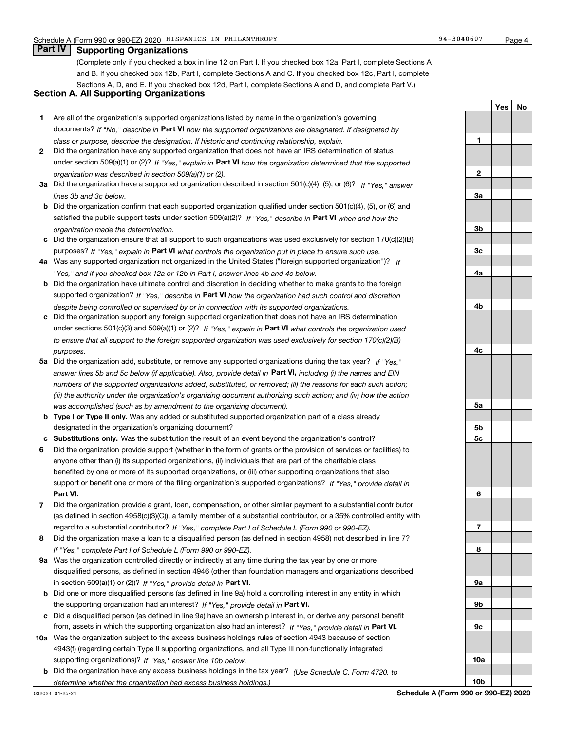**1**

**2**

**3a**

**3b**

**3c**

**4a**

**4b**

**4c**

**5a**

**5b5c**

**6**

**7**

**8**

**9a**

**9b**

**9c**

**10a**

**10b**

**YesNo**

## **Part IV Supporting Organizations**

(Complete only if you checked a box in line 12 on Part I. If you checked box 12a, Part I, complete Sections A and B. If you checked box 12b, Part I, complete Sections A and C. If you checked box 12c, Part I, complete Sections A, D, and E. If you checked box 12d, Part I, complete Sections A and D, and complete Part V.)

### **Section A. All Supporting Organizations**

- **1** Are all of the organization's supported organizations listed by name in the organization's governing documents? If "No," describe in **Part VI** how the supported organizations are designated. If designated by *class or purpose, describe the designation. If historic and continuing relationship, explain.*
- **2** Did the organization have any supported organization that does not have an IRS determination of status under section 509(a)(1) or (2)? If "Yes," explain in Part VI how the organization determined that the supported *organization was described in section 509(a)(1) or (2).*
- **3a** Did the organization have a supported organization described in section 501(c)(4), (5), or (6)? If "Yes," answer *lines 3b and 3c below.*
- **b** Did the organization confirm that each supported organization qualified under section 501(c)(4), (5), or (6) and satisfied the public support tests under section 509(a)(2)? If "Yes," describe in **Part VI** when and how the *organization made the determination.*
- **c**Did the organization ensure that all support to such organizations was used exclusively for section 170(c)(2)(B) purposes? If "Yes," explain in **Part VI** what controls the organization put in place to ensure such use.
- **4a***If* Was any supported organization not organized in the United States ("foreign supported organization")? *"Yes," and if you checked box 12a or 12b in Part I, answer lines 4b and 4c below.*
- **b** Did the organization have ultimate control and discretion in deciding whether to make grants to the foreign supported organization? If "Yes," describe in **Part VI** how the organization had such control and discretion *despite being controlled or supervised by or in connection with its supported organizations.*
- **c** Did the organization support any foreign supported organization that does not have an IRS determination under sections 501(c)(3) and 509(a)(1) or (2)? If "Yes," explain in **Part VI** what controls the organization used *to ensure that all support to the foreign supported organization was used exclusively for section 170(c)(2)(B) purposes.*
- **5a***If "Yes,"* Did the organization add, substitute, or remove any supported organizations during the tax year? answer lines 5b and 5c below (if applicable). Also, provide detail in **Part VI,** including (i) the names and EIN *numbers of the supported organizations added, substituted, or removed; (ii) the reasons for each such action; (iii) the authority under the organization's organizing document authorizing such action; and (iv) how the action was accomplished (such as by amendment to the organizing document).*
- **b** Type I or Type II only. Was any added or substituted supported organization part of a class already designated in the organization's organizing document?
- **cSubstitutions only.**  Was the substitution the result of an event beyond the organization's control?
- **6** Did the organization provide support (whether in the form of grants or the provision of services or facilities) to **Part VI.** *If "Yes," provide detail in* support or benefit one or more of the filing organization's supported organizations? anyone other than (i) its supported organizations, (ii) individuals that are part of the charitable class benefited by one or more of its supported organizations, or (iii) other supporting organizations that also
- **7**Did the organization provide a grant, loan, compensation, or other similar payment to a substantial contributor *If "Yes," complete Part I of Schedule L (Form 990 or 990-EZ).* regard to a substantial contributor? (as defined in section 4958(c)(3)(C)), a family member of a substantial contributor, or a 35% controlled entity with
- **8** Did the organization make a loan to a disqualified person (as defined in section 4958) not described in line 7? *If "Yes," complete Part I of Schedule L (Form 990 or 990-EZ).*
- **9a** Was the organization controlled directly or indirectly at any time during the tax year by one or more in section 509(a)(1) or (2))? If "Yes," *provide detail in* <code>Part VI.</code> disqualified persons, as defined in section 4946 (other than foundation managers and organizations described
- **b** Did one or more disqualified persons (as defined in line 9a) hold a controlling interest in any entity in which the supporting organization had an interest? If "Yes," provide detail in P**art VI**.
- **c**Did a disqualified person (as defined in line 9a) have an ownership interest in, or derive any personal benefit from, assets in which the supporting organization also had an interest? If "Yes," provide detail in P**art VI.**
- **10a** Was the organization subject to the excess business holdings rules of section 4943 because of section supporting organizations)? If "Yes," answer line 10b below. 4943(f) (regarding certain Type II supporting organizations, and all Type III non-functionally integrated
- **b** Did the organization have any excess business holdings in the tax year? (Use Schedule C, Form 4720, to *determine whether the organization had excess business holdings.)*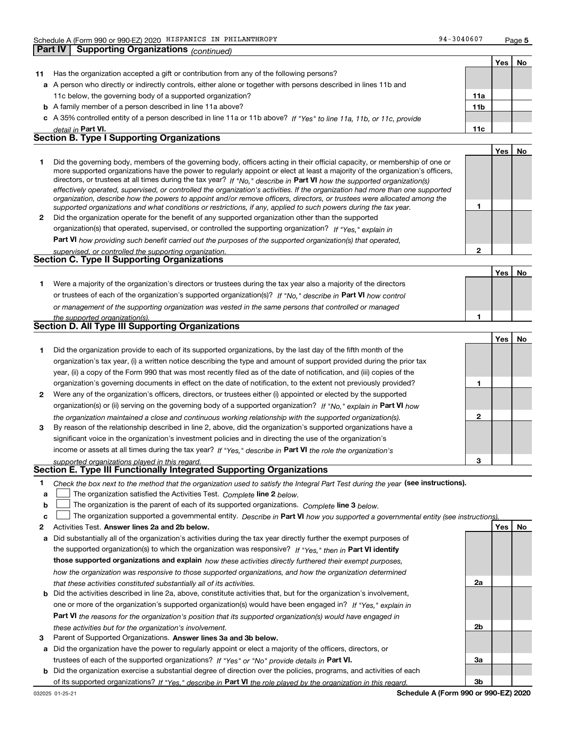| 94-3040607 | Page 5 |
|------------|--------|
|------------|--------|

**1**

**2**

|    |                                                                                                                                                                                                                                                                                                                                                                                              |                 | Yes | Nο |
|----|----------------------------------------------------------------------------------------------------------------------------------------------------------------------------------------------------------------------------------------------------------------------------------------------------------------------------------------------------------------------------------------------|-----------------|-----|----|
| 11 | Has the organization accepted a gift or contribution from any of the following persons?                                                                                                                                                                                                                                                                                                      |                 |     |    |
|    | a A person who directly or indirectly controls, either alone or together with persons described in lines 11b and                                                                                                                                                                                                                                                                             |                 |     |    |
|    | 11c below, the governing body of a supported organization?                                                                                                                                                                                                                                                                                                                                   | 11a             |     |    |
|    | <b>b</b> A family member of a person described in line 11a above?                                                                                                                                                                                                                                                                                                                            | 11 <sub>b</sub> |     |    |
|    | c A 35% controlled entity of a person described in line 11a or 11b above? If "Yes" to line 11a, 11b, or 11c, provide                                                                                                                                                                                                                                                                         |                 |     |    |
|    | detail in Part VI.                                                                                                                                                                                                                                                                                                                                                                           | 11c             |     |    |
|    | <b>Section B. Type I Supporting Organizations</b>                                                                                                                                                                                                                                                                                                                                            |                 |     |    |
|    |                                                                                                                                                                                                                                                                                                                                                                                              |                 | Yes | No |
|    | Did the governing body, members of the governing body, officers acting in their official capacity, or membership of one or<br>more supported organizations have the power to regularly appoint or elect at least a majority of the organization's officers,<br>directors or trustees at all times during the tax year? If "No " describe in <b>Part VI</b> bout the supported examination(a) |                 |     |    |

**2** Did the organization operate for the benefit of any supported organization other than the supported directors, or trustees at all times during the tax year? If "No," describe in **Part VI** how the supported organization(s) *effectively operated, supervised, or controlled the organization's activities. If the organization had more than one supported organization, describe how the powers to appoint and/or remove officers, directors, or trustees were allocated among the supported organizations and what conditions or restrictions, if any, applied to such powers during the tax year. If "Yes," explain in* organization(s) that operated, supervised, or controlled the supporting organization?

**Part VI**  *how providing such benefit carried out the purposes of the supported organization(s) that operated,*

| supervised, or controlled the supporting organization. |  |
|--------------------------------------------------------|--|
| Section C. Type II Supporting Organizations            |  |

**Yes No 1** Were a majority of the organization's directors or trustees during the tax year also a majority of the directors or trustees of each of the organization's supported organization(s)? If "No," describe in **Part VI** how control **1***or management of the supporting organization was vested in the same persons that controlled or managed the supported organization(s).*

|  |  | <b>Section D. All Type III Supporting Organizations</b> |
|--|--|---------------------------------------------------------|
|  |  |                                                         |

|              |                                                                                                                        |   | Yes | No |
|--------------|------------------------------------------------------------------------------------------------------------------------|---|-----|----|
|              | Did the organization provide to each of its supported organizations, by the last day of the fifth month of the         |   |     |    |
|              | organization's tax year, (i) a written notice describing the type and amount of support provided during the prior tax  |   |     |    |
|              | year, (ii) a copy of the Form 990 that was most recently filed as of the date of notification, and (iii) copies of the |   |     |    |
|              | organization's governing documents in effect on the date of notification, to the extent not previously provided?       |   |     |    |
| $\mathbf{2}$ | Were any of the organization's officers, directors, or trustees either (i) appointed or elected by the supported       |   |     |    |
|              | organization(s) or (ii) serving on the governing body of a supported organization? If "No," explain in Part VI how     |   |     |    |
|              | the organization maintained a close and continuous working relationship with the supported organization(s).            | 2 |     |    |
| 3            | By reason of the relationship described in line 2, above, did the organization's supported organizations have a        |   |     |    |
|              | significant voice in the organization's investment policies and in directing the use of the organization's             |   |     |    |
|              | income or assets at all times during the tax year? If "Yes," describe in Part VI the role the organization's           |   |     |    |
|              | supported organizations played in this regard.                                                                         | з |     |    |

## *supported organizations played in this regard.* **Section E. Type III Functionally Integrated Supporting Organizations**

- **1**Check the box next to the method that the organization used to satisfy the Integral Part Test during the year (see instructions).
- **alinupy** The organization satisfied the Activities Test. Complete line 2 below.
- **b**The organization is the parent of each of its supported organizations. *Complete* line 3 *below.*  $\mathcal{L}^{\text{max}}$

|  |  |  | $\mathbf{c}$ The organization supported a governmental entity. Describe in Part VI how you supported a governmental entity (see instructions). |  |
|--|--|--|------------------------------------------------------------------------------------------------------------------------------------------------|--|
|--|--|--|------------------------------------------------------------------------------------------------------------------------------------------------|--|

- **2Answer lines 2a and 2b below. Yes No** Activities Test.
- **a** Did substantially all of the organization's activities during the tax year directly further the exempt purposes of the supported organization(s) to which the organization was responsive? If "Yes," then in **Part VI identify those supported organizations and explain**  *how these activities directly furthered their exempt purposes, how the organization was responsive to those supported organizations, and how the organization determined that these activities constituted substantially all of its activities.*
- **b** Did the activities described in line 2a, above, constitute activities that, but for the organization's involvement, **Part VI**  *the reasons for the organization's position that its supported organization(s) would have engaged in* one or more of the organization's supported organization(s) would have been engaged in? If "Yes," e*xplain in these activities but for the organization's involvement.*
- **3** Parent of Supported Organizations. Answer lines 3a and 3b below.
- **a** Did the organization have the power to regularly appoint or elect a majority of the officers, directors, or trustees of each of the supported organizations? If "Yes" or "No" provide details in **Part VI.**
- **b** Did the organization exercise a substantial degree of direction over the policies, programs, and activities of each of its supported organizations? If "Yes," describe in Part VI the role played by the organization in this regard.

**2a**

**2b**

**3a**

**3b**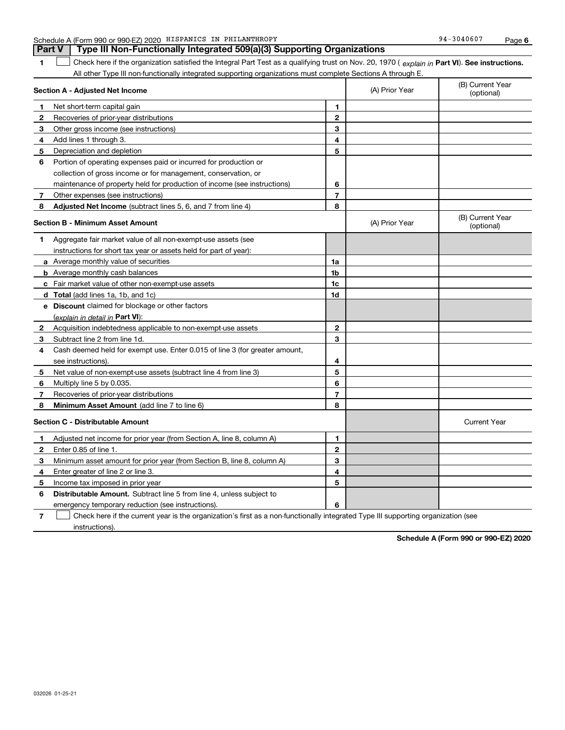|               | Schedule A (Form 990 or 990-EZ) 2020 HISPANICS IN PHILANTHROPY          | 94-3040607 | Page |
|---------------|-------------------------------------------------------------------------|------------|------|
| <b>Part V</b> | Type III Non-Functionally Integrated 509(a)(3) Supporting Organizations |            |      |
|               |                                                                         |            |      |

1 **1** Check here if the organization satisfied the Integral Part Test as a qualifying trust on Nov. 20, 1970 (explain in Part VI). See instructions. All other Type III non-functionally integrated supporting organizations must complete Sections A through E.

| Section A - Adjusted Net Income |                                                                             | (A) Prior Year | (B) Current Year<br>(optional) |                                |
|---------------------------------|-----------------------------------------------------------------------------|----------------|--------------------------------|--------------------------------|
| 1                               | Net short-term capital gain                                                 | 1              |                                |                                |
| $\mathbf{2}$                    | Recoveries of prior-year distributions                                      | $\overline{2}$ |                                |                                |
| 3                               | Other gross income (see instructions)                                       | 3              |                                |                                |
| 4                               | Add lines 1 through 3.                                                      | 4              |                                |                                |
| 5                               | Depreciation and depletion                                                  | 5              |                                |                                |
| 6                               | Portion of operating expenses paid or incurred for production or            |                |                                |                                |
|                                 | collection of gross income or for management, conservation, or              |                |                                |                                |
|                                 | maintenance of property held for production of income (see instructions)    | 6              |                                |                                |
| 7                               | Other expenses (see instructions)                                           | $\overline{7}$ |                                |                                |
| 8                               | Adjusted Net Income (subtract lines 5, 6, and 7 from line 4)                | 8              |                                |                                |
|                                 | <b>Section B - Minimum Asset Amount</b>                                     |                | (A) Prior Year                 | (B) Current Year<br>(optional) |
| 1                               | Aggregate fair market value of all non-exempt-use assets (see               |                |                                |                                |
|                                 | instructions for short tax year or assets held for part of year):           |                |                                |                                |
|                                 | a Average monthly value of securities                                       | 1a             |                                |                                |
|                                 | <b>b</b> Average monthly cash balances                                      | 1b             |                                |                                |
|                                 | c Fair market value of other non-exempt-use assets                          | 1c             |                                |                                |
|                                 | d Total (add lines 1a, 1b, and 1c)                                          | 1d             |                                |                                |
|                                 | e Discount claimed for blockage or other factors                            |                |                                |                                |
|                                 | (explain in detail in Part VI):                                             |                |                                |                                |
| $\mathbf{2}$                    | Acquisition indebtedness applicable to non-exempt-use assets                | $\mathbf{2}$   |                                |                                |
| 3                               | Subtract line 2 from line 1d.                                               | 3              |                                |                                |
| 4                               | Cash deemed held for exempt use. Enter 0.015 of line 3 (for greater amount, |                |                                |                                |
|                                 | see instructions).                                                          | 4              |                                |                                |
| 5                               | Net value of non-exempt-use assets (subtract line 4 from line 3)            | 5              |                                |                                |
| 6                               | Multiply line 5 by 0.035.                                                   | 6              |                                |                                |
| 7                               | Recoveries of prior-year distributions                                      | $\overline{7}$ |                                |                                |
| 8                               | Minimum Asset Amount (add line 7 to line 6)                                 | 8              |                                |                                |
|                                 | <b>Section C - Distributable Amount</b>                                     |                |                                | <b>Current Year</b>            |
| 1                               | Adjusted net income for prior year (from Section A, line 8, column A)       | 1              |                                |                                |
| $\mathbf{2}$                    | Enter 0.85 of line 1.                                                       | $\mathbf{2}$   |                                |                                |
| 3                               | Minimum asset amount for prior year (from Section B, line 8, column A)      | 3              |                                |                                |
| 4                               | Enter greater of line 2 or line 3.                                          | 4              |                                |                                |
| 5                               | Income tax imposed in prior year                                            | 5              |                                |                                |
| 6                               | <b>Distributable Amount.</b> Subtract line 5 from line 4, unless subject to |                |                                |                                |
|                                 | emergency temporary reduction (see instructions).                           | 6              |                                |                                |
|                                 |                                                                             |                |                                |                                |

**7** Check here if the current year is the organization's first as a non-functionally integrated Type III supporting organization (see instructions).

**Schedule A (Form 990 or 990-EZ) 2020**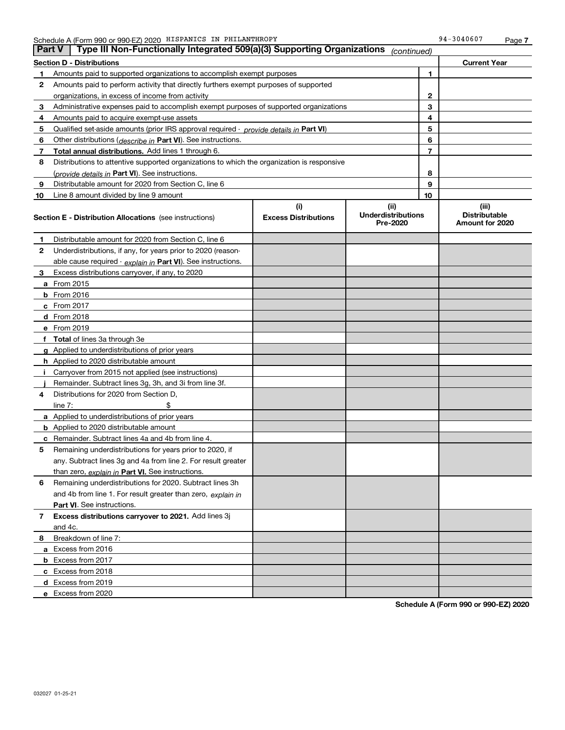| Type III Non-Functionally Integrated 509(a)(3) Supporting Organizations<br><b>Part V</b><br>(continued) |                                                                                            |                                    |                                               |              |                                                  |
|---------------------------------------------------------------------------------------------------------|--------------------------------------------------------------------------------------------|------------------------------------|-----------------------------------------------|--------------|--------------------------------------------------|
|                                                                                                         | <b>Section D - Distributions</b>                                                           |                                    |                                               |              | <b>Current Year</b>                              |
| 1                                                                                                       | Amounts paid to supported organizations to accomplish exempt purposes                      |                                    | 1                                             |              |                                                  |
| 2                                                                                                       | Amounts paid to perform activity that directly furthers exempt purposes of supported       |                                    |                                               |              |                                                  |
|                                                                                                         | organizations, in excess of income from activity                                           |                                    |                                               | $\mathbf{2}$ |                                                  |
| 3                                                                                                       | Administrative expenses paid to accomplish exempt purposes of supported organizations      |                                    |                                               | 3            |                                                  |
| 4                                                                                                       | Amounts paid to acquire exempt-use assets                                                  |                                    |                                               | 4            |                                                  |
| 5                                                                                                       | Qualified set-aside amounts (prior IRS approval required - provide details in Part VI)     |                                    |                                               | 5            |                                                  |
| 6                                                                                                       | Other distributions ( <i>describe in</i> Part VI). See instructions.                       |                                    |                                               | 6            |                                                  |
| 7                                                                                                       | Total annual distributions. Add lines 1 through 6.                                         |                                    |                                               | 7            |                                                  |
| 8                                                                                                       | Distributions to attentive supported organizations to which the organization is responsive |                                    |                                               |              |                                                  |
|                                                                                                         | (provide details in Part VI). See instructions.                                            |                                    |                                               | 8            |                                                  |
| 9                                                                                                       | Distributable amount for 2020 from Section C, line 6                                       |                                    |                                               | 9            |                                                  |
| 10                                                                                                      | Line 8 amount divided by line 9 amount                                                     |                                    |                                               | 10           |                                                  |
|                                                                                                         | <b>Section E - Distribution Allocations</b> (see instructions)                             | (i)<br><b>Excess Distributions</b> | (ii)<br><b>Underdistributions</b><br>Pre-2020 |              | (iii)<br><b>Distributable</b><br>Amount for 2020 |
| 1                                                                                                       | Distributable amount for 2020 from Section C, line 6                                       |                                    |                                               |              |                                                  |
| 2                                                                                                       | Underdistributions, if any, for years prior to 2020 (reason-                               |                                    |                                               |              |                                                  |
|                                                                                                         | able cause required - explain in Part VI). See instructions.                               |                                    |                                               |              |                                                  |
| 3                                                                                                       | Excess distributions carryover, if any, to 2020                                            |                                    |                                               |              |                                                  |
|                                                                                                         | a From 2015                                                                                |                                    |                                               |              |                                                  |
|                                                                                                         | <b>b</b> From 2016                                                                         |                                    |                                               |              |                                                  |
|                                                                                                         | $c$ From 2017                                                                              |                                    |                                               |              |                                                  |
|                                                                                                         | d From 2018                                                                                |                                    |                                               |              |                                                  |
|                                                                                                         | e From 2019                                                                                |                                    |                                               |              |                                                  |
|                                                                                                         | f Total of lines 3a through 3e                                                             |                                    |                                               |              |                                                  |
|                                                                                                         | g Applied to underdistributions of prior years                                             |                                    |                                               |              |                                                  |
|                                                                                                         | <b>h</b> Applied to 2020 distributable amount                                              |                                    |                                               |              |                                                  |
|                                                                                                         | Carryover from 2015 not applied (see instructions)                                         |                                    |                                               |              |                                                  |
|                                                                                                         | Remainder. Subtract lines 3g, 3h, and 3i from line 3f.                                     |                                    |                                               |              |                                                  |
| 4                                                                                                       | Distributions for 2020 from Section D,                                                     |                                    |                                               |              |                                                  |
|                                                                                                         | line $7:$                                                                                  |                                    |                                               |              |                                                  |
|                                                                                                         | a Applied to underdistributions of prior years                                             |                                    |                                               |              |                                                  |
|                                                                                                         | <b>b</b> Applied to 2020 distributable amount                                              |                                    |                                               |              |                                                  |
|                                                                                                         | c Remainder. Subtract lines 4a and 4b from line 4.                                         |                                    |                                               |              |                                                  |
| 5.                                                                                                      | Remaining underdistributions for years prior to 2020, if                                   |                                    |                                               |              |                                                  |
|                                                                                                         | any. Subtract lines 3g and 4a from line 2. For result greater                              |                                    |                                               |              |                                                  |
|                                                                                                         | than zero, explain in Part VI. See instructions.                                           |                                    |                                               |              |                                                  |
| 6                                                                                                       | Remaining underdistributions for 2020. Subtract lines 3h                                   |                                    |                                               |              |                                                  |
|                                                                                                         | and 4b from line 1. For result greater than zero, explain in                               |                                    |                                               |              |                                                  |
|                                                                                                         | Part VI. See instructions.                                                                 |                                    |                                               |              |                                                  |
| 7                                                                                                       | Excess distributions carryover to 2021. Add lines 3j                                       |                                    |                                               |              |                                                  |
|                                                                                                         | and 4c.                                                                                    |                                    |                                               |              |                                                  |
| 8                                                                                                       | Breakdown of line 7:                                                                       |                                    |                                               |              |                                                  |
|                                                                                                         | a Excess from 2016                                                                         |                                    |                                               |              |                                                  |
|                                                                                                         | <b>b</b> Excess from 2017                                                                  |                                    |                                               |              |                                                  |
|                                                                                                         | c Excess from 2018                                                                         |                                    |                                               |              |                                                  |
|                                                                                                         | d Excess from 2019                                                                         |                                    |                                               |              |                                                  |
|                                                                                                         | e Excess from 2020                                                                         |                                    |                                               |              |                                                  |

**Schedule A (Form 990 or 990-EZ) 2020**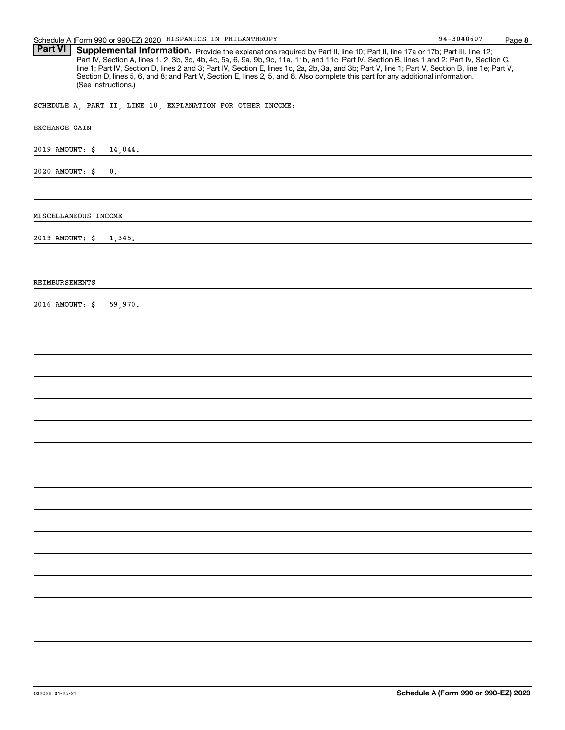| Schedule A (Form 990 or 990-EZ) 2020 HISPANICS IN PHILANTHROPY                                                                                                                                                                                                                                                                                                                                                                                                                                                                                                                                                | 94-3040607 | Page 8 |
|---------------------------------------------------------------------------------------------------------------------------------------------------------------------------------------------------------------------------------------------------------------------------------------------------------------------------------------------------------------------------------------------------------------------------------------------------------------------------------------------------------------------------------------------------------------------------------------------------------------|------------|--------|
| <b>Part VI</b><br>Supplemental Information. Provide the explanations required by Part II, line 10; Part II, line 17a or 17b; Part III, line 12;<br>Part IV, Section A, lines 1, 2, 3b, 3c, 4b, 4c, 5a, 6, 9a, 9b, 9c, 11a, 11b, and 11c; Part IV, Section B, lines 1 and 2; Part IV, Section C,<br>line 1; Part IV, Section D, lines 2 and 3; Part IV, Section E, lines 1c, 2a, 2b, 3a, and 3b; Part V, line 1; Part V, Section B, line 1e; Part V,<br>Section D, lines 5, 6, and 8; and Part V, Section E, lines 2, 5, and 6. Also complete this part for any additional information.<br>(See instructions.) |            |        |
| SCHEDULE A, PART II, LINE 10, EXPLANATION FOR OTHER INCOME:                                                                                                                                                                                                                                                                                                                                                                                                                                                                                                                                                   |            |        |
| EXCHANGE GAIN                                                                                                                                                                                                                                                                                                                                                                                                                                                                                                                                                                                                 |            |        |
| 2019 AMOUNT: \$<br>14,044.                                                                                                                                                                                                                                                                                                                                                                                                                                                                                                                                                                                    |            |        |
| 2020 AMOUNT: \$<br>0.                                                                                                                                                                                                                                                                                                                                                                                                                                                                                                                                                                                         |            |        |
| MISCELLANEOUS INCOME                                                                                                                                                                                                                                                                                                                                                                                                                                                                                                                                                                                          |            |        |
| 2019 AMOUNT: \$<br>1,345.                                                                                                                                                                                                                                                                                                                                                                                                                                                                                                                                                                                     |            |        |
| REIMBURSEMENTS                                                                                                                                                                                                                                                                                                                                                                                                                                                                                                                                                                                                |            |        |
| 2016 AMOUNT: \$<br>59,970.                                                                                                                                                                                                                                                                                                                                                                                                                                                                                                                                                                                    |            |        |
|                                                                                                                                                                                                                                                                                                                                                                                                                                                                                                                                                                                                               |            |        |
|                                                                                                                                                                                                                                                                                                                                                                                                                                                                                                                                                                                                               |            |        |
|                                                                                                                                                                                                                                                                                                                                                                                                                                                                                                                                                                                                               |            |        |
|                                                                                                                                                                                                                                                                                                                                                                                                                                                                                                                                                                                                               |            |        |
|                                                                                                                                                                                                                                                                                                                                                                                                                                                                                                                                                                                                               |            |        |
|                                                                                                                                                                                                                                                                                                                                                                                                                                                                                                                                                                                                               |            |        |
|                                                                                                                                                                                                                                                                                                                                                                                                                                                                                                                                                                                                               |            |        |
|                                                                                                                                                                                                                                                                                                                                                                                                                                                                                                                                                                                                               |            |        |
|                                                                                                                                                                                                                                                                                                                                                                                                                                                                                                                                                                                                               |            |        |
|                                                                                                                                                                                                                                                                                                                                                                                                                                                                                                                                                                                                               |            |        |
|                                                                                                                                                                                                                                                                                                                                                                                                                                                                                                                                                                                                               |            |        |
|                                                                                                                                                                                                                                                                                                                                                                                                                                                                                                                                                                                                               |            |        |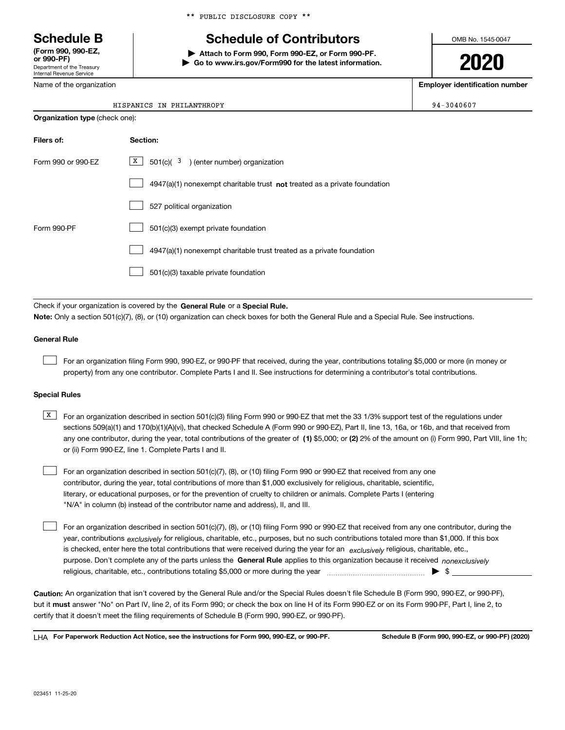Department of the Treasury Internal Revenue Service **(Form 990, 990-EZ, or 990-PF)**

Name of the organization

\*\* PUBLIC DISCLOSURE COPY \*\*

# **Schedule B Schedule of Contributors**

**| Attach to Form 990, Form 990-EZ, or Form 990-PF. | Go to www.irs.gov/Form990 for the latest information.** OMB No. 1545-0047

**2020**

**Employer identification number**

 $94 - 3040607$ 

|  | HISPANICS IN PHILANTHROPY |
|--|---------------------------|
|  |                           |

| <b>Organization type (check one):</b> |                                                                                    |  |  |
|---------------------------------------|------------------------------------------------------------------------------------|--|--|
| Filers of:                            | Section:                                                                           |  |  |
| Form 990 or 990-EZ                    | X  <br>$501(c)$ ( $3$ ) (enter number) organization                                |  |  |
|                                       | $4947(a)(1)$ nonexempt charitable trust <b>not</b> treated as a private foundation |  |  |
|                                       | 527 political organization                                                         |  |  |
| Form 990-PF                           | 501(c)(3) exempt private foundation                                                |  |  |
|                                       | 4947(a)(1) nonexempt charitable trust treated as a private foundation              |  |  |
|                                       | 501(c)(3) taxable private foundation                                               |  |  |
|                                       |                                                                                    |  |  |

Check if your organization is covered by the **General Rule** or a **Special Rule. Note:**  Only a section 501(c)(7), (8), or (10) organization can check boxes for both the General Rule and a Special Rule. See instructions.

### **General Rule**

 $\mathcal{L}^{\text{max}}$ 

For an organization filing Form 990, 990-EZ, or 990-PF that received, during the year, contributions totaling \$5,000 or more (in money or property) from any one contributor. Complete Parts I and II. See instructions for determining a contributor's total contributions.

#### **Special Rules**

any one contributor, during the year, total contributions of the greater of  $\,$  (1) \$5,000; or **(2)** 2% of the amount on (i) Form 990, Part VIII, line 1h;  $\overline{X}$  For an organization described in section 501(c)(3) filing Form 990 or 990-EZ that met the 33 1/3% support test of the regulations under sections 509(a)(1) and 170(b)(1)(A)(vi), that checked Schedule A (Form 990 or 990-EZ), Part II, line 13, 16a, or 16b, and that received from or (ii) Form 990-EZ, line 1. Complete Parts I and II.

For an organization described in section 501(c)(7), (8), or (10) filing Form 990 or 990-EZ that received from any one contributor, during the year, total contributions of more than \$1,000 exclusively for religious, charitable, scientific, literary, or educational purposes, or for the prevention of cruelty to children or animals. Complete Parts I (entering "N/A" in column (b) instead of the contributor name and address), II, and III.  $\mathcal{L}^{\text{max}}$ 

purpose. Don't complete any of the parts unless the **General Rule** applies to this organization because it received *nonexclusively* year, contributions <sub>exclusively</sub> for religious, charitable, etc., purposes, but no such contributions totaled more than \$1,000. If this box is checked, enter here the total contributions that were received during the year for an  $\;$ exclusively religious, charitable, etc., For an organization described in section 501(c)(7), (8), or (10) filing Form 990 or 990-EZ that received from any one contributor, during the religious, charitable, etc., contributions totaling \$5,000 or more during the year  $\Box$ — $\Box$  =  $\Box$  $\mathcal{L}^{\text{max}}$ 

**Caution:**  An organization that isn't covered by the General Rule and/or the Special Rules doesn't file Schedule B (Form 990, 990-EZ, or 990-PF),  **must** but it answer "No" on Part IV, line 2, of its Form 990; or check the box on line H of its Form 990-EZ or on its Form 990-PF, Part I, line 2, to certify that it doesn't meet the filing requirements of Schedule B (Form 990, 990-EZ, or 990-PF).

**For Paperwork Reduction Act Notice, see the instructions for Form 990, 990-EZ, or 990-PF. Schedule B (Form 990, 990-EZ, or 990-PF) (2020)** LHA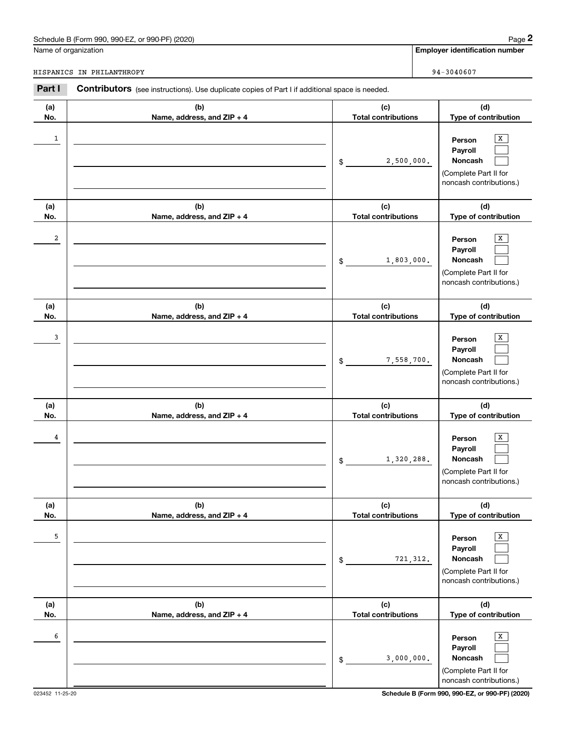## Schedule B (Form 990, 990-EZ, or 990-PF) (2020) Page 2

|              | Schedule B (Form 990, 990-EZ, or 990-PF) (2020)                                                |                                   | Page 2                                                                                |
|--------------|------------------------------------------------------------------------------------------------|-----------------------------------|---------------------------------------------------------------------------------------|
|              | Name of organization                                                                           |                                   | <b>Employer identification number</b>                                                 |
|              | HISPANICS IN PHILANTHROPY                                                                      |                                   | 94-3040607                                                                            |
| Part I       | Contributors (see instructions). Use duplicate copies of Part I if additional space is needed. |                                   |                                                                                       |
| (a)<br>No.   | (b)<br>Name, address, and ZIP + 4                                                              | (c)<br><b>Total contributions</b> | (d)<br>Type of contribution                                                           |
| $\mathbf{1}$ |                                                                                                | 2,500,000.<br>\$                  | х<br>Person<br>Payroll<br>Noncash<br>(Complete Part II for<br>noncash contributions.) |
| (a)<br>No.   | (b)<br>Name, address, and ZIP + 4                                                              | (c)<br><b>Total contributions</b> | (d)<br>Type of contribution                                                           |
| 2            |                                                                                                | 1,803,000.<br>\$                  | X<br>Person<br>Payroll<br>Noncash<br>(Complete Part II for<br>noncash contributions.) |
| (a)<br>No.   | (b)<br>Name, address, and ZIP + 4                                                              | (c)<br><b>Total contributions</b> | (d)<br>Type of contribution                                                           |
| 3            |                                                                                                | 7,558,700.<br>\$                  | х<br>Person<br>Payroll<br>Noncash<br>(Complete Part II for<br>noncash contributions.) |
| (a)<br>No.   | (b)<br>Name, address, and ZIP + 4                                                              | (c)<br><b>Total contributions</b> | (d)<br>Type of contribution                                                           |
| 4            |                                                                                                | 1,320,288.<br>\$                  | х<br>Person<br>Payroll<br>Noncash<br>(Complete Part II for<br>noncash contributions.) |
| (a)<br>No.   | (b)<br>Name, address, and ZIP + 4                                                              | (c)<br><b>Total contributions</b> | (d)<br>Type of contribution                                                           |
| 5            |                                                                                                | 721, 312.<br>\$                   | Х<br>Person<br>Payroll<br>Noncash<br>(Complete Part II for<br>noncash contributions.) |
| (a)<br>No.   | (b)<br>Name, address, and ZIP + 4                                                              | (c)<br><b>Total contributions</b> | (d)<br>Type of contribution                                                           |
| 6            |                                                                                                | 3,000,000.<br>\$                  | Х<br>Person<br>Payroll<br>Noncash<br>(Complete Part II for<br>noncash contributions.) |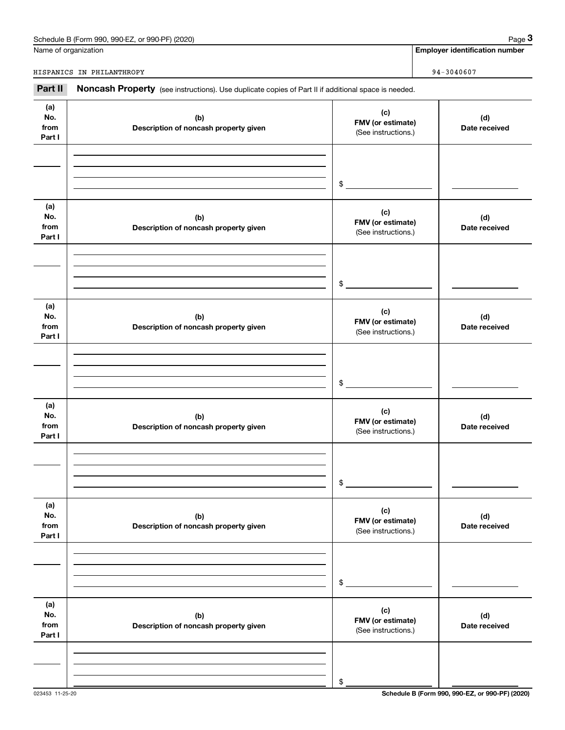| (2020)<br>. or 990-PF)<br>990-EZ<br>Schedule B (Form 990, | Page |
|-----------------------------------------------------------|------|
|                                                           |      |

Name of organization

**Employer identification number**

HISPANICS IN PHILANTHROPY **94-3040607** 

**(a) No.fromPart I (c) FMV (or estimate) (b) Description of noncash property given (d) Date received (a)No.from Part I (c) FMV (or estimate) (b) Description of noncash property given (d) Date received (a)No.fromPart I (c)FMV (or estimate) (b) Description of noncash property given (d) Date received (a) No.fromPart I (c) FMV (or estimate) (b) Description of noncash property given (d)Date received (a) No.fromPart I (c) FMV (or estimate) (b) Description of noncash property given (d) Date received (a) No.fromPart I (c) FMV (or estimate) (b)Description of noncash property given (d)Date received** Noncash Property (see instructions). Use duplicate copies of Part II if additional space is needed. (See instructions.) \$(See instructions.) \$(See instructions.) \$(See instructions.) \$(See instructions.) \$(See instructions.) \$**29 Chedule B (Form 990, 990-EZ, or 990-PF) (2020)**<br> **29 Alame of organization**<br> **39 A** - 3040607<br> **29 A** - 3040607<br> **29 A** - 3040607<br> **29 A** - 3040607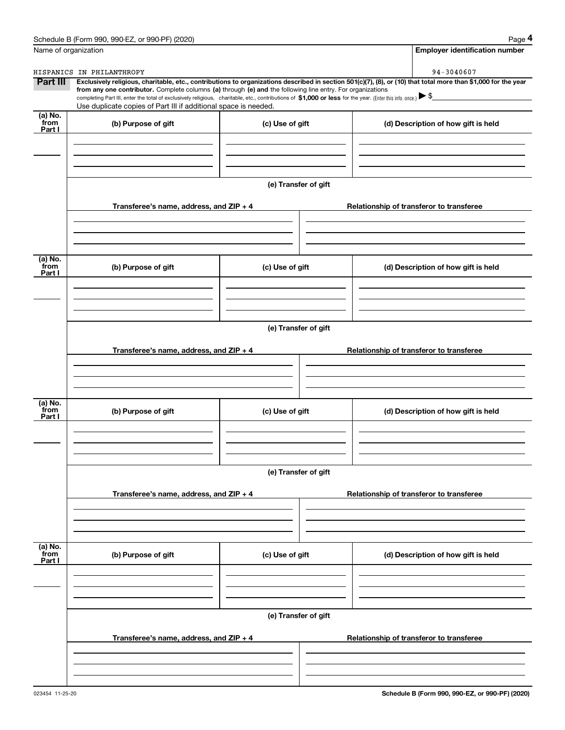|                           | Schedule B (Form 990, 990-EZ, or 990-PF) (2020)                                                                                                                                                                                                                                                 |                      | Page 4                                                                                                                                                         |  |  |  |  |  |
|---------------------------|-------------------------------------------------------------------------------------------------------------------------------------------------------------------------------------------------------------------------------------------------------------------------------------------------|----------------------|----------------------------------------------------------------------------------------------------------------------------------------------------------------|--|--|--|--|--|
|                           | Name of organization                                                                                                                                                                                                                                                                            |                      | <b>Employer identification number</b>                                                                                                                          |  |  |  |  |  |
|                           | HISPANICS IN PHILANTHROPY                                                                                                                                                                                                                                                                       |                      | 94-3040607                                                                                                                                                     |  |  |  |  |  |
| <b>Part III</b>           | from any one contributor. Complete columns (a) through (e) and the following line entry. For organizations<br>completing Part III, enter the total of exclusively religious, charitable, etc., contributions of \$1,000 or less for the year. (Enter this info. once.) $\blacktriangleright$ \$ |                      | Exclusively religious, charitable, etc., contributions to organizations described in section 501(c)(7), (8), or (10) that total more than \$1,000 for the year |  |  |  |  |  |
|                           | Use duplicate copies of Part III if additional space is needed.                                                                                                                                                                                                                                 |                      |                                                                                                                                                                |  |  |  |  |  |
| (a) No.<br>from<br>Part I | (b) Purpose of gift                                                                                                                                                                                                                                                                             | (c) Use of gift      | (d) Description of how gift is held                                                                                                                            |  |  |  |  |  |
|                           |                                                                                                                                                                                                                                                                                                 |                      |                                                                                                                                                                |  |  |  |  |  |
|                           |                                                                                                                                                                                                                                                                                                 |                      |                                                                                                                                                                |  |  |  |  |  |
|                           |                                                                                                                                                                                                                                                                                                 | (e) Transfer of gift |                                                                                                                                                                |  |  |  |  |  |
|                           | Transferee's name, address, and ZIP + 4                                                                                                                                                                                                                                                         |                      | Relationship of transferor to transferee                                                                                                                       |  |  |  |  |  |
|                           |                                                                                                                                                                                                                                                                                                 |                      |                                                                                                                                                                |  |  |  |  |  |
| (a) No.<br>from<br>Part I | (b) Purpose of gift                                                                                                                                                                                                                                                                             | (c) Use of gift      | (d) Description of how gift is held                                                                                                                            |  |  |  |  |  |
|                           |                                                                                                                                                                                                                                                                                                 |                      |                                                                                                                                                                |  |  |  |  |  |
|                           |                                                                                                                                                                                                                                                                                                 |                      |                                                                                                                                                                |  |  |  |  |  |
|                           | (e) Transfer of gift                                                                                                                                                                                                                                                                            |                      |                                                                                                                                                                |  |  |  |  |  |
|                           | Transferee's name, address, and ZIP + 4                                                                                                                                                                                                                                                         |                      | Relationship of transferor to transferee                                                                                                                       |  |  |  |  |  |
|                           |                                                                                                                                                                                                                                                                                                 |                      |                                                                                                                                                                |  |  |  |  |  |
| (a) No.<br>from<br>Part I | (b) Purpose of gift                                                                                                                                                                                                                                                                             | (c) Use of gift      | (d) Description of how gift is held                                                                                                                            |  |  |  |  |  |
|                           |                                                                                                                                                                                                                                                                                                 |                      |                                                                                                                                                                |  |  |  |  |  |
|                           |                                                                                                                                                                                                                                                                                                 | (e) Transfer of gift |                                                                                                                                                                |  |  |  |  |  |
|                           | Transferee's name, address, and ZIP + 4                                                                                                                                                                                                                                                         |                      | Relationship of transferor to transferee                                                                                                                       |  |  |  |  |  |
|                           |                                                                                                                                                                                                                                                                                                 |                      |                                                                                                                                                                |  |  |  |  |  |
| (a) No.<br>from           |                                                                                                                                                                                                                                                                                                 |                      | (d) Description of how gift is held                                                                                                                            |  |  |  |  |  |
| Part I                    | (b) Purpose of gift                                                                                                                                                                                                                                                                             | (c) Use of gift      |                                                                                                                                                                |  |  |  |  |  |
|                           |                                                                                                                                                                                                                                                                                                 |                      |                                                                                                                                                                |  |  |  |  |  |
|                           |                                                                                                                                                                                                                                                                                                 | (e) Transfer of gift |                                                                                                                                                                |  |  |  |  |  |
|                           | Transferee's name, address, and $ZIP + 4$                                                                                                                                                                                                                                                       |                      | Relationship of transferor to transferee                                                                                                                       |  |  |  |  |  |
|                           |                                                                                                                                                                                                                                                                                                 |                      |                                                                                                                                                                |  |  |  |  |  |
|                           |                                                                                                                                                                                                                                                                                                 |                      |                                                                                                                                                                |  |  |  |  |  |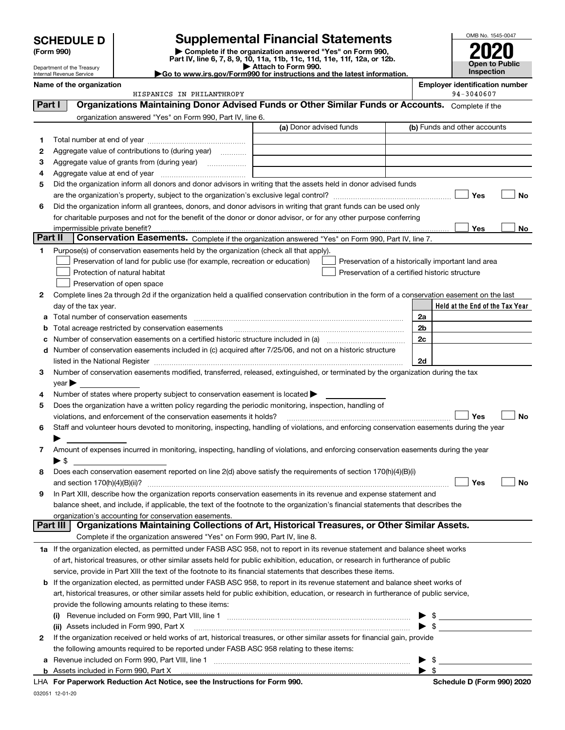| <b>SCHEDULE D</b>          | <b>Supplemental Financial Statements</b>                                |
|----------------------------|-------------------------------------------------------------------------|
| (Form 990)                 | Complete if the organization answered "Yes" on Form 990,                |
|                            | Part IV, line 6, 7, 8, 9, 10, 11a, 11b, 11c, 11d, 11e, 11f, 12a, or 12b |
| Department of the Treasury | Attach to Form 990.                                                     |

Internal Revenue Service

032051 12-01-20

(Form 990)<br>
Pepartment of the Treasury<br>
Department of the Treasury<br>
Department of the Treasury<br>
Department of the Treasury<br> **Co to www.irs.gov/Form990 for instructions and the latest information.**<br> **Co to www.irs.gov/Form9** 



|                            | Name of the organization                                                                                                                                                                                                                                             |                         | <b>Employer identification number</b><br>94-3040607 |
|----------------------------|----------------------------------------------------------------------------------------------------------------------------------------------------------------------------------------------------------------------------------------------------------------------|-------------------------|-----------------------------------------------------|
| Part I                     | HISPANICS IN PHILANTHROPY<br>Organizations Maintaining Donor Advised Funds or Other Similar Funds or Accounts. Complete if the                                                                                                                                       |                         |                                                     |
|                            |                                                                                                                                                                                                                                                                      |                         |                                                     |
|                            | organization answered "Yes" on Form 990, Part IV, line 6.                                                                                                                                                                                                            | (a) Donor advised funds | (b) Funds and other accounts                        |
|                            |                                                                                                                                                                                                                                                                      |                         |                                                     |
| 1                          |                                                                                                                                                                                                                                                                      |                         |                                                     |
| 2                          | Aggregate value of contributions to (during year)                                                                                                                                                                                                                    |                         |                                                     |
| з                          | Aggregate value of grants from (during year)                                                                                                                                                                                                                         |                         |                                                     |
| 4<br>5                     | Did the organization inform all donors and donor advisors in writing that the assets held in donor advised funds                                                                                                                                                     |                         |                                                     |
|                            |                                                                                                                                                                                                                                                                      |                         | Yes<br>No                                           |
| 6                          | Did the organization inform all grantees, donors, and donor advisors in writing that grant funds can be used only                                                                                                                                                    |                         |                                                     |
|                            | for charitable purposes and not for the benefit of the donor or donor advisor, or for any other purpose conferring                                                                                                                                                   |                         |                                                     |
|                            | impermissible private benefit?                                                                                                                                                                                                                                       |                         | Yes<br>No                                           |
| Part II                    | Conservation Easements. Complete if the organization answered "Yes" on Form 990, Part IV, line 7.                                                                                                                                                                    |                         |                                                     |
| 1.                         | Purpose(s) of conservation easements held by the organization (check all that apply).                                                                                                                                                                                |                         |                                                     |
|                            | Preservation of land for public use (for example, recreation or education)                                                                                                                                                                                           |                         | Preservation of a historically important land area  |
|                            | Protection of natural habitat                                                                                                                                                                                                                                        |                         | Preservation of a certified historic structure      |
|                            | Preservation of open space                                                                                                                                                                                                                                           |                         |                                                     |
| 2                          | Complete lines 2a through 2d if the organization held a qualified conservation contribution in the form of a conservation easement on the last                                                                                                                       |                         |                                                     |
|                            | day of the tax year.                                                                                                                                                                                                                                                 |                         | Held at the End of the Tax Year                     |
| а                          |                                                                                                                                                                                                                                                                      |                         | 2a                                                  |
| b                          | Total acreage restricted by conservation easements                                                                                                                                                                                                                   |                         | 2b                                                  |
| с                          |                                                                                                                                                                                                                                                                      |                         | 2c                                                  |
|                            | d Number of conservation easements included in (c) acquired after 7/25/06, and not on a historic structure                                                                                                                                                           |                         |                                                     |
|                            |                                                                                                                                                                                                                                                                      |                         | 2d                                                  |
| З                          | Number of conservation easements modified, transferred, released, extinguished, or terminated by the organization during the tax                                                                                                                                     |                         |                                                     |
| $year \blacktriangleright$ |                                                                                                                                                                                                                                                                      |                         |                                                     |
| 4                          | Number of states where property subject to conservation easement is located >                                                                                                                                                                                        |                         |                                                     |
| 5                          | Does the organization have a written policy regarding the periodic monitoring, inspection, handling of                                                                                                                                                               |                         |                                                     |
|                            | violations, and enforcement of the conservation easements it holds?                                                                                                                                                                                                  |                         | Yes<br><b>No</b>                                    |
| 6                          | Staff and volunteer hours devoted to monitoring, inspecting, handling of violations, and enforcing conservation easements during the year                                                                                                                            |                         |                                                     |
|                            |                                                                                                                                                                                                                                                                      |                         |                                                     |
| 7                          | Amount of expenses incurred in monitoring, inspecting, handling of violations, and enforcing conservation easements during the year                                                                                                                                  |                         |                                                     |
| ▶ \$                       |                                                                                                                                                                                                                                                                      |                         |                                                     |
| 8                          | Does each conservation easement reported on line 2(d) above satisfy the requirements of section 170(h)(4)(B)(i)                                                                                                                                                      |                         |                                                     |
|                            |                                                                                                                                                                                                                                                                      |                         | Yes<br>No                                           |
|                            | In Part XIII, describe how the organization reports conservation easements in its revenue and expense statement and                                                                                                                                                  |                         |                                                     |
|                            | balance sheet, and include, if applicable, the text of the footnote to the organization's financial statements that describes the                                                                                                                                    |                         |                                                     |
| Part III                   | organization's accounting for conservation easements.<br>Organizations Maintaining Collections of Art, Historical Treasures, or Other Similar Assets.                                                                                                                |                         |                                                     |
|                            | Complete if the organization answered "Yes" on Form 990, Part IV, line 8.                                                                                                                                                                                            |                         |                                                     |
|                            |                                                                                                                                                                                                                                                                      |                         |                                                     |
|                            | 1a If the organization elected, as permitted under FASB ASC 958, not to report in its revenue statement and balance sheet works<br>of art, historical treasures, or other similar assets held for public exhibition, education, or research in furtherance of public |                         |                                                     |
|                            | service, provide in Part XIII the text of the footnote to its financial statements that describes these items.                                                                                                                                                       |                         |                                                     |
|                            | <b>b</b> If the organization elected, as permitted under FASB ASC 958, to report in its revenue statement and balance sheet works of                                                                                                                                 |                         |                                                     |
|                            | art, historical treasures, or other similar assets held for public exhibition, education, or research in furtherance of public service,                                                                                                                              |                         |                                                     |
|                            | provide the following amounts relating to these items:                                                                                                                                                                                                               |                         |                                                     |
| (I)                        |                                                                                                                                                                                                                                                                      |                         | \$                                                  |
|                            | (ii) Assets included in Form 990, Part X                                                                                                                                                                                                                             |                         | $\blacktriangleright$ \$                            |
| 2                          | If the organization received or held works of art, historical treasures, or other similar assets for financial gain, provide                                                                                                                                         |                         |                                                     |
|                            | the following amounts required to be reported under FASB ASC 958 relating to these items:                                                                                                                                                                            |                         |                                                     |
| a                          |                                                                                                                                                                                                                                                                      |                         | \$                                                  |
|                            | <b>b</b> Assets included in Form 990, Part X                                                                                                                                                                                                                         |                         | $\blacktriangleright$ s                             |
|                            | LHA For Paperwork Reduction Act Notice, see the Instructions for Form 990.                                                                                                                                                                                           |                         | Schedule D (Form 990) 2020                          |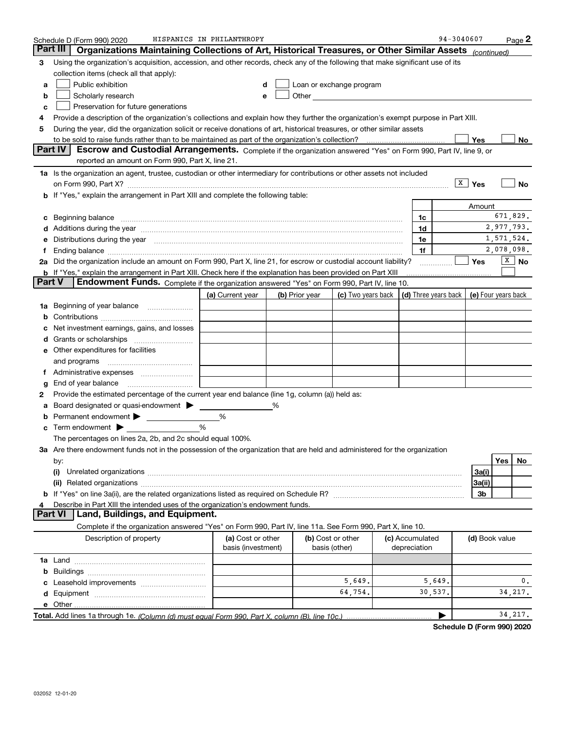| Part III<br>Organizations Maintaining Collections of Art, Historical Treasures, or Other Similar Assets (continued)<br>Using the organization's acquisition, accession, and other records, check any of the following that make significant use of its<br>3<br>collection items (check all that apply):<br>Public exhibition<br>Loan or exchange program<br>a<br>Other <b>Committee Committee Committee Committee</b><br>Scholarly research<br>b<br>Preservation for future generations<br>c<br>Provide a description of the organization's collections and explain how they further the organization's exempt purpose in Part XIII.<br>4<br>During the year, did the organization solicit or receive donations of art, historical treasures, or other similar assets<br>5<br>Yes<br><b>Part IV</b><br>Escrow and Custodial Arrangements. Complete if the organization answered "Yes" on Form 990, Part IV, line 9, or<br>reported an amount on Form 990, Part X, line 21.<br>1a Is the organization an agent, trustee, custodian or other intermediary for contributions or other assets not included<br>$\sqrt{\frac{X}{X}}$ Yes<br>No<br>on Form 990, Part X? [11] matter contracts and contracts and contracts are contracted as a form 990, Part X?<br><b>b</b> If "Yes," explain the arrangement in Part XIII and complete the following table:<br>Amount<br>Beginning balance <b>contract to the contract of the contract of the contract of the contract of the contract of t</b><br>1c<br>c<br>Additions during the year manufactured and an account of the state of the state of the state of the state of the state of the state of the state of the state of the state of the state of the state of the state of the state<br>1d<br>1,571,524.<br>1e<br>Distributions during the year manufactured and an account of the state of the state of the state of the state o<br>2,078,098.<br>1f<br>t.<br>$\sqrt{X}$ No<br>2a Did the organization include an amount on Form 990, Part X, line 21, for escrow or custodial account liability?<br>Yes<br><b>b</b> If "Yes," explain the arrangement in Part XIII. Check here if the explanation has been provided on Part XIII<br>Part V<br>Endowment Funds. Complete if the organization answered "Yes" on Form 990, Part IV, line 10.<br>(d) Three years back   (e) Four years back<br>(c) Two years back<br>(a) Current year<br>(b) Prior year<br>Beginning of year balance<br>1a<br>Net investment earnings, gains, and losses<br>d<br>e Other expenditures for facilities<br>and programs<br>End of year balance<br>g<br>Provide the estimated percentage of the current year end balance (line 1g, column (a)) held as:<br>2<br>Board designated or quasi-endowment<br>%<br>а<br>%<br>%<br>Term endowment $\blacktriangleright$<br>The percentages on lines 2a, 2b, and 2c should equal 100%.<br>3a Are there endowment funds not in the possession of the organization that are held and administered for the organization<br>Yes <sub>1</sub><br>No.<br>by:<br>3a(i)<br>(i)<br>3a(ii)<br>3b<br>Describe in Part XIII the intended uses of the organization's endowment funds.<br>Land, Buildings, and Equipment.<br>Part VI<br>Complete if the organization answered "Yes" on Form 990, Part IV, line 11a. See Form 990, Part X, line 10.<br>Description of property<br>(a) Cost or other<br>(b) Cost or other<br>(c) Accumulated<br>(d) Book value<br>basis (investment)<br>basis (other)<br>depreciation<br>b<br>5,649.<br>5,649.<br>0.<br>64.754.<br>34, 217.<br>30,537. | Schedule D (Form 990) 2020 | HISPANICS IN PHILANTHROPY |  |  |  |  |  | 94-3040607 | Page 2 |
|-------------------------------------------------------------------------------------------------------------------------------------------------------------------------------------------------------------------------------------------------------------------------------------------------------------------------------------------------------------------------------------------------------------------------------------------------------------------------------------------------------------------------------------------------------------------------------------------------------------------------------------------------------------------------------------------------------------------------------------------------------------------------------------------------------------------------------------------------------------------------------------------------------------------------------------------------------------------------------------------------------------------------------------------------------------------------------------------------------------------------------------------------------------------------------------------------------------------------------------------------------------------------------------------------------------------------------------------------------------------------------------------------------------------------------------------------------------------------------------------------------------------------------------------------------------------------------------------------------------------------------------------------------------------------------------------------------------------------------------------------------------------------------------------------------------------------------------------------------------------------------------------------------------------------------------------------------------------------------------------------------------------------------------------------------------------------------------------------------------------------------------------------------------------------------------------------------------------------------------------------------------------------------------------------------------------------------------------------------------------------------------------------------------------------------------------------------------------------------------------------------------------------------------------------------------------------------------------------------------------------------------------------------------------------------------------------------------------------------------------------------------------------------------------------------------------------------------------------------------------------------------------------------------------------------------------------------------------------------------------------------------------------------------------------------------------------------------------------------------------------------------------------------------------------------------------------------------------------------------------------------------------------------------------------------------------------------------------------------------------------------------------------------------------------------------------------------------------------------------------------------------------------------------------|----------------------------|---------------------------|--|--|--|--|--|------------|--------|
|                                                                                                                                                                                                                                                                                                                                                                                                                                                                                                                                                                                                                                                                                                                                                                                                                                                                                                                                                                                                                                                                                                                                                                                                                                                                                                                                                                                                                                                                                                                                                                                                                                                                                                                                                                                                                                                                                                                                                                                                                                                                                                                                                                                                                                                                                                                                                                                                                                                                                                                                                                                                                                                                                                                                                                                                                                                                                                                                                                                                                                                                                                                                                                                                                                                                                                                                                                                                                                                                                                                                           |                            |                           |  |  |  |  |  |            |        |
| No<br>671,829.<br>2,977,793.<br>34, 217.                                                                                                                                                                                                                                                                                                                                                                                                                                                                                                                                                                                                                                                                                                                                                                                                                                                                                                                                                                                                                                                                                                                                                                                                                                                                                                                                                                                                                                                                                                                                                                                                                                                                                                                                                                                                                                                                                                                                                                                                                                                                                                                                                                                                                                                                                                                                                                                                                                                                                                                                                                                                                                                                                                                                                                                                                                                                                                                                                                                                                                                                                                                                                                                                                                                                                                                                                                                                                                                                                                  |                            |                           |  |  |  |  |  |            |        |
|                                                                                                                                                                                                                                                                                                                                                                                                                                                                                                                                                                                                                                                                                                                                                                                                                                                                                                                                                                                                                                                                                                                                                                                                                                                                                                                                                                                                                                                                                                                                                                                                                                                                                                                                                                                                                                                                                                                                                                                                                                                                                                                                                                                                                                                                                                                                                                                                                                                                                                                                                                                                                                                                                                                                                                                                                                                                                                                                                                                                                                                                                                                                                                                                                                                                                                                                                                                                                                                                                                                                           |                            |                           |  |  |  |  |  |            |        |
|                                                                                                                                                                                                                                                                                                                                                                                                                                                                                                                                                                                                                                                                                                                                                                                                                                                                                                                                                                                                                                                                                                                                                                                                                                                                                                                                                                                                                                                                                                                                                                                                                                                                                                                                                                                                                                                                                                                                                                                                                                                                                                                                                                                                                                                                                                                                                                                                                                                                                                                                                                                                                                                                                                                                                                                                                                                                                                                                                                                                                                                                                                                                                                                                                                                                                                                                                                                                                                                                                                                                           |                            |                           |  |  |  |  |  |            |        |
|                                                                                                                                                                                                                                                                                                                                                                                                                                                                                                                                                                                                                                                                                                                                                                                                                                                                                                                                                                                                                                                                                                                                                                                                                                                                                                                                                                                                                                                                                                                                                                                                                                                                                                                                                                                                                                                                                                                                                                                                                                                                                                                                                                                                                                                                                                                                                                                                                                                                                                                                                                                                                                                                                                                                                                                                                                                                                                                                                                                                                                                                                                                                                                                                                                                                                                                                                                                                                                                                                                                                           |                            |                           |  |  |  |  |  |            |        |
|                                                                                                                                                                                                                                                                                                                                                                                                                                                                                                                                                                                                                                                                                                                                                                                                                                                                                                                                                                                                                                                                                                                                                                                                                                                                                                                                                                                                                                                                                                                                                                                                                                                                                                                                                                                                                                                                                                                                                                                                                                                                                                                                                                                                                                                                                                                                                                                                                                                                                                                                                                                                                                                                                                                                                                                                                                                                                                                                                                                                                                                                                                                                                                                                                                                                                                                                                                                                                                                                                                                                           |                            |                           |  |  |  |  |  |            |        |
|                                                                                                                                                                                                                                                                                                                                                                                                                                                                                                                                                                                                                                                                                                                                                                                                                                                                                                                                                                                                                                                                                                                                                                                                                                                                                                                                                                                                                                                                                                                                                                                                                                                                                                                                                                                                                                                                                                                                                                                                                                                                                                                                                                                                                                                                                                                                                                                                                                                                                                                                                                                                                                                                                                                                                                                                                                                                                                                                                                                                                                                                                                                                                                                                                                                                                                                                                                                                                                                                                                                                           |                            |                           |  |  |  |  |  |            |        |
|                                                                                                                                                                                                                                                                                                                                                                                                                                                                                                                                                                                                                                                                                                                                                                                                                                                                                                                                                                                                                                                                                                                                                                                                                                                                                                                                                                                                                                                                                                                                                                                                                                                                                                                                                                                                                                                                                                                                                                                                                                                                                                                                                                                                                                                                                                                                                                                                                                                                                                                                                                                                                                                                                                                                                                                                                                                                                                                                                                                                                                                                                                                                                                                                                                                                                                                                                                                                                                                                                                                                           |                            |                           |  |  |  |  |  |            |        |
|                                                                                                                                                                                                                                                                                                                                                                                                                                                                                                                                                                                                                                                                                                                                                                                                                                                                                                                                                                                                                                                                                                                                                                                                                                                                                                                                                                                                                                                                                                                                                                                                                                                                                                                                                                                                                                                                                                                                                                                                                                                                                                                                                                                                                                                                                                                                                                                                                                                                                                                                                                                                                                                                                                                                                                                                                                                                                                                                                                                                                                                                                                                                                                                                                                                                                                                                                                                                                                                                                                                                           |                            |                           |  |  |  |  |  |            |        |
|                                                                                                                                                                                                                                                                                                                                                                                                                                                                                                                                                                                                                                                                                                                                                                                                                                                                                                                                                                                                                                                                                                                                                                                                                                                                                                                                                                                                                                                                                                                                                                                                                                                                                                                                                                                                                                                                                                                                                                                                                                                                                                                                                                                                                                                                                                                                                                                                                                                                                                                                                                                                                                                                                                                                                                                                                                                                                                                                                                                                                                                                                                                                                                                                                                                                                                                                                                                                                                                                                                                                           |                            |                           |  |  |  |  |  |            |        |
|                                                                                                                                                                                                                                                                                                                                                                                                                                                                                                                                                                                                                                                                                                                                                                                                                                                                                                                                                                                                                                                                                                                                                                                                                                                                                                                                                                                                                                                                                                                                                                                                                                                                                                                                                                                                                                                                                                                                                                                                                                                                                                                                                                                                                                                                                                                                                                                                                                                                                                                                                                                                                                                                                                                                                                                                                                                                                                                                                                                                                                                                                                                                                                                                                                                                                                                                                                                                                                                                                                                                           |                            |                           |  |  |  |  |  |            |        |
|                                                                                                                                                                                                                                                                                                                                                                                                                                                                                                                                                                                                                                                                                                                                                                                                                                                                                                                                                                                                                                                                                                                                                                                                                                                                                                                                                                                                                                                                                                                                                                                                                                                                                                                                                                                                                                                                                                                                                                                                                                                                                                                                                                                                                                                                                                                                                                                                                                                                                                                                                                                                                                                                                                                                                                                                                                                                                                                                                                                                                                                                                                                                                                                                                                                                                                                                                                                                                                                                                                                                           |                            |                           |  |  |  |  |  |            |        |
|                                                                                                                                                                                                                                                                                                                                                                                                                                                                                                                                                                                                                                                                                                                                                                                                                                                                                                                                                                                                                                                                                                                                                                                                                                                                                                                                                                                                                                                                                                                                                                                                                                                                                                                                                                                                                                                                                                                                                                                                                                                                                                                                                                                                                                                                                                                                                                                                                                                                                                                                                                                                                                                                                                                                                                                                                                                                                                                                                                                                                                                                                                                                                                                                                                                                                                                                                                                                                                                                                                                                           |                            |                           |  |  |  |  |  |            |        |
|                                                                                                                                                                                                                                                                                                                                                                                                                                                                                                                                                                                                                                                                                                                                                                                                                                                                                                                                                                                                                                                                                                                                                                                                                                                                                                                                                                                                                                                                                                                                                                                                                                                                                                                                                                                                                                                                                                                                                                                                                                                                                                                                                                                                                                                                                                                                                                                                                                                                                                                                                                                                                                                                                                                                                                                                                                                                                                                                                                                                                                                                                                                                                                                                                                                                                                                                                                                                                                                                                                                                           |                            |                           |  |  |  |  |  |            |        |
|                                                                                                                                                                                                                                                                                                                                                                                                                                                                                                                                                                                                                                                                                                                                                                                                                                                                                                                                                                                                                                                                                                                                                                                                                                                                                                                                                                                                                                                                                                                                                                                                                                                                                                                                                                                                                                                                                                                                                                                                                                                                                                                                                                                                                                                                                                                                                                                                                                                                                                                                                                                                                                                                                                                                                                                                                                                                                                                                                                                                                                                                                                                                                                                                                                                                                                                                                                                                                                                                                                                                           |                            |                           |  |  |  |  |  |            |        |
|                                                                                                                                                                                                                                                                                                                                                                                                                                                                                                                                                                                                                                                                                                                                                                                                                                                                                                                                                                                                                                                                                                                                                                                                                                                                                                                                                                                                                                                                                                                                                                                                                                                                                                                                                                                                                                                                                                                                                                                                                                                                                                                                                                                                                                                                                                                                                                                                                                                                                                                                                                                                                                                                                                                                                                                                                                                                                                                                                                                                                                                                                                                                                                                                                                                                                                                                                                                                                                                                                                                                           |                            |                           |  |  |  |  |  |            |        |
|                                                                                                                                                                                                                                                                                                                                                                                                                                                                                                                                                                                                                                                                                                                                                                                                                                                                                                                                                                                                                                                                                                                                                                                                                                                                                                                                                                                                                                                                                                                                                                                                                                                                                                                                                                                                                                                                                                                                                                                                                                                                                                                                                                                                                                                                                                                                                                                                                                                                                                                                                                                                                                                                                                                                                                                                                                                                                                                                                                                                                                                                                                                                                                                                                                                                                                                                                                                                                                                                                                                                           |                            |                           |  |  |  |  |  |            |        |
|                                                                                                                                                                                                                                                                                                                                                                                                                                                                                                                                                                                                                                                                                                                                                                                                                                                                                                                                                                                                                                                                                                                                                                                                                                                                                                                                                                                                                                                                                                                                                                                                                                                                                                                                                                                                                                                                                                                                                                                                                                                                                                                                                                                                                                                                                                                                                                                                                                                                                                                                                                                                                                                                                                                                                                                                                                                                                                                                                                                                                                                                                                                                                                                                                                                                                                                                                                                                                                                                                                                                           |                            |                           |  |  |  |  |  |            |        |
|                                                                                                                                                                                                                                                                                                                                                                                                                                                                                                                                                                                                                                                                                                                                                                                                                                                                                                                                                                                                                                                                                                                                                                                                                                                                                                                                                                                                                                                                                                                                                                                                                                                                                                                                                                                                                                                                                                                                                                                                                                                                                                                                                                                                                                                                                                                                                                                                                                                                                                                                                                                                                                                                                                                                                                                                                                                                                                                                                                                                                                                                                                                                                                                                                                                                                                                                                                                                                                                                                                                                           |                            |                           |  |  |  |  |  |            |        |
|                                                                                                                                                                                                                                                                                                                                                                                                                                                                                                                                                                                                                                                                                                                                                                                                                                                                                                                                                                                                                                                                                                                                                                                                                                                                                                                                                                                                                                                                                                                                                                                                                                                                                                                                                                                                                                                                                                                                                                                                                                                                                                                                                                                                                                                                                                                                                                                                                                                                                                                                                                                                                                                                                                                                                                                                                                                                                                                                                                                                                                                                                                                                                                                                                                                                                                                                                                                                                                                                                                                                           |                            |                           |  |  |  |  |  |            |        |
|                                                                                                                                                                                                                                                                                                                                                                                                                                                                                                                                                                                                                                                                                                                                                                                                                                                                                                                                                                                                                                                                                                                                                                                                                                                                                                                                                                                                                                                                                                                                                                                                                                                                                                                                                                                                                                                                                                                                                                                                                                                                                                                                                                                                                                                                                                                                                                                                                                                                                                                                                                                                                                                                                                                                                                                                                                                                                                                                                                                                                                                                                                                                                                                                                                                                                                                                                                                                                                                                                                                                           |                            |                           |  |  |  |  |  |            |        |
|                                                                                                                                                                                                                                                                                                                                                                                                                                                                                                                                                                                                                                                                                                                                                                                                                                                                                                                                                                                                                                                                                                                                                                                                                                                                                                                                                                                                                                                                                                                                                                                                                                                                                                                                                                                                                                                                                                                                                                                                                                                                                                                                                                                                                                                                                                                                                                                                                                                                                                                                                                                                                                                                                                                                                                                                                                                                                                                                                                                                                                                                                                                                                                                                                                                                                                                                                                                                                                                                                                                                           |                            |                           |  |  |  |  |  |            |        |
|                                                                                                                                                                                                                                                                                                                                                                                                                                                                                                                                                                                                                                                                                                                                                                                                                                                                                                                                                                                                                                                                                                                                                                                                                                                                                                                                                                                                                                                                                                                                                                                                                                                                                                                                                                                                                                                                                                                                                                                                                                                                                                                                                                                                                                                                                                                                                                                                                                                                                                                                                                                                                                                                                                                                                                                                                                                                                                                                                                                                                                                                                                                                                                                                                                                                                                                                                                                                                                                                                                                                           |                            |                           |  |  |  |  |  |            |        |
|                                                                                                                                                                                                                                                                                                                                                                                                                                                                                                                                                                                                                                                                                                                                                                                                                                                                                                                                                                                                                                                                                                                                                                                                                                                                                                                                                                                                                                                                                                                                                                                                                                                                                                                                                                                                                                                                                                                                                                                                                                                                                                                                                                                                                                                                                                                                                                                                                                                                                                                                                                                                                                                                                                                                                                                                                                                                                                                                                                                                                                                                                                                                                                                                                                                                                                                                                                                                                                                                                                                                           |                            |                           |  |  |  |  |  |            |        |
|                                                                                                                                                                                                                                                                                                                                                                                                                                                                                                                                                                                                                                                                                                                                                                                                                                                                                                                                                                                                                                                                                                                                                                                                                                                                                                                                                                                                                                                                                                                                                                                                                                                                                                                                                                                                                                                                                                                                                                                                                                                                                                                                                                                                                                                                                                                                                                                                                                                                                                                                                                                                                                                                                                                                                                                                                                                                                                                                                                                                                                                                                                                                                                                                                                                                                                                                                                                                                                                                                                                                           |                            |                           |  |  |  |  |  |            |        |
|                                                                                                                                                                                                                                                                                                                                                                                                                                                                                                                                                                                                                                                                                                                                                                                                                                                                                                                                                                                                                                                                                                                                                                                                                                                                                                                                                                                                                                                                                                                                                                                                                                                                                                                                                                                                                                                                                                                                                                                                                                                                                                                                                                                                                                                                                                                                                                                                                                                                                                                                                                                                                                                                                                                                                                                                                                                                                                                                                                                                                                                                                                                                                                                                                                                                                                                                                                                                                                                                                                                                           |                            |                           |  |  |  |  |  |            |        |
|                                                                                                                                                                                                                                                                                                                                                                                                                                                                                                                                                                                                                                                                                                                                                                                                                                                                                                                                                                                                                                                                                                                                                                                                                                                                                                                                                                                                                                                                                                                                                                                                                                                                                                                                                                                                                                                                                                                                                                                                                                                                                                                                                                                                                                                                                                                                                                                                                                                                                                                                                                                                                                                                                                                                                                                                                                                                                                                                                                                                                                                                                                                                                                                                                                                                                                                                                                                                                                                                                                                                           |                            |                           |  |  |  |  |  |            |        |
|                                                                                                                                                                                                                                                                                                                                                                                                                                                                                                                                                                                                                                                                                                                                                                                                                                                                                                                                                                                                                                                                                                                                                                                                                                                                                                                                                                                                                                                                                                                                                                                                                                                                                                                                                                                                                                                                                                                                                                                                                                                                                                                                                                                                                                                                                                                                                                                                                                                                                                                                                                                                                                                                                                                                                                                                                                                                                                                                                                                                                                                                                                                                                                                                                                                                                                                                                                                                                                                                                                                                           |                            |                           |  |  |  |  |  |            |        |
|                                                                                                                                                                                                                                                                                                                                                                                                                                                                                                                                                                                                                                                                                                                                                                                                                                                                                                                                                                                                                                                                                                                                                                                                                                                                                                                                                                                                                                                                                                                                                                                                                                                                                                                                                                                                                                                                                                                                                                                                                                                                                                                                                                                                                                                                                                                                                                                                                                                                                                                                                                                                                                                                                                                                                                                                                                                                                                                                                                                                                                                                                                                                                                                                                                                                                                                                                                                                                                                                                                                                           |                            |                           |  |  |  |  |  |            |        |
|                                                                                                                                                                                                                                                                                                                                                                                                                                                                                                                                                                                                                                                                                                                                                                                                                                                                                                                                                                                                                                                                                                                                                                                                                                                                                                                                                                                                                                                                                                                                                                                                                                                                                                                                                                                                                                                                                                                                                                                                                                                                                                                                                                                                                                                                                                                                                                                                                                                                                                                                                                                                                                                                                                                                                                                                                                                                                                                                                                                                                                                                                                                                                                                                                                                                                                                                                                                                                                                                                                                                           |                            |                           |  |  |  |  |  |            |        |
|                                                                                                                                                                                                                                                                                                                                                                                                                                                                                                                                                                                                                                                                                                                                                                                                                                                                                                                                                                                                                                                                                                                                                                                                                                                                                                                                                                                                                                                                                                                                                                                                                                                                                                                                                                                                                                                                                                                                                                                                                                                                                                                                                                                                                                                                                                                                                                                                                                                                                                                                                                                                                                                                                                                                                                                                                                                                                                                                                                                                                                                                                                                                                                                                                                                                                                                                                                                                                                                                                                                                           |                            |                           |  |  |  |  |  |            |        |
|                                                                                                                                                                                                                                                                                                                                                                                                                                                                                                                                                                                                                                                                                                                                                                                                                                                                                                                                                                                                                                                                                                                                                                                                                                                                                                                                                                                                                                                                                                                                                                                                                                                                                                                                                                                                                                                                                                                                                                                                                                                                                                                                                                                                                                                                                                                                                                                                                                                                                                                                                                                                                                                                                                                                                                                                                                                                                                                                                                                                                                                                                                                                                                                                                                                                                                                                                                                                                                                                                                                                           |                            |                           |  |  |  |  |  |            |        |
|                                                                                                                                                                                                                                                                                                                                                                                                                                                                                                                                                                                                                                                                                                                                                                                                                                                                                                                                                                                                                                                                                                                                                                                                                                                                                                                                                                                                                                                                                                                                                                                                                                                                                                                                                                                                                                                                                                                                                                                                                                                                                                                                                                                                                                                                                                                                                                                                                                                                                                                                                                                                                                                                                                                                                                                                                                                                                                                                                                                                                                                                                                                                                                                                                                                                                                                                                                                                                                                                                                                                           |                            |                           |  |  |  |  |  |            |        |
|                                                                                                                                                                                                                                                                                                                                                                                                                                                                                                                                                                                                                                                                                                                                                                                                                                                                                                                                                                                                                                                                                                                                                                                                                                                                                                                                                                                                                                                                                                                                                                                                                                                                                                                                                                                                                                                                                                                                                                                                                                                                                                                                                                                                                                                                                                                                                                                                                                                                                                                                                                                                                                                                                                                                                                                                                                                                                                                                                                                                                                                                                                                                                                                                                                                                                                                                                                                                                                                                                                                                           |                            |                           |  |  |  |  |  |            |        |
|                                                                                                                                                                                                                                                                                                                                                                                                                                                                                                                                                                                                                                                                                                                                                                                                                                                                                                                                                                                                                                                                                                                                                                                                                                                                                                                                                                                                                                                                                                                                                                                                                                                                                                                                                                                                                                                                                                                                                                                                                                                                                                                                                                                                                                                                                                                                                                                                                                                                                                                                                                                                                                                                                                                                                                                                                                                                                                                                                                                                                                                                                                                                                                                                                                                                                                                                                                                                                                                                                                                                           |                            |                           |  |  |  |  |  |            |        |
|                                                                                                                                                                                                                                                                                                                                                                                                                                                                                                                                                                                                                                                                                                                                                                                                                                                                                                                                                                                                                                                                                                                                                                                                                                                                                                                                                                                                                                                                                                                                                                                                                                                                                                                                                                                                                                                                                                                                                                                                                                                                                                                                                                                                                                                                                                                                                                                                                                                                                                                                                                                                                                                                                                                                                                                                                                                                                                                                                                                                                                                                                                                                                                                                                                                                                                                                                                                                                                                                                                                                           |                            |                           |  |  |  |  |  |            |        |
|                                                                                                                                                                                                                                                                                                                                                                                                                                                                                                                                                                                                                                                                                                                                                                                                                                                                                                                                                                                                                                                                                                                                                                                                                                                                                                                                                                                                                                                                                                                                                                                                                                                                                                                                                                                                                                                                                                                                                                                                                                                                                                                                                                                                                                                                                                                                                                                                                                                                                                                                                                                                                                                                                                                                                                                                                                                                                                                                                                                                                                                                                                                                                                                                                                                                                                                                                                                                                                                                                                                                           |                            |                           |  |  |  |  |  |            |        |
|                                                                                                                                                                                                                                                                                                                                                                                                                                                                                                                                                                                                                                                                                                                                                                                                                                                                                                                                                                                                                                                                                                                                                                                                                                                                                                                                                                                                                                                                                                                                                                                                                                                                                                                                                                                                                                                                                                                                                                                                                                                                                                                                                                                                                                                                                                                                                                                                                                                                                                                                                                                                                                                                                                                                                                                                                                                                                                                                                                                                                                                                                                                                                                                                                                                                                                                                                                                                                                                                                                                                           |                            |                           |  |  |  |  |  |            |        |
|                                                                                                                                                                                                                                                                                                                                                                                                                                                                                                                                                                                                                                                                                                                                                                                                                                                                                                                                                                                                                                                                                                                                                                                                                                                                                                                                                                                                                                                                                                                                                                                                                                                                                                                                                                                                                                                                                                                                                                                                                                                                                                                                                                                                                                                                                                                                                                                                                                                                                                                                                                                                                                                                                                                                                                                                                                                                                                                                                                                                                                                                                                                                                                                                                                                                                                                                                                                                                                                                                                                                           |                            |                           |  |  |  |  |  |            |        |
|                                                                                                                                                                                                                                                                                                                                                                                                                                                                                                                                                                                                                                                                                                                                                                                                                                                                                                                                                                                                                                                                                                                                                                                                                                                                                                                                                                                                                                                                                                                                                                                                                                                                                                                                                                                                                                                                                                                                                                                                                                                                                                                                                                                                                                                                                                                                                                                                                                                                                                                                                                                                                                                                                                                                                                                                                                                                                                                                                                                                                                                                                                                                                                                                                                                                                                                                                                                                                                                                                                                                           |                            |                           |  |  |  |  |  |            |        |
|                                                                                                                                                                                                                                                                                                                                                                                                                                                                                                                                                                                                                                                                                                                                                                                                                                                                                                                                                                                                                                                                                                                                                                                                                                                                                                                                                                                                                                                                                                                                                                                                                                                                                                                                                                                                                                                                                                                                                                                                                                                                                                                                                                                                                                                                                                                                                                                                                                                                                                                                                                                                                                                                                                                                                                                                                                                                                                                                                                                                                                                                                                                                                                                                                                                                                                                                                                                                                                                                                                                                           |                            |                           |  |  |  |  |  |            |        |
|                                                                                                                                                                                                                                                                                                                                                                                                                                                                                                                                                                                                                                                                                                                                                                                                                                                                                                                                                                                                                                                                                                                                                                                                                                                                                                                                                                                                                                                                                                                                                                                                                                                                                                                                                                                                                                                                                                                                                                                                                                                                                                                                                                                                                                                                                                                                                                                                                                                                                                                                                                                                                                                                                                                                                                                                                                                                                                                                                                                                                                                                                                                                                                                                                                                                                                                                                                                                                                                                                                                                           |                            |                           |  |  |  |  |  |            |        |
|                                                                                                                                                                                                                                                                                                                                                                                                                                                                                                                                                                                                                                                                                                                                                                                                                                                                                                                                                                                                                                                                                                                                                                                                                                                                                                                                                                                                                                                                                                                                                                                                                                                                                                                                                                                                                                                                                                                                                                                                                                                                                                                                                                                                                                                                                                                                                                                                                                                                                                                                                                                                                                                                                                                                                                                                                                                                                                                                                                                                                                                                                                                                                                                                                                                                                                                                                                                                                                                                                                                                           |                            |                           |  |  |  |  |  |            |        |
|                                                                                                                                                                                                                                                                                                                                                                                                                                                                                                                                                                                                                                                                                                                                                                                                                                                                                                                                                                                                                                                                                                                                                                                                                                                                                                                                                                                                                                                                                                                                                                                                                                                                                                                                                                                                                                                                                                                                                                                                                                                                                                                                                                                                                                                                                                                                                                                                                                                                                                                                                                                                                                                                                                                                                                                                                                                                                                                                                                                                                                                                                                                                                                                                                                                                                                                                                                                                                                                                                                                                           |                            |                           |  |  |  |  |  |            |        |
|                                                                                                                                                                                                                                                                                                                                                                                                                                                                                                                                                                                                                                                                                                                                                                                                                                                                                                                                                                                                                                                                                                                                                                                                                                                                                                                                                                                                                                                                                                                                                                                                                                                                                                                                                                                                                                                                                                                                                                                                                                                                                                                                                                                                                                                                                                                                                                                                                                                                                                                                                                                                                                                                                                                                                                                                                                                                                                                                                                                                                                                                                                                                                                                                                                                                                                                                                                                                                                                                                                                                           |                            |                           |  |  |  |  |  |            |        |
|                                                                                                                                                                                                                                                                                                                                                                                                                                                                                                                                                                                                                                                                                                                                                                                                                                                                                                                                                                                                                                                                                                                                                                                                                                                                                                                                                                                                                                                                                                                                                                                                                                                                                                                                                                                                                                                                                                                                                                                                                                                                                                                                                                                                                                                                                                                                                                                                                                                                                                                                                                                                                                                                                                                                                                                                                                                                                                                                                                                                                                                                                                                                                                                                                                                                                                                                                                                                                                                                                                                                           |                            |                           |  |  |  |  |  |            |        |
|                                                                                                                                                                                                                                                                                                                                                                                                                                                                                                                                                                                                                                                                                                                                                                                                                                                                                                                                                                                                                                                                                                                                                                                                                                                                                                                                                                                                                                                                                                                                                                                                                                                                                                                                                                                                                                                                                                                                                                                                                                                                                                                                                                                                                                                                                                                                                                                                                                                                                                                                                                                                                                                                                                                                                                                                                                                                                                                                                                                                                                                                                                                                                                                                                                                                                                                                                                                                                                                                                                                                           |                            |                           |  |  |  |  |  |            |        |
|                                                                                                                                                                                                                                                                                                                                                                                                                                                                                                                                                                                                                                                                                                                                                                                                                                                                                                                                                                                                                                                                                                                                                                                                                                                                                                                                                                                                                                                                                                                                                                                                                                                                                                                                                                                                                                                                                                                                                                                                                                                                                                                                                                                                                                                                                                                                                                                                                                                                                                                                                                                                                                                                                                                                                                                                                                                                                                                                                                                                                                                                                                                                                                                                                                                                                                                                                                                                                                                                                                                                           |                            |                           |  |  |  |  |  |            |        |
|                                                                                                                                                                                                                                                                                                                                                                                                                                                                                                                                                                                                                                                                                                                                                                                                                                                                                                                                                                                                                                                                                                                                                                                                                                                                                                                                                                                                                                                                                                                                                                                                                                                                                                                                                                                                                                                                                                                                                                                                                                                                                                                                                                                                                                                                                                                                                                                                                                                                                                                                                                                                                                                                                                                                                                                                                                                                                                                                                                                                                                                                                                                                                                                                                                                                                                                                                                                                                                                                                                                                           |                            |                           |  |  |  |  |  |            |        |
|                                                                                                                                                                                                                                                                                                                                                                                                                                                                                                                                                                                                                                                                                                                                                                                                                                                                                                                                                                                                                                                                                                                                                                                                                                                                                                                                                                                                                                                                                                                                                                                                                                                                                                                                                                                                                                                                                                                                                                                                                                                                                                                                                                                                                                                                                                                                                                                                                                                                                                                                                                                                                                                                                                                                                                                                                                                                                                                                                                                                                                                                                                                                                                                                                                                                                                                                                                                                                                                                                                                                           |                            |                           |  |  |  |  |  |            |        |

**Schedule D (Form 990) 2020**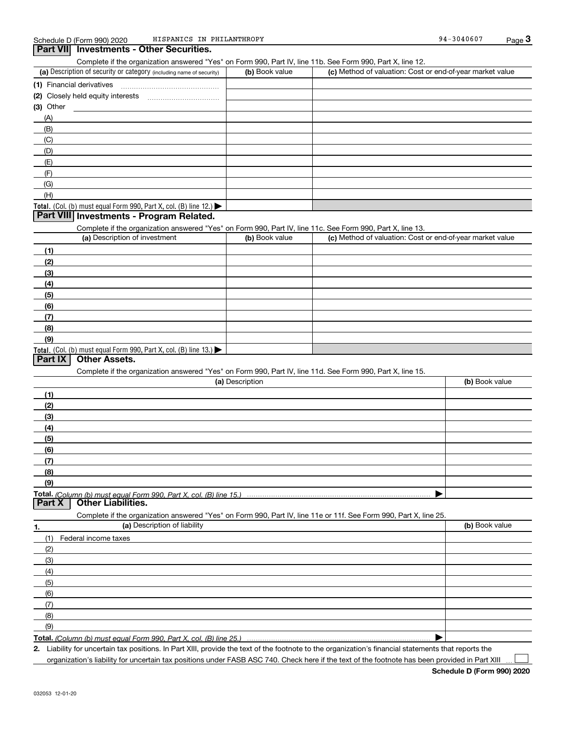|                                                                                                                   |                 | Complete if the organization answered "Yes" on Form 990, Part IV, line 11b. See Form 990, Part X, line 12. |                |
|-------------------------------------------------------------------------------------------------------------------|-----------------|------------------------------------------------------------------------------------------------------------|----------------|
| (a) Description of security or category (including name of security)                                              | (b) Book value  | (c) Method of valuation: Cost or end-of-year market value                                                  |                |
|                                                                                                                   |                 |                                                                                                            |                |
|                                                                                                                   |                 |                                                                                                            |                |
|                                                                                                                   |                 |                                                                                                            |                |
| $(3)$ Other                                                                                                       |                 |                                                                                                            |                |
| (A)                                                                                                               |                 |                                                                                                            |                |
| (B)                                                                                                               |                 |                                                                                                            |                |
| (C)                                                                                                               |                 |                                                                                                            |                |
| (D)                                                                                                               |                 |                                                                                                            |                |
| (E)                                                                                                               |                 |                                                                                                            |                |
| (F)                                                                                                               |                 |                                                                                                            |                |
| (G)                                                                                                               |                 |                                                                                                            |                |
| (H)                                                                                                               |                 |                                                                                                            |                |
| Total. (Col. (b) must equal Form 990, Part X, col. (B) line 12.) $\blacktriangleright$                            |                 |                                                                                                            |                |
| Part VIII Investments - Program Related.                                                                          |                 |                                                                                                            |                |
| Complete if the organization answered "Yes" on Form 990, Part IV, line 11c. See Form 990, Part X, line 13.        |                 |                                                                                                            |                |
| (a) Description of investment                                                                                     | (b) Book value  | (c) Method of valuation: Cost or end-of-year market value                                                  |                |
| (1)                                                                                                               |                 |                                                                                                            |                |
| (2)                                                                                                               |                 |                                                                                                            |                |
| (3)                                                                                                               |                 |                                                                                                            |                |
| (4)                                                                                                               |                 |                                                                                                            |                |
| (5)                                                                                                               |                 |                                                                                                            |                |
| (6)                                                                                                               |                 |                                                                                                            |                |
| (7)                                                                                                               |                 |                                                                                                            |                |
| (8)                                                                                                               |                 |                                                                                                            |                |
| (9)                                                                                                               |                 |                                                                                                            |                |
| Total. (Col. (b) must equal Form 990, Part X, col. (B) line $13.$ )                                               |                 |                                                                                                            |                |
| <b>Other Assets.</b><br>Part IX                                                                                   |                 |                                                                                                            |                |
| Complete if the organization answered "Yes" on Form 990, Part IV, line 11d. See Form 990, Part X, line 15.        |                 |                                                                                                            |                |
|                                                                                                                   |                 |                                                                                                            |                |
|                                                                                                                   | (a) Description |                                                                                                            | (b) Book value |
|                                                                                                                   |                 |                                                                                                            |                |
| (1)                                                                                                               |                 |                                                                                                            |                |
| (2)                                                                                                               |                 |                                                                                                            |                |
| (3)                                                                                                               |                 |                                                                                                            |                |
| (4)                                                                                                               |                 |                                                                                                            |                |
| (5)                                                                                                               |                 |                                                                                                            |                |
| (6)                                                                                                               |                 |                                                                                                            |                |
| (7)                                                                                                               |                 |                                                                                                            |                |
| (8)                                                                                                               |                 |                                                                                                            |                |
| (9)                                                                                                               |                 |                                                                                                            |                |
|                                                                                                                   |                 |                                                                                                            |                |
| <b>Other Liabilities.</b>                                                                                         |                 |                                                                                                            |                |
| Complete if the organization answered "Yes" on Form 990, Part IV, line 11e or 11f. See Form 990, Part X, line 25. |                 |                                                                                                            |                |
| (a) Description of liability                                                                                      |                 |                                                                                                            | (b) Book value |
| Part X<br>Federal income taxes<br>(1)                                                                             |                 |                                                                                                            |                |
| (2)                                                                                                               |                 |                                                                                                            |                |
| (3)                                                                                                               |                 |                                                                                                            |                |
| 1.<br>(4)                                                                                                         |                 |                                                                                                            |                |
| (5)                                                                                                               |                 |                                                                                                            |                |
| (6)                                                                                                               |                 |                                                                                                            |                |
| (7)                                                                                                               |                 |                                                                                                            |                |
| (8)                                                                                                               |                 |                                                                                                            |                |
| (9)                                                                                                               |                 |                                                                                                            |                |

**Total.**  *(Column (b) must equal Form 990, Part X, col. (B) line 25.)* 

**2.** Liability for uncertain tax positions. In Part XIII, provide the text of the footnote to the organization's financial statements that reports the organization's liability for uncertain tax positions under FASB ASC 740. Check here if the text of the footnote has been provided in Part XIII

**Schedule D (Form 990) 2020**

 $\mathcal{L}^{\text{max}}$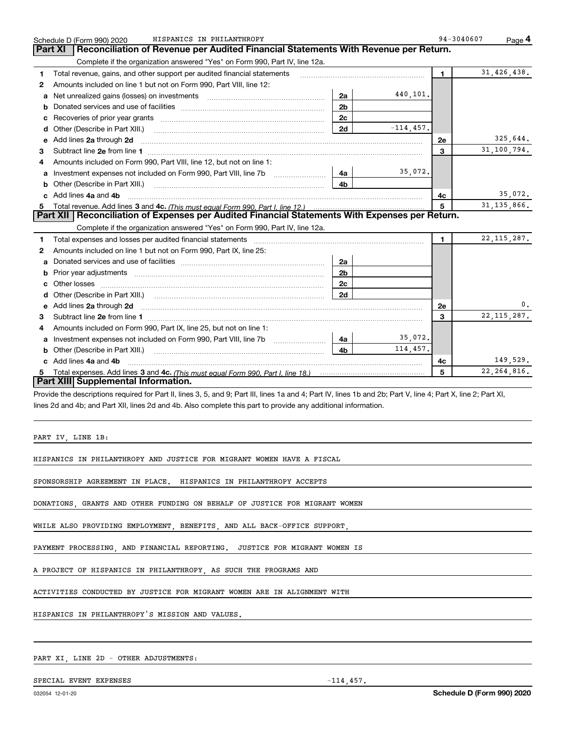|   | HISPANICS IN PHILANTHROPY<br>Schedule D (Form 990) 2020                                                                                                                                                 | 94-3040607   | Page 4        |
|---|---------------------------------------------------------------------------------------------------------------------------------------------------------------------------------------------------------|--------------|---------------|
|   | Reconciliation of Revenue per Audited Financial Statements With Revenue per Return.<br>Part XI                                                                                                          |              |               |
|   | Complete if the organization answered "Yes" on Form 990, Part IV, line 12a.                                                                                                                             |              |               |
| 1 | Total revenue, gains, and other support per audited financial statements                                                                                                                                | $\mathbf{1}$ | 31,426,438.   |
| 2 | Amounts included on line 1 but not on Form 990, Part VIII, line 12:                                                                                                                                     |              |               |
| a | 440,101.<br>Net unrealized gains (losses) on investments [11] matter contracts and the unrealized gains (losses) on investments<br>2a                                                                   |              |               |
| b | 2 <sub>b</sub>                                                                                                                                                                                          |              |               |
| c | 2c<br>Recoveries of prior year grants [11] matter contracts and prior year grants [11] matter contracts and prior year grants and all the contracts and all the contracts of prior year.                |              |               |
| d | $-114, 457.$<br>2d<br>Other (Describe in Part XIII.)                                                                                                                                                    |              |               |
| e | Add lines 2a through 2d <b>continuum contract and all and all and all and all and all and all and all and all and a</b>                                                                                 | 2e           | 325,644.      |
| 3 |                                                                                                                                                                                                         | 3            | 31,100,794.   |
|   | Amounts included on Form 990, Part VIII, line 12, but not on line 1:                                                                                                                                    |              |               |
| a | 35,072.<br>4a<br>Investment expenses not included on Form 990, Part VIII, line 7b                                                                                                                       |              |               |
| b | 4 <sub>b</sub><br>Other (Describe in Part XIII.) (2000) (2000) (2000) (2010) (2010) (2010) (2010) (2010) (2010) (2010) (2010) (20                                                                       |              |               |
|   | Add lines 4a and 4b                                                                                                                                                                                     | 4с           | 35,072.       |
| 5 |                                                                                                                                                                                                         | 5            | 31, 135, 866. |
|   | Part XII   Reconciliation of Expenses per Audited Financial Statements With Expenses per Return.                                                                                                        |              |               |
|   | Complete if the organization answered "Yes" on Form 990, Part IV, line 12a.                                                                                                                             |              |               |
| 1 | Total expenses and losses per audited financial statements [11,11] [11] Total expenses and losses per audited financial statements [11] [11] Total expenses and losses per audited financial statements | $\mathbf{1}$ | 22, 115, 287. |
| 2 | Amounts included on line 1 but not on Form 990, Part IX, line 25:                                                                                                                                       |              |               |
| a | 2a                                                                                                                                                                                                      |              |               |
| b | Prior year adjustments <i>communically contained and all examples</i> and the prior year adjustments and the set of the<br>2 <sub>b</sub>                                                               |              |               |
|   | 2c                                                                                                                                                                                                      |              |               |
| d | 2d<br>Other (Describe in Part XIII.) (COLORGIAN CONTEXT)                                                                                                                                                |              |               |
|   |                                                                                                                                                                                                         | 2e           | 0.            |
| 3 |                                                                                                                                                                                                         | 3            | 22, 115, 287. |
| 4 | Amounts included on Form 990, Part IX, line 25, but not on line 1:                                                                                                                                      |              |               |
| a | 35,072.<br>4a                                                                                                                                                                                           |              |               |
| b | 114,457.<br>4 <sub>b</sub><br>Other (Describe in Part XIII.)                                                                                                                                            |              |               |
|   | c Add lines 4a and 4b                                                                                                                                                                                   | 4с           | 149,529.      |
|   |                                                                                                                                                                                                         | 5            | 22, 264, 816. |
|   | Part XIII Supplemental Information.                                                                                                                                                                     |              |               |

Provide the descriptions required for Part II, lines 3, 5, and 9; Part III, lines 1a and 4; Part IV, lines 1b and 2b; Part V, line 4; Part X, line 2; Part XI, lines 2d and 4b; and Part XII, lines 2d and 4b. Also complete this part to provide any additional information.

PART IV, LINE 1B:

HISPANICS IN PHILANTHROPY AND JUSTICE FOR MIGRANT WOMEN HAVE A FISCAL

SPONSORSHIP AGREEMENT IN PLACE. HISPANICS IN PHILANTHROPY ACCEPTS

DONATIONS, GRANTS AND OTHER FUNDING ON BEHALF OF JUSTICE FOR MIGRANT WOMEN

WHILE ALSO PROVIDING EMPLOYMENT, BENEFITS, AND ALL BACK-OFFICE SUPPORT

PAYMENT PROCESSING, AND FINANCIAL REPORTING. JUSTICE FOR MIGRANT WOMEN IS

A PROJECT OF HISPANICS IN PHILANTHROPY, AS SUCH THE PROGRAMS AND

ACTIVITIES CONDUCTED BY JUSTICE FOR MIGRANT WOMEN ARE IN ALIGNMENT WITH

HISPANICS IN PHILANTHROPY'S MISSION AND VALUES.

PART XI, LINE 2D - OTHER ADJUSTMENTS:

SPECIAL EVENT EXPENSES  $-114,457$ .

**Schedule D (Form 990) 2020**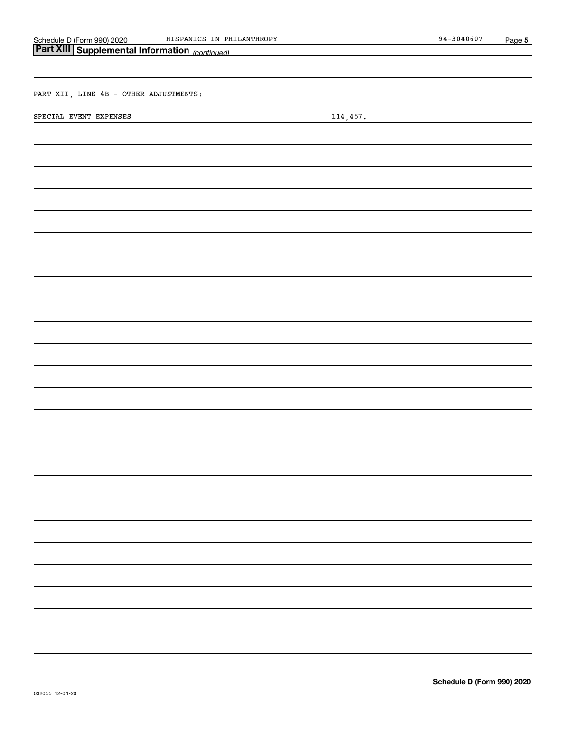| Schedule D (Form 990) 202 |  |  |
|---------------------------|--|--|
|---------------------------|--|--|

Schedule D (Form 990) 2020 HISPANICS IN PHILANTHROPY 94-3040607 Page

| Part XIII Supplemental Information (continued)<br>the control of the control of the control of the control of the control of |                                                                                                                                     |  |  |  |  |
|------------------------------------------------------------------------------------------------------------------------------|-------------------------------------------------------------------------------------------------------------------------------------|--|--|--|--|
|                                                                                                                              |                                                                                                                                     |  |  |  |  |
|                                                                                                                              |                                                                                                                                     |  |  |  |  |
| PART XII, LINE 4B - OTHER ADJUSTMENTS:                                                                                       |                                                                                                                                     |  |  |  |  |
| SPECIAL EVENT EXPENSES                                                                                                       | 114,457.<br><u> 1989 - Johann Stoff, deutscher Stoffen und der Stoffen und der Stoffen und der Stoffen und der Stoffen und der </u> |  |  |  |  |
|                                                                                                                              |                                                                                                                                     |  |  |  |  |
|                                                                                                                              |                                                                                                                                     |  |  |  |  |
|                                                                                                                              |                                                                                                                                     |  |  |  |  |
|                                                                                                                              |                                                                                                                                     |  |  |  |  |
|                                                                                                                              |                                                                                                                                     |  |  |  |  |
|                                                                                                                              |                                                                                                                                     |  |  |  |  |
|                                                                                                                              |                                                                                                                                     |  |  |  |  |
|                                                                                                                              |                                                                                                                                     |  |  |  |  |
|                                                                                                                              |                                                                                                                                     |  |  |  |  |
|                                                                                                                              |                                                                                                                                     |  |  |  |  |
|                                                                                                                              |                                                                                                                                     |  |  |  |  |
|                                                                                                                              |                                                                                                                                     |  |  |  |  |
|                                                                                                                              |                                                                                                                                     |  |  |  |  |
|                                                                                                                              |                                                                                                                                     |  |  |  |  |
|                                                                                                                              |                                                                                                                                     |  |  |  |  |
|                                                                                                                              |                                                                                                                                     |  |  |  |  |
|                                                                                                                              |                                                                                                                                     |  |  |  |  |
|                                                                                                                              |                                                                                                                                     |  |  |  |  |
|                                                                                                                              |                                                                                                                                     |  |  |  |  |
|                                                                                                                              |                                                                                                                                     |  |  |  |  |
|                                                                                                                              |                                                                                                                                     |  |  |  |  |
|                                                                                                                              |                                                                                                                                     |  |  |  |  |
|                                                                                                                              |                                                                                                                                     |  |  |  |  |
|                                                                                                                              |                                                                                                                                     |  |  |  |  |
|                                                                                                                              |                                                                                                                                     |  |  |  |  |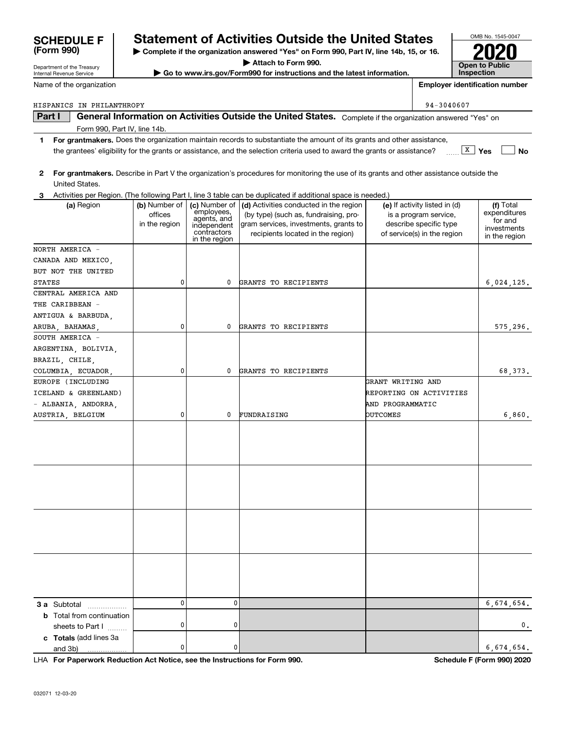| <b>SCHEDULE F</b> | <b>Statement</b>                         |
|-------------------|------------------------------------------|
| (Form 990)        | $\blacktriangleright$ Complete if the or |

Form 990, Part IV, line 14b.

## **SCHEDULE F Statement of Activities Outside the United States**

**| Complete if the organization answered "Yes" on Form 990, Part IV, line 14b, 15, or 16.**

**| Attach to Form 990.**

**| Go to www.irs.gov/Form990 for instructions and the latest information.**

**Part I General Information on Activities Outside the United States.** Complete if the organization answered "Yes" on

the grantees' eligibility for the grants or assistance, and the selection criteria used to award the grants or assistance?  $\quad \overline{\text{X}} \text{ Yes} \quad \overline{\text{No}}$ 

**1For grantmakers.**  Does the organization maintain records to substantiate the amount of its grants and other assistance,

| 2                                |                                           |                                                                                           | For grantmakers. Describe in Part V the organization's procedures for monitoring the use of its grants and other assistance outside the                       |                                                                                                                 |                                                                      |
|----------------------------------|-------------------------------------------|-------------------------------------------------------------------------------------------|---------------------------------------------------------------------------------------------------------------------------------------------------------------|-----------------------------------------------------------------------------------------------------------------|----------------------------------------------------------------------|
| United States.                   |                                           |                                                                                           |                                                                                                                                                               |                                                                                                                 |                                                                      |
|                                  |                                           |                                                                                           | 3 Activities per Region. (The following Part I, line 3 table can be duplicated if additional space is needed.)                                                |                                                                                                                 |                                                                      |
| (a) Region                       | (b) Number of<br>offices<br>in the region | (c) Number of<br>employees,<br>agents, and<br>independent<br>contractors<br>in the region | (d) Activities conducted in the region<br>(by type) (such as, fundraising, pro-<br>gram services, investments, grants to<br>recipients located in the region) | (e) If activity listed in (d)<br>is a program service,<br>describe specific type<br>of service(s) in the region | (f) Total<br>expenditures<br>for and<br>investments<br>in the region |
| NORTH AMERICA -                  |                                           |                                                                                           |                                                                                                                                                               |                                                                                                                 |                                                                      |
| CANADA AND MEXICO,               |                                           |                                                                                           |                                                                                                                                                               |                                                                                                                 |                                                                      |
| BUT NOT THE UNITED               |                                           |                                                                                           |                                                                                                                                                               |                                                                                                                 |                                                                      |
| STATES                           | 0                                         | 0                                                                                         | GRANTS TO RECIPIENTS                                                                                                                                          |                                                                                                                 | 6,024,125.                                                           |
| CENTRAL AMERICA AND              |                                           |                                                                                           |                                                                                                                                                               |                                                                                                                 |                                                                      |
| THE CARIBBEAN -                  |                                           |                                                                                           |                                                                                                                                                               |                                                                                                                 |                                                                      |
| ANTIGUA & BARBUDA,               |                                           |                                                                                           |                                                                                                                                                               |                                                                                                                 |                                                                      |
| ARUBA, BAHAMAS,                  | 0                                         | 0                                                                                         | GRANTS TO RECIPIENTS                                                                                                                                          |                                                                                                                 | 575, 296.                                                            |
| SOUTH AMERICA -                  |                                           |                                                                                           |                                                                                                                                                               |                                                                                                                 |                                                                      |
| ARGENTINA, BOLIVIA,              |                                           |                                                                                           |                                                                                                                                                               |                                                                                                                 |                                                                      |
| BRAZIL, CHILE,                   |                                           |                                                                                           |                                                                                                                                                               |                                                                                                                 |                                                                      |
| COLUMBIA, ECUADOR,               | 0                                         | 0                                                                                         | GRANTS TO RECIPIENTS                                                                                                                                          |                                                                                                                 | 68,373.                                                              |
| EUROPE (INCLUDING                |                                           |                                                                                           |                                                                                                                                                               | GRANT WRITING AND                                                                                               |                                                                      |
| ICELAND & GREENLAND)             |                                           |                                                                                           |                                                                                                                                                               | REPORTING ON ACTIVITIES                                                                                         |                                                                      |
|                                  |                                           |                                                                                           |                                                                                                                                                               |                                                                                                                 |                                                                      |
| - ALBANIA, ANDORRA,              |                                           |                                                                                           |                                                                                                                                                               | AND PROGRAMMATIC                                                                                                |                                                                      |
| AUSTRIA, BELGIUM                 | 0                                         | 0                                                                                         | FUNDRAISING                                                                                                                                                   | <b>OUTCOMES</b>                                                                                                 | 6,860.                                                               |
|                                  |                                           |                                                                                           |                                                                                                                                                               |                                                                                                                 |                                                                      |
|                                  |                                           |                                                                                           |                                                                                                                                                               |                                                                                                                 |                                                                      |
|                                  |                                           |                                                                                           |                                                                                                                                                               |                                                                                                                 |                                                                      |
|                                  |                                           |                                                                                           |                                                                                                                                                               |                                                                                                                 |                                                                      |
|                                  |                                           |                                                                                           |                                                                                                                                                               |                                                                                                                 |                                                                      |
|                                  |                                           |                                                                                           |                                                                                                                                                               |                                                                                                                 |                                                                      |
|                                  |                                           |                                                                                           |                                                                                                                                                               |                                                                                                                 |                                                                      |
|                                  |                                           |                                                                                           |                                                                                                                                                               |                                                                                                                 |                                                                      |
|                                  |                                           |                                                                                           |                                                                                                                                                               |                                                                                                                 |                                                                      |
|                                  |                                           |                                                                                           |                                                                                                                                                               |                                                                                                                 |                                                                      |
|                                  |                                           |                                                                                           |                                                                                                                                                               |                                                                                                                 |                                                                      |
|                                  |                                           |                                                                                           |                                                                                                                                                               |                                                                                                                 |                                                                      |
|                                  |                                           |                                                                                           |                                                                                                                                                               |                                                                                                                 |                                                                      |
|                                  |                                           |                                                                                           |                                                                                                                                                               |                                                                                                                 |                                                                      |
|                                  |                                           |                                                                                           |                                                                                                                                                               |                                                                                                                 |                                                                      |
|                                  |                                           |                                                                                           |                                                                                                                                                               |                                                                                                                 |                                                                      |
|                                  | 0                                         | $\mathbf 0$                                                                               |                                                                                                                                                               |                                                                                                                 | 6,674,654.                                                           |
| <b>3 a</b> Subtotal              |                                           |                                                                                           |                                                                                                                                                               |                                                                                                                 |                                                                      |
| <b>b</b> Total from continuation | $\mathbf 0$                               | 0                                                                                         |                                                                                                                                                               |                                                                                                                 | О.                                                                   |
| sheets to Part I                 |                                           |                                                                                           |                                                                                                                                                               |                                                                                                                 |                                                                      |
| c Totals (add lines 3a           | 0                                         | 0                                                                                         |                                                                                                                                                               |                                                                                                                 |                                                                      |
| and 3b)<br>.                     |                                           |                                                                                           |                                                                                                                                                               |                                                                                                                 | 6,674,654.                                                           |

**For Paperwork Reduction Act Notice, see the Instructions for Form 990. Schedule F (Form 990) 2020** LHA



**Employer identification number**

Department of the Treasury Internal Revenue Service

|  | Name of the organization |
|--|--------------------------|

| HISPANICS IN PHILANTHROPY | $94 - 3040607$ |
|---------------------------|----------------|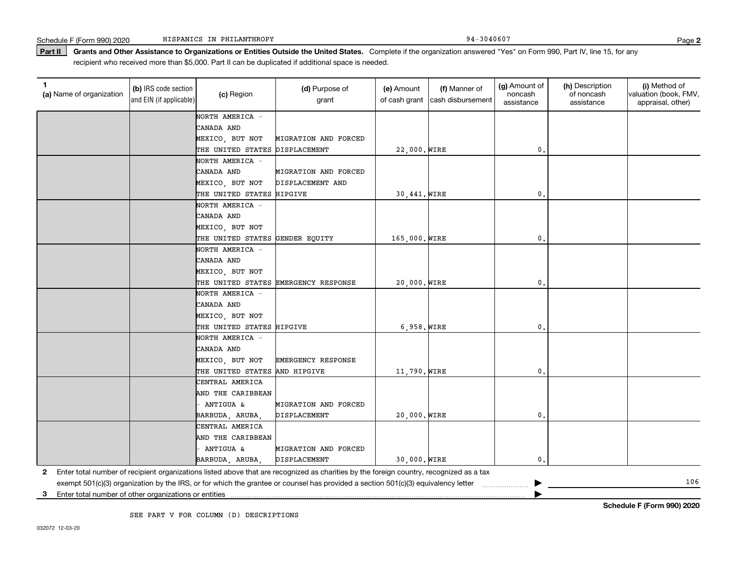Part II | Grants and Other Assistance to Organizations or Entities Outside the United States. Complete if the organization answered "Yes" on Form 990, Part IV, line 15, for any recipient who received more than \$5,000. Part II can be duplicated if additional space is needed.

| (a) Name of organization | (b) IRS code section<br>and EIN (if applicable) | (c) Region                      | (d) Purpose of<br>grant                                                                                                                 | (e) Amount<br>of cash grant | (f) Manner of<br>cash disbursement | (g) Amount of<br>noncash<br>assistance | (h) Description<br>of noncash<br>assistance | (i) Method of<br>valuation (book, FMV,<br>appraisal, other) |
|--------------------------|-------------------------------------------------|---------------------------------|-----------------------------------------------------------------------------------------------------------------------------------------|-----------------------------|------------------------------------|----------------------------------------|---------------------------------------------|-------------------------------------------------------------|
|                          |                                                 | NORTH AMERICA -                 |                                                                                                                                         |                             |                                    |                                        |                                             |                                                             |
|                          |                                                 | CANADA AND                      |                                                                                                                                         |                             |                                    |                                        |                                             |                                                             |
|                          |                                                 | MEXICO, BUT NOT                 | MIGRATION AND FORCED                                                                                                                    |                             |                                    |                                        |                                             |                                                             |
|                          |                                                 | THE UNITED STATES               | DISPLACEMENT                                                                                                                            | 22,000. WIRE                |                                    | 0.                                     |                                             |                                                             |
|                          |                                                 | NORTH AMERICA -                 |                                                                                                                                         |                             |                                    |                                        |                                             |                                                             |
|                          |                                                 | CANADA AND                      | MIGRATION AND FORCED                                                                                                                    |                             |                                    |                                        |                                             |                                                             |
|                          |                                                 | MEXICO, BUT NOT                 | DISPLACEMENT AND                                                                                                                        |                             |                                    |                                        |                                             |                                                             |
|                          |                                                 | THE UNITED STATES HIPGIVE       |                                                                                                                                         | 30,441. WIRE                |                                    | 0.                                     |                                             |                                                             |
|                          |                                                 | NORTH AMERICA -                 |                                                                                                                                         |                             |                                    |                                        |                                             |                                                             |
|                          |                                                 | CANADA AND                      |                                                                                                                                         |                             |                                    |                                        |                                             |                                                             |
|                          |                                                 | MEXICO, BUT NOT                 |                                                                                                                                         |                             |                                    |                                        |                                             |                                                             |
|                          |                                                 | THE UNITED STATES GENDER EQUITY |                                                                                                                                         | 165,000. WIRE               |                                    | 0.                                     |                                             |                                                             |
|                          |                                                 | NORTH AMERICA -                 |                                                                                                                                         |                             |                                    |                                        |                                             |                                                             |
|                          |                                                 | CANADA AND                      |                                                                                                                                         |                             |                                    |                                        |                                             |                                                             |
|                          |                                                 | MEXICO, BUT NOT                 |                                                                                                                                         |                             |                                    |                                        |                                             |                                                             |
|                          |                                                 |                                 | THE UNITED STATES EMERGENCY RESPONSE                                                                                                    | 20,000. WIRE                |                                    | 0.                                     |                                             |                                                             |
|                          |                                                 | NORTH AMERICA -                 |                                                                                                                                         |                             |                                    |                                        |                                             |                                                             |
|                          |                                                 | CANADA AND                      |                                                                                                                                         |                             |                                    |                                        |                                             |                                                             |
|                          |                                                 | MEXICO, BUT NOT                 |                                                                                                                                         |                             |                                    |                                        |                                             |                                                             |
|                          |                                                 | THE UNITED STATES HIPGIVE       |                                                                                                                                         | $6,958.$ WIRE               |                                    | 0.                                     |                                             |                                                             |
|                          |                                                 | NORTH AMERICA -                 |                                                                                                                                         |                             |                                    |                                        |                                             |                                                             |
|                          |                                                 | CANADA AND                      |                                                                                                                                         |                             |                                    |                                        |                                             |                                                             |
|                          |                                                 | MEXICO, BUT NOT                 | <b>EMERGENCY RESPONSE</b>                                                                                                               |                             |                                    |                                        |                                             |                                                             |
|                          |                                                 | THE UNITED STATES AND HIPGIVE   |                                                                                                                                         | 11,790. WIRE                |                                    | 0,                                     |                                             |                                                             |
|                          |                                                 | CENTRAL AMERICA                 |                                                                                                                                         |                             |                                    |                                        |                                             |                                                             |
|                          |                                                 | AND THE CARIBBEAN               |                                                                                                                                         |                             |                                    |                                        |                                             |                                                             |
|                          |                                                 | ANTIGUA &                       | MIGRATION AND FORCED                                                                                                                    |                             |                                    |                                        |                                             |                                                             |
|                          |                                                 | BARBUDA, ARUBA,                 | DISPLACEMENT                                                                                                                            | 20,000. WIRE                |                                    | 0.                                     |                                             |                                                             |
|                          |                                                 | CENTRAL AMERICA                 |                                                                                                                                         |                             |                                    |                                        |                                             |                                                             |
|                          |                                                 | AND THE CARIBBEAN               |                                                                                                                                         |                             |                                    |                                        |                                             |                                                             |
|                          |                                                 | ANTIGUA &                       | MIGRATION AND FORCED                                                                                                                    |                             |                                    |                                        |                                             |                                                             |
|                          |                                                 | BARBUDA, ARUBA                  | <b>DISPLACEMENT</b>                                                                                                                     | 30,000. WIRE                |                                    | 0.                                     |                                             |                                                             |
| 2                        |                                                 |                                 | Enter total number of recipient organizations listed above that are recognized as charities by the foreign country, recognized as a tax |                             |                                    |                                        |                                             |                                                             |
|                          |                                                 |                                 | exempt 501(c)(3) organization by the IRS, or for which the grantee or counsel has provided a section 501(c)(3) equivalency letter       |                             |                                    |                                        |                                             | 106                                                         |

**3**Enter total number of other organizations or entities |

SEE PART V FOR COLUMN (D) DESCRIPTIONS

**Schedule F (Form 990) 2020**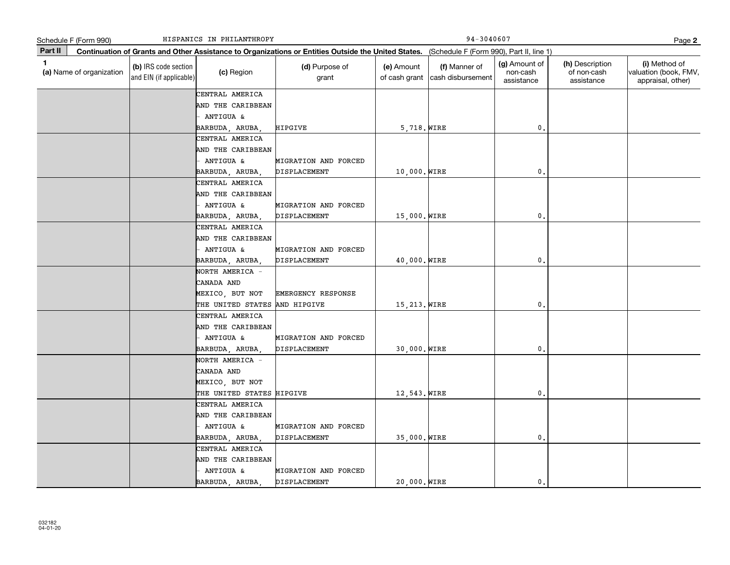|         | Schedule F (Form 990)    | HISPANICS IN PHILANTHROPY                       |                               |                                                                                                                                              |                             |                                    | Page 2                                  |                                              |                                                             |  |
|---------|--------------------------|-------------------------------------------------|-------------------------------|----------------------------------------------------------------------------------------------------------------------------------------------|-----------------------------|------------------------------------|-----------------------------------------|----------------------------------------------|-------------------------------------------------------------|--|
| Part II |                          |                                                 |                               | Continuation of Grants and Other Assistance to Organizations or Entities Outside the United States. (Schedule F (Form 990), Part II, line 1) |                             |                                    |                                         |                                              |                                                             |  |
| 1       | (a) Name of organization | (b) IRS code section<br>and EIN (if applicable) | (c) Region                    | (d) Purpose of<br>grant                                                                                                                      | (e) Amount<br>of cash grant | (f) Manner of<br>cash disbursement | (g) Amount of<br>non-cash<br>assistance | (h) Description<br>of non-cash<br>assistance | (i) Method of<br>valuation (book, FMV,<br>appraisal, other) |  |
|         |                          |                                                 | CENTRAL AMERICA               |                                                                                                                                              |                             |                                    |                                         |                                              |                                                             |  |
|         |                          |                                                 | AND THE CARIBBEAN             |                                                                                                                                              |                             |                                    |                                         |                                              |                                                             |  |
|         |                          |                                                 | ANTIGUA &                     |                                                                                                                                              |                             |                                    |                                         |                                              |                                                             |  |
|         |                          |                                                 | BARBUDA, ARUBA,               | HIPGIVE                                                                                                                                      | 5,718. WIRE                 |                                    | 0.                                      |                                              |                                                             |  |
|         |                          |                                                 | CENTRAL AMERICA               |                                                                                                                                              |                             |                                    |                                         |                                              |                                                             |  |
|         |                          |                                                 | AND THE CARIBBEAN             |                                                                                                                                              |                             |                                    |                                         |                                              |                                                             |  |
|         |                          |                                                 | <b>ANTIGUA &amp;</b>          | MIGRATION AND FORCED                                                                                                                         |                             |                                    |                                         |                                              |                                                             |  |
|         |                          |                                                 | BARBUDA, ARUBA,               | DISPLACEMENT                                                                                                                                 | 10,000. WIRE                |                                    | 0.                                      |                                              |                                                             |  |
|         |                          |                                                 | CENTRAL AMERICA               |                                                                                                                                              |                             |                                    |                                         |                                              |                                                             |  |
|         |                          |                                                 | AND THE CARIBBEAN             |                                                                                                                                              |                             |                                    |                                         |                                              |                                                             |  |
|         |                          |                                                 | ANTIGUA &                     | MIGRATION AND FORCED                                                                                                                         |                             |                                    |                                         |                                              |                                                             |  |
|         |                          |                                                 | BARBUDA, ARUBA                | <b>DISPLACEMENT</b>                                                                                                                          | 15,000. WIRE                |                                    | 0.                                      |                                              |                                                             |  |
|         |                          |                                                 | CENTRAL AMERICA               |                                                                                                                                              |                             |                                    |                                         |                                              |                                                             |  |
|         |                          |                                                 | AND THE CARIBBEAN             |                                                                                                                                              |                             |                                    |                                         |                                              |                                                             |  |
|         |                          |                                                 | ANTIGUA &                     | MIGRATION AND FORCED                                                                                                                         |                             |                                    |                                         |                                              |                                                             |  |
|         |                          |                                                 | BARBUDA, ARUBA,               | DISPLACEMENT                                                                                                                                 | 40,000. WIRE                |                                    | 0.                                      |                                              |                                                             |  |
|         |                          |                                                 | NORTH AMERICA -               |                                                                                                                                              |                             |                                    |                                         |                                              |                                                             |  |
|         |                          |                                                 | CANADA AND                    |                                                                                                                                              |                             |                                    |                                         |                                              |                                                             |  |
|         |                          |                                                 | MEXICO, BUT NOT               | EMERGENCY RESPONSE                                                                                                                           |                             |                                    |                                         |                                              |                                                             |  |
|         |                          |                                                 | THE UNITED STATES AND HIPGIVE |                                                                                                                                              | 15, 213. WIRE               |                                    | 0.                                      |                                              |                                                             |  |
|         |                          |                                                 | CENTRAL AMERICA               |                                                                                                                                              |                             |                                    |                                         |                                              |                                                             |  |
|         |                          |                                                 | AND THE CARIBBEAN             |                                                                                                                                              |                             |                                    |                                         |                                              |                                                             |  |
|         |                          |                                                 | - ANTIGUA &                   | MIGRATION AND FORCED                                                                                                                         |                             |                                    |                                         |                                              |                                                             |  |
|         |                          |                                                 | BARBUDA, ARUBA                | DISPLACEMENT                                                                                                                                 | 30,000. WIRE                |                                    | 0.                                      |                                              |                                                             |  |
|         |                          |                                                 | NORTH AMERICA -               |                                                                                                                                              |                             |                                    |                                         |                                              |                                                             |  |
|         |                          |                                                 | CANADA AND                    |                                                                                                                                              |                             |                                    |                                         |                                              |                                                             |  |
|         |                          |                                                 | MEXICO, BUT NOT               |                                                                                                                                              |                             |                                    |                                         |                                              |                                                             |  |
|         |                          |                                                 | THE UNITED STATES HIPGIVE     |                                                                                                                                              | 12,543. WIRE                |                                    | $\mathbf{0}$ .                          |                                              |                                                             |  |
|         |                          |                                                 | CENTRAL AMERICA               |                                                                                                                                              |                             |                                    |                                         |                                              |                                                             |  |
|         |                          |                                                 | AND THE CARIBBEAN             |                                                                                                                                              |                             |                                    |                                         |                                              |                                                             |  |
|         |                          |                                                 | ANTIGUA &                     | MIGRATION AND FORCED                                                                                                                         |                             |                                    |                                         |                                              |                                                             |  |
|         |                          |                                                 | BARBUDA, ARUBA                | <b>DISPLACEMENT</b>                                                                                                                          | 35,000. WIRE                |                                    | 0.                                      |                                              |                                                             |  |
|         |                          |                                                 | CENTRAL AMERICA               |                                                                                                                                              |                             |                                    |                                         |                                              |                                                             |  |
|         |                          |                                                 | AND THE CARIBBEAN             |                                                                                                                                              |                             |                                    |                                         |                                              |                                                             |  |
|         |                          |                                                 | ANTIGUA &                     | MIGRATION AND FORCED                                                                                                                         |                             |                                    |                                         |                                              |                                                             |  |
|         |                          |                                                 | BARBUDA, ARUBA                | DISPLACEMENT                                                                                                                                 | 20,000. WIRE                |                                    | 0.                                      |                                              |                                                             |  |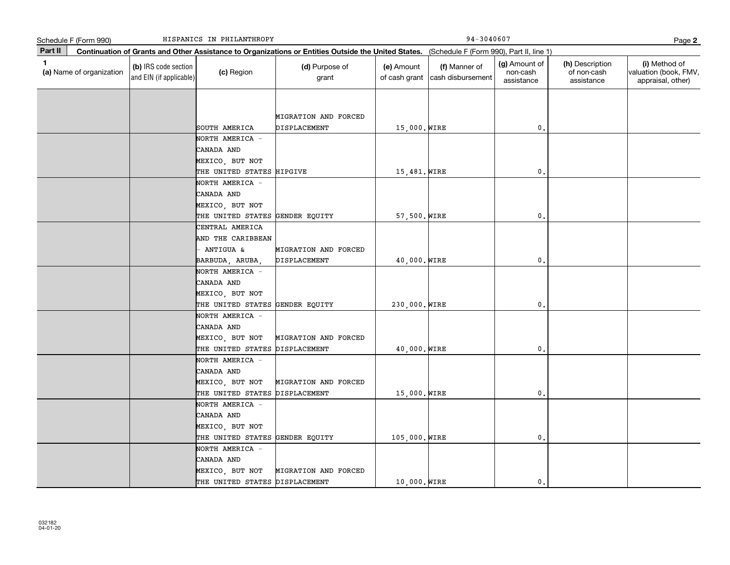|         | HISPANICS IN PHILANTHROPY<br>Schedule F (Form 990) |                                                 |                                                                                                                                              |                                      |                             | Page 2                             |                                         |                                              |                                                             |  |
|---------|----------------------------------------------------|-------------------------------------------------|----------------------------------------------------------------------------------------------------------------------------------------------|--------------------------------------|-----------------------------|------------------------------------|-----------------------------------------|----------------------------------------------|-------------------------------------------------------------|--|
| Part II |                                                    |                                                 | Continuation of Grants and Other Assistance to Organizations or Entities Outside the United States. (Schedule F (Form 990), Part II, line 1) |                                      |                             |                                    |                                         |                                              |                                                             |  |
| 1       | (a) Name of organization                           | (b) IRS code section<br>and EIN (if applicable) | (c) Region                                                                                                                                   | (d) Purpose of<br>grant              | (e) Amount<br>of cash grant | (f) Manner of<br>cash disbursement | (g) Amount of<br>non-cash<br>assistance | (h) Description<br>of non-cash<br>assistance | (i) Method of<br>valuation (book, FMV,<br>appraisal, other) |  |
|         |                                                    |                                                 |                                                                                                                                              |                                      |                             |                                    |                                         |                                              |                                                             |  |
|         |                                                    |                                                 |                                                                                                                                              |                                      |                             |                                    |                                         |                                              |                                                             |  |
|         |                                                    |                                                 | SOUTH AMERICA                                                                                                                                | MIGRATION AND FORCED<br>DISPLACEMENT | 15,000. WIRE                |                                    | $\mathbf 0$ .                           |                                              |                                                             |  |
|         |                                                    |                                                 | NORTH AMERICA -                                                                                                                              |                                      |                             |                                    |                                         |                                              |                                                             |  |
|         |                                                    |                                                 | CANADA AND                                                                                                                                   |                                      |                             |                                    |                                         |                                              |                                                             |  |
|         |                                                    |                                                 | MEXICO, BUT NOT                                                                                                                              |                                      |                             |                                    |                                         |                                              |                                                             |  |
|         |                                                    |                                                 | THE UNITED STATES HIPGIVE                                                                                                                    |                                      | 15,481. WIRE                |                                    | $\mathfrak o$ .                         |                                              |                                                             |  |
|         |                                                    |                                                 | NORTH AMERICA -                                                                                                                              |                                      |                             |                                    |                                         |                                              |                                                             |  |
|         |                                                    |                                                 | CANADA AND                                                                                                                                   |                                      |                             |                                    |                                         |                                              |                                                             |  |
|         |                                                    |                                                 | MEXICO, BUT NOT                                                                                                                              |                                      |                             |                                    |                                         |                                              |                                                             |  |
|         |                                                    |                                                 | THE UNITED STATES                                                                                                                            | GENDER EQUITY                        | 57,500. WIRE                |                                    | $\mathfrak o$ .                         |                                              |                                                             |  |
|         |                                                    |                                                 | CENTRAL AMERICA                                                                                                                              |                                      |                             |                                    |                                         |                                              |                                                             |  |
|         |                                                    |                                                 | AND THE CARIBBEAN                                                                                                                            |                                      |                             |                                    |                                         |                                              |                                                             |  |
|         |                                                    |                                                 | ANTIGUA &                                                                                                                                    | MIGRATION AND FORCED                 |                             |                                    |                                         |                                              |                                                             |  |
|         |                                                    |                                                 | BARBUDA, ARUBA,                                                                                                                              | DISPLACEMENT                         | 40,000. WIRE                |                                    | $\mathfrak o$ .                         |                                              |                                                             |  |
|         |                                                    |                                                 | NORTH AMERICA -                                                                                                                              |                                      |                             |                                    |                                         |                                              |                                                             |  |
|         |                                                    |                                                 | CANADA AND                                                                                                                                   |                                      |                             |                                    |                                         |                                              |                                                             |  |
|         |                                                    |                                                 | MEXICO, BUT NOT                                                                                                                              |                                      |                             |                                    |                                         |                                              |                                                             |  |
|         |                                                    |                                                 | THE UNITED STATES GENDER EQUITY                                                                                                              |                                      | 230,000. WIRE               |                                    | 0.                                      |                                              |                                                             |  |
|         |                                                    |                                                 | NORTH AMERICA -                                                                                                                              |                                      |                             |                                    |                                         |                                              |                                                             |  |
|         |                                                    |                                                 | CANADA AND                                                                                                                                   |                                      |                             |                                    |                                         |                                              |                                                             |  |
|         |                                                    |                                                 | MEXICO, BUT NOT                                                                                                                              | MIGRATION AND FORCED                 |                             |                                    |                                         |                                              |                                                             |  |
|         |                                                    |                                                 | THE UNITED STATES                                                                                                                            | DISPLACEMENT                         | 40,000. WIRE                |                                    | $\mathfrak o$ .                         |                                              |                                                             |  |
|         |                                                    |                                                 | NORTH AMERICA -                                                                                                                              |                                      |                             |                                    |                                         |                                              |                                                             |  |
|         |                                                    |                                                 | CANADA AND                                                                                                                                   |                                      |                             |                                    |                                         |                                              |                                                             |  |
|         |                                                    |                                                 | MEXICO, BUT NOT                                                                                                                              | MIGRATION AND FORCED                 |                             |                                    |                                         |                                              |                                                             |  |
|         |                                                    |                                                 | THE UNITED STATES                                                                                                                            | DISPLACEMENT                         | 15,000. WIRE                |                                    | $\mathbf{0}$ .                          |                                              |                                                             |  |
|         |                                                    |                                                 | NORTH AMERICA                                                                                                                                |                                      |                             |                                    |                                         |                                              |                                                             |  |
|         |                                                    |                                                 | CANADA AND                                                                                                                                   |                                      |                             |                                    |                                         |                                              |                                                             |  |
|         |                                                    |                                                 | MEXICO, BUT NOT                                                                                                                              |                                      |                             |                                    |                                         |                                              |                                                             |  |
|         |                                                    |                                                 | THE UNITED STATES<br>NORTH AMERICA -                                                                                                         | GENDER EQUITY                        | 105,000. WIRE               |                                    | 0.                                      |                                              |                                                             |  |
|         |                                                    |                                                 | CANADA AND                                                                                                                                   |                                      |                             |                                    |                                         |                                              |                                                             |  |
|         |                                                    |                                                 | MEXICO, BUT NOT                                                                                                                              | MIGRATION AND FORCED                 |                             |                                    |                                         |                                              |                                                             |  |
|         |                                                    |                                                 | THE UNITED STATES DISPLACEMENT                                                                                                               |                                      | 10,000. WIRE                |                                    | $\mathbf{0}$ .                          |                                              |                                                             |  |
|         |                                                    |                                                 |                                                                                                                                              |                                      |                             |                                    |                                         |                                              |                                                             |  |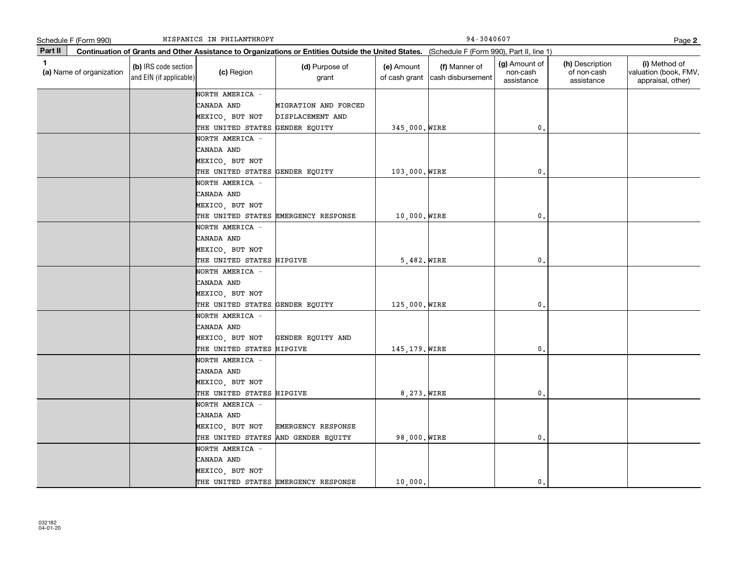|              | HISPANICS IN PHILANTHROPY<br>Schedule F (Form 990) |                                                 |                                                                                     |                                                |                                                                                                                                              | 94-3040607                         |                                         |                                              |                                                             |  |
|--------------|----------------------------------------------------|-------------------------------------------------|-------------------------------------------------------------------------------------|------------------------------------------------|----------------------------------------------------------------------------------------------------------------------------------------------|------------------------------------|-----------------------------------------|----------------------------------------------|-------------------------------------------------------------|--|
| Part II      |                                                    |                                                 |                                                                                     |                                                | Continuation of Grants and Other Assistance to Organizations or Entities Outside the United States. (Schedule F (Form 990), Part II, line 1) |                                    |                                         |                                              |                                                             |  |
| $\mathbf{1}$ | (a) Name of organization                           | (b) IRS code section<br>and EIN (if applicable) | (c) Region                                                                          | (d) Purpose of<br>grant                        | (e) Amount<br>of cash grant                                                                                                                  | (f) Manner of<br>cash disbursement | (g) Amount of<br>non-cash<br>assistance | (h) Description<br>of non-cash<br>assistance | (i) Method of<br>valuation (book, FMV,<br>appraisal, other) |  |
|              |                                                    |                                                 | NORTH AMERICA -<br>CANADA AND<br>MEXICO, BUT NOT<br>THE UNITED STATES               | MIGRATION AND FORCED<br>DISPLACEMENT AND       | 345,000. WIRE                                                                                                                                |                                    | $\mathfrak o$ .                         |                                              |                                                             |  |
|              |                                                    |                                                 | NORTH AMERICA -<br>CANADA AND<br>MEXICO, BUT NOT                                    | GENDER EQUITY                                  |                                                                                                                                              |                                    |                                         |                                              |                                                             |  |
|              |                                                    |                                                 | THE UNITED STATES GENDER EQUITY<br>NORTH AMERICA -<br>CANADA AND<br>MEXICO, BUT NOT |                                                | 103,000. WIRE                                                                                                                                |                                    | $\mathbf{0}$                            |                                              |                                                             |  |
|              |                                                    |                                                 | NORTH AMERICA -<br>CANADA AND<br>MEXICO, BUT NOT                                    | THE UNITED STATES EMERGENCY RESPONSE           | 10,000. WIRE                                                                                                                                 |                                    | $\mathbf{0}$                            |                                              |                                                             |  |
|              |                                                    |                                                 | THE UNITED STATES HIPGIVE<br>NORTH AMERICA -<br>CANADA AND                          |                                                | $5,482.$ WIRE                                                                                                                                |                                    | $\mathbf{0}$                            |                                              |                                                             |  |
|              |                                                    |                                                 | MEXICO, BUT NOT<br>THE UNITED STATES GENDER EQUITY<br>NORTH AMERICA -               |                                                | 125,000. WIRE                                                                                                                                |                                    | 0.                                      |                                              |                                                             |  |
|              |                                                    |                                                 | CANADA AND<br>MEXICO, BUT NOT<br>THE UNITED STATES HIPGIVE                          | GENDER EQUITY AND                              | 145, 179. WIRE                                                                                                                               |                                    | 0.                                      |                                              |                                                             |  |
|              |                                                    |                                                 | NORTH AMERICA -<br>CANADA AND<br>MEXICO, BUT NOT<br>THE UNITED STATES HIPGIVE       |                                                | 8,273. WIRE                                                                                                                                  |                                    | $\mathbf{0}$                            |                                              |                                                             |  |
|              |                                                    |                                                 | NORTH AMERICA -<br>CANADA AND<br>MEXICO, BUT NOT<br>THE UNITED STATES               | <b>EMERGENCY RESPONSE</b><br>AND GENDER EQUITY | 98,000. WIRE                                                                                                                                 |                                    | $\mathbf 0$ .                           |                                              |                                                             |  |
|              |                                                    |                                                 | NORTH AMERICA -<br>CANADA AND<br>MEXICO, BUT NOT                                    | THE UNITED STATES EMERGENCY RESPONSE           | 10,000.                                                                                                                                      |                                    | $\mathbf{0}$ .                          |                                              |                                                             |  |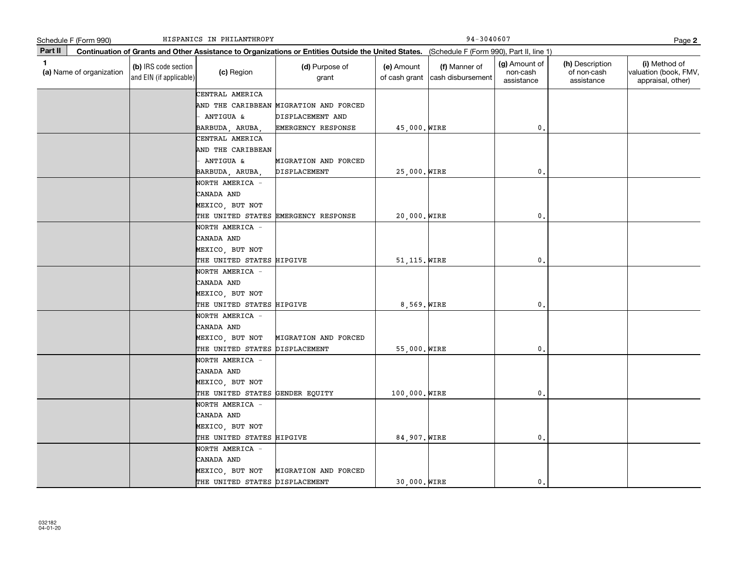|              | HISPANICS IN PHILANTHROPY<br>Schedule F (Form 990) |                                                 |                                                            |                                                            |                                                                                                                                              | 94-3040607                         |                                         |                                              |                                                             |  |  |
|--------------|----------------------------------------------------|-------------------------------------------------|------------------------------------------------------------|------------------------------------------------------------|----------------------------------------------------------------------------------------------------------------------------------------------|------------------------------------|-----------------------------------------|----------------------------------------------|-------------------------------------------------------------|--|--|
| Part II      |                                                    |                                                 |                                                            |                                                            | Continuation of Grants and Other Assistance to Organizations or Entities Outside the United States. (Schedule F (Form 990), Part II, line 1) |                                    |                                         |                                              |                                                             |  |  |
| $\mathbf{1}$ | (a) Name of organization                           | (b) IRS code section<br>and EIN (if applicable) | (c) Region                                                 | (d) Purpose of<br>grant                                    | (e) Amount<br>of cash grant                                                                                                                  | (f) Manner of<br>cash disbursement | (g) Amount of<br>non-cash<br>assistance | (h) Description<br>of non-cash<br>assistance | (i) Method of<br>valuation (book, FMV,<br>appraisal, other) |  |  |
|              |                                                    |                                                 | CENTRAL AMERICA<br>ANTIGUA &                               | AND THE CARIBBEAN MIGRATION AND FORCED<br>DISPLACEMENT AND |                                                                                                                                              |                                    |                                         |                                              |                                                             |  |  |
|              |                                                    |                                                 | BARBUDA, ARUBA,                                            | EMERGENCY RESPONSE                                         | 45,000. WIRE                                                                                                                                 |                                    | 0.                                      |                                              |                                                             |  |  |
|              |                                                    |                                                 | CENTRAL AMERICA<br>AND THE CARIBBEAN<br>ANTIGUA &          | MIGRATION AND FORCED                                       |                                                                                                                                              |                                    |                                         |                                              |                                                             |  |  |
|              |                                                    |                                                 | BARBUDA, ARUBA,                                            | DISPLACEMENT                                               | 25,000. WIRE                                                                                                                                 |                                    | $\mathbf{0}$                            |                                              |                                                             |  |  |
|              |                                                    |                                                 | NORTH AMERICA -<br>CANADA AND<br>MEXICO, BUT NOT           |                                                            |                                                                                                                                              |                                    |                                         |                                              |                                                             |  |  |
|              |                                                    |                                                 |                                                            | THE UNITED STATES EMERGENCY RESPONSE                       | 20,000. WIRE                                                                                                                                 |                                    | $\mathbf{0}$                            |                                              |                                                             |  |  |
|              |                                                    |                                                 | NORTH AMERICA -<br>CANADA AND<br>MEXICO, BUT NOT           |                                                            |                                                                                                                                              |                                    |                                         |                                              |                                                             |  |  |
|              |                                                    |                                                 | THE UNITED STATES HIPGIVE                                  |                                                            | 51, 115. WIRE                                                                                                                                |                                    | $\mathbf{0}$                            |                                              |                                                             |  |  |
|              |                                                    |                                                 | NORTH AMERICA -<br>CANADA AND<br>MEXICO, BUT NOT           |                                                            |                                                                                                                                              |                                    |                                         |                                              |                                                             |  |  |
|              |                                                    |                                                 | THE UNITED STATES HIPGIVE                                  |                                                            | 8,569. WIRE                                                                                                                                  |                                    | $\mathbf 0$ .                           |                                              |                                                             |  |  |
|              |                                                    |                                                 | NORTH AMERICA -<br>CANADA AND<br>MEXICO, BUT NOT           | MIGRATION AND FORCED                                       |                                                                                                                                              |                                    |                                         |                                              |                                                             |  |  |
|              |                                                    |                                                 | THE UNITED STATES DISPLACEMENT                             |                                                            | 55,000. WIRE                                                                                                                                 |                                    | $\mathbf 0$ .                           |                                              |                                                             |  |  |
|              |                                                    |                                                 | NORTH AMERICA -<br>CANADA AND<br>MEXICO, BUT NOT           |                                                            |                                                                                                                                              |                                    |                                         |                                              |                                                             |  |  |
|              |                                                    |                                                 | THE UNITED STATES GENDER EQUITY                            |                                                            | 100,000. WIRE                                                                                                                                |                                    | 0.                                      |                                              |                                                             |  |  |
|              |                                                    |                                                 | NORTH AMERICA -<br>CANADA AND<br>MEXICO, BUT NOT           |                                                            |                                                                                                                                              |                                    |                                         |                                              |                                                             |  |  |
|              |                                                    |                                                 | THE UNITED STATES HIPGIVE<br>NORTH AMERICA -<br>CANADA AND |                                                            | 84,907. WIRE                                                                                                                                 |                                    | $\mathbf 0$ .                           |                                              |                                                             |  |  |
|              |                                                    |                                                 | MEXICO, BUT NOT<br>THE UNITED STATES DISPLACEMENT          | MIGRATION AND FORCED                                       | 30,000. WIRE                                                                                                                                 |                                    | $\mathbf{0}$ .                          |                                              |                                                             |  |  |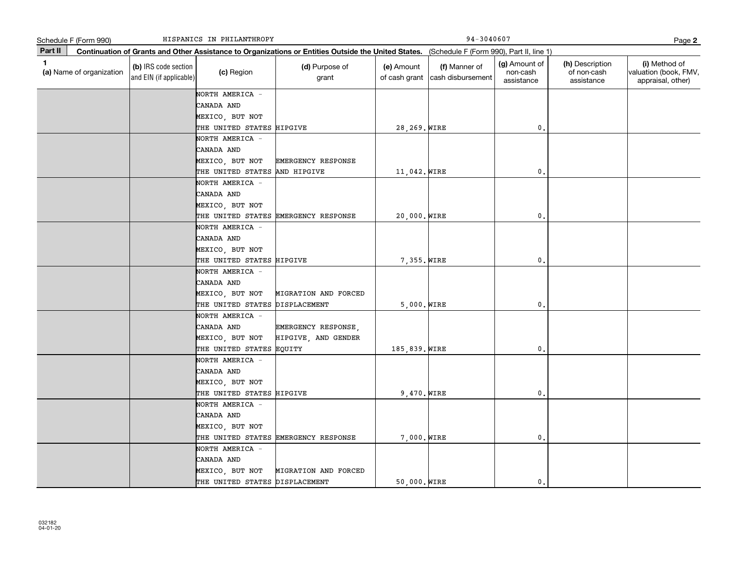| Schedule F (Form 990)                    | HISPANICS IN PHILANTHROPY                       | 94-3040607<br>Page 2                             |                                                                                                                                              |                             |                                    |                                         |                                              |                                                             |
|------------------------------------------|-------------------------------------------------|--------------------------------------------------|----------------------------------------------------------------------------------------------------------------------------------------------|-----------------------------|------------------------------------|-----------------------------------------|----------------------------------------------|-------------------------------------------------------------|
| Part II                                  |                                                 |                                                  | Continuation of Grants and Other Assistance to Organizations or Entities Outside the United States. (Schedule F (Form 990), Part II, line 1) |                             |                                    |                                         |                                              |                                                             |
| $\mathbf{1}$<br>(a) Name of organization | (b) IRS code section<br>and EIN (if applicable) | (c) Region                                       | (d) Purpose of<br>grant                                                                                                                      | (e) Amount<br>of cash grant | (f) Manner of<br>cash disbursement | (g) Amount of<br>non-cash<br>assistance | (h) Description<br>of non-cash<br>assistance | (i) Method of<br>valuation (book, FMV,<br>appraisal, other) |
|                                          |                                                 | NORTH AMERICA -                                  |                                                                                                                                              |                             |                                    |                                         |                                              |                                                             |
|                                          |                                                 | CANADA AND                                       |                                                                                                                                              |                             |                                    |                                         |                                              |                                                             |
|                                          |                                                 | MEXICO, BUT NOT                                  |                                                                                                                                              |                             |                                    |                                         |                                              |                                                             |
|                                          |                                                 | THE UNITED STATES HIPGIVE                        |                                                                                                                                              | 28, 269. WIRE               |                                    | $\mathbf{0}$ .                          |                                              |                                                             |
|                                          |                                                 | NORTH AMERICA -                                  |                                                                                                                                              |                             |                                    |                                         |                                              |                                                             |
|                                          |                                                 | CANADA AND                                       |                                                                                                                                              |                             |                                    |                                         |                                              |                                                             |
|                                          |                                                 | MEXICO, BUT NOT                                  | <b>EMERGENCY RESPONSE</b>                                                                                                                    |                             |                                    | $\mathbf{0}$                            |                                              |                                                             |
|                                          |                                                 | THE UNITED STATES AND HIPGIVE<br>NORTH AMERICA - |                                                                                                                                              | 11,042. WIRE                |                                    |                                         |                                              |                                                             |
|                                          |                                                 | CANADA AND                                       |                                                                                                                                              |                             |                                    |                                         |                                              |                                                             |
|                                          |                                                 | MEXICO, BUT NOT                                  |                                                                                                                                              |                             |                                    |                                         |                                              |                                                             |
|                                          |                                                 |                                                  | THE UNITED STATES EMERGENCY RESPONSE                                                                                                         | 20,000. WIRE                |                                    | $\mathbf 0$ .                           |                                              |                                                             |
|                                          |                                                 | NORTH AMERICA -                                  |                                                                                                                                              |                             |                                    |                                         |                                              |                                                             |
|                                          |                                                 | CANADA AND                                       |                                                                                                                                              |                             |                                    |                                         |                                              |                                                             |
|                                          |                                                 | MEXICO, BUT NOT                                  |                                                                                                                                              |                             |                                    |                                         |                                              |                                                             |
|                                          |                                                 | THE UNITED STATES HIPGIVE                        |                                                                                                                                              | 7,355. WIRE                 |                                    | $\mathbf{0}$                            |                                              |                                                             |
|                                          |                                                 | NORTH AMERICA -                                  |                                                                                                                                              |                             |                                    |                                         |                                              |                                                             |
|                                          |                                                 | CANADA AND                                       |                                                                                                                                              |                             |                                    |                                         |                                              |                                                             |
|                                          |                                                 | MEXICO, BUT NOT                                  | MIGRATION AND FORCED                                                                                                                         |                             |                                    |                                         |                                              |                                                             |
|                                          |                                                 | THE UNITED STATES DISPLACEMENT                   |                                                                                                                                              | $5,000.$ WIRE               |                                    | $\mathbf 0$ .                           |                                              |                                                             |
|                                          |                                                 | NORTH AMERICA -                                  |                                                                                                                                              |                             |                                    |                                         |                                              |                                                             |
|                                          |                                                 | CANADA AND                                       | EMERGENCY RESPONSE,                                                                                                                          |                             |                                    |                                         |                                              |                                                             |
|                                          |                                                 | MEXICO, BUT NOT                                  | HIPGIVE, AND GENDER                                                                                                                          |                             |                                    |                                         |                                              |                                                             |
|                                          |                                                 | THE UNITED STATES EQUITY                         |                                                                                                                                              | 185,839. WIRE               |                                    | $\mathbf{0}$ .                          |                                              |                                                             |
|                                          |                                                 | NORTH AMERICA -                                  |                                                                                                                                              |                             |                                    |                                         |                                              |                                                             |
|                                          |                                                 | CANADA AND                                       |                                                                                                                                              |                             |                                    |                                         |                                              |                                                             |
|                                          |                                                 | MEXICO, BUT NOT                                  |                                                                                                                                              |                             |                                    |                                         |                                              |                                                             |
|                                          |                                                 | THE UNITED STATES HIPGIVE                        |                                                                                                                                              | 9,470. WIRE                 |                                    | $\mathbf 0$ .                           |                                              |                                                             |
|                                          |                                                 | NORTH AMERICA -                                  |                                                                                                                                              |                             |                                    |                                         |                                              |                                                             |
|                                          |                                                 | CANADA AND                                       |                                                                                                                                              |                             |                                    |                                         |                                              |                                                             |
|                                          |                                                 | MEXICO, BUT NOT                                  |                                                                                                                                              |                             |                                    |                                         |                                              |                                                             |
|                                          |                                                 |                                                  | THE UNITED STATES EMERGENCY RESPONSE                                                                                                         | 7,000. WIRE                 |                                    | $\mathbf{0}$                            |                                              |                                                             |
|                                          |                                                 | NORTH AMERICA -                                  |                                                                                                                                              |                             |                                    |                                         |                                              |                                                             |
|                                          |                                                 | CANADA AND                                       |                                                                                                                                              |                             |                                    |                                         |                                              |                                                             |
|                                          |                                                 | MEXICO, BUT NOT                                  | MIGRATION AND FORCED                                                                                                                         |                             |                                    |                                         |                                              |                                                             |
|                                          |                                                 | THE UNITED STATES DISPLACEMENT                   |                                                                                                                                              | 50,000. WIRE                |                                    | 0.                                      |                                              |                                                             |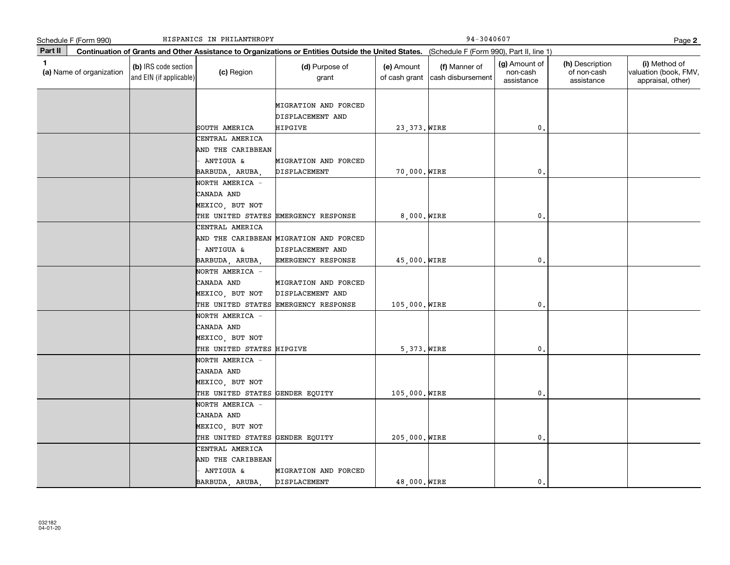| Schedule F (Form 990)          |                                                 | HISPANICS IN PHILANTHROPY                                                           |                                                                                                                                              |                             | 94-3040607                         |                                         |                                              | Page 2                                                      |
|--------------------------------|-------------------------------------------------|-------------------------------------------------------------------------------------|----------------------------------------------------------------------------------------------------------------------------------------------|-----------------------------|------------------------------------|-----------------------------------------|----------------------------------------------|-------------------------------------------------------------|
| Part II                        |                                                 |                                                                                     | Continuation of Grants and Other Assistance to Organizations or Entities Outside the United States. (Schedule F (Form 990), Part II, line 1) |                             |                                    |                                         |                                              |                                                             |
| 1.<br>(a) Name of organization | (b) IRS code section<br>and EIN (if applicable) | (c) Region                                                                          | (d) Purpose of<br>grant                                                                                                                      | (e) Amount<br>of cash grant | (f) Manner of<br>cash disbursement | (g) Amount of<br>non-cash<br>assistance | (h) Description<br>of non-cash<br>assistance | (i) Method of<br>valuation (book, FMV,<br>appraisal, other) |
|                                |                                                 | SOUTH AMERICA                                                                       | MIGRATION AND FORCED<br>DISPLACEMENT AND<br>HIPGIVE                                                                                          | 23, 373. WIRE               |                                    | 0.                                      |                                              |                                                             |
|                                |                                                 | CENTRAL AMERICA<br>AND THE CARIBBEAN<br>ANTIGUA &                                   | MIGRATION AND FORCED                                                                                                                         |                             |                                    |                                         |                                              |                                                             |
|                                |                                                 | BARBUDA, ARUBA,<br>NORTH AMERICA -<br>CANADA AND<br>MEXICO, BUT NOT                 | DISPLACEMENT                                                                                                                                 | 70,000. WIRE                |                                    | 0.                                      |                                              |                                                             |
|                                |                                                 | CENTRAL AMERICA                                                                     | THE UNITED STATES EMERGENCY RESPONSE<br>AND THE CARIBBEAN MIGRATION AND FORCED                                                               | $8,000.$ WIRE               |                                    | 0.                                      |                                              |                                                             |
|                                |                                                 | ANTIGUA &<br>BARBUDA, ARUBA,                                                        | DISPLACEMENT AND<br>EMERGENCY RESPONSE                                                                                                       | 45,000. WIRE                |                                    | $\mathbf 0$ .                           |                                              |                                                             |
|                                |                                                 | NORTH AMERICA -<br>CANADA AND<br>MEXICO, BUT NOT                                    | MIGRATION AND FORCED<br>DISPLACEMENT AND<br>THE UNITED STATES EMERGENCY RESPONSE                                                             | 105,000. WIRE               |                                    | 0.                                      |                                              |                                                             |
|                                |                                                 | NORTH AMERICA -<br>CANADA AND<br>MEXICO, BUT NOT<br>THE UNITED STATES HIPGIVE       |                                                                                                                                              | 5,373. WIRE                 |                                    | 0,                                      |                                              |                                                             |
|                                |                                                 | NORTH AMERICA -<br>CANADA AND<br>MEXICO, BUT NOT<br>THE UNITED STATES GENDER EQUITY |                                                                                                                                              | 105,000. WIRE               |                                    | $\mathbf{0}$ .                          |                                              |                                                             |
|                                |                                                 | NORTH AMERICA -<br>CANADA AND<br>MEXICO, BUT NOT<br>THE UNITED STATES               | GENDER EQUITY                                                                                                                                | 205,000. WIRE               |                                    | 0.                                      |                                              |                                                             |
|                                |                                                 | CENTRAL AMERICA<br>AND THE CARIBBEAN<br>ANTIGUA &<br>BARBUDA, ARUBA,                | MIGRATION AND FORCED<br>DISPLACEMENT                                                                                                         | 48,000. WIRE                |                                    | 0.                                      |                                              |                                                             |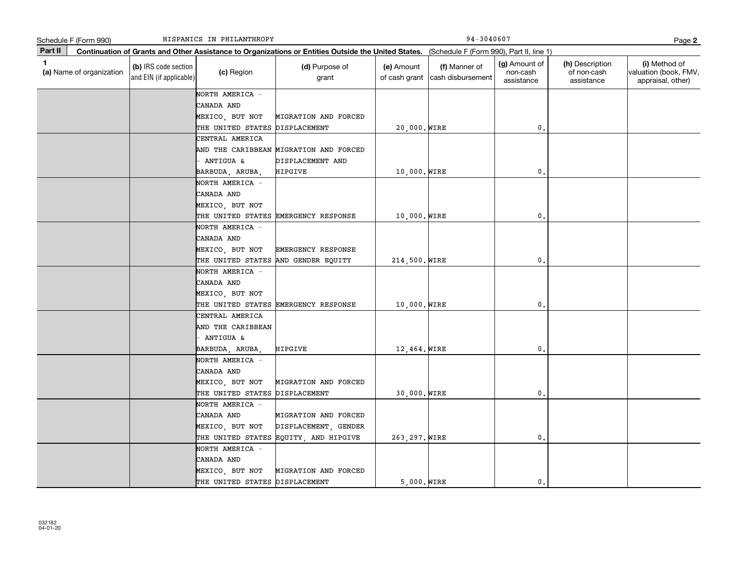|             | Schedule F (Form 990)    |                                                 | HISPANICS IN PHILANTHROPY                              |                                                                                                                                              |                             | 94-3040607                         |                                         |                                              | Page 2                                                      |
|-------------|--------------------------|-------------------------------------------------|--------------------------------------------------------|----------------------------------------------------------------------------------------------------------------------------------------------|-----------------------------|------------------------------------|-----------------------------------------|----------------------------------------------|-------------------------------------------------------------|
| Part II     |                          |                                                 |                                                        | Continuation of Grants and Other Assistance to Organizations or Entities Outside the United States. (Schedule F (Form 990), Part II, line 1) |                             |                                    |                                         |                                              |                                                             |
| $\mathbf 1$ | (a) Name of organization | (b) IRS code section<br>and EIN (if applicable) | (c) Region                                             | (d) Purpose of<br>grant                                                                                                                      | (e) Amount<br>of cash grant | (f) Manner of<br>cash disbursement | (g) Amount of<br>non-cash<br>assistance | (h) Description<br>of non-cash<br>assistance | (i) Method of<br>valuation (book, FMV,<br>appraisal, other) |
|             |                          |                                                 | NORTH AMERICA -                                        |                                                                                                                                              |                             |                                    |                                         |                                              |                                                             |
|             |                          |                                                 | CANADA AND                                             |                                                                                                                                              |                             |                                    |                                         |                                              |                                                             |
|             |                          |                                                 | MEXICO, BUT NOT                                        | MIGRATION AND FORCED                                                                                                                         |                             |                                    |                                         |                                              |                                                             |
|             |                          |                                                 | THE UNITED STATES DISPLACEMENT                         |                                                                                                                                              | 20,000. WIRE                |                                    | $^{\rm 0}$ .                            |                                              |                                                             |
|             |                          |                                                 | CENTRAL AMERICA                                        |                                                                                                                                              |                             |                                    |                                         |                                              |                                                             |
|             |                          |                                                 |                                                        | AND THE CARIBBEAN MIGRATION AND FORCED                                                                                                       |                             |                                    |                                         |                                              |                                                             |
|             |                          |                                                 | ANTIGUA &                                              | DISPLACEMENT AND                                                                                                                             |                             |                                    |                                         |                                              |                                                             |
|             |                          |                                                 | BARBUDA, ARUBA,                                        | <b>HIPGIVE</b>                                                                                                                               | 10,000. WIRE                |                                    | 0.                                      |                                              |                                                             |
|             |                          |                                                 | NORTH AMERICA -                                        |                                                                                                                                              |                             |                                    |                                         |                                              |                                                             |
|             |                          |                                                 | CANADA AND                                             |                                                                                                                                              |                             |                                    |                                         |                                              |                                                             |
|             |                          |                                                 | MEXICO, BUT NOT                                        |                                                                                                                                              |                             |                                    |                                         |                                              |                                                             |
|             |                          |                                                 |                                                        | THE UNITED STATES EMERGENCY RESPONSE                                                                                                         | 10,000. WIRE                |                                    | 0.                                      |                                              |                                                             |
|             |                          |                                                 | NORTH AMERICA -                                        |                                                                                                                                              |                             |                                    |                                         |                                              |                                                             |
|             |                          |                                                 | CANADA AND                                             |                                                                                                                                              |                             |                                    |                                         |                                              |                                                             |
|             |                          |                                                 | MEXICO, BUT NOT                                        | <b>EMERGENCY RESPONSE</b>                                                                                                                    |                             |                                    |                                         |                                              |                                                             |
|             |                          |                                                 | THE UNITED STATES AND GENDER EQUITY<br>NORTH AMERICA - |                                                                                                                                              | 214,500. WIRE               |                                    | 0.                                      |                                              |                                                             |
|             |                          |                                                 | CANADA AND                                             |                                                                                                                                              |                             |                                    |                                         |                                              |                                                             |
|             |                          |                                                 | MEXICO, BUT NOT                                        |                                                                                                                                              |                             |                                    |                                         |                                              |                                                             |
|             |                          |                                                 |                                                        | THE UNITED STATES EMERGENCY RESPONSE                                                                                                         | 10,000. WIRE                |                                    | 0.                                      |                                              |                                                             |
|             |                          |                                                 | CENTRAL AMERICA                                        |                                                                                                                                              |                             |                                    |                                         |                                              |                                                             |
|             |                          |                                                 | AND THE CARIBBEAN                                      |                                                                                                                                              |                             |                                    |                                         |                                              |                                                             |
|             |                          |                                                 | - ANTIGUA &                                            |                                                                                                                                              |                             |                                    |                                         |                                              |                                                             |
|             |                          |                                                 | BARBUDA, ARUBA,                                        | HIPGIVE                                                                                                                                      | 12,464. WIRE                |                                    | 0.                                      |                                              |                                                             |
|             |                          |                                                 | NORTH AMERICA -                                        |                                                                                                                                              |                             |                                    |                                         |                                              |                                                             |
|             |                          |                                                 | CANADA AND                                             |                                                                                                                                              |                             |                                    |                                         |                                              |                                                             |
|             |                          |                                                 | MEXICO, BUT NOT                                        | MIGRATION AND FORCED                                                                                                                         |                             |                                    |                                         |                                              |                                                             |
|             |                          |                                                 | THE UNITED STATES DISPLACEMENT                         |                                                                                                                                              | 30,000. WIRE                |                                    | 0.                                      |                                              |                                                             |
|             |                          |                                                 | NORTH AMERICA -                                        |                                                                                                                                              |                             |                                    |                                         |                                              |                                                             |
|             |                          |                                                 | CANADA AND                                             | MIGRATION AND FORCED                                                                                                                         |                             |                                    |                                         |                                              |                                                             |
|             |                          |                                                 | MEXICO, BUT NOT                                        | DISPLACEMENT, GENDER                                                                                                                         |                             |                                    |                                         |                                              |                                                             |
|             |                          |                                                 | THE UNITED STATES                                      | EQUITY, AND HIPGIVE                                                                                                                          | 263, 297. WIRE              |                                    | 0.                                      |                                              |                                                             |
|             |                          |                                                 | NORTH AMERICA -                                        |                                                                                                                                              |                             |                                    |                                         |                                              |                                                             |
|             |                          |                                                 | CANADA AND                                             |                                                                                                                                              |                             |                                    |                                         |                                              |                                                             |
|             |                          |                                                 | MEXICO, BUT NOT                                        | MIGRATION AND FORCED                                                                                                                         |                             |                                    |                                         |                                              |                                                             |
|             |                          |                                                 | THE UNITED STATES DISPLACEMENT                         |                                                                                                                                              | 5,000. WIRE                 |                                    | $\mathbf{0}$ .                          |                                              |                                                             |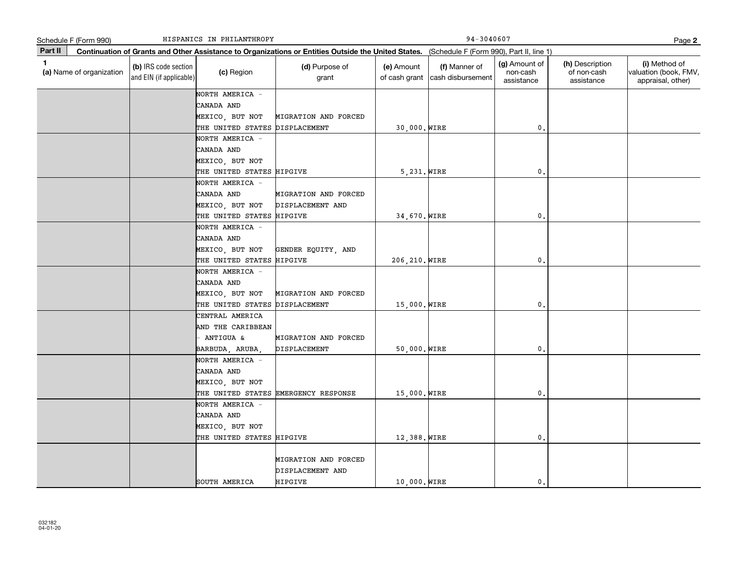|             | Schedule F (Form 990)    |                                                 | HISPANICS IN PHILANTHROPY      |                                                                                                                                              |                             | 94-3040607                         |                                         |                                              | Page 2                                                      |
|-------------|--------------------------|-------------------------------------------------|--------------------------------|----------------------------------------------------------------------------------------------------------------------------------------------|-----------------------------|------------------------------------|-----------------------------------------|----------------------------------------------|-------------------------------------------------------------|
| Part II     |                          |                                                 |                                | Continuation of Grants and Other Assistance to Organizations or Entities Outside the United States. (Schedule F (Form 990), Part II, line 1) |                             |                                    |                                         |                                              |                                                             |
| $\mathbf 1$ | (a) Name of organization | (b) IRS code section<br>and EIN (if applicable) | (c) Region                     | (d) Purpose of<br>grant                                                                                                                      | (e) Amount<br>of cash grant | (f) Manner of<br>cash disbursement | (g) Amount of<br>non-cash<br>assistance | (h) Description<br>of non-cash<br>assistance | (i) Method of<br>valuation (book, FMV,<br>appraisal, other) |
|             |                          |                                                 | NORTH AMERICA -                |                                                                                                                                              |                             |                                    |                                         |                                              |                                                             |
|             |                          |                                                 | CANADA AND                     |                                                                                                                                              |                             |                                    |                                         |                                              |                                                             |
|             |                          |                                                 | MEXICO, BUT NOT                | MIGRATION AND FORCED                                                                                                                         |                             |                                    |                                         |                                              |                                                             |
|             |                          |                                                 | THE UNITED STATES DISPLACEMENT |                                                                                                                                              | 30,000. WIRE                |                                    | $\mathfrak o$ .                         |                                              |                                                             |
|             |                          |                                                 | NORTH AMERICA -                |                                                                                                                                              |                             |                                    |                                         |                                              |                                                             |
|             |                          |                                                 | CANADA AND                     |                                                                                                                                              |                             |                                    |                                         |                                              |                                                             |
|             |                          |                                                 | MEXICO, BUT NOT                |                                                                                                                                              |                             |                                    |                                         |                                              |                                                             |
|             |                          |                                                 | THE UNITED STATES HIPGIVE      |                                                                                                                                              | 5,231. WIRE                 |                                    | $\mathbf 0$ .                           |                                              |                                                             |
|             |                          |                                                 | NORTH AMERICA -                |                                                                                                                                              |                             |                                    |                                         |                                              |                                                             |
|             |                          |                                                 | CANADA AND                     | MIGRATION AND FORCED                                                                                                                         |                             |                                    |                                         |                                              |                                                             |
|             |                          |                                                 | MEXICO, BUT NOT                | DISPLACEMENT AND                                                                                                                             |                             |                                    |                                         |                                              |                                                             |
|             |                          |                                                 | THE UNITED STATES HIPGIVE      |                                                                                                                                              | 34,670. WIRE                |                                    | 0.                                      |                                              |                                                             |
|             |                          |                                                 | NORTH AMERICA -                |                                                                                                                                              |                             |                                    |                                         |                                              |                                                             |
|             |                          |                                                 | CANADA AND                     |                                                                                                                                              |                             |                                    |                                         |                                              |                                                             |
|             |                          |                                                 | MEXICO, BUT NOT                | GENDER EQUITY, AND                                                                                                                           |                             |                                    |                                         |                                              |                                                             |
|             |                          |                                                 | THE UNITED STATES HIPGIVE      |                                                                                                                                              | 206, 210. WIRE              |                                    | 0.                                      |                                              |                                                             |
|             |                          |                                                 | NORTH AMERICA -                |                                                                                                                                              |                             |                                    |                                         |                                              |                                                             |
|             |                          |                                                 | CANADA AND                     |                                                                                                                                              |                             |                                    |                                         |                                              |                                                             |
|             |                          |                                                 | MEXICO, BUT NOT                | MIGRATION AND FORCED                                                                                                                         |                             |                                    |                                         |                                              |                                                             |
|             |                          |                                                 | THE UNITED STATES DISPLACEMENT |                                                                                                                                              | 15,000. WIRE                |                                    | 0.                                      |                                              |                                                             |
|             |                          |                                                 | CENTRAL AMERICA                |                                                                                                                                              |                             |                                    |                                         |                                              |                                                             |
|             |                          |                                                 | AND THE CARIBBEAN              |                                                                                                                                              |                             |                                    |                                         |                                              |                                                             |
|             |                          |                                                 | ANTIGUA &                      | MIGRATION AND FORCED                                                                                                                         |                             |                                    |                                         |                                              |                                                             |
|             |                          |                                                 | BARBUDA, ARUBA,                | DISPLACEMENT                                                                                                                                 | 50,000. WIRE                |                                    | 0.                                      |                                              |                                                             |
|             |                          |                                                 | NORTH AMERICA -                |                                                                                                                                              |                             |                                    |                                         |                                              |                                                             |
|             |                          |                                                 | CANADA AND                     |                                                                                                                                              |                             |                                    |                                         |                                              |                                                             |
|             |                          |                                                 | MEXICO, BUT NOT                |                                                                                                                                              |                             |                                    |                                         |                                              |                                                             |
|             |                          |                                                 |                                | THE UNITED STATES EMERGENCY RESPONSE                                                                                                         | 15,000. WIRE                |                                    | 0.                                      |                                              |                                                             |
|             |                          |                                                 | NORTH AMERICA -                |                                                                                                                                              |                             |                                    |                                         |                                              |                                                             |
|             |                          |                                                 | CANADA AND                     |                                                                                                                                              |                             |                                    |                                         |                                              |                                                             |
|             |                          |                                                 | MEXICO, BUT NOT                |                                                                                                                                              |                             |                                    |                                         |                                              |                                                             |
|             |                          |                                                 | THE UNITED STATES HIPGIVE      |                                                                                                                                              | 12,388. WIRE                |                                    | 0.                                      |                                              |                                                             |
|             |                          |                                                 |                                |                                                                                                                                              |                             |                                    |                                         |                                              |                                                             |
|             |                          |                                                 |                                | MIGRATION AND FORCED<br>DISPLACEMENT AND                                                                                                     |                             |                                    |                                         |                                              |                                                             |
|             |                          |                                                 | SOUTH AMERICA                  | HIPGIVE                                                                                                                                      | 10,000. WIRE                |                                    | $^{\circ}$                              |                                              |                                                             |
|             |                          |                                                 |                                |                                                                                                                                              |                             |                                    |                                         |                                              |                                                             |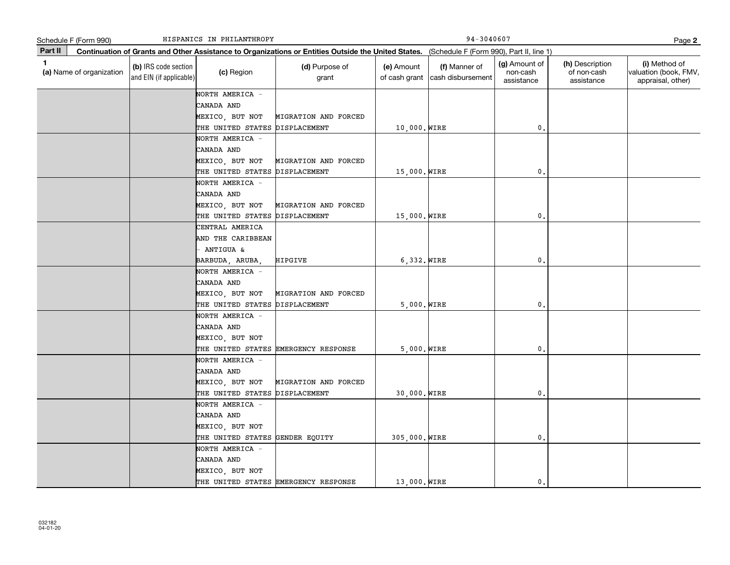|         | Schedule F (Form 990)    |                                                 | HISPANICS IN PHILANTHROPY                         |                                                                                                                                              |               | 94-3040607                                       |                                         |                                              | Page 2                                                      |
|---------|--------------------------|-------------------------------------------------|---------------------------------------------------|----------------------------------------------------------------------------------------------------------------------------------------------|---------------|--------------------------------------------------|-----------------------------------------|----------------------------------------------|-------------------------------------------------------------|
| Part II |                          |                                                 |                                                   | Continuation of Grants and Other Assistance to Organizations or Entities Outside the United States. (Schedule F (Form 990), Part II, line 1) |               |                                                  |                                         |                                              |                                                             |
| 1       | (a) Name of organization | (b) IRS code section<br>and EIN (if applicable) | (c) Region                                        | (d) Purpose of<br>grant                                                                                                                      | (e) Amount    | (f) Manner of<br>of cash grant cash disbursement | (g) Amount of<br>non-cash<br>assistance | (h) Description<br>of non-cash<br>assistance | (i) Method of<br>valuation (book, FMV,<br>appraisal, other) |
|         |                          |                                                 | NORTH AMERICA -<br>CANADA AND<br>MEXICO, BUT NOT  | MIGRATION AND FORCED                                                                                                                         |               |                                                  |                                         |                                              |                                                             |
|         |                          |                                                 | THE UNITED STATES DISPLACEMENT                    |                                                                                                                                              | 10,000. WIRE  |                                                  | $^{\circ}$                              |                                              |                                                             |
|         |                          |                                                 | NORTH AMERICA -<br>CANADA AND<br>MEXICO, BUT NOT  | MIGRATION AND FORCED                                                                                                                         |               |                                                  |                                         |                                              |                                                             |
|         |                          |                                                 | THE UNITED STATES                                 | DISPLACEMENT                                                                                                                                 | 15,000. WIRE  |                                                  | $^{\circ}$ .                            |                                              |                                                             |
|         |                          |                                                 | NORTH AMERICA -<br>CANADA AND                     |                                                                                                                                              |               |                                                  |                                         |                                              |                                                             |
|         |                          |                                                 | MEXICO, BUT NOT<br>THE UNITED STATES DISPLACEMENT | MIGRATION AND FORCED                                                                                                                         | 15,000. WIRE  |                                                  | 0.                                      |                                              |                                                             |
|         |                          |                                                 | CENTRAL AMERICA                                   |                                                                                                                                              |               |                                                  |                                         |                                              |                                                             |
|         |                          |                                                 | AND THE CARIBBEAN                                 |                                                                                                                                              |               |                                                  |                                         |                                              |                                                             |
|         |                          |                                                 | ANTIGUA &                                         |                                                                                                                                              |               |                                                  |                                         |                                              |                                                             |
|         |                          |                                                 | BARBUDA, ARUBA,                                   | HIPGIVE                                                                                                                                      | $6,332.$ WIRE |                                                  | 0.                                      |                                              |                                                             |
|         |                          |                                                 | NORTH AMERICA -                                   |                                                                                                                                              |               |                                                  |                                         |                                              |                                                             |
|         |                          |                                                 | CANADA AND                                        |                                                                                                                                              |               |                                                  |                                         |                                              |                                                             |
|         |                          |                                                 | MEXICO, BUT NOT                                   | MIGRATION AND FORCED                                                                                                                         |               |                                                  |                                         |                                              |                                                             |
|         |                          |                                                 | THE UNITED STATES DISPLACEMENT                    |                                                                                                                                              | $5,000.$ WIRE |                                                  | 0.                                      |                                              |                                                             |
|         |                          |                                                 | NORTH AMERICA -                                   |                                                                                                                                              |               |                                                  |                                         |                                              |                                                             |
|         |                          |                                                 | CANADA AND<br>MEXICO, BUT NOT                     |                                                                                                                                              |               |                                                  |                                         |                                              |                                                             |
|         |                          |                                                 |                                                   | THE UNITED STATES EMERGENCY RESPONSE                                                                                                         | $5,000.$ WIRE |                                                  | 0.                                      |                                              |                                                             |
|         |                          |                                                 | NORTH AMERICA -<br>CANADA AND                     |                                                                                                                                              |               |                                                  |                                         |                                              |                                                             |
|         |                          |                                                 | MEXICO, BUT NOT<br>THE UNITED STATES DISPLACEMENT | MIGRATION AND FORCED                                                                                                                         | 30,000. WIRE  |                                                  | 0.                                      |                                              |                                                             |
|         |                          |                                                 | NORTH AMERICA -                                   |                                                                                                                                              |               |                                                  |                                         |                                              |                                                             |
|         |                          |                                                 | CANADA AND                                        |                                                                                                                                              |               |                                                  |                                         |                                              |                                                             |
|         |                          |                                                 | MEXICO, BUT NOT                                   |                                                                                                                                              |               |                                                  |                                         |                                              |                                                             |
|         |                          |                                                 | THE UNITED STATES GENDER EQUITY                   |                                                                                                                                              | 305,000. WIRE |                                                  | 0.                                      |                                              |                                                             |
|         |                          |                                                 | NORTH AMERICA -                                   |                                                                                                                                              |               |                                                  |                                         |                                              |                                                             |
|         |                          |                                                 | CANADA AND                                        |                                                                                                                                              |               |                                                  |                                         |                                              |                                                             |
|         |                          |                                                 | MEXICO, BUT NOT                                   |                                                                                                                                              |               |                                                  |                                         |                                              |                                                             |
|         |                          |                                                 |                                                   | THE UNITED STATES EMERGENCY RESPONSE                                                                                                         | 13,000. WIRE  |                                                  | $\mathbf{0}$ .                          |                                              |                                                             |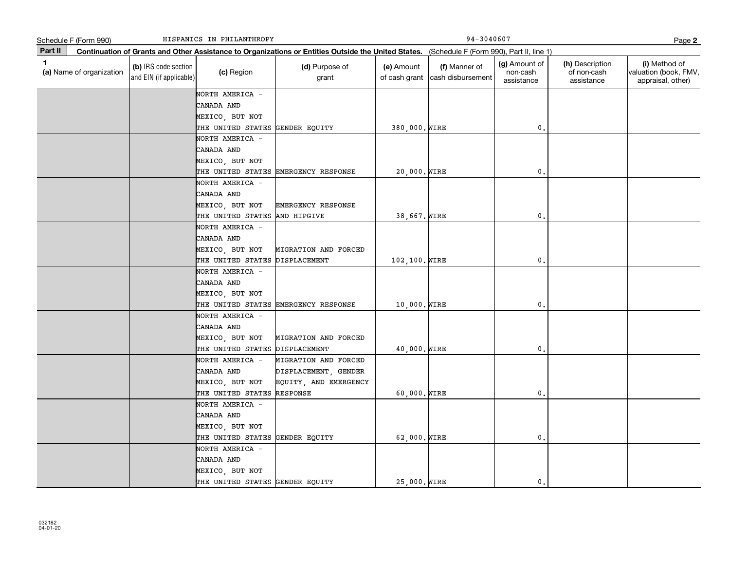|         | Schedule F (Form 990)    |                                                 | HISPANICS IN PHILANTHROPY            |                                                                                                                                              |                             | 94-3040607                         |                                         |                                              | Page 2                                                      |
|---------|--------------------------|-------------------------------------------------|--------------------------------------|----------------------------------------------------------------------------------------------------------------------------------------------|-----------------------------|------------------------------------|-----------------------------------------|----------------------------------------------|-------------------------------------------------------------|
| Part II |                          |                                                 |                                      | Continuation of Grants and Other Assistance to Organizations or Entities Outside the United States. (Schedule F (Form 990), Part II, line 1) |                             |                                    |                                         |                                              |                                                             |
| 1       | (a) Name of organization | (b) IRS code section<br>and EIN (if applicable) | (c) Region                           | (d) Purpose of<br>grant                                                                                                                      | (e) Amount<br>of cash grant | (f) Manner of<br>cash disbursement | (g) Amount of<br>non-cash<br>assistance | (h) Description<br>of non-cash<br>assistance | (i) Method of<br>valuation (book, FMV,<br>appraisal, other) |
|         |                          |                                                 | NORTH AMERICA -                      |                                                                                                                                              |                             |                                    |                                         |                                              |                                                             |
|         |                          |                                                 | CANADA AND                           |                                                                                                                                              |                             |                                    |                                         |                                              |                                                             |
|         |                          |                                                 | MEXICO, BUT NOT                      |                                                                                                                                              |                             |                                    |                                         |                                              |                                                             |
|         |                          |                                                 | THE UNITED STATES GENDER EQUITY      |                                                                                                                                              | 380,000. WIRE               |                                    | 0.                                      |                                              |                                                             |
|         |                          |                                                 | NORTH AMERICA -                      |                                                                                                                                              |                             |                                    |                                         |                                              |                                                             |
|         |                          |                                                 | CANADA AND                           |                                                                                                                                              |                             |                                    |                                         |                                              |                                                             |
|         |                          |                                                 | MEXICO, BUT NOT                      |                                                                                                                                              |                             |                                    |                                         |                                              |                                                             |
|         |                          |                                                 |                                      | THE UNITED STATES EMERGENCY RESPONSE                                                                                                         | 20,000. WIRE                |                                    | $\mathbf{0}$ .                          |                                              |                                                             |
|         |                          |                                                 | NORTH AMERICA -                      |                                                                                                                                              |                             |                                    |                                         |                                              |                                                             |
|         |                          |                                                 | CANADA AND                           |                                                                                                                                              |                             |                                    |                                         |                                              |                                                             |
|         |                          |                                                 | MEXICO, BUT NOT                      | EMERGENCY RESPONSE                                                                                                                           |                             |                                    |                                         |                                              |                                                             |
|         |                          |                                                 | THE UNITED STATES AND HIPGIVE        |                                                                                                                                              | 38,667. WIRE                |                                    | $\mathbf 0$ .                           |                                              |                                                             |
|         |                          |                                                 | NORTH AMERICA -                      |                                                                                                                                              |                             |                                    |                                         |                                              |                                                             |
|         |                          |                                                 | CANADA AND                           |                                                                                                                                              |                             |                                    |                                         |                                              |                                                             |
|         |                          |                                                 | MEXICO, BUT NOT<br>THE UNITED STATES | MIGRATION AND FORCED<br>DISPLACEMENT                                                                                                         | 102,100. WIRE               |                                    | 0.                                      |                                              |                                                             |
|         |                          |                                                 | NORTH AMERICA -                      |                                                                                                                                              |                             |                                    |                                         |                                              |                                                             |
|         |                          |                                                 | CANADA AND                           |                                                                                                                                              |                             |                                    |                                         |                                              |                                                             |
|         |                          |                                                 | MEXICO, BUT NOT                      |                                                                                                                                              |                             |                                    |                                         |                                              |                                                             |
|         |                          |                                                 |                                      | THE UNITED STATES EMERGENCY RESPONSE                                                                                                         | 10,000. WIRE                |                                    | 0.                                      |                                              |                                                             |
|         |                          |                                                 | NORTH AMERICA -                      |                                                                                                                                              |                             |                                    |                                         |                                              |                                                             |
|         |                          |                                                 | CANADA AND                           |                                                                                                                                              |                             |                                    |                                         |                                              |                                                             |
|         |                          |                                                 | MEXICO, BUT NOT                      | MIGRATION AND FORCED                                                                                                                         |                             |                                    |                                         |                                              |                                                             |
|         |                          |                                                 | THE UNITED STATES                    | DISPLACEMENT                                                                                                                                 | 40,000. WIRE                |                                    | 0.                                      |                                              |                                                             |
|         |                          |                                                 | NORTH AMERICA -                      | MIGRATION AND FORCED                                                                                                                         |                             |                                    |                                         |                                              |                                                             |
|         |                          |                                                 | CANADA AND                           | DISPLACEMENT, GENDER                                                                                                                         |                             |                                    |                                         |                                              |                                                             |
|         |                          |                                                 | MEXICO, BUT NOT                      | EQUITY, AND EMERGENCY                                                                                                                        |                             |                                    |                                         |                                              |                                                             |
|         |                          |                                                 | THE UNITED STATES                    | RESPONSE                                                                                                                                     | 60,000. WIRE                |                                    | $\mathbf 0$ .                           |                                              |                                                             |
|         |                          |                                                 | NORTH AMERICA -                      |                                                                                                                                              |                             |                                    |                                         |                                              |                                                             |
|         |                          |                                                 | CANADA AND                           |                                                                                                                                              |                             |                                    |                                         |                                              |                                                             |
|         |                          |                                                 | MEXICO, BUT NOT                      |                                                                                                                                              |                             |                                    |                                         |                                              |                                                             |
|         |                          |                                                 | THE UNITED STATES                    | GENDER EQUITY                                                                                                                                | 62,000. WIRE                |                                    | $\mathbf 0$ .                           |                                              |                                                             |
|         |                          |                                                 | NORTH AMERICA -                      |                                                                                                                                              |                             |                                    |                                         |                                              |                                                             |
|         |                          |                                                 | CANADA AND                           |                                                                                                                                              |                             |                                    |                                         |                                              |                                                             |
|         |                          |                                                 | MEXICO, BUT NOT                      |                                                                                                                                              |                             |                                    |                                         |                                              |                                                             |
|         |                          |                                                 | THE UNITED STATES GENDER EQUITY      |                                                                                                                                              | 25,000. WIRE                |                                    | 0.                                      |                                              |                                                             |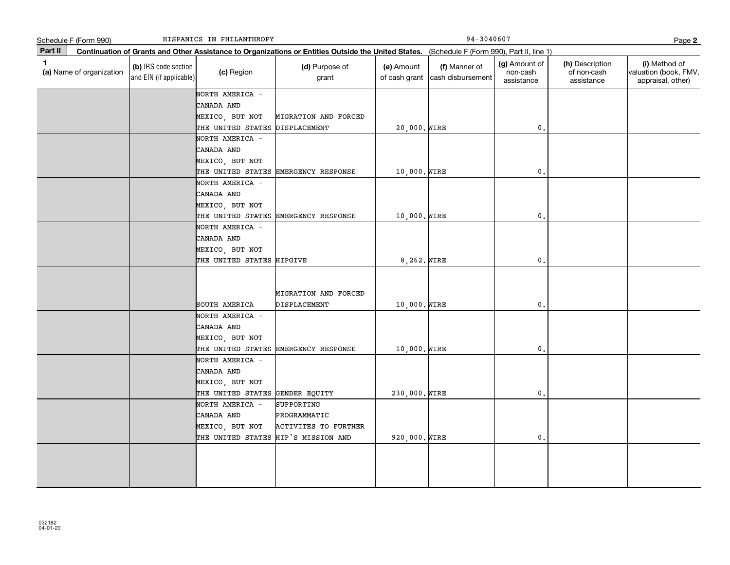|              | Schedule F (Form 990)    |                                                 | HISPANICS IN PHILANTHROPY                    |                                                                                                                                              |               | 94-3040607                                       |                                         |                                              | Page 2                                                      |
|--------------|--------------------------|-------------------------------------------------|----------------------------------------------|----------------------------------------------------------------------------------------------------------------------------------------------|---------------|--------------------------------------------------|-----------------------------------------|----------------------------------------------|-------------------------------------------------------------|
| Part II      |                          |                                                 |                                              | Continuation of Grants and Other Assistance to Organizations or Entities Outside the United States. (Schedule F (Form 990), Part II, line 1) |               |                                                  |                                         |                                              |                                                             |
| $\mathbf{1}$ | (a) Name of organization | (b) IRS code section<br>and EIN (if applicable) | (c) Region                                   | (d) Purpose of<br>grant                                                                                                                      | (e) Amount    | (f) Manner of<br>of cash grant cash disbursement | (g) Amount of<br>non-cash<br>assistance | (h) Description<br>of non-cash<br>assistance | (i) Method of<br>valuation (book, FMV,<br>appraisal, other) |
|              |                          |                                                 | NORTH AMERICA -                              |                                                                                                                                              |               |                                                  |                                         |                                              |                                                             |
|              |                          |                                                 | CANADA AND                                   |                                                                                                                                              |               |                                                  |                                         |                                              |                                                             |
|              |                          |                                                 | MEXICO, BUT NOT                              | MIGRATION AND FORCED                                                                                                                         |               |                                                  |                                         |                                              |                                                             |
|              |                          |                                                 | THE UNITED STATES DISPLACEMENT               |                                                                                                                                              | 20,000. WIRE  |                                                  | $\mathfrak o$ .                         |                                              |                                                             |
|              |                          |                                                 | NORTH AMERICA -                              |                                                                                                                                              |               |                                                  |                                         |                                              |                                                             |
|              |                          |                                                 | CANADA AND                                   |                                                                                                                                              |               |                                                  |                                         |                                              |                                                             |
|              |                          |                                                 | MEXICO, BUT NOT                              |                                                                                                                                              |               |                                                  |                                         |                                              |                                                             |
|              |                          |                                                 |                                              | THE UNITED STATES EMERGENCY RESPONSE                                                                                                         | 10,000. WIRE  |                                                  | 0.                                      |                                              |                                                             |
|              |                          |                                                 | NORTH AMERICA -                              |                                                                                                                                              |               |                                                  |                                         |                                              |                                                             |
|              |                          |                                                 | CANADA AND                                   |                                                                                                                                              |               |                                                  |                                         |                                              |                                                             |
|              |                          |                                                 | MEXICO, BUT NOT                              |                                                                                                                                              |               |                                                  |                                         |                                              |                                                             |
|              |                          |                                                 |                                              | THE UNITED STATES EMERGENCY RESPONSE                                                                                                         | 10,000. WIRE  |                                                  | $\mathbf{0}$                            |                                              |                                                             |
|              |                          |                                                 | NORTH AMERICA -                              |                                                                                                                                              |               |                                                  |                                         |                                              |                                                             |
|              |                          |                                                 | CANADA AND                                   |                                                                                                                                              |               |                                                  |                                         |                                              |                                                             |
|              |                          |                                                 | MEXICO, BUT NOT<br>THE UNITED STATES HIPGIVE |                                                                                                                                              | 8,262. WIRE   |                                                  | 0.                                      |                                              |                                                             |
|              |                          |                                                 |                                              |                                                                                                                                              |               |                                                  |                                         |                                              |                                                             |
|              |                          |                                                 |                                              |                                                                                                                                              |               |                                                  |                                         |                                              |                                                             |
|              |                          |                                                 |                                              | MIGRATION AND FORCED                                                                                                                         |               |                                                  |                                         |                                              |                                                             |
|              |                          |                                                 | SOUTH AMERICA                                | DISPLACEMENT                                                                                                                                 | 10,000. WIRE  |                                                  | $\mathbf 0$ .                           |                                              |                                                             |
|              |                          |                                                 | NORTH AMERICA -                              |                                                                                                                                              |               |                                                  |                                         |                                              |                                                             |
|              |                          |                                                 | CANADA AND                                   |                                                                                                                                              |               |                                                  |                                         |                                              |                                                             |
|              |                          |                                                 | MEXICO, BUT NOT                              |                                                                                                                                              |               |                                                  |                                         |                                              |                                                             |
|              |                          |                                                 |                                              | THE UNITED STATES EMERGENCY RESPONSE                                                                                                         | 10,000. WIRE  |                                                  | $\mathbf{0}$                            |                                              |                                                             |
|              |                          |                                                 | NORTH AMERICA -                              |                                                                                                                                              |               |                                                  |                                         |                                              |                                                             |
|              |                          |                                                 | CANADA AND                                   |                                                                                                                                              |               |                                                  |                                         |                                              |                                                             |
|              |                          |                                                 | MEXICO, BUT NOT                              |                                                                                                                                              |               |                                                  |                                         |                                              |                                                             |
|              |                          |                                                 | THE UNITED STATES                            | GENDER EQUITY                                                                                                                                | 230,000. WIRE |                                                  | 0.                                      |                                              |                                                             |
|              |                          |                                                 | NORTH AMERICA -                              | SUPPORTING                                                                                                                                   |               |                                                  |                                         |                                              |                                                             |
|              |                          |                                                 | CANADA AND                                   | PROGRAMMATIC                                                                                                                                 |               |                                                  |                                         |                                              |                                                             |
|              |                          |                                                 | MEXICO, BUT NOT                              | <b>ACTIVITES TO FURTHER</b>                                                                                                                  |               |                                                  |                                         |                                              |                                                             |
|              |                          |                                                 | THE UNITED STATES HIP'S MISSION AND          |                                                                                                                                              | 920,000. WIRE |                                                  | $\mathbf{0}$ .                          |                                              |                                                             |
|              |                          |                                                 |                                              |                                                                                                                                              |               |                                                  |                                         |                                              |                                                             |
|              |                          |                                                 |                                              |                                                                                                                                              |               |                                                  |                                         |                                              |                                                             |
|              |                          |                                                 |                                              |                                                                                                                                              |               |                                                  |                                         |                                              |                                                             |
|              |                          |                                                 |                                              |                                                                                                                                              |               |                                                  |                                         |                                              |                                                             |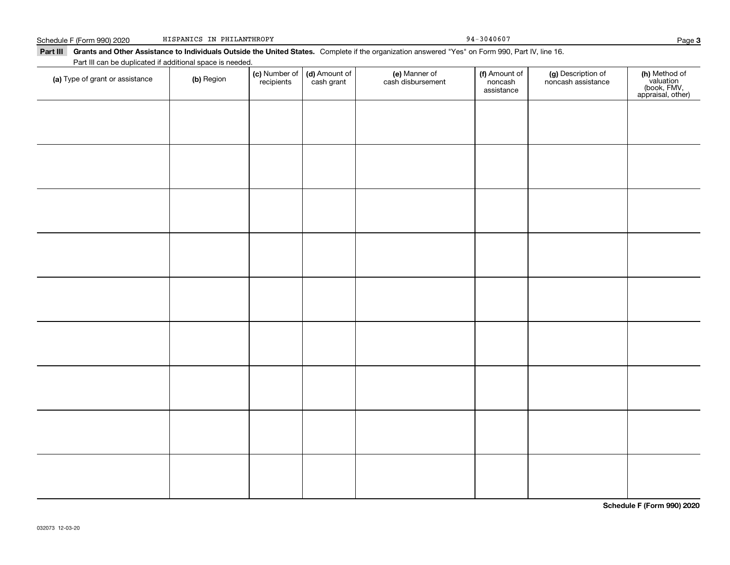## Part III Grants and Other Assistance to Individuals Outside the United States. Complete if the organization answered "Yes" on Form 990, Part IV, line 16. **(c)** Number of **| (d)** Amount of **| (e)** Manner of **| (f)** Amount of **| (g)** Description of **| (h) (a)** Type of grant or assistance  $\qquad$  **(b)** Region Schedule F (Form 990) 2020 HISPANICS IN PHILANTHROPY CHEMIC CONSERVATION 94-3040607 Part III can be duplicated if additional space is needed. (c) Number of *recipients* (d) Amount of cash grant (e) Manner of cash disbursement (f) Amount of noncash assistancenoncash assistance HISPANICS IN PHILANTHROPY

**Schedule F (Form 990) 2020**

Page 3

**(h)** Method of<br>valuation<br>(book, FMV,<br>appraisal, other)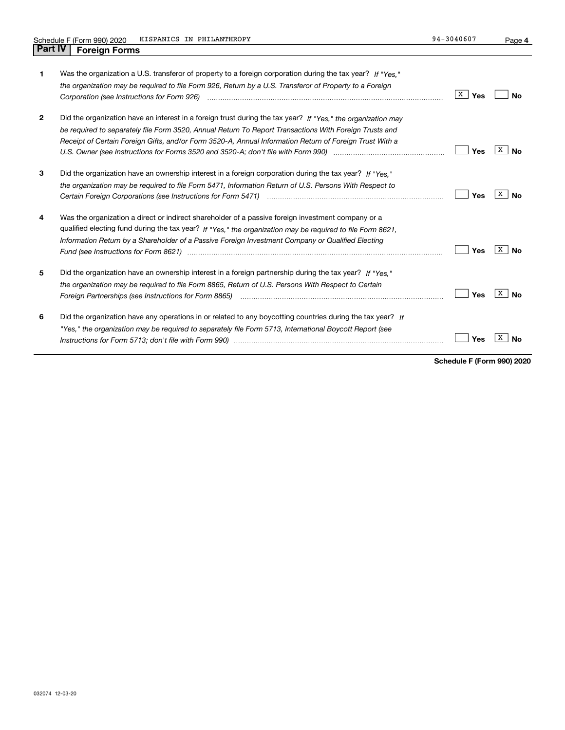**4**

| 1            | Was the organization a U.S. transferor of property to a foreign corporation during the tax year? If "Yes."<br>the organization may be required to file Form 926, Return by a U.S. Transferor of Property to a Foreign                                                                                                             | X<br>Yes | N٥      |
|--------------|-----------------------------------------------------------------------------------------------------------------------------------------------------------------------------------------------------------------------------------------------------------------------------------------------------------------------------------|----------|---------|
| $\mathbf{2}$ | Did the organization have an interest in a foreign trust during the tax year? If "Yes," the organization may<br>be required to separately file Form 3520, Annual Return To Report Transactions With Foreign Trusts and<br>Receipt of Certain Foreign Gifts, and/or Form 3520-A, Annual Information Return of Foreign Trust With a | Yes      | X<br>N٥ |
| 3            | Did the organization have an ownership interest in a foreign corporation during the tax year? If "Yes,"<br>the organization may be required to file Form 5471, Information Return of U.S. Persons With Respect to                                                                                                                 | Yes      | x<br>N٥ |
| 4            | Was the organization a direct or indirect shareholder of a passive foreign investment company or a<br>qualified electing fund during the tax year? If "Yes," the organization may be required to file Form 8621,<br>Information Return by a Shareholder of a Passive Foreign Investment Company or Qualified Electing             | Yes      | х<br>Nο |
| 5            | Did the organization have an ownership interest in a foreign partnership during the tax year? If "Yes."<br>the organization may be required to file Form 8865, Return of U.S. Persons With Respect to Certain                                                                                                                     | Yes      | x<br>Nο |
| 6            | Did the organization have any operations in or related to any boycotting countries during the tax year? If<br>"Yes," the organization may be required to separately file Form 5713, International Boycott Report (see                                                                                                             | Yes      |         |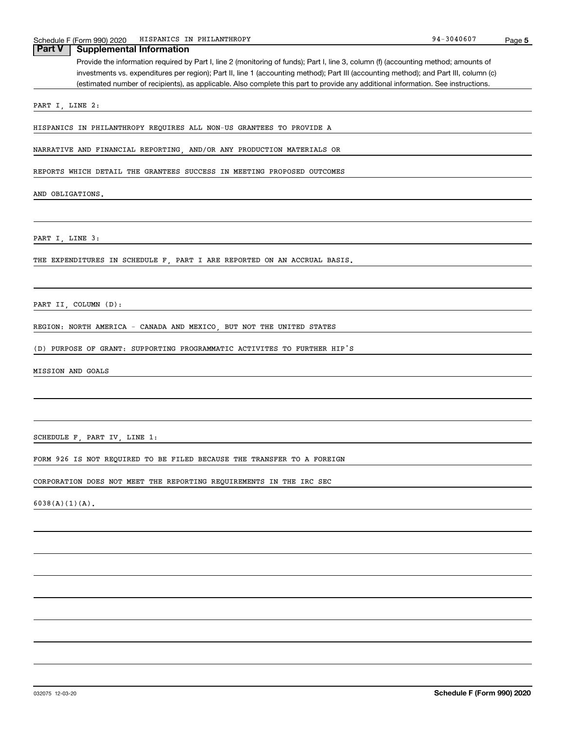| Schedule F (Form 990) 2020 | HISPANICS IN PHILANTHROPY                                                                                                             | 94-3040607 | Page 5 |
|----------------------------|---------------------------------------------------------------------------------------------------------------------------------------|------------|--------|
| Part V                     | <b>Supplemental Information</b>                                                                                                       |            |        |
|                            | Provide the information required by Part I, line 2 (monitoring of funds); Part I, line 3, column (f) (accounting method; amounts of   |            |        |
|                            | investments vs. expenditures per region); Part II, line 1 (accounting method); Part III (accounting method); and Part III, column (c) |            |        |
|                            | (estimated number of recipients), as applicable. Also complete this part to provide any additional information. See instructions.     |            |        |
| PART I, LINE 2:            |                                                                                                                                       |            |        |
|                            | HISPANICS IN PHILANTHROPY REQUIRES ALL NON-US GRANTEES TO PROVIDE A                                                                   |            |        |
|                            | NARRATIVE AND FINANCIAL REPORTING, AND/OR ANY PRODUCTION MATERIALS OR                                                                 |            |        |
|                            | REPORTS WHICH DETAIL THE GRANTEES SUCCESS IN MEETING PROPOSED OUTCOMES                                                                |            |        |
| AND OBLIGATIONS.           |                                                                                                                                       |            |        |
|                            |                                                                                                                                       |            |        |
| PART I, LINE 3:            |                                                                                                                                       |            |        |
|                            | THE EXPENDITURES IN SCHEDULE F, PART I ARE REPORTED ON AN ACCRUAL BASIS.                                                              |            |        |
|                            |                                                                                                                                       |            |        |
| PART II, COLUMN (D):       |                                                                                                                                       |            |        |
|                            | REGION: NORTH AMERICA - CANADA AND MEXICO, BUT NOT THE UNITED STATES                                                                  |            |        |
|                            | (D) PURPOSE OF GRANT: SUPPORTING PROGRAMMATIC ACTIVITES TO FURTHER HIP'S                                                              |            |        |
| MISSION AND GOALS          |                                                                                                                                       |            |        |
|                            |                                                                                                                                       |            |        |
|                            |                                                                                                                                       |            |        |
|                            | SCHEDULE F, PART IV, LINE 1:                                                                                                          |            |        |
|                            |                                                                                                                                       |            |        |

FORM 926 IS NOT REQUIRED TO BE FILED BECAUSE THE TRANSFER TO A FOREIGN

CORPORATION DOES NOT MEET THE REPORTING REQUIREMENTS IN THE IRC SEC

6038(A)(1)(A).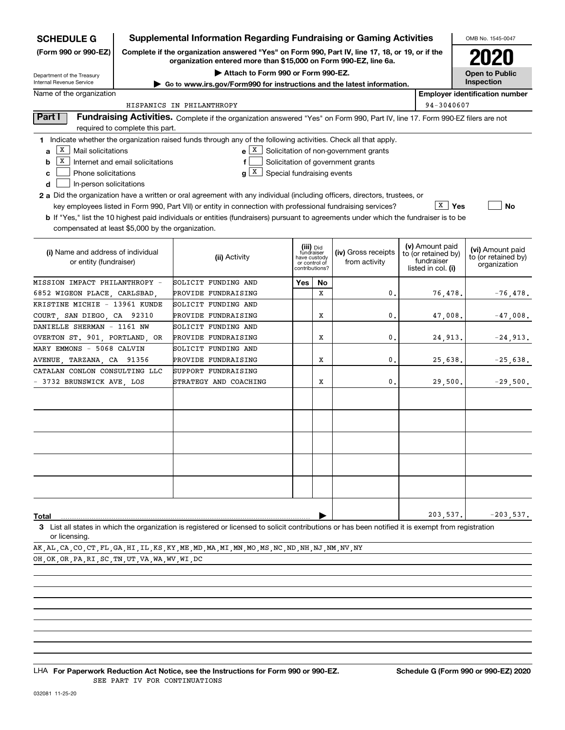| <b>SCHEDULE G</b>                                                                                                                                                                                                                                                                                                                                                                                                                                                                                            |                                  | <b>Supplemental Information Regarding Fundraising or Gaming Activities</b>                                                                                          |                                                   |                                                                            |    |                                                                                   |                                                                            | OMB No. 1545-0047                                       |
|--------------------------------------------------------------------------------------------------------------------------------------------------------------------------------------------------------------------------------------------------------------------------------------------------------------------------------------------------------------------------------------------------------------------------------------------------------------------------------------------------------------|----------------------------------|---------------------------------------------------------------------------------------------------------------------------------------------------------------------|---------------------------------------------------|----------------------------------------------------------------------------|----|-----------------------------------------------------------------------------------|----------------------------------------------------------------------------|---------------------------------------------------------|
| (Form 990 or 990-EZ)                                                                                                                                                                                                                                                                                                                                                                                                                                                                                         |                                  | Complete if the organization answered "Yes" on Form 990, Part IV, line 17, 18, or 19, or if the<br>organization entered more than \$15,000 on Form 990-EZ, line 6a. |                                                   |                                                                            |    |                                                                                   |                                                                            |                                                         |
| Department of the Treasury                                                                                                                                                                                                                                                                                                                                                                                                                                                                                   |                                  |                                                                                                                                                                     | Attach to Form 990 or Form 990-EZ.                |                                                                            |    |                                                                                   |                                                                            | <b>Open to Public</b>                                   |
| Internal Revenue Service                                                                                                                                                                                                                                                                                                                                                                                                                                                                                     |                                  | ► Go to www.irs.gov/Form990 for instructions and the latest information.                                                                                            |                                                   |                                                                            |    |                                                                                   |                                                                            | Inspection                                              |
| Name of the organization                                                                                                                                                                                                                                                                                                                                                                                                                                                                                     |                                  |                                                                                                                                                                     |                                                   |                                                                            |    |                                                                                   |                                                                            | <b>Employer identification number</b>                   |
|                                                                                                                                                                                                                                                                                                                                                                                                                                                                                                              |                                  | HISPANICS IN PHILANTHROPY                                                                                                                                           |                                                   |                                                                            |    |                                                                                   | 94-3040607                                                                 |                                                         |
| Part I                                                                                                                                                                                                                                                                                                                                                                                                                                                                                                       | required to complete this part.  | Fundraising Activities. Complete if the organization answered "Yes" on Form 990, Part IV, line 17. Form 990-EZ filers are not                                       |                                                   |                                                                            |    |                                                                                   |                                                                            |                                                         |
| 1 Indicate whether the organization raised funds through any of the following activities. Check all that apply.<br>X  <br>Mail solicitations<br>a<br>Х<br>b<br>Phone solicitations<br>c<br>In-person solicitations<br>d<br><b>2 a</b> Did the organization have a written or oral agreement with any individual (including officers, directors, trustees, or<br><b>b</b> If "Yes," list the 10 highest paid individuals or entities (fundraisers) pursuant to agreements under which the fundraiser is to be | Internet and email solicitations | key employees listed in Form 990, Part VII) or entity in connection with professional fundraising services?                                                         | $\mathbf{X}$<br>Special fundraising events<br>a l |                                                                            |    | $e[X]$ Solicitation of non-government grants<br>Solicitation of government grants | $\overline{X}$   Yes                                                       | <b>No</b>                                               |
| compensated at least \$5,000 by the organization.                                                                                                                                                                                                                                                                                                                                                                                                                                                            |                                  |                                                                                                                                                                     |                                                   |                                                                            |    |                                                                                   |                                                                            |                                                         |
| (i) Name and address of individual<br>or entity (fundraiser)                                                                                                                                                                                                                                                                                                                                                                                                                                                 |                                  | (ii) Activity                                                                                                                                                       |                                                   | (iii) Did<br>fundraiser<br>have custody<br>or control of<br>contributions? |    | (iv) Gross receipts<br>from activity                                              | (v) Amount paid<br>to (or retained by)<br>fundraiser<br>listed in col. (i) | (vi) Amount paid<br>to (or retained by)<br>organization |
| MISSION IMPACT PHILANTHROPY -                                                                                                                                                                                                                                                                                                                                                                                                                                                                                |                                  | SOLICIT FUNDING AND                                                                                                                                                 |                                                   | Yes                                                                        | No |                                                                                   |                                                                            |                                                         |
| 6852 WIGEON PLACE, CARLSBAD,                                                                                                                                                                                                                                                                                                                                                                                                                                                                                 |                                  | PROVIDE FUNDRAISING                                                                                                                                                 |                                                   |                                                                            | X  | 0                                                                                 | 76,478.                                                                    | $-76,478.$                                              |
| KRISTINE MICHIE - 13961 KUNDE                                                                                                                                                                                                                                                                                                                                                                                                                                                                                |                                  | SOLICIT FUNDING AND                                                                                                                                                 |                                                   |                                                                            |    |                                                                                   |                                                                            |                                                         |
| COURT, SAN DIEGO, CA 92310                                                                                                                                                                                                                                                                                                                                                                                                                                                                                   |                                  | PROVIDE FUNDRAISING                                                                                                                                                 |                                                   |                                                                            | X  | 0                                                                                 | 47,008.                                                                    | $-47,008.$                                              |
| DANIELLE SHERMAN - 1161 NW                                                                                                                                                                                                                                                                                                                                                                                                                                                                                   |                                  | SOLICIT FUNDING AND                                                                                                                                                 |                                                   |                                                                            |    |                                                                                   |                                                                            |                                                         |
| OVERTON ST. 901, PORTLAND, OR                                                                                                                                                                                                                                                                                                                                                                                                                                                                                |                                  | PROVIDE FUNDRAISING                                                                                                                                                 |                                                   |                                                                            | X  | 0                                                                                 | 24,913.                                                                    | $-24,913.$                                              |
| MARY EMMONS - 5068 CALVIN                                                                                                                                                                                                                                                                                                                                                                                                                                                                                    |                                  | SOLICIT FUNDING AND                                                                                                                                                 |                                                   |                                                                            |    |                                                                                   |                                                                            |                                                         |
| AVENUE, TARZANA, CA 91356                                                                                                                                                                                                                                                                                                                                                                                                                                                                                    |                                  | PROVIDE FUNDRAISING                                                                                                                                                 |                                                   |                                                                            | x  | 0                                                                                 | 25,638.                                                                    | $-25,638.$                                              |
| CATALAN CONLON CONSULTING LLC<br>3732 BRUNSWICK AVE, LOS                                                                                                                                                                                                                                                                                                                                                                                                                                                     |                                  | SUPPORT FUNDRAISING<br>STRATEGY AND COACHING                                                                                                                        |                                                   |                                                                            | x  | $\mathbf{0}$                                                                      | 29,500.                                                                    | $-29,500.$                                              |
|                                                                                                                                                                                                                                                                                                                                                                                                                                                                                                              |                                  |                                                                                                                                                                     |                                                   |                                                                            |    |                                                                                   |                                                                            |                                                         |
| Total                                                                                                                                                                                                                                                                                                                                                                                                                                                                                                        |                                  |                                                                                                                                                                     |                                                   |                                                                            |    |                                                                                   | 203,537                                                                    | $-203,537.$                                             |
| 3 List all states in which the organization is registered or licensed to solicit contributions or has been notified it is exempt from registration<br>or licensing.                                                                                                                                                                                                                                                                                                                                          |                                  |                                                                                                                                                                     |                                                   |                                                                            |    |                                                                                   |                                                                            |                                                         |
| AK ,AL ,CA ,CO ,CT ,FL ,GA ,HI ,IL ,KS ,KY ,ME ,MD ,MA ,MI ,MN ,MO ,MS ,NC ,ND ,NH ,NJ ,NM ,NV ,NY                                                                                                                                                                                                                                                                                                                                                                                                           |                                  |                                                                                                                                                                     |                                                   |                                                                            |    |                                                                                   |                                                                            |                                                         |
| OH, OK, OR, PA, RI, SC, TN, UT, VA, WA, WV, WI, DC                                                                                                                                                                                                                                                                                                                                                                                                                                                           |                                  |                                                                                                                                                                     |                                                   |                                                                            |    |                                                                                   |                                                                            |                                                         |

LHA For Paperwork Reduction Act Notice, see the Instructions for Form 990 or 990-EZ. Schedule G (Form 990 or 990-EZ) 2020 SEE PART IV FOR CONTINUATIONS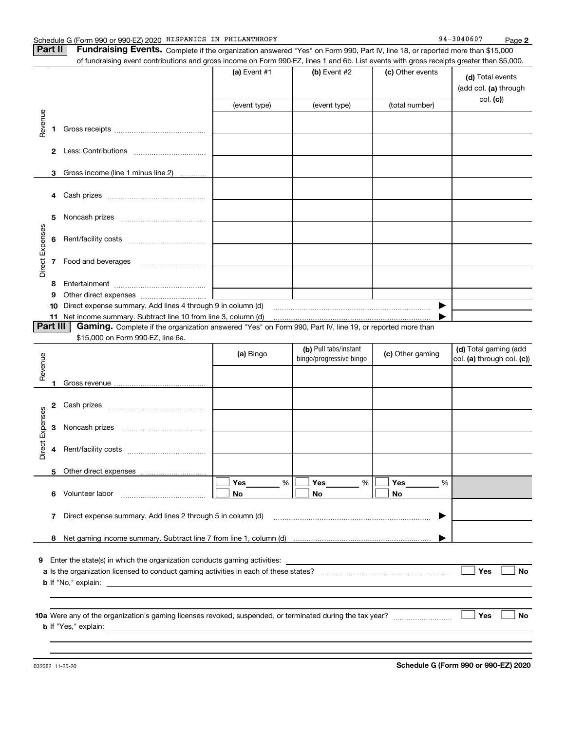|                 |    | Schedule G (Form 990 or 990-EZ) 2020 HISPANICS IN PHILANTHROPY<br>Part II<br>Fundraising Events. Complete if the organization answered "Yes" on Form 990, Part IV, line 18, or reported more than \$15,000 |                   |                         |                  | Page 2                                                |
|-----------------|----|------------------------------------------------------------------------------------------------------------------------------------------------------------------------------------------------------------|-------------------|-------------------------|------------------|-------------------------------------------------------|
|                 |    | of fundraising event contributions and gross income on Form 990-EZ, lines 1 and 6b. List events with gross receipts greater than \$5,000.                                                                  | (a) Event $#1$    | (b) Event #2            | (c) Other events | (d) Total events<br>(add col. (a) through<br>col. (c) |
|                 |    |                                                                                                                                                                                                            | (event type)      | (event type)            | (total number)   |                                                       |
| Revenue         | 1. |                                                                                                                                                                                                            |                   |                         |                  |                                                       |
|                 |    |                                                                                                                                                                                                            |                   |                         |                  |                                                       |
|                 |    |                                                                                                                                                                                                            |                   |                         |                  |                                                       |
|                 | 3  | Gross income (line 1 minus line 2)                                                                                                                                                                         |                   |                         |                  |                                                       |
|                 | 4  | Cash prizes                                                                                                                                                                                                |                   |                         |                  |                                                       |
|                 | 5  |                                                                                                                                                                                                            |                   |                         |                  |                                                       |
|                 | 6  |                                                                                                                                                                                                            |                   |                         |                  |                                                       |
| Direct Expenses | 7  | Food and beverages                                                                                                                                                                                         |                   |                         |                  |                                                       |
|                 | 8  |                                                                                                                                                                                                            |                   |                         |                  |                                                       |
|                 | 9  |                                                                                                                                                                                                            |                   |                         |                  |                                                       |
|                 | 10 | Direct expense summary. Add lines 4 through 9 in column (d) [11] manuscription and the summary. Add lines 4 through 9 in column (d)                                                                        |                   |                         | ▶                |                                                       |
|                 | 11 |                                                                                                                                                                                                            |                   |                         |                  |                                                       |
|                 |    | Part III   Gaming. Complete if the organization answered "Yes" on Form 990, Part IV, line 19, or reported more than                                                                                        |                   |                         |                  |                                                       |
|                 |    |                                                                                                                                                                                                            |                   |                         |                  |                                                       |
|                 |    | \$15,000 on Form 990-EZ, line 6a.                                                                                                                                                                          |                   | (b) Pull tabs/instant   |                  | (d) Total gaming (add                                 |
|                 |    |                                                                                                                                                                                                            | (a) Bingo         | bingo/progressive bingo | (c) Other gaming | col. (a) through col. (c))                            |
| Revenue         | 1  |                                                                                                                                                                                                            |                   |                         |                  |                                                       |
|                 | 2  |                                                                                                                                                                                                            |                   |                         |                  |                                                       |
| penses          | 3  | Cash prizes [11, 120]<br>Noncash prizes                                                                                                                                                                    |                   |                         |                  |                                                       |
|                 | 4  | Rent/facility costs                                                                                                                                                                                        |                   |                         |                  |                                                       |
| Direct Ex       |    |                                                                                                                                                                                                            |                   |                         |                  |                                                       |
|                 | 5  |                                                                                                                                                                                                            |                   |                         |                  |                                                       |
|                 | 6  | Volunteer labor                                                                                                                                                                                            | Yes<br>$\%$<br>No | Yes<br>$\%$<br>No       | Yes<br>%<br>No   |                                                       |
|                 | 7  | Direct expense summary. Add lines 2 through 5 in column (d)                                                                                                                                                |                   |                         | ▶                |                                                       |
|                 | 8  |                                                                                                                                                                                                            |                   |                         |                  |                                                       |
|                 |    |                                                                                                                                                                                                            |                   |                         |                  |                                                       |
| 9               |    | Enter the state(s) in which the organization conducts gaming activities:<br><b>b</b> If "No," explain:                                                                                                     |                   |                         |                  | Yes<br><b>No</b>                                      |
|                 |    |                                                                                                                                                                                                            |                   |                         |                  |                                                       |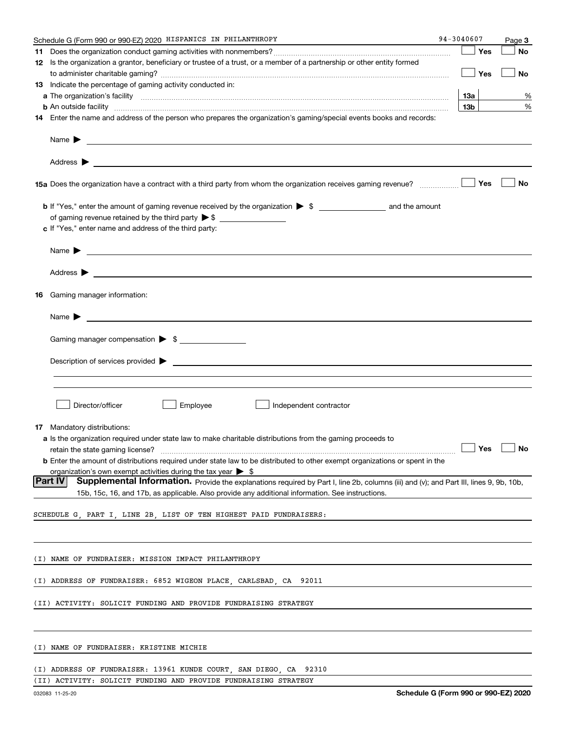|    | Schedule G (Form 990 or 990-EZ) 2020 HISPANICS IN PHILANTHROPY                                                                                    | 94-3040607      | Page 3 |
|----|---------------------------------------------------------------------------------------------------------------------------------------------------|-----------------|--------|
| 11 |                                                                                                                                                   | Yes             | No     |
|    | 12 Is the organization a grantor, beneficiary or trustee of a trust, or a member of a partnership or other entity formed                          |                 |        |
|    |                                                                                                                                                   | │ Yes           | No     |
|    | <b>13</b> Indicate the percentage of gaming activity conducted in:                                                                                |                 |        |
|    |                                                                                                                                                   | 13а             | %      |
|    |                                                                                                                                                   | 13 <sub>b</sub> | %      |
|    | 14 Enter the name and address of the person who prepares the organization's gaming/special events books and records:                              |                 |        |
|    |                                                                                                                                                   |                 |        |
|    |                                                                                                                                                   |                 |        |
|    |                                                                                                                                                   |                 |        |
|    |                                                                                                                                                   |                 | No     |
|    |                                                                                                                                                   |                 |        |
|    |                                                                                                                                                   |                 |        |
|    | c If "Yes," enter name and address of the third party:                                                                                            |                 |        |
|    | Name $\blacktriangleright$ $\_\_\_\_\_\_\_\_\_\$                                                                                                  |                 |        |
|    |                                                                                                                                                   |                 |        |
|    | 16 Gaming manager information:                                                                                                                    |                 |        |
|    | Name $\triangleright$ $\square$                                                                                                                   |                 |        |
|    |                                                                                                                                                   |                 |        |
|    | Gaming manager compensation > \$                                                                                                                  |                 |        |
|    |                                                                                                                                                   |                 |        |
|    |                                                                                                                                                   |                 |        |
|    |                                                                                                                                                   |                 |        |
|    | Director/officer<br>Employee<br>Independent contractor                                                                                            |                 |        |
|    | <b>17</b> Mandatory distributions:                                                                                                                |                 |        |
|    | a Is the organization required under state law to make charitable distributions from the gaming proceeds to                                       |                 |        |
|    | retain the state gaming license? $\Box$ No                                                                                                        |                 |        |
|    | <b>b</b> Enter the amount of distributions required under state law to be distributed to other exempt organizations or spent in the               |                 |        |
|    | organization's own exempt activities during the tax year $\triangleright$ \$                                                                      |                 |        |
|    | Part IV<br>Supplemental Information. Provide the explanations required by Part I, line 2b, columns (iii) and (v); and Part III, lines 9, 9b, 10b, |                 |        |
|    | 15b, 15c, 16, and 17b, as applicable. Also provide any additional information. See instructions.                                                  |                 |        |
|    | SCHEDULE G, PART I, LINE 2B, LIST OF TEN HIGHEST PAID FUNDRAISERS:                                                                                |                 |        |
|    |                                                                                                                                                   |                 |        |
|    | (I) NAME OF FUNDRAISER: MISSION IMPACT PHILANTHROPY                                                                                               |                 |        |
|    |                                                                                                                                                   |                 |        |
|    | (I) ADDRESS OF FUNDRAISER: 6852 WIGEON PLACE, CARLSBAD, CA 92011                                                                                  |                 |        |
|    | (II) ACTIVITY: SOLICIT FUNDING AND PROVIDE FUNDRAISING STRATEGY                                                                                   |                 |        |
|    |                                                                                                                                                   |                 |        |
|    | (I) NAME OF FUNDRAISER: KRISTINE MICHIE                                                                                                           |                 |        |
|    |                                                                                                                                                   |                 |        |
|    | (I) ADDRESS OF FUNDRAISER: 13961 KUNDE COURT, SAN DIEGO, CA 92310                                                                                 |                 |        |

|  |  |  |  |  |  | (II) ACTIVITY: SOLICIT FUNDING AND PROVIDE FUNDRAISING STRATEGY |  |  |
|--|--|--|--|--|--|-----------------------------------------------------------------|--|--|
|--|--|--|--|--|--|-----------------------------------------------------------------|--|--|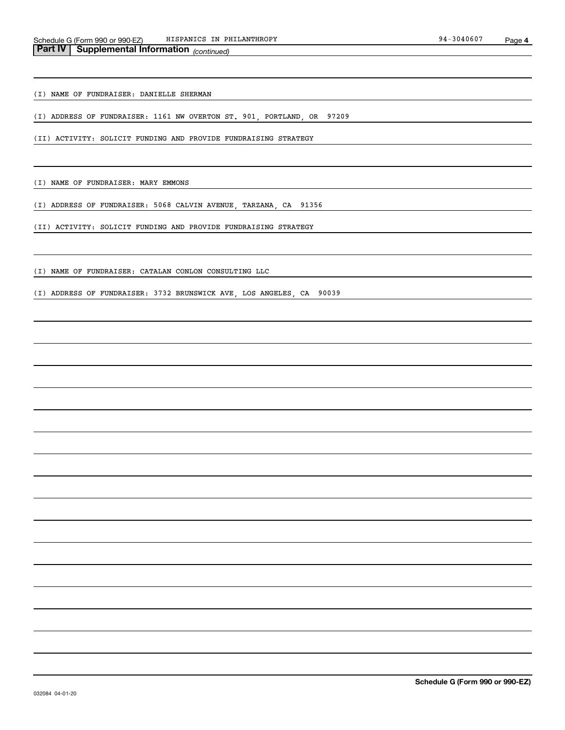(I) NAME OF FUNDRAISER: DANIELLE SHERMAN

(I) ADDRESS OF FUNDRAISER: 1161 NW OVERTON ST. 901, PORTLAND, OR 97209

(II) ACTIVITY: SOLICIT FUNDING AND PROVIDE FUNDRAISING STRATEGY

(I) NAME OF FUNDRAISER: MARY EMMONS

(I) ADDRESS OF FUNDRAISER: 5068 CALVIN AVENUE, TARZANA, CA 91356

(II) ACTIVITY: SOLICIT FUNDING AND PROVIDE FUNDRAISING STRATEGY

(I) NAME OF FUNDRAISER: CATALAN CONLON CONSULTING LLC

(I) ADDRESS OF FUNDRAISER: 3732 BRUNSWICK AVE, LOS ANGELES, CA 90039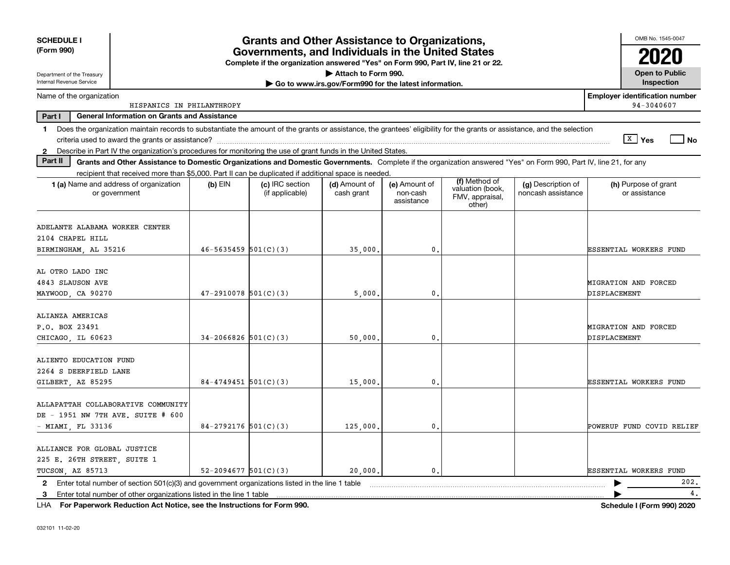| <b>SCHEDULE I</b><br>(Form 990)                                                                                                                                                |                            | <b>Grants and Other Assistance to Organizations,</b><br>Governments, and Individuals in the United States<br>Complete if the organization answered "Yes" on Form 990, Part IV, line 21 or 22. |                                                                              |                                         |                                                                |                                          | OMB No. 1545-0047                                   |
|--------------------------------------------------------------------------------------------------------------------------------------------------------------------------------|----------------------------|-----------------------------------------------------------------------------------------------------------------------------------------------------------------------------------------------|------------------------------------------------------------------------------|-----------------------------------------|----------------------------------------------------------------|------------------------------------------|-----------------------------------------------------|
| Department of the Treasury<br>Internal Revenue Service                                                                                                                         |                            |                                                                                                                                                                                               | Attach to Form 990.<br>Go to www.irs.gov/Form990 for the latest information. |                                         |                                                                |                                          | <b>Open to Public</b><br>Inspection                 |
| Name of the organization                                                                                                                                                       |                            |                                                                                                                                                                                               |                                                                              |                                         |                                                                |                                          | <b>Employer identification number</b><br>94-3040607 |
| HISPANICS IN PHILANTHROPY<br>Part I<br><b>General Information on Grants and Assistance</b>                                                                                     |                            |                                                                                                                                                                                               |                                                                              |                                         |                                                                |                                          |                                                     |
| Does the organization maintain records to substantiate the amount of the grants or assistance, the grantees' eligibility for the grants or assistance, and the selection<br>1. |                            |                                                                                                                                                                                               |                                                                              |                                         |                                                                |                                          |                                                     |
|                                                                                                                                                                                |                            |                                                                                                                                                                                               |                                                                              |                                         |                                                                |                                          | $X \mid Y$ es<br><b>No</b>                          |
| 2 Describe in Part IV the organization's procedures for monitoring the use of grant funds in the United States.                                                                |                            |                                                                                                                                                                                               |                                                                              |                                         |                                                                |                                          |                                                     |
| Part II<br>Grants and Other Assistance to Domestic Organizations and Domestic Governments. Complete if the organization answered "Yes" on Form 990, Part IV, line 21, for any  |                            |                                                                                                                                                                                               |                                                                              |                                         |                                                                |                                          |                                                     |
| recipient that received more than \$5,000. Part II can be duplicated if additional space is needed.<br>1 (a) Name and address of organization<br>or government                 | $(b)$ EIN                  | (c) IRC section<br>(if applicable)                                                                                                                                                            | (d) Amount of<br>cash grant                                                  | (e) Amount of<br>non-cash<br>assistance | (f) Method of<br>valuation (book,<br>FMV, appraisal,<br>other) | (g) Description of<br>noncash assistance | (h) Purpose of grant<br>or assistance               |
| ADELANTE ALABAMA WORKER CENTER<br>2104 CHAPEL HILL<br>BIRMINGHAM, AL 35216                                                                                                     | $46 - 5635459$ $501(C)(3)$ |                                                                                                                                                                                               | 35,000                                                                       | 0.                                      |                                                                |                                          | ESSENTIAL WORKERS FUND                              |
| AL OTRO LADO INC<br>4843 SLAUSON AVE<br>MAYWOOD, CA 90270                                                                                                                      | $47 - 2910078$ 501(C)(3)   |                                                                                                                                                                                               | 5,000                                                                        | $\mathbf{0}$ .                          |                                                                |                                          | MIGRATION AND FORCED<br>DISPLACEMENT                |
| ALIANZA AMERICAS<br>P.O. BOX 23491<br>CHICAGO LL 60623                                                                                                                         | $34-2066826$ 501(C)(3)     |                                                                                                                                                                                               | 50,000                                                                       | 0.                                      |                                                                |                                          | MIGRATION AND FORCED<br>DISPLACEMENT                |
| ALIENTO EDUCATION FUND<br>2264 S DEERFIELD LANE<br>GILBERT AZ 85295                                                                                                            | $84 - 4749451$ 501(C)(3)   |                                                                                                                                                                                               | 15,000                                                                       | 0.                                      |                                                                |                                          | ESSENTIAL WORKERS FUND                              |
| ALLAPATTAH COLLABORATIVE COMMUNITY<br>DE - 1951 NW 7TH AVE. SUITE # 600<br>MIAMI, FL 33136                                                                                     | 84-2792176 $501(C)(3)$     |                                                                                                                                                                                               | 125,000                                                                      | 0.                                      |                                                                |                                          | POWERUP FUND COVID RELIEF                           |
| ALLIANCE FOR GLOBAL JUSTICE<br>225 E. 26TH STREET, SUITE 1<br>TUCSON, AZ 85713                                                                                                 | $52 - 2094677$ $501(C)(3)$ |                                                                                                                                                                                               | 20,000                                                                       | $\mathbf{0}$ .                          |                                                                |                                          | ESSENTIAL WORKERS FUND                              |
| Enter total number of section $501(c)(3)$ and government organizations listed in the line 1 table<br>$\mathbf{2}$                                                              |                            |                                                                                                                                                                                               |                                                                              |                                         |                                                                |                                          | 202.                                                |
| Enter total number of other organizations listed in the line 1 table<br>3                                                                                                      |                            |                                                                                                                                                                                               |                                                                              |                                         |                                                                |                                          | 4.                                                  |

**For Paperwork Reduction Act Notice, see the Instructions for Form 990. Schedule I (Form 990) 2020** LHA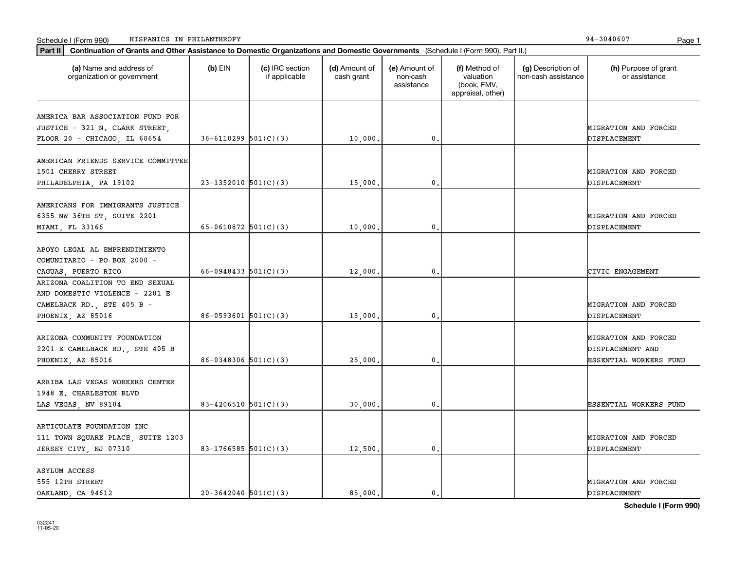| Part II                                                                                                              | Continuation of Grants and Other Assistance to Domestic Organizations and Domestic Governments (Schedule I (Form 990), Part II.) |                                  |                             |                                         |                                                                |                                           |                                                                    |  |  |  |
|----------------------------------------------------------------------------------------------------------------------|----------------------------------------------------------------------------------------------------------------------------------|----------------------------------|-----------------------------|-----------------------------------------|----------------------------------------------------------------|-------------------------------------------|--------------------------------------------------------------------|--|--|--|
| (a) Name and address of<br>organization or government                                                                | $(b)$ EIN                                                                                                                        | (c) IRC section<br>if applicable | (d) Amount of<br>cash grant | (e) Amount of<br>non-cash<br>assistance | (f) Method of<br>valuation<br>(book, FMV,<br>appraisal, other) | (g) Description of<br>non-cash assistance | (h) Purpose of grant<br>or assistance                              |  |  |  |
| AMERICA BAR ASSOCIATION FUND FOR<br>JUSTICE - 321 N. CLARK STREET,<br>FLOOR 20 - CHICAGO, IL 60654                   | $36 - 6110299$ $501(C)(3)$                                                                                                       |                                  | 10,000.                     | 0.                                      |                                                                |                                           | MIGRATION AND FORCED<br>DISPLACEMENT                               |  |  |  |
| AMERICAN FRIENDS SERVICE COMMITTEE<br>1501 CHERRY STREET<br>PHILADELPHIA, PA 19102                                   | $23-1352010$ 501(C)(3)                                                                                                           |                                  | 15,000.                     | 0.                                      |                                                                |                                           | MIGRATION AND FORCED<br>DISPLACEMENT                               |  |  |  |
| AMERICANS FOR IMMIGRANTS JUSTICE<br>6355 NW 36TH ST, SUITE 2201<br>MIAMI, FL 33166                                   | 65-0610872 $501(C)(3)$                                                                                                           |                                  | 10,000                      | $\mathbf{0}$                            |                                                                |                                           | MIGRATION AND FORCED<br>DISPLACEMENT                               |  |  |  |
| APOYO LEGAL AL EMPRENDIMIENTO<br>COMUNITARIO - PO BOX 2000 -<br>CAGUAS, PUERTO RICO                                  | 66-0948433 $501(C)(3)$                                                                                                           |                                  | 12,000.                     | 0.                                      |                                                                |                                           | CIVIC ENGAGEMENT                                                   |  |  |  |
| ARIZONA COALITION TO END SEXUAL<br>AND DOMESTIC VIOLENCE - 2201 E<br>CAMELBACK RD., STE 405 B -<br>PHOENIX, AZ 85016 | $86 - 0593601$ $501(C)(3)$                                                                                                       |                                  | 15,000.                     | 0.                                      |                                                                |                                           | MIGRATION AND FORCED<br>DISPLACEMENT                               |  |  |  |
| ARIZONA COMMUNITY FOUNDATION<br>2201 E CAMELBACK RD., STE 405 B<br>PHOENIX, AZ 85016                                 | $86-0348306$ 501(C)(3)                                                                                                           |                                  | 25,000                      | $\mathbf{0}$                            |                                                                |                                           | MIGRATION AND FORCED<br>DISPLACEMENT AND<br>ESSENTIAL WORKERS FUND |  |  |  |
| ARRIBA LAS VEGAS WORKERS CENTER<br>1948 E. CHARLESTON BLVD<br>LAS VEGAS, NV 89104                                    | 83-4206510 $501(C)(3)$                                                                                                           |                                  | 30,000.                     | 0.                                      |                                                                |                                           | ESSENTIAL WORKERS FUND                                             |  |  |  |
| ARTICULATE FOUNDATION INC<br>111 TOWN SQUARE PLACE, SUITE 1203<br>JERSEY CITY, NJ 07310                              | 83-1766585 $501(C)(3)$                                                                                                           |                                  | 12,500.                     | 0.                                      |                                                                |                                           | MIGRATION AND FORCED<br>DISPLACEMENT                               |  |  |  |
| <b>ASYLUM ACCESS</b><br>555 12TH STREET<br>OAKLAND, CA 94612                                                         | $20-3642040$ 501(C)(3)                                                                                                           |                                  | 85.000.                     | $\mathbf{0}$                            |                                                                |                                           | MIGRATION AND FORCED<br>DISPLACEMENT                               |  |  |  |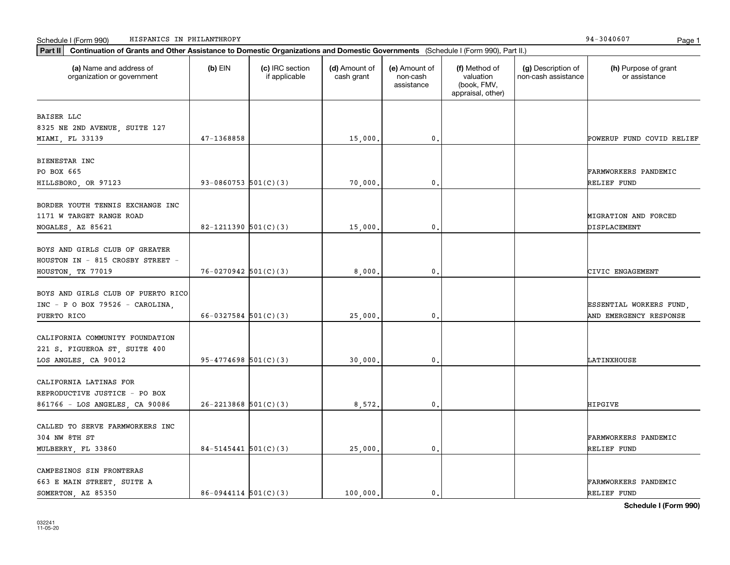| Part II   Continuation of Grants and Other Assistance to Domestic Organizations and Domestic Governments (Schedule I (Form 990), Part II.) |                          |                                  |                             |                                         |                                                                |                                           |                                       |
|--------------------------------------------------------------------------------------------------------------------------------------------|--------------------------|----------------------------------|-----------------------------|-----------------------------------------|----------------------------------------------------------------|-------------------------------------------|---------------------------------------|
| (a) Name and address of<br>organization or government                                                                                      | $(b)$ EIN                | (c) IRC section<br>if applicable | (d) Amount of<br>cash grant | (e) Amount of<br>non-cash<br>assistance | (f) Method of<br>valuation<br>(book, FMV,<br>appraisal, other) | (g) Description of<br>non-cash assistance | (h) Purpose of grant<br>or assistance |
| BAISER LLC                                                                                                                                 |                          |                                  |                             |                                         |                                                                |                                           |                                       |
| 8325 NE 2ND AVENUE, SUITE 127                                                                                                              |                          |                                  |                             |                                         |                                                                |                                           |                                       |
| MIAMI, FL 33139                                                                                                                            | 47-1368858               |                                  | 15,000.                     | 0.                                      |                                                                |                                           | POWERUP FUND COVID RELIEF             |
|                                                                                                                                            |                          |                                  |                             |                                         |                                                                |                                           |                                       |
| BIENESTAR INC                                                                                                                              |                          |                                  |                             |                                         |                                                                |                                           |                                       |
| PO BOX 665                                                                                                                                 |                          |                                  |                             |                                         |                                                                |                                           | FARMWORKERS PANDEMIC                  |
| HILLSBORO, OR 97123                                                                                                                        | 93-0860753 $501(C)(3)$   |                                  | 70,000                      | 0.                                      |                                                                |                                           | RELIEF FUND                           |
| BORDER YOUTH TENNIS EXCHANGE INC                                                                                                           |                          |                                  |                             |                                         |                                                                |                                           |                                       |
| 1171 W TARGET RANGE ROAD                                                                                                                   |                          |                                  |                             |                                         |                                                                |                                           | MIGRATION AND FORCED                  |
| NOGALES, AZ 85621                                                                                                                          | 82-1211390 $501(C)(3)$   |                                  | 15,000.                     | $\mathbf{0}$ .                          |                                                                |                                           | DISPLACEMENT                          |
|                                                                                                                                            |                          |                                  |                             |                                         |                                                                |                                           |                                       |
| BOYS AND GIRLS CLUB OF GREATER                                                                                                             |                          |                                  |                             |                                         |                                                                |                                           |                                       |
| HOUSTON IN - 815 CROSBY STREET -                                                                                                           |                          |                                  |                             |                                         |                                                                |                                           |                                       |
| HOUSTON, TX 77019                                                                                                                          | $76 - 0270942$ 501(C)(3) |                                  | 8,000,                      | 0.                                      |                                                                |                                           | CIVIC ENGAGEMENT                      |
|                                                                                                                                            |                          |                                  |                             |                                         |                                                                |                                           |                                       |
| BOYS AND GIRLS CLUB OF PUERTO RICO                                                                                                         |                          |                                  |                             |                                         |                                                                |                                           |                                       |
| $INC - P O BOX 79526 - CAROLINA,$                                                                                                          |                          |                                  |                             |                                         |                                                                |                                           | ESSENTIAL WORKERS FUND,               |
| PUERTO RICO                                                                                                                                | $66 - 0327584$ 501(C)(3) |                                  | 25,000,                     | 0.                                      |                                                                |                                           | AND EMERGENCY RESPONSE                |
| CALIFORNIA COMMUNITY FOUNDATION                                                                                                            |                          |                                  |                             |                                         |                                                                |                                           |                                       |
| 221 S. FIGUEROA ST, SUITE 400                                                                                                              |                          |                                  |                             |                                         |                                                                |                                           |                                       |
| LOS ANGLES, CA 90012                                                                                                                       | $95 - 4774698$ 501(C)(3) |                                  | 30,000.                     | 0.                                      |                                                                |                                           | LATINXHOUSE                           |
|                                                                                                                                            |                          |                                  |                             |                                         |                                                                |                                           |                                       |
| CALIFORNIA LATINAS FOR                                                                                                                     |                          |                                  |                             |                                         |                                                                |                                           |                                       |
| REPRODUCTIVE JUSTICE - PO BOX                                                                                                              |                          |                                  |                             |                                         |                                                                |                                           |                                       |
| 861766 - LOS ANGELES, CA 90086                                                                                                             | $26 - 2213868$ 501(C)(3) |                                  | 8,572.                      | $\mathbf{0}$ .                          |                                                                |                                           | HIPGIVE                               |
|                                                                                                                                            |                          |                                  |                             |                                         |                                                                |                                           |                                       |
| CALLED TO SERVE FARMWORKERS INC<br>304 NW 8TH ST                                                                                           |                          |                                  |                             |                                         |                                                                |                                           | FARMWORKERS PANDEMIC                  |
| MULBERRY, FL 33860                                                                                                                         | $84 - 5145441$ 501(C)(3) |                                  | 25,000.                     | 0.                                      |                                                                |                                           | RELIEF FUND                           |
|                                                                                                                                            |                          |                                  |                             |                                         |                                                                |                                           |                                       |
| CAMPESINOS SIN FRONTERAS                                                                                                                   |                          |                                  |                             |                                         |                                                                |                                           |                                       |
| 663 E MAIN STREET, SUITE A                                                                                                                 |                          |                                  |                             |                                         |                                                                |                                           | FARMWORKERS PANDEMIC                  |
| SOMERTON, AZ 85350                                                                                                                         | $86-0944114$ $501(C)(3)$ |                                  | 100,000.                    | $\mathbf{0}$ .                          |                                                                |                                           | RELIEF FUND                           |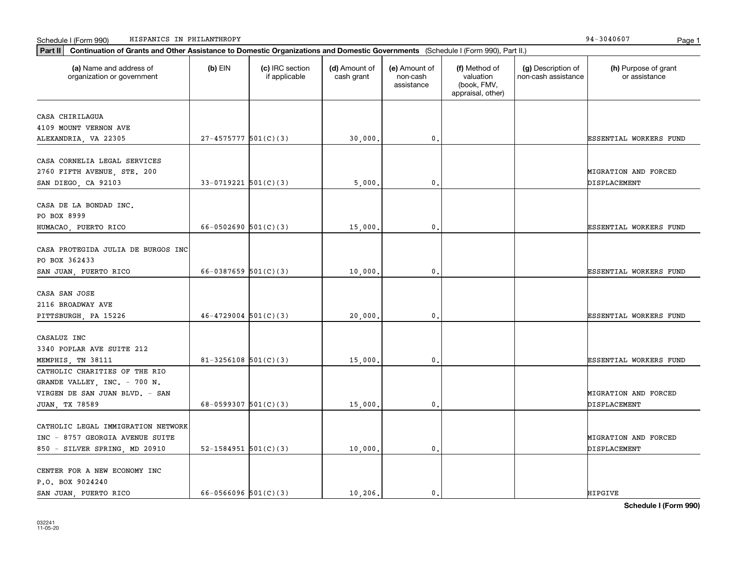| Continuation of Grants and Other Assistance to Domestic Organizations and Domestic Governments (Schedule I (Form 990), Part II.)<br>Part II |                            |                                  |                             |                                         |                                                                |                                           |                                       |
|---------------------------------------------------------------------------------------------------------------------------------------------|----------------------------|----------------------------------|-----------------------------|-----------------------------------------|----------------------------------------------------------------|-------------------------------------------|---------------------------------------|
| (a) Name and address of<br>organization or government                                                                                       | (b) EIN                    | (c) IRC section<br>if applicable | (d) Amount of<br>cash grant | (e) Amount of<br>non-cash<br>assistance | (f) Method of<br>valuation<br>(book, FMV,<br>appraisal, other) | (g) Description of<br>non-cash assistance | (h) Purpose of grant<br>or assistance |
| CASA CHIRILAGUA                                                                                                                             |                            |                                  |                             |                                         |                                                                |                                           |                                       |
| 4109 MOUNT VERNON AVE                                                                                                                       |                            |                                  |                             |                                         |                                                                |                                           |                                       |
| ALEXANDRIA, VA 22305                                                                                                                        | $27-4575777$ 501(C)(3)     |                                  | 30,000.                     | 0.                                      |                                                                |                                           | ESSENTIAL WORKERS FUND                |
|                                                                                                                                             |                            |                                  |                             |                                         |                                                                |                                           |                                       |
| CASA CORNELIA LEGAL SERVICES                                                                                                                |                            |                                  |                             |                                         |                                                                |                                           |                                       |
| 2760 FIFTH AVENUE, STE. 200                                                                                                                 |                            |                                  |                             |                                         |                                                                |                                           | MIGRATION AND FORCED                  |
| SAN DIEGO, CA 92103                                                                                                                         | $33-0719221$ 501(C)(3)     |                                  | 5,000.                      | 0.                                      |                                                                |                                           | DISPLACEMENT                          |
|                                                                                                                                             |                            |                                  |                             |                                         |                                                                |                                           |                                       |
| CASA DE LA BONDAD INC.                                                                                                                      |                            |                                  |                             |                                         |                                                                |                                           |                                       |
| PO BOX 8999                                                                                                                                 |                            |                                  |                             |                                         |                                                                |                                           |                                       |
| HUMACAO, PUERTO RICO                                                                                                                        | $66 - 0502690$ $501(C)(3)$ |                                  | 15,000.                     | 0.                                      |                                                                |                                           | ESSENTIAL WORKERS FUND                |
|                                                                                                                                             |                            |                                  |                             |                                         |                                                                |                                           |                                       |
| CASA PROTEGIDA JULIA DE BURGOS INC                                                                                                          |                            |                                  |                             |                                         |                                                                |                                           |                                       |
| PO BOX 362433                                                                                                                               |                            |                                  |                             |                                         |                                                                |                                           |                                       |
| SAN JUAN, PUERTO RICO                                                                                                                       | 66-0387659 $501(C)(3)$     |                                  | 10,000.                     | 0.                                      |                                                                |                                           | <b>ESSENTIAL WORKERS FUND</b>         |
|                                                                                                                                             |                            |                                  |                             |                                         |                                                                |                                           |                                       |
| CASA SAN JOSE                                                                                                                               |                            |                                  |                             |                                         |                                                                |                                           |                                       |
| 2116 BROADWAY AVE                                                                                                                           |                            |                                  |                             |                                         |                                                                |                                           |                                       |
| PITTSBURGH, PA 15226                                                                                                                        | $46 - 4729004$ 501(C)(3)   |                                  | 20,000.                     | 0.                                      |                                                                |                                           | ESSENTIAL WORKERS FUND                |
|                                                                                                                                             |                            |                                  |                             |                                         |                                                                |                                           |                                       |
| CASALUZ INC                                                                                                                                 |                            |                                  |                             |                                         |                                                                |                                           |                                       |
| 3340 POPLAR AVE SUITE 212                                                                                                                   |                            |                                  |                             |                                         |                                                                |                                           |                                       |
| MEMPHIS, TN 38111                                                                                                                           | 81-3256108 $501(C)(3)$     |                                  | 15,000.                     | 0.                                      |                                                                |                                           | ESSENTIAL WORKERS FUND                |
| CATHOLIC CHARITIES OF THE RIO                                                                                                               |                            |                                  |                             |                                         |                                                                |                                           |                                       |
| GRANDE VALLEY, INC. - 700 N.                                                                                                                |                            |                                  |                             |                                         |                                                                |                                           |                                       |
| VIRGEN DE SAN JUAN BLVD. - SAN                                                                                                              |                            |                                  |                             |                                         |                                                                |                                           | MIGRATION AND FORCED                  |
| JUAN, TX 78589                                                                                                                              | 68-0599307 $501(C)(3)$     |                                  | 15,000.                     | 0.                                      |                                                                |                                           | DISPLACEMENT                          |
|                                                                                                                                             |                            |                                  |                             |                                         |                                                                |                                           |                                       |
| CATHOLIC LEGAL IMMIGRATION NETWORK                                                                                                          |                            |                                  |                             |                                         |                                                                |                                           |                                       |
| INC - 8757 GEORGIA AVENUE SUITE                                                                                                             |                            |                                  |                             |                                         |                                                                |                                           | MIGRATION AND FORCED                  |
| 850 - SILVER SPRING, MD 20910                                                                                                               | 52-1584951 $501(C)(3)$     |                                  | 10,000.                     | 0.                                      |                                                                |                                           | DISPLACEMENT                          |
|                                                                                                                                             |                            |                                  |                             |                                         |                                                                |                                           |                                       |
| CENTER FOR A NEW ECONOMY INC                                                                                                                |                            |                                  |                             |                                         |                                                                |                                           |                                       |
| P.O. BOX 9024240<br>SAN JUAN, PUERTO RICO                                                                                                   | 66-0566096 $501(C)(3)$     |                                  | 10, 206.                    | 0.                                      |                                                                |                                           | <b>HIPGIVE</b>                        |
|                                                                                                                                             |                            |                                  |                             |                                         |                                                                |                                           |                                       |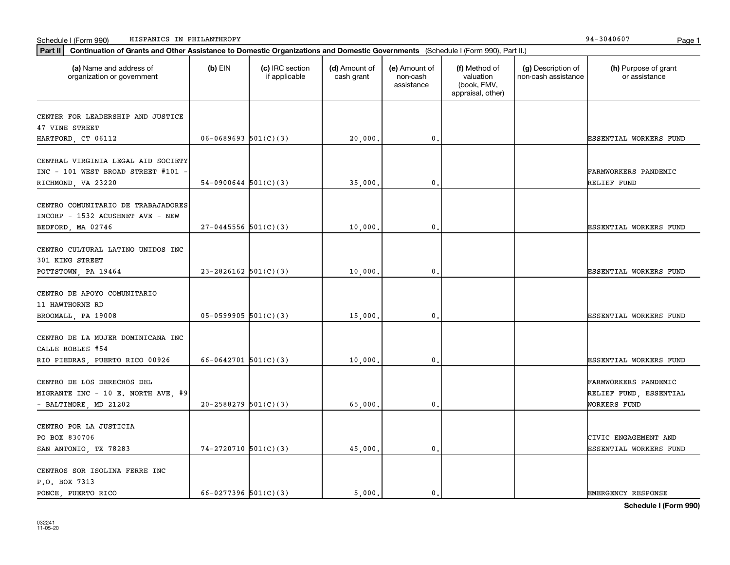| Part II   Continuation of Grants and Other Assistance to Domestic Organizations and Domestic Governments (Schedule I (Form 990), Part II.) |                          |                                  |                             |                                         |                                                                |                                           |                                                |
|--------------------------------------------------------------------------------------------------------------------------------------------|--------------------------|----------------------------------|-----------------------------|-----------------------------------------|----------------------------------------------------------------|-------------------------------------------|------------------------------------------------|
| (a) Name and address of<br>organization or government                                                                                      | $(b)$ EIN                | (c) IRC section<br>if applicable | (d) Amount of<br>cash grant | (e) Amount of<br>non-cash<br>assistance | (f) Method of<br>valuation<br>(book, FMV,<br>appraisal, other) | (g) Description of<br>non-cash assistance | (h) Purpose of grant<br>or assistance          |
| CENTER FOR LEADERSHIP AND JUSTICE                                                                                                          |                          |                                  |                             |                                         |                                                                |                                           |                                                |
| 47 VINE STREET                                                                                                                             |                          |                                  |                             |                                         |                                                                |                                           |                                                |
| HARTFORD, CT 06112                                                                                                                         | $06 - 0689693$ 501(C)(3) |                                  | 20,000.                     | 0.                                      |                                                                |                                           | ESSENTIAL WORKERS FUND                         |
|                                                                                                                                            |                          |                                  |                             |                                         |                                                                |                                           |                                                |
| CENTRAL VIRGINIA LEGAL AID SOCIETY                                                                                                         |                          |                                  |                             |                                         |                                                                |                                           |                                                |
| INC - 101 WEST BROAD STREET #101                                                                                                           |                          |                                  |                             |                                         |                                                                |                                           | FARMWORKERS PANDEMIC                           |
| RICHMOND, VA 23220                                                                                                                         | $54-0900644$ 501(C)(3)   |                                  | 35,000                      | 0.                                      |                                                                |                                           | RELIEF FUND                                    |
|                                                                                                                                            |                          |                                  |                             |                                         |                                                                |                                           |                                                |
| CENTRO COMUNITARIO DE TRABAJADORES                                                                                                         |                          |                                  |                             |                                         |                                                                |                                           |                                                |
| INCORP - 1532 ACUSHNET AVE - NEW                                                                                                           |                          |                                  |                             |                                         |                                                                |                                           |                                                |
| BEDFORD, MA 02746                                                                                                                          | $27-0445556$ 501(C)(3)   |                                  | 10,000.                     | $\mathbf{0}$ .                          |                                                                |                                           | <b>ESSENTIAL WORKERS FUND</b>                  |
| CENTRO CULTURAL LATINO UNIDOS INC                                                                                                          |                          |                                  |                             |                                         |                                                                |                                           |                                                |
| 301 KING STREET                                                                                                                            |                          |                                  |                             |                                         |                                                                |                                           |                                                |
| POTTSTOWN, PA 19464                                                                                                                        | $23 - 2826162$ 501(C)(3) |                                  | 10,000                      | $\mathbf{0}$ .                          |                                                                |                                           | ESSENTIAL WORKERS FUND                         |
|                                                                                                                                            |                          |                                  |                             |                                         |                                                                |                                           |                                                |
| CENTRO DE APOYO COMUNITARIO                                                                                                                |                          |                                  |                             |                                         |                                                                |                                           |                                                |
| 11 HAWTHORNE RD                                                                                                                            |                          |                                  |                             |                                         |                                                                |                                           |                                                |
| BROOMALL, PA 19008                                                                                                                         | $05-0599905$ 501(C)(3)   |                                  | 15,000.                     | $\mathbf{0}$ .                          |                                                                |                                           | ESSENTIAL WORKERS FUND                         |
|                                                                                                                                            |                          |                                  |                             |                                         |                                                                |                                           |                                                |
| CENTRO DE LA MUJER DOMINICANA INC                                                                                                          |                          |                                  |                             |                                         |                                                                |                                           |                                                |
| CALLE ROBLES #54                                                                                                                           |                          |                                  |                             |                                         |                                                                |                                           |                                                |
| RIO PIEDRAS, PUERTO RICO 00926                                                                                                             | 66-0642701 $501(C)(3)$   |                                  | 10,000                      | 0.                                      |                                                                |                                           | ESSENTIAL WORKERS FUND                         |
| CENTRO DE LOS DERECHOS DEL                                                                                                                 |                          |                                  |                             |                                         |                                                                |                                           |                                                |
| MIGRANTE INC - 10 E. NORTH AVE, #9                                                                                                         |                          |                                  |                             |                                         |                                                                |                                           | FARMWORKERS PANDEMIC<br>RELIEF FUND, ESSENTIAL |
| - BALTIMORE, MD 21202                                                                                                                      | $20 - 2588279$ 501(C)(3) |                                  | 65,000.                     | 0.                                      |                                                                |                                           | WORKERS FUND                                   |
|                                                                                                                                            |                          |                                  |                             |                                         |                                                                |                                           |                                                |
| CENTRO POR LA JUSTICIA                                                                                                                     |                          |                                  |                             |                                         |                                                                |                                           |                                                |
| PO BOX 830706                                                                                                                              |                          |                                  |                             |                                         |                                                                |                                           | CIVIC ENGAGEMENT AND                           |
| SAN ANTONIO, TX 78283                                                                                                                      | $74-2720710$ 501(C)(3)   |                                  | 45,000.                     | 0.                                      |                                                                |                                           | ESSENTIAL WORKERS FUND                         |
|                                                                                                                                            |                          |                                  |                             |                                         |                                                                |                                           |                                                |
| CENTROS SOR ISOLINA FERRE INC                                                                                                              |                          |                                  |                             |                                         |                                                                |                                           |                                                |
| P.O. BOX 7313                                                                                                                              |                          |                                  |                             |                                         |                                                                |                                           |                                                |
| PONCE PUERTO RICO                                                                                                                          | $66 - 0277396$ 501(C)(3) |                                  | 5000.                       | $\mathbf{0}$ .                          |                                                                |                                           | <b>EMERGENCY RESPONSE</b>                      |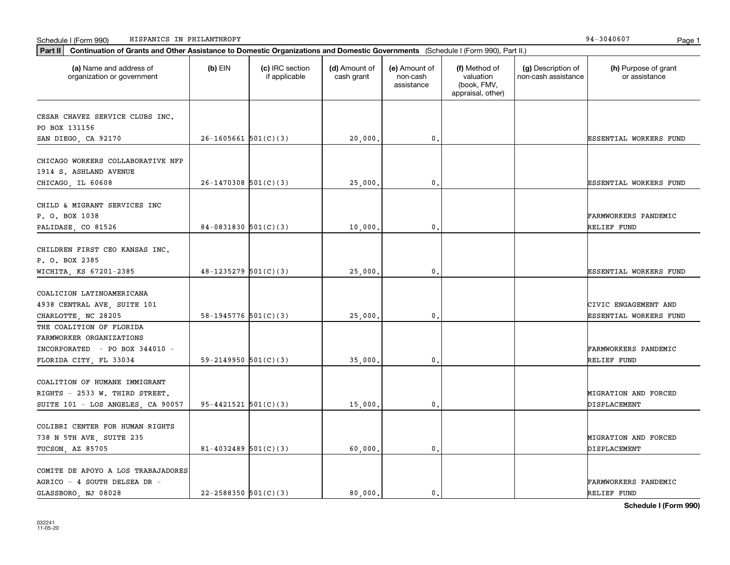| Continuation of Grants and Other Assistance to Domestic Organizations and Domestic Governments (Schedule I (Form 990), Part II.)<br>Part II |                            |                                  |                             |                                         |                                                                |                                           |                                                |
|---------------------------------------------------------------------------------------------------------------------------------------------|----------------------------|----------------------------------|-----------------------------|-----------------------------------------|----------------------------------------------------------------|-------------------------------------------|------------------------------------------------|
| (a) Name and address of<br>organization or government                                                                                       | $(b)$ EIN                  | (c) IRC section<br>if applicable | (d) Amount of<br>cash grant | (e) Amount of<br>non-cash<br>assistance | (f) Method of<br>valuation<br>(book, FMV,<br>appraisal, other) | (g) Description of<br>non-cash assistance | (h) Purpose of grant<br>or assistance          |
| CESAR CHAVEZ SERVICE CLUBS INC.<br>PO BOX 131156<br>SAN DIEGO, CA 92170                                                                     | $26-1605661$ 501(C)(3)     |                                  | 20,000.                     | $^{\rm 0}$ .                            |                                                                |                                           | ESSENTIAL WORKERS FUND                         |
| CHICAGO WORKERS COLLABORATIVE NFP<br>1914 S. ASHLAND AVENUE<br>CHICAGO, IL 60608                                                            | $26-1470308$ 501(C)(3)     |                                  | 25,000                      | $\mathbf{0}$ .                          |                                                                |                                           | ESSENTIAL WORKERS FUND                         |
| CHILD & MIGRANT SERVICES INC<br>P. O. BOX 1038<br>PALIDASE, CO 81526                                                                        | $84-0831830$ 501(C)(3)     |                                  | 10,000                      | $\mathbf{0}$ .                          |                                                                |                                           | FARMWORKERS PANDEMIC<br>RELIEF FUND            |
| CHILDREN FIRST CEO KANSAS INC.<br>P. O. BOX 2385<br>WICHITA, KS 67201-2385                                                                  | $48-1235279$ 501(C)(3)     |                                  | 25,000.                     | 0.                                      |                                                                |                                           | ESSENTIAL WORKERS FUND                         |
| COALICION LATINOAMERICANA<br>4938 CENTRAL AVE, SUITE 101<br>CHARLOTTE, NC 28205                                                             | $58-1945776$ $501(C)(3)$   |                                  | 25,000                      | $\mathbf{0}$ .                          |                                                                |                                           | CIVIC ENGAGEMENT AND<br>ESSENTIAL WORKERS FUND |
| THE COALITION OF FLORIDA<br>FARMWORKER ORGANIZATIONS<br>INCORPORATED - PO BOX 344010 -<br>FLORIDA CITY, FL 33034                            | 59-2149950 $501(C)(3)$     |                                  | 35,000                      | $\mathbf{0}$ .                          |                                                                |                                           | FARMWORKERS PANDEMIC<br>RELIEF FUND            |
| COALITION OF HUMANE IMMIGRANT<br>RIGHTS - 2533 W. THIRD STREET.<br>SUITE 101 - LOS ANGELES, CA 90057                                        | $95 - 4421521$ $501(C)(3)$ |                                  | 15,000                      | 0.                                      |                                                                |                                           | MIGRATION AND FORCED<br>DISPLACEMENT           |
| COLIBRI CENTER FOR HUMAN RIGHTS<br>738 N 5TH AVE, SUITE 235<br>TUCSON, AZ 85705                                                             | $81 - 4032489$ 501(C)(3)   |                                  | 60,000,                     | $\mathbf{0}$ .                          |                                                                |                                           | MIGRATION AND FORCED<br>DISPLACEMENT           |
| COMITE DE APOYO A LOS TRABAJADORES<br>AGRICO - 4 SOUTH DELSEA DR -<br>GLASSBORO, NJ 08028                                                   | $22 - 2588350$ 501(C)(3)   |                                  | 80.000.                     | $\mathbf{0}$ .                          |                                                                |                                           | FARMWORKERS PANDEMIC<br>RELIEF FUND            |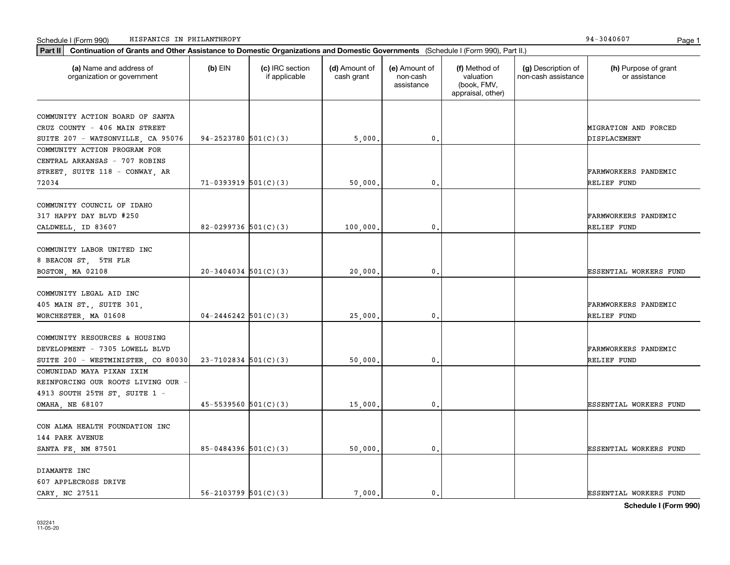| Part II   Continuation of Grants and Other Assistance to Domestic Organizations and Domestic Governments (Schedule I (Form 990), Part II.) |                            |                                  |                             |                                         |                                                                |                                           |                                       |
|--------------------------------------------------------------------------------------------------------------------------------------------|----------------------------|----------------------------------|-----------------------------|-----------------------------------------|----------------------------------------------------------------|-------------------------------------------|---------------------------------------|
| (a) Name and address of<br>organization or government                                                                                      | $(b)$ EIN                  | (c) IRC section<br>if applicable | (d) Amount of<br>cash grant | (e) Amount of<br>non-cash<br>assistance | (f) Method of<br>valuation<br>(book, FMV,<br>appraisal, other) | (g) Description of<br>non-cash assistance | (h) Purpose of grant<br>or assistance |
| COMMUNITY ACTION BOARD OF SANTA                                                                                                            |                            |                                  |                             |                                         |                                                                |                                           |                                       |
| CRUZ COUNTY - 406 MAIN STREET                                                                                                              |                            |                                  |                             |                                         |                                                                |                                           | MIGRATION AND FORCED                  |
| SUITE 207 - WATSONVILLE, CA 95076                                                                                                          | 94-2523780 $501(C)(3)$     |                                  | 5,000.                      | 0.                                      |                                                                |                                           | DISPLACEMENT                          |
| COMMUNITY ACTION PROGRAM FOR                                                                                                               |                            |                                  |                             |                                         |                                                                |                                           |                                       |
| CENTRAL ARKANSAS - 707 ROBINS                                                                                                              |                            |                                  |                             |                                         |                                                                |                                           |                                       |
| STREET, SUITE 118 - CONWAY, AR                                                                                                             |                            |                                  |                             |                                         |                                                                |                                           | <b>FARMWORKERS PANDEMIC</b>           |
| 72034                                                                                                                                      | $71-0393919$ $501(C)(3)$   |                                  | 50,000                      | 0.                                      |                                                                |                                           | RELIEF FUND                           |
|                                                                                                                                            |                            |                                  |                             |                                         |                                                                |                                           |                                       |
| COMMUNITY COUNCIL OF IDAHO                                                                                                                 |                            |                                  |                             |                                         |                                                                |                                           |                                       |
| 317 HAPPY DAY BLVD #250                                                                                                                    |                            |                                  |                             |                                         |                                                                |                                           | FARMWORKERS PANDEMIC                  |
| CALDWELL, ID 83607                                                                                                                         | 82-0299736 $501(C)(3)$     |                                  | 100,000.                    | 0.                                      |                                                                |                                           | RELIEF FUND                           |
|                                                                                                                                            |                            |                                  |                             |                                         |                                                                |                                           |                                       |
| COMMUNITY LABOR UNITED INC                                                                                                                 |                            |                                  |                             |                                         |                                                                |                                           |                                       |
| 8 BEACON ST, 5TH FLR                                                                                                                       |                            |                                  |                             |                                         |                                                                |                                           |                                       |
| BOSTON, MA 02108                                                                                                                           | $20-3404034$ 501(C)(3)     |                                  | 20,000.                     | 0.                                      |                                                                |                                           | <b>ESSENTIAL WORKERS FUND</b>         |
|                                                                                                                                            |                            |                                  |                             |                                         |                                                                |                                           |                                       |
| COMMUNITY LEGAL AID INC                                                                                                                    |                            |                                  |                             |                                         |                                                                |                                           |                                       |
| 405 MAIN ST., SUITE 301,                                                                                                                   |                            |                                  |                             |                                         |                                                                |                                           | FARMWORKERS PANDEMIC                  |
| WORCHESTER, MA 01608                                                                                                                       | $04 - 2446242$ 501(C)(3)   |                                  | 25,000                      | 0.                                      |                                                                |                                           | RELIEF FUND                           |
|                                                                                                                                            |                            |                                  |                             |                                         |                                                                |                                           |                                       |
| COMMUNITY RESOURCES & HOUSING                                                                                                              |                            |                                  |                             |                                         |                                                                |                                           |                                       |
| DEVELOPMENT - 7305 LOWELL BLVD                                                                                                             |                            |                                  |                             |                                         |                                                                |                                           | <b>FARMWORKERS PANDEMIC</b>           |
| SUITE 200 - WESTMINISTER, CO 80030                                                                                                         | $23 - 7102834$ 501(C)(3)   |                                  | 50,000.                     | 0.                                      |                                                                |                                           | RELIEF FUND                           |
| COMUNIDAD MAYA PIXAN IXIM                                                                                                                  |                            |                                  |                             |                                         |                                                                |                                           |                                       |
| REINFORCING OUR ROOTS LIVING OUR                                                                                                           |                            |                                  |                             |                                         |                                                                |                                           |                                       |
| 4913 SOUTH 25TH ST, SUITE 1 -                                                                                                              |                            |                                  |                             |                                         |                                                                |                                           |                                       |
| OMAHA, NE 68107                                                                                                                            | $45 - 5539560$ $501(C)(3)$ |                                  | 15,000.                     | 0.                                      |                                                                |                                           | <b>ESSENTIAL WORKERS FUND</b>         |
|                                                                                                                                            |                            |                                  |                             |                                         |                                                                |                                           |                                       |
| CON ALMA HEALTH FOUNDATION INC                                                                                                             |                            |                                  |                             |                                         |                                                                |                                           |                                       |
| 144 PARK AVENUE                                                                                                                            |                            |                                  |                             |                                         |                                                                |                                           |                                       |
| SANTA FE, NM 87501                                                                                                                         | $85-0484396$ 501(C)(3)     |                                  | 50,000.                     | $\mathbf{0}$                            |                                                                |                                           | ESSENTIAL WORKERS FUND                |
|                                                                                                                                            |                            |                                  |                             |                                         |                                                                |                                           |                                       |
| DIAMANTE INC                                                                                                                               |                            |                                  |                             |                                         |                                                                |                                           |                                       |
| 607 APPLECROSS DRIVE                                                                                                                       |                            |                                  |                             |                                         |                                                                |                                           |                                       |
| CARY, NC 27511                                                                                                                             | $56 - 2103799$ $501(C)(3)$ |                                  | 7,000.                      | $\mathbf{0}$ .                          |                                                                |                                           | <b>ESSENTIAL WORKERS FUND</b>         |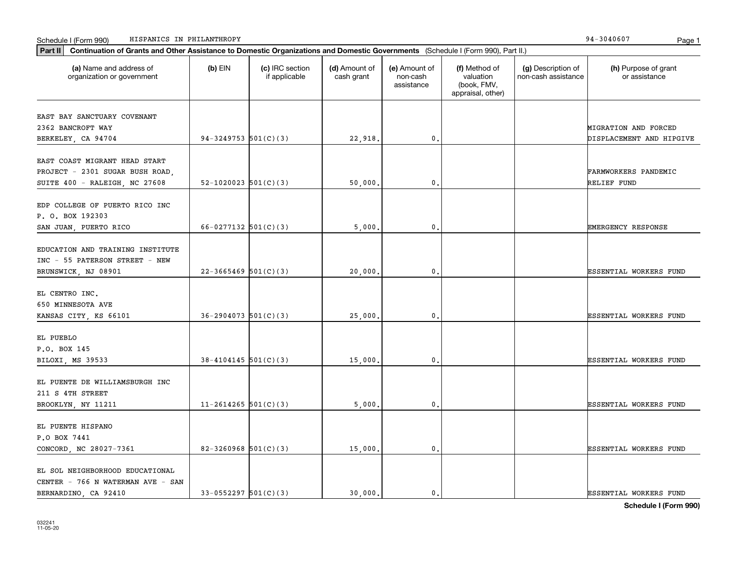| Continuation of Grants and Other Assistance to Domestic Organizations and Domestic Governments (Schedule I (Form 990), Part II.)<br>Part II |                            |                                  |                             |                                         |                                                                |                                           |                                                  |
|---------------------------------------------------------------------------------------------------------------------------------------------|----------------------------|----------------------------------|-----------------------------|-----------------------------------------|----------------------------------------------------------------|-------------------------------------------|--------------------------------------------------|
| (a) Name and address of<br>organization or government                                                                                       | $(b)$ EIN                  | (c) IRC section<br>if applicable | (d) Amount of<br>cash grant | (e) Amount of<br>non-cash<br>assistance | (f) Method of<br>valuation<br>(book, FMV,<br>appraisal, other) | (g) Description of<br>non-cash assistance | (h) Purpose of grant<br>or assistance            |
| EAST BAY SANCTUARY COVENANT<br>2362 BANCROFT WAY<br>BERKELEY, CA 94704                                                                      | 94-3249753 $501(C)(3)$     |                                  | 22,918.                     | 0.                                      |                                                                |                                           | MIGRATION AND FORCED<br>DISPLACEMENT AND HIPGIVE |
| EAST COAST MIGRANT HEAD START<br>PROJECT - 2301 SUGAR BUSH ROAD,<br>SUITE 400 - RALEIGH, NC 27608                                           | $52 - 1020023$ $501(C)(3)$ |                                  | 50,000.                     | 0.                                      |                                                                |                                           | <b>FARMWORKERS PANDEMIC</b><br>RELIEF FUND       |
| EDP COLLEGE OF PUERTO RICO INC<br>P. O. BOX 192303<br>SAN JUAN, PUERTO RICO                                                                 | 66-0277132 $501(C)(3)$     |                                  | 5,000,                      | 0.                                      |                                                                |                                           | <b>EMERGENCY RESPONSE</b>                        |
| EDUCATION AND TRAINING INSTITUTE<br>INC - 55 PATERSON STREET - NEW<br>BRUNSWICK, NJ 08901                                                   | $22 - 3665469$ 501(C)(3)   |                                  | 20,000.                     | 0.                                      |                                                                |                                           | <b>ESSENTIAL WORKERS FUND</b>                    |
| EL CENTRO INC.<br>650 MINNESOTA AVE<br>KANSAS CITY, KS 66101                                                                                | $36 - 2904073$ 501(C)(3)   |                                  | 25,000.                     | 0.                                      |                                                                |                                           | <b>ESSENTIAL WORKERS FUND</b>                    |
| EL PUEBLO<br>P.O. BOX 145<br>BILOXI, MS 39533                                                                                               | $38 - 4104145$ 501(C)(3)   |                                  | 15,000.                     | 0.                                      |                                                                |                                           | ESSENTIAL WORKERS FUND                           |
| EL PUENTE DE WILLIAMSBURGH INC<br>211 S 4TH STREET<br>BROOKLYN, NY 11211                                                                    | $11 - 2614265$ 501(C)(3)   |                                  | 5,000                       | 0.                                      |                                                                |                                           | <b>ESSENTIAL WORKERS FUND</b>                    |
| EL PUENTE HISPANO<br>P.O BOX 7441<br>CONCORD, NC 28027-7361                                                                                 | $82 - 3260968$ 501(C)(3)   |                                  | 15,000.                     | 0.                                      |                                                                |                                           | <b>ESSENTIAL WORKERS FUND</b>                    |
| EL SOL NEIGHBORHOOD EDUCATIONAL<br>CENTER - 766 N WATERMAN AVE - SAN<br>BERNARDINO, CA 92410                                                | $33-0552297$ $501(C)(3)$   |                                  | 30.000.                     | 0.                                      |                                                                |                                           | <b>ESSENTIAL WORKERS FUND</b>                    |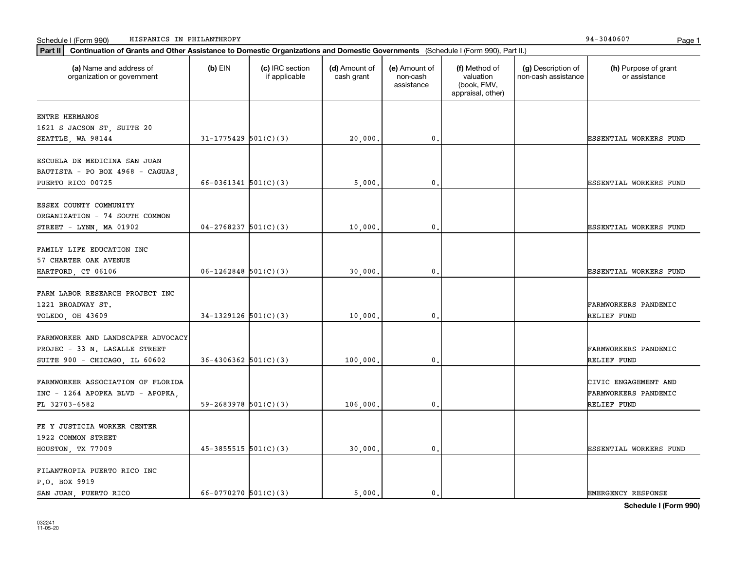| HISPANICS IN PHILANTHROPY<br>Schedule I (Form 990)<br>Part II<br>Continuation of Grants and Other Assistance to Domestic Organizations and Domestic Governments (Schedule I (Form 990), Part II.) |                            |                                  |                             |                                         |                                                                |                                           | 94-3040607<br>Page 1                                               |
|---------------------------------------------------------------------------------------------------------------------------------------------------------------------------------------------------|----------------------------|----------------------------------|-----------------------------|-----------------------------------------|----------------------------------------------------------------|-------------------------------------------|--------------------------------------------------------------------|
| (a) Name and address of<br>organization or government                                                                                                                                             | $(b)$ EIN                  | (c) IRC section<br>if applicable | (d) Amount of<br>cash grant | (e) Amount of<br>non-cash<br>assistance | (f) Method of<br>valuation<br>(book, FMV,<br>appraisal, other) | (g) Description of<br>non-cash assistance | (h) Purpose of grant<br>or assistance                              |
| ENTRE HERMANOS<br>1621 S JACSON ST, SUITE 20<br>SEATTLE, WA 98144                                                                                                                                 | $31 - 1775429$ 501(C)(3)   |                                  | 20,000.                     | 0.                                      |                                                                |                                           | <b>ESSENTIAL WORKERS FUND</b>                                      |
| ESCUELA DE MEDICINA SAN JUAN<br>BAUTISTA - PO BOX 4968 - CAGUAS,<br>PUERTO RICO 00725                                                                                                             | $66 - 0361341$ $501(C)(3)$ |                                  | 5,000.                      | 0.                                      |                                                                |                                           | <b>ESSENTIAL WORKERS FUND</b>                                      |
| ESSEX COUNTY COMMUNITY<br>ORGANIZATION - 74 SOUTH COMMON<br>STREET - LYNN, MA $01902$                                                                                                             | $04-2768237$ 501(C)(3)     |                                  | 10,000.                     | 0.                                      |                                                                |                                           | <b>ESSENTIAL WORKERS FUND</b>                                      |
| FAMILY LIFE EDUCATION INC<br>57 CHARTER OAK AVENUE<br>HARTFORD, CT 06106                                                                                                                          | $06-1262848$ 501(C)(3)     |                                  | 30,000.                     | 0.                                      |                                                                |                                           | <b>ESSENTIAL WORKERS FUND</b>                                      |
| FARM LABOR RESEARCH PROJECT INC<br>1221 BROADWAY ST.<br>TOLEDO, OH 43609                                                                                                                          | $34-1329126$ $501(C)(3)$   |                                  | 10,000.                     | 0.                                      |                                                                |                                           | <b>FARMWORKERS PANDEMIC</b><br>RELIEF FUND                         |
| FARMWORKER AND LANDSCAPER ADVOCACY<br>PROJEC - 33 N. LASALLE STREET<br>SUITE 900 - CHICAGO, IL 60602                                                                                              | $36-4306362$ $501(C)(3)$   |                                  | 100,000.                    | 0.                                      |                                                                |                                           | <b>FARMWORKERS PANDEMIC</b><br>RELIEF FUND                         |
| FARMWORKER ASSOCIATION OF FLORIDA<br>INC - 1264 APOPKA BLVD - APOPKA,<br>FL 32703-6582                                                                                                            | $59 - 2683978$ $501(C)(3)$ |                                  | 106,000.                    | 0.                                      |                                                                |                                           | CIVIC ENGAGEMENT AND<br><b>FARMWORKERS PANDEMIC</b><br>RELIEF FUND |
| FE Y JUSTICIA WORKER CENTER<br>1922 COMMON STREET<br>HOUSTON, TX 77009                                                                                                                            | $45-3855515$ $501(C)(3)$   |                                  | 30,000.                     | 0.                                      |                                                                |                                           | <b>ESSENTIAL WORKERS FUND</b>                                      |
| FILANTROPIA PUERTO RICO INC<br>P.O. BOX 9919                                                                                                                                                      |                            |                                  |                             |                                         |                                                                |                                           |                                                                    |

SAN JUAN, PUERTO RICO 66-0770270 501(C)(3) (5,000. 0. 0. CONSERGENCY RESPONSE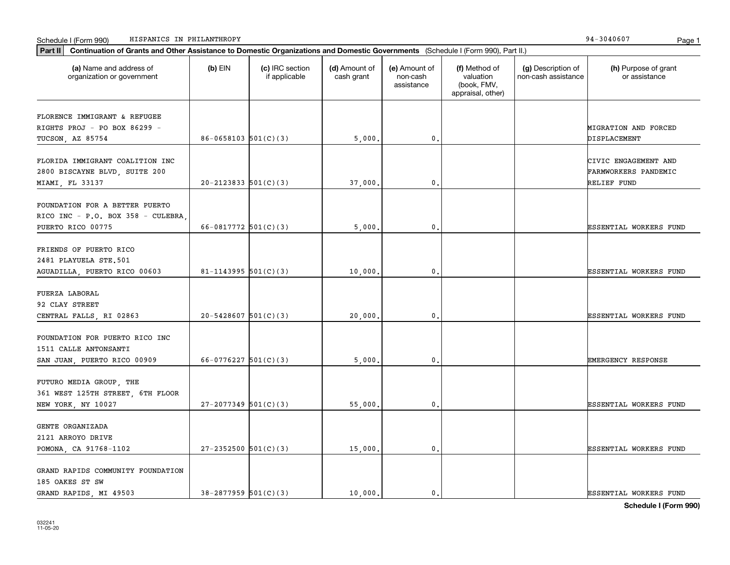| Part II   Continuation of Grants and Other Assistance to Domestic Organizations and Domestic Governments (Schedule I (Form 990), Part II.) |                            |                                  |                             |                                         |                                                                |                                           |                                       |
|--------------------------------------------------------------------------------------------------------------------------------------------|----------------------------|----------------------------------|-----------------------------|-----------------------------------------|----------------------------------------------------------------|-------------------------------------------|---------------------------------------|
| (a) Name and address of<br>organization or government                                                                                      | $(b)$ EIN                  | (c) IRC section<br>if applicable | (d) Amount of<br>cash grant | (e) Amount of<br>non-cash<br>assistance | (f) Method of<br>valuation<br>(book, FMV,<br>appraisal, other) | (g) Description of<br>non-cash assistance | (h) Purpose of grant<br>or assistance |
| FLORENCE IMMIGRANT & REFUGEE                                                                                                               |                            |                                  |                             |                                         |                                                                |                                           |                                       |
| RIGHTS PROJ - PO BOX 86299 -                                                                                                               |                            |                                  |                             |                                         |                                                                |                                           | MIGRATION AND FORCED                  |
| TUCSON, AZ 85754                                                                                                                           | $86 - 0658103$ $501(C)(3)$ |                                  | 5,000,                      | 0.                                      |                                                                |                                           | DISPLACEMENT                          |
|                                                                                                                                            |                            |                                  |                             |                                         |                                                                |                                           |                                       |
| FLORIDA IMMIGRANT COALITION INC                                                                                                            |                            |                                  |                             |                                         |                                                                |                                           | CIVIC ENGAGEMENT AND                  |
| 2800 BISCAYNE BLVD, SUITE 200                                                                                                              |                            |                                  |                             |                                         |                                                                |                                           | FARMWORKERS PANDEMIC                  |
| MIAMI, FL 33137                                                                                                                            | $20-2123833$ $501(C)(3)$   |                                  | 37,000                      | $^{\rm 0}$ .                            |                                                                |                                           | RELIEF FUND                           |
|                                                                                                                                            |                            |                                  |                             |                                         |                                                                |                                           |                                       |
| FOUNDATION FOR A BETTER PUERTO                                                                                                             |                            |                                  |                             |                                         |                                                                |                                           |                                       |
| RICO INC - P.O. BOX 358 - CULEBRA,                                                                                                         |                            |                                  |                             |                                         |                                                                |                                           |                                       |
| PUERTO RICO 00775                                                                                                                          | 66-0817772 $501(C)(3)$     |                                  | 5,000                       | $\mathbf{0}$ .                          |                                                                |                                           | ESSENTIAL WORKERS FUND                |
| FRIENDS OF PUERTO RICO                                                                                                                     |                            |                                  |                             |                                         |                                                                |                                           |                                       |
| 2481 PLAYUELA STE.501                                                                                                                      |                            |                                  |                             |                                         |                                                                |                                           |                                       |
| AGUADILLA, PUERTO RICO 00603                                                                                                               | 81-1143995 $501(C)(3)$     |                                  | 10,000                      | $^{\rm 0}$ .                            |                                                                |                                           | ESSENTIAL WORKERS FUND                |
|                                                                                                                                            |                            |                                  |                             |                                         |                                                                |                                           |                                       |
| FUERZA LABORAL                                                                                                                             |                            |                                  |                             |                                         |                                                                |                                           |                                       |
| 92 CLAY STREET                                                                                                                             |                            |                                  |                             |                                         |                                                                |                                           |                                       |
| CENTRAL FALLS, RI 02863                                                                                                                    | $20 - 5428607$ 501(C)(3)   |                                  | 20,000                      | 0.                                      |                                                                |                                           | ESSENTIAL WORKERS FUND                |
|                                                                                                                                            |                            |                                  |                             |                                         |                                                                |                                           |                                       |
| FOUNDATION FOR PUERTO RICO INC                                                                                                             |                            |                                  |                             |                                         |                                                                |                                           |                                       |
| 1511 CALLE ANTONSANTI                                                                                                                      |                            |                                  |                             |                                         |                                                                |                                           |                                       |
| SAN JUAN, PUERTO RICO 00909                                                                                                                | $66-0776227$ 501(C)(3)     |                                  | 5,000                       | 0.                                      |                                                                |                                           | EMERGENCY RESPONSE                    |
|                                                                                                                                            |                            |                                  |                             |                                         |                                                                |                                           |                                       |
| FUTURO MEDIA GROUP, THE                                                                                                                    |                            |                                  |                             |                                         |                                                                |                                           |                                       |
| 361 WEST 125TH STREET, 6TH FLOOR                                                                                                           |                            |                                  |                             |                                         |                                                                |                                           |                                       |
| NEW YORK, NY 10027                                                                                                                         | $27-2077349$ 501(C)(3)     |                                  | 55,000,                     | $\mathbf{0}$ .                          |                                                                |                                           | ESSENTIAL WORKERS FUND                |
| GENTE ORGANIZADA                                                                                                                           |                            |                                  |                             |                                         |                                                                |                                           |                                       |
| 2121 ARROYO DRIVE                                                                                                                          |                            |                                  |                             |                                         |                                                                |                                           |                                       |
| POMONA, CA 91768-1102                                                                                                                      | $27 - 2352500$ 501(C)(3)   |                                  | 15,000.                     | $\mathbf{0}$ .                          |                                                                |                                           | ESSENTIAL WORKERS FUND                |
|                                                                                                                                            |                            |                                  |                             |                                         |                                                                |                                           |                                       |
| GRAND RAPIDS COMMUNITY FOUNDATION                                                                                                          |                            |                                  |                             |                                         |                                                                |                                           |                                       |
| 185 OAKES ST SW                                                                                                                            |                            |                                  |                             |                                         |                                                                |                                           |                                       |
| GRAND RAPIDS, MI 49503                                                                                                                     | $38-2877959$ 501(C)(3)     |                                  | 10,000.                     | 0.                                      |                                                                |                                           | <b>ESSENTIAL WORKERS FUND</b>         |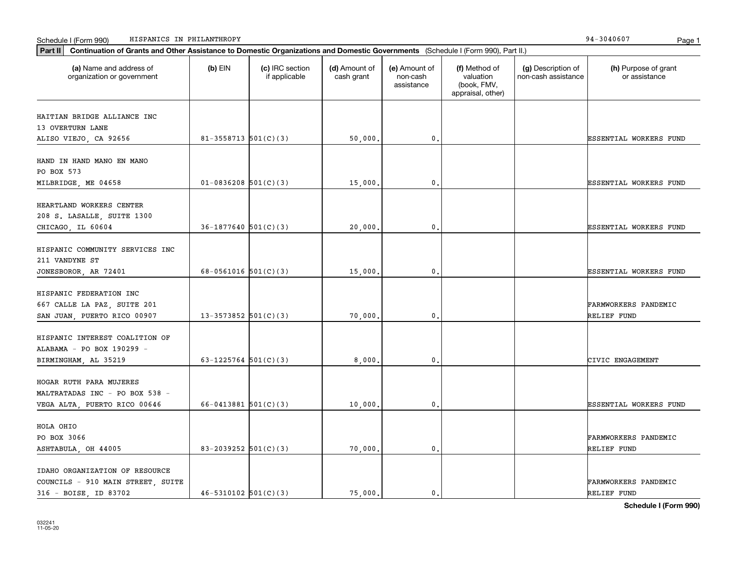| Schedule I (Form 990) |  | HISPANICS IN PHILANTHROPY | $\sim$<br>- 304060.<br>-94 | Page |  |
|-----------------------|--|---------------------------|----------------------------|------|--|
|-----------------------|--|---------------------------|----------------------------|------|--|

| (a) Name and address of<br>organization or government | $(b)$ EIN                  | (c) IRC section<br>if applicable | (d) Amount of<br>cash grant | (e) Amount of<br>non-cash<br>assistance | (f) Method of<br>valuation<br>(book, FMV,<br>appraisal, other) | (g) Description of<br>non-cash assistance | (h) Purpose of grant<br>or assistance |
|-------------------------------------------------------|----------------------------|----------------------------------|-----------------------------|-----------------------------------------|----------------------------------------------------------------|-------------------------------------------|---------------------------------------|
| HAITIAN BRIDGE ALLIANCE INC                           |                            |                                  |                             |                                         |                                                                |                                           |                                       |
| 13 OVERTURN LANE                                      |                            |                                  |                             |                                         |                                                                |                                           |                                       |
| ALISO VIEJO, CA 92656                                 | $81 - 3558713$ 501(C)(3)   |                                  | 50,000.                     | 0.                                      |                                                                |                                           | ESSENTIAL WORKERS FUND                |
|                                                       |                            |                                  |                             |                                         |                                                                |                                           |                                       |
| HAND IN HAND MANO EN MANO                             |                            |                                  |                             |                                         |                                                                |                                           |                                       |
| PO BOX 573                                            |                            |                                  |                             |                                         |                                                                |                                           |                                       |
| MILBRIDGE, ME 04658                                   | $01-0836208$ 501(C)(3)     |                                  | 15,000                      | 0.                                      |                                                                |                                           | <b>ESSENTIAL WORKERS FUND</b>         |
| HEARTLAND WORKERS CENTER                              |                            |                                  |                             |                                         |                                                                |                                           |                                       |
| 208 S. LASALLE, SUITE 1300                            |                            |                                  |                             |                                         |                                                                |                                           |                                       |
|                                                       | $36-1877640$ 501(C)(3)     |                                  | 20,000.                     | 0.                                      |                                                                |                                           | <b>ESSENTIAL WORKERS FUND</b>         |
| CHICAGO, IL 60604                                     |                            |                                  |                             |                                         |                                                                |                                           |                                       |
| HISPANIC COMMUNITY SERVICES INC                       |                            |                                  |                             |                                         |                                                                |                                           |                                       |
| 211 VANDYNE ST                                        |                            |                                  |                             |                                         |                                                                |                                           |                                       |
| JONESBOROR, AR 72401                                  | 68-0561016 $501(C)(3)$     |                                  | 15,000                      | 0.                                      |                                                                |                                           | <b>ESSENTIAL WORKERS FUND</b>         |
|                                                       |                            |                                  |                             |                                         |                                                                |                                           |                                       |
| HISPANIC FEDERATION INC                               |                            |                                  |                             |                                         |                                                                |                                           |                                       |
| 667 CALLE LA PAZ, SUITE 201                           |                            |                                  |                             |                                         |                                                                |                                           | FARMWORKERS PANDEMIC                  |
| SAN JUAN, PUERTO RICO 00907                           | 13-3573852 $501(C)(3)$     |                                  | 70,000                      | 0.                                      |                                                                |                                           | RELIEF FUND                           |
|                                                       |                            |                                  |                             |                                         |                                                                |                                           |                                       |
| HISPANIC INTEREST COALITION OF                        |                            |                                  |                             |                                         |                                                                |                                           |                                       |
| ALABAMA - PO BOX 190299 -                             |                            |                                  |                             |                                         |                                                                |                                           |                                       |
| BIRMINGHAM, AL 35219                                  | 63-1225764 $501(C)(3)$     |                                  | 8,000                       | 0.                                      |                                                                |                                           | CIVIC ENGAGEMENT                      |
|                                                       |                            |                                  |                             |                                         |                                                                |                                           |                                       |
| HOGAR RUTH PARA MUJERES                               |                            |                                  |                             |                                         |                                                                |                                           |                                       |
| MALTRATADAS INC - PO BOX 538 -                        |                            |                                  |                             |                                         |                                                                |                                           |                                       |
| VEGA ALTA, PUERTO RICO 00646                          | $66 - 0413881$ 501(C)(3)   |                                  | 10,000                      | 0.                                      |                                                                |                                           | <b>ESSENTIAL WORKERS FUND</b>         |
| HOLA OHIO                                             |                            |                                  |                             |                                         |                                                                |                                           |                                       |
| PO BOX 3066                                           |                            |                                  |                             |                                         |                                                                |                                           | FARMWORKERS PANDEMIC                  |
| ASHTABULA, OH 44005                                   | 83-2039252 $501(C)(3)$     |                                  | 70,000                      | 0.                                      |                                                                |                                           | RELIEF FUND                           |
|                                                       |                            |                                  |                             |                                         |                                                                |                                           |                                       |
| IDAHO ORGANIZATION OF RESOURCE                        |                            |                                  |                             |                                         |                                                                |                                           |                                       |
| COUNCILS - 910 MAIN STREET, SUITE                     |                            |                                  |                             |                                         |                                                                |                                           | FARMWORKERS PANDEMIC                  |
| 316 - BOISE, ID 83702                                 | $46 - 5310102$ $501(C)(3)$ |                                  | 75.000.                     | 0.                                      |                                                                |                                           | RELIEF FUND                           |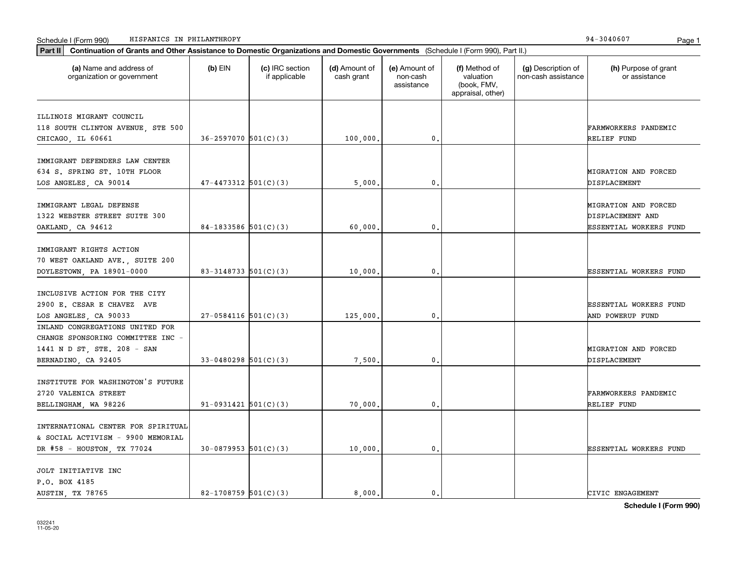| Part II   Continuation of Grants and Other Assistance to Domestic Organizations and Domestic Governments (Schedule I (Form 990), Part II.) |                            |                                  |                             |                                         |                                                                |                                           |                                       |
|--------------------------------------------------------------------------------------------------------------------------------------------|----------------------------|----------------------------------|-----------------------------|-----------------------------------------|----------------------------------------------------------------|-------------------------------------------|---------------------------------------|
| (a) Name and address of<br>organization or government                                                                                      | $(b)$ EIN                  | (c) IRC section<br>if applicable | (d) Amount of<br>cash grant | (e) Amount of<br>non-cash<br>assistance | (f) Method of<br>valuation<br>(book, FMV,<br>appraisal, other) | (g) Description of<br>non-cash assistance | (h) Purpose of grant<br>or assistance |
| ILLINOIS MIGRANT COUNCIL                                                                                                                   |                            |                                  |                             |                                         |                                                                |                                           |                                       |
| 118 SOUTH CLINTON AVENUE, STE 500                                                                                                          |                            |                                  |                             |                                         |                                                                |                                           | FARMWORKERS PANDEMIC                  |
| CHICAGO, IL 60661                                                                                                                          | $36 - 2597070$ 501(C)(3)   |                                  | 100,000.                    | 0.                                      |                                                                |                                           | RELIEF FUND                           |
|                                                                                                                                            |                            |                                  |                             |                                         |                                                                |                                           |                                       |
| IMMIGRANT DEFENDERS LAW CENTER                                                                                                             |                            |                                  |                             |                                         |                                                                |                                           |                                       |
| 634 S. SPRING ST. 10TH FLOOR                                                                                                               |                            |                                  |                             |                                         |                                                                |                                           | MIGRATION AND FORCED                  |
| LOS ANGELES, CA 90014                                                                                                                      | $47 - 4473312$ $501(C)(3)$ |                                  | 5,000                       | 0.                                      |                                                                |                                           | DISPLACEMENT                          |
|                                                                                                                                            |                            |                                  |                             |                                         |                                                                |                                           |                                       |
| IMMIGRANT LEGAL DEFENSE                                                                                                                    |                            |                                  |                             |                                         |                                                                |                                           | MIGRATION AND FORCED                  |
| 1322 WEBSTER STREET SUITE 300                                                                                                              |                            |                                  |                             |                                         |                                                                |                                           | DISPLACEMENT AND                      |
| OAKLAND, CA 94612                                                                                                                          | 84-1833586 $501(C)(3)$     |                                  | 60,000                      | 0.                                      |                                                                |                                           | ESSENTIAL WORKERS FUND                |
|                                                                                                                                            |                            |                                  |                             |                                         |                                                                |                                           |                                       |
| IMMIGRANT RIGHTS ACTION                                                                                                                    |                            |                                  |                             |                                         |                                                                |                                           |                                       |
| 70 WEST OAKLAND AVE., SUITE 200                                                                                                            |                            |                                  |                             |                                         |                                                                |                                           |                                       |
| DOYLESTOWN, PA 18901-0000                                                                                                                  | 83-3148733 $501(C)(3)$     |                                  | 10,000                      | $\mathbf{0}$ .                          |                                                                |                                           | ESSENTIAL WORKERS FUND                |
|                                                                                                                                            |                            |                                  |                             |                                         |                                                                |                                           |                                       |
| INCLUSIVE ACTION FOR THE CITY                                                                                                              |                            |                                  |                             |                                         |                                                                |                                           |                                       |
| 2900 E. CESAR E CHAVEZ AVE                                                                                                                 |                            |                                  |                             |                                         |                                                                |                                           | ESSENTIAL WORKERS FUND                |
| LOS ANGELES, CA 90033                                                                                                                      | $27-0584116$ 501(C)(3)     |                                  | 125,000.                    | 0.                                      |                                                                |                                           | <b>AND POWERUP FUND</b>               |
| INLAND CONGREGATIONS UNITED FOR                                                                                                            |                            |                                  |                             |                                         |                                                                |                                           |                                       |
| CHANGE SPONSORING COMMITTEE INC -                                                                                                          |                            |                                  |                             |                                         |                                                                |                                           |                                       |
| 1441 N D ST, STE. 208 - SAN                                                                                                                |                            |                                  |                             |                                         |                                                                |                                           | MIGRATION AND FORCED                  |
| BERNADINO, CA 92405                                                                                                                        | $33-0480298$ 501(C)(3)     |                                  | 7,500.                      | 0.                                      |                                                                |                                           | DISPLACEMENT                          |
|                                                                                                                                            |                            |                                  |                             |                                         |                                                                |                                           |                                       |
| INSTITUTE FOR WASHINGTON'S FUTURE                                                                                                          |                            |                                  |                             |                                         |                                                                |                                           |                                       |
| 2720 VALENICA STREET                                                                                                                       |                            |                                  |                             |                                         |                                                                |                                           | FARMWORKERS PANDEMIC                  |
| BELLINGHAM, WA 98226                                                                                                                       | $91-0931421$ $501(C)(3)$   |                                  | 70,000                      | 0.                                      |                                                                |                                           | RELIEF FUND                           |
|                                                                                                                                            |                            |                                  |                             |                                         |                                                                |                                           |                                       |
| INTERNATIONAL CENTER FOR SPIRITUAL                                                                                                         |                            |                                  |                             |                                         |                                                                |                                           |                                       |
| & SOCIAL ACTIVISM - 9900 MEMORIAL                                                                                                          |                            |                                  |                             |                                         |                                                                |                                           |                                       |
|                                                                                                                                            |                            |                                  |                             | 0.                                      |                                                                |                                           | ESSENTIAL WORKERS FUND                |
| DR #58 - HOUSTON, TX 77024                                                                                                                 | $30-0879953$ $501(C)(3)$   |                                  | 10,000.                     |                                         |                                                                |                                           |                                       |
| JOLT INITIATIVE INC                                                                                                                        |                            |                                  |                             |                                         |                                                                |                                           |                                       |
| P.O. BOX 4185                                                                                                                              |                            |                                  |                             |                                         |                                                                |                                           |                                       |
| AUSTIN, TX 78765                                                                                                                           | 82-1708759 $501(C)(3)$     |                                  | 8.000.                      | 0.                                      |                                                                |                                           | CIVIC ENGAGEMENT                      |
|                                                                                                                                            |                            |                                  |                             |                                         |                                                                |                                           |                                       |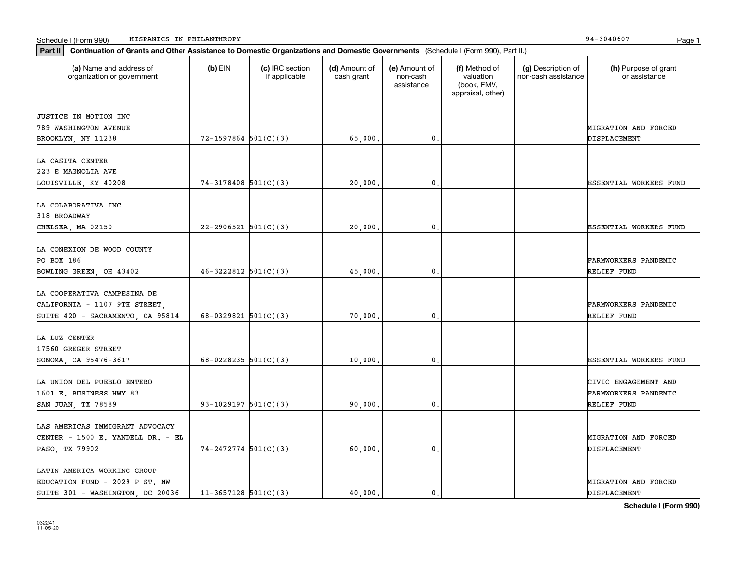| Continuation of Grants and Other Assistance to Domestic Organizations and Domestic Governments (Schedule I (Form 990), Part II.)<br>Part II |                          |                                  |                             |                                         |                                                                |                                           |                                                             |
|---------------------------------------------------------------------------------------------------------------------------------------------|--------------------------|----------------------------------|-----------------------------|-----------------------------------------|----------------------------------------------------------------|-------------------------------------------|-------------------------------------------------------------|
| (a) Name and address of<br>organization or government                                                                                       | $(b)$ EIN                | (c) IRC section<br>if applicable | (d) Amount of<br>cash grant | (e) Amount of<br>non-cash<br>assistance | (f) Method of<br>valuation<br>(book, FMV,<br>appraisal, other) | (g) Description of<br>non-cash assistance | (h) Purpose of grant<br>or assistance                       |
| JUSTICE IN MOTION INC<br>789 WASHINGTON AVENUE<br>BROOKLYN, NY 11238                                                                        | $72 - 1597864$ 501(C)(3) |                                  | 65,000.                     | 0.                                      |                                                                |                                           | MIGRATION AND FORCED<br>DISPLACEMENT                        |
| LA CASITA CENTER<br>223 E MAGNOLIA AVE<br>LOUISVILLE, KY 40208                                                                              | $74-3178408$ 501(C)(3)   |                                  | 20,000.                     | 0.                                      |                                                                |                                           | ESSENTIAL WORKERS FUND                                      |
| LA COLABORATIVA INC<br>318 BROADWAY<br>CHELSEA, MA 02150                                                                                    | $22 - 2906521$ 501(C)(3) |                                  | 20,000.                     | 0.                                      |                                                                |                                           | <b>ESSENTIAL WORKERS FUND</b>                               |
| LA CONEXION DE WOOD COUNTY<br>PO BOX 186<br>BOWLING GREEN, OH 43402                                                                         | $46 - 3222812$ 501(C)(3) |                                  | 45,000.                     | 0.                                      |                                                                |                                           | FARMWORKERS PANDEMIC<br>RELIEF FUND                         |
| LA COOPERATIVA CAMPESINA DE<br>CALIFORNIA - 1107 9TH STREET,<br>SUITE 420 - SACRAMENTO, CA 95814                                            | $68-0329821$ 501(C)(3)   |                                  | 70,000.                     | 0.                                      |                                                                |                                           | FARMWORKERS PANDEMIC<br>RELIEF FUND                         |
| LA LUZ CENTER<br>17560 GREGER STREET<br>SONOMA, CA 95476-3617                                                                               | 68-0228235 $501(C)(3)$   |                                  | 10,000,                     | 0.                                      |                                                                |                                           | ESSENTIAL WORKERS FUND                                      |
| LA UNION DEL PUEBLO ENTERO<br>1601 E. BUSINESS HWY 83<br>SAN JUAN, TX 78589                                                                 | 93-1029197 $501(C)(3)$   |                                  | 90,000,                     | 0.                                      |                                                                |                                           | CIVIC ENGAGEMENT AND<br>FARMWORKERS PANDEMIC<br>RELIEF FUND |
| LAS AMERICAS IMMIGRANT ADVOCACY<br>CENTER - 1500 E. YANDELL DR. - EL<br>PASO, TX 79902                                                      | $74 - 2472774$ 501(C)(3) |                                  | 60,000.                     | 0.                                      |                                                                |                                           | MIGRATION AND FORCED<br>DISPLACEMENT                        |
| LATIN AMERICA WORKING GROUP<br>EDUCATION FUND - 2029 P ST. NW<br>SUITE 301 - WASHINGTON, DC 20036                                           | $11-3657128$ 501(C)(3)   |                                  | 40.000.                     | 0.                                      |                                                                |                                           | MIGRATION AND FORCED<br>DISPLACEMENT                        |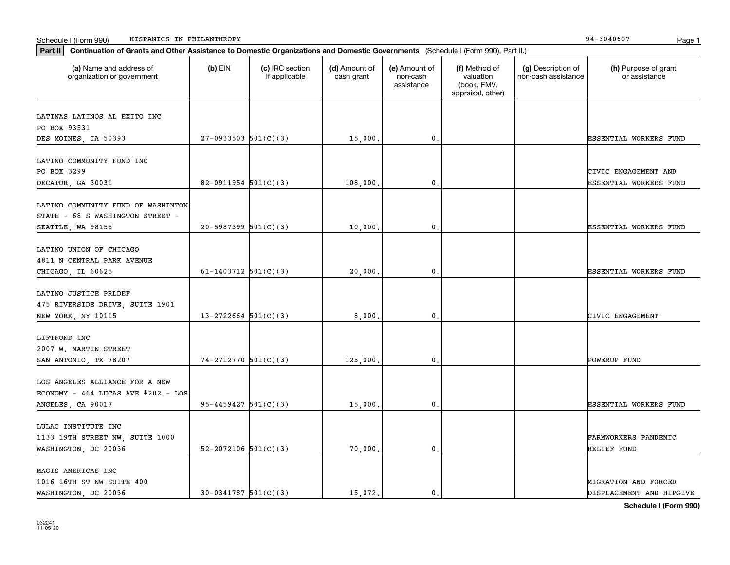| Part II   Continuation of Grants and Other Assistance to Domestic Organizations and Domestic Governments (Schedule I (Form 990), Part II.) |                            |                                  |                             |                                         |                                                                |                                           |                                       |
|--------------------------------------------------------------------------------------------------------------------------------------------|----------------------------|----------------------------------|-----------------------------|-----------------------------------------|----------------------------------------------------------------|-------------------------------------------|---------------------------------------|
| (a) Name and address of<br>organization or government                                                                                      | $(b)$ EIN                  | (c) IRC section<br>if applicable | (d) Amount of<br>cash grant | (e) Amount of<br>non-cash<br>assistance | (f) Method of<br>valuation<br>(book, FMV,<br>appraisal, other) | (g) Description of<br>non-cash assistance | (h) Purpose of grant<br>or assistance |
|                                                                                                                                            |                            |                                  |                             |                                         |                                                                |                                           |                                       |
| LATINAS LATINOS AL EXITO INC<br>PO BOX 93531                                                                                               |                            |                                  |                             |                                         |                                                                |                                           |                                       |
| DES MOINES, IA 50393                                                                                                                       | $27-0933503$ 501(C)(3)     |                                  | 15,000.                     | $\mathbf 0$ .                           |                                                                |                                           | <b>ESSENTIAL WORKERS FUND</b>         |
|                                                                                                                                            |                            |                                  |                             |                                         |                                                                |                                           |                                       |
| LATINO COMMUNITY FUND INC                                                                                                                  |                            |                                  |                             |                                         |                                                                |                                           |                                       |
| PO BOX 3299                                                                                                                                |                            |                                  |                             |                                         |                                                                |                                           | CIVIC ENGAGEMENT AND                  |
| DECATUR, GA 30031                                                                                                                          | $82-0911954$ 501(C)(3)     |                                  | 108,000                     | 0,                                      |                                                                |                                           | ESSENTIAL WORKERS FUND                |
|                                                                                                                                            |                            |                                  |                             |                                         |                                                                |                                           |                                       |
| LATINO COMMUNITY FUND OF WASHINTON                                                                                                         |                            |                                  |                             |                                         |                                                                |                                           |                                       |
| STATE - 68 S WASHINGTON STREET -                                                                                                           |                            |                                  |                             |                                         |                                                                |                                           |                                       |
| SEATTLE, WA 98155                                                                                                                          | $20-5987399$ 501(C)(3)     |                                  | 10,000.                     | 0.                                      |                                                                |                                           | ESSENTIAL WORKERS FUND                |
|                                                                                                                                            |                            |                                  |                             |                                         |                                                                |                                           |                                       |
| LATINO UNION OF CHICAGO                                                                                                                    |                            |                                  |                             |                                         |                                                                |                                           |                                       |
| 4811 N CENTRAL PARK AVENUE                                                                                                                 |                            |                                  |                             |                                         |                                                                |                                           |                                       |
| CHICAGO, IL 60625                                                                                                                          | 61-1403712 $501(C)(3)$     |                                  | 20,000                      | 0,                                      |                                                                |                                           | <b>ESSENTIAL WORKERS FUND</b>         |
|                                                                                                                                            |                            |                                  |                             |                                         |                                                                |                                           |                                       |
| LATINO JUSTICE PRLDEF                                                                                                                      |                            |                                  |                             |                                         |                                                                |                                           |                                       |
| 475 RIVERSIDE DRIVE, SUITE 1901                                                                                                            |                            |                                  |                             |                                         |                                                                |                                           |                                       |
| NEW YORK, NY 10115                                                                                                                         | $13 - 2722664$ 501(C)(3)   |                                  | 8,000.                      | 0.                                      |                                                                |                                           | CIVIC ENGAGEMENT                      |
| LIFTFUND INC                                                                                                                               |                            |                                  |                             |                                         |                                                                |                                           |                                       |
| 2007 W. MARTIN STREET                                                                                                                      |                            |                                  |                             |                                         |                                                                |                                           |                                       |
| SAN ANTONIO, TX 78207                                                                                                                      | $74-2712770$ 501(C)(3)     |                                  | 125,000                     | 0.                                      |                                                                |                                           | POWERUP FUND                          |
|                                                                                                                                            |                            |                                  |                             |                                         |                                                                |                                           |                                       |
| LOS ANGELES ALLIANCE FOR A NEW                                                                                                             |                            |                                  |                             |                                         |                                                                |                                           |                                       |
| ECONOMY - $464$ LUCAS AVE #202 - LOS                                                                                                       |                            |                                  |                             |                                         |                                                                |                                           |                                       |
| ANGELES, CA 90017                                                                                                                          | $95 - 4459427$ $501(C)(3)$ |                                  | 15,000.                     | 0,                                      |                                                                |                                           | ESSENTIAL WORKERS FUND                |
|                                                                                                                                            |                            |                                  |                             |                                         |                                                                |                                           |                                       |
| LULAC INSTITUTE INC                                                                                                                        |                            |                                  |                             |                                         |                                                                |                                           |                                       |
| 1133 19TH STREET NW, SUITE 1000                                                                                                            |                            |                                  |                             |                                         |                                                                |                                           | <b>FARMWORKERS PANDEMIC</b>           |
| WASHINGTON, DC 20036                                                                                                                       | 52-2072106 $501(C)(3)$     |                                  | 70,000                      | 0.                                      |                                                                |                                           | RELIEF FUND                           |
|                                                                                                                                            |                            |                                  |                             |                                         |                                                                |                                           |                                       |
| MAGIS AMERICAS INC                                                                                                                         |                            |                                  |                             |                                         |                                                                |                                           |                                       |
| 1016 16TH ST NW SUITE 400                                                                                                                  |                            |                                  |                             |                                         |                                                                |                                           | MIGRATION AND FORCED                  |
| WASHINGTON, DC 20036                                                                                                                       | $30-0341787$ $501(C)(3)$   |                                  | 15,072.                     | 0.                                      |                                                                |                                           | DISPLACEMENT AND HIPGIVE              |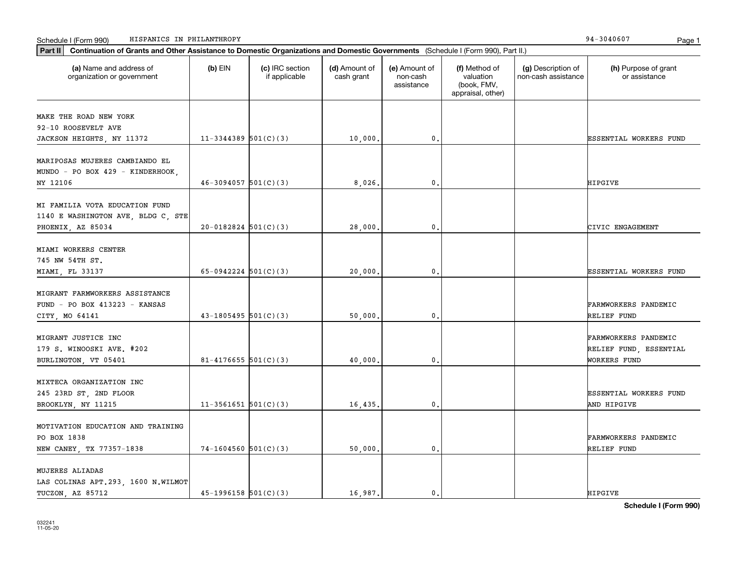| (a) Name and address of<br>organization or government                                     | $(b)$ EIN                | (c) IRC section<br>if applicable | (d) Amount of<br>cash grant | (e) Amount of<br>non-cash<br>assistance | (f) Method of<br>valuation<br>(book, FMV,<br>appraisal, other) | (g) Description of<br>non-cash assistance | (h) Purpose of grant<br>or assistance                          |
|-------------------------------------------------------------------------------------------|--------------------------|----------------------------------|-----------------------------|-----------------------------------------|----------------------------------------------------------------|-------------------------------------------|----------------------------------------------------------------|
| MAKE THE ROAD NEW YORK                                                                    |                          |                                  |                             |                                         |                                                                |                                           |                                                                |
| 92-10 ROOSEVELT AVE                                                                       |                          |                                  |                             |                                         |                                                                |                                           |                                                                |
| JACKSON HEIGHTS, NY 11372                                                                 | $11-3344389$ $501(C)(3)$ |                                  | 10,000.                     | 0.                                      |                                                                |                                           | ESSENTIAL WORKERS FUND                                         |
| MARIPOSAS MUJERES CAMBIANDO EL<br>MUNDO - PO BOX 429 - KINDERHOOK,                        |                          |                                  |                             |                                         |                                                                |                                           |                                                                |
| NY 12106                                                                                  | $46 - 3094057$ 501(C)(3) |                                  | 8,026,                      | 0.                                      |                                                                |                                           | HIPGIVE                                                        |
| MI FAMILIA VOTA EDUCATION FUND<br>1140 E WASHINGTON AVE, BLDG C, STE<br>PHOENIX, AZ 85034 | $20-0182824$ 501(C)(3)   |                                  | 28,000.                     | $\mathbf{0}$ .                          |                                                                |                                           | CIVIC ENGAGEMENT                                               |
|                                                                                           |                          |                                  |                             |                                         |                                                                |                                           |                                                                |
| MIAMI WORKERS CENTER<br>745 NW 54TH ST.                                                   |                          |                                  |                             |                                         |                                                                |                                           |                                                                |
| MIAMI, FL 33137                                                                           | 65-0942224 $501(C)(3)$   |                                  | 20,000.                     | 0.                                      |                                                                |                                           | ESSENTIAL WORKERS FUND                                         |
| MIGRANT FARMWORKERS ASSISTANCE<br>FUND - PO BOX 413223 - KANSAS                           |                          |                                  |                             |                                         |                                                                |                                           | FARMWORKERS PANDEMIC                                           |
| CITY, MO 64141                                                                            | $43 - 1805495$ 501(C)(3) |                                  | 50,000.                     | $\mathbf{0}$ .                          |                                                                |                                           | RELIEF FUND                                                    |
| MIGRANT JUSTICE INC<br>179 S. WINOOSKI AVE. #202<br>BURLINGTON, VT 05401                  | $81 - 4176655$ 501(C)(3) |                                  | 40,000.                     | 0.                                      |                                                                |                                           | FARMWORKERS PANDEMIC<br>RELIEF FUND, ESSENTIAL<br>WORKERS FUND |
| MIXTECA ORGANIZATION INC                                                                  |                          |                                  |                             |                                         |                                                                |                                           |                                                                |
| 245 23RD ST, 2ND FLOOR<br>BROOKLYN, NY 11215                                              | $11-3561651$ $501(C)(3)$ |                                  | 16,435.                     | 0.                                      |                                                                |                                           | ESSENTIAL WORKERS FUND<br>AND HIPGIVE                          |
| MOTIVATION EDUCATION AND TRAINING<br>PO BOX 1838                                          |                          |                                  |                             |                                         |                                                                |                                           | FARMWORKERS PANDEMIC                                           |
| NEW CANEY, TX 77357-1838                                                                  | $74-1604560$ 501(C)(3)   |                                  | 50,000.                     | 0.                                      |                                                                |                                           | RELIEF FUND                                                    |
| <b>MUJERES ALIADAS</b><br>LAS COLINAS APT.293, 1600 N.WILMOT                              |                          |                                  |                             |                                         |                                                                |                                           |                                                                |
| TUCZON, AZ 85712                                                                          | $45-1996158$ $501(C)(3)$ |                                  | 16.987.                     | 0.                                      |                                                                |                                           | <b>HIPGIVE</b>                                                 |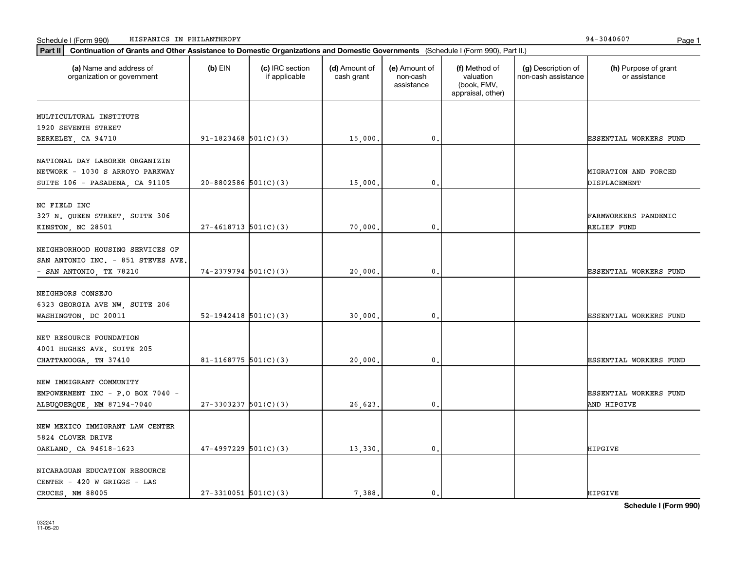| (a) Name and address of<br>organization or government | $(b)$ EIN                | (c) IRC section<br>if applicable | (d) Amount of<br>cash grant | (e) Amount of<br>non-cash<br>assistance | (f) Method of<br>valuation<br>(book, FMV,<br>appraisal, other) | (g) Description of<br>non-cash assistance | (h) Purpose of grant<br>or assistance |
|-------------------------------------------------------|--------------------------|----------------------------------|-----------------------------|-----------------------------------------|----------------------------------------------------------------|-------------------------------------------|---------------------------------------|
| MULTICULTURAL INSTITUTE                               |                          |                                  |                             |                                         |                                                                |                                           |                                       |
| 1920 SEVENTH STREET                                   |                          |                                  |                             |                                         |                                                                |                                           |                                       |
| BERKELEY, CA 94710                                    | $91-1823468$ 501(C)(3)   |                                  | 15,000.                     | $\mathbf{0}$ .                          |                                                                |                                           | ESSENTIAL WORKERS FUND                |
| NATIONAL DAY LABORER ORGANIZIN                        |                          |                                  |                             |                                         |                                                                |                                           |                                       |
| NETWORK - 1030 S ARROYO PARKWAY                       |                          |                                  |                             |                                         |                                                                |                                           | MIGRATION AND FORCED                  |
| SUITE 106 - PASADENA, CA 91105                        | $20 - 8802586$ 501(C)(3) |                                  | 15,000                      | 0.                                      |                                                                |                                           | DISPLACEMENT                          |
|                                                       |                          |                                  |                             |                                         |                                                                |                                           |                                       |
| NC FIELD INC                                          |                          |                                  |                             |                                         |                                                                |                                           |                                       |
| 327 N. QUEEN STREET, SUITE 306                        |                          |                                  |                             |                                         |                                                                |                                           | FARMWORKERS PANDEMIC                  |
| KINSTON, NC 28501                                     | $27-4618713$ 501(C)(3)   |                                  | 70,000                      | $\mathbf{0}$ .                          |                                                                |                                           | RELIEF FUND                           |
| NEIGHBORHOOD HOUSING SERVICES OF                      |                          |                                  |                             |                                         |                                                                |                                           |                                       |
| SAN ANTONIO INC. - 851 STEVES AVE.                    |                          |                                  |                             |                                         |                                                                |                                           |                                       |
| - SAN ANTONIO, TX 78210                               | $74-2379794$ 501(C)(3)   |                                  | 20,000                      | $\mathbf 0$ .                           |                                                                |                                           | ESSENTIAL WORKERS FUND                |
|                                                       |                          |                                  |                             |                                         |                                                                |                                           |                                       |
| NEIGHBORS CONSEJO                                     |                          |                                  |                             |                                         |                                                                |                                           |                                       |
| 6323 GEORGIA AVE NW, SUITE 206                        |                          |                                  |                             |                                         |                                                                |                                           |                                       |
| WASHINGTON, DC 20011                                  | $52-1942418$ $501(C)(3)$ |                                  | 30,000.                     | $\mathbf{0}$ .                          |                                                                |                                           | ESSENTIAL WORKERS FUND                |
|                                                       |                          |                                  |                             |                                         |                                                                |                                           |                                       |
| NET RESOURCE FOUNDATION                               |                          |                                  |                             |                                         |                                                                |                                           |                                       |
| 4001 HUGHES AVE. SUITE 205                            |                          |                                  |                             |                                         |                                                                |                                           |                                       |
| CHATTANOOGA, TN 37410                                 | 81-1168775 $501(C)(3)$   |                                  | 20,000,                     | 0.                                      |                                                                |                                           | ESSENTIAL WORKERS FUND                |
| NEW IMMIGRANT COMMUNITY                               |                          |                                  |                             |                                         |                                                                |                                           |                                       |
| EMPOWERMENT INC - P.O BOX 7040 -                      |                          |                                  |                             |                                         |                                                                |                                           | ESSENTIAL WORKERS FUND                |
| ALBUQUERQUE, NM 87194-7040                            | $27-3303237$ 501(C)(3)   |                                  | 26,623.                     | $\mathbf{0}$ .                          |                                                                |                                           | AND HIPGIVE                           |
|                                                       |                          |                                  |                             |                                         |                                                                |                                           |                                       |
| NEW MEXICO IMMIGRANT LAW CENTER                       |                          |                                  |                             |                                         |                                                                |                                           |                                       |
| 5824 CLOVER DRIVE                                     |                          |                                  |                             |                                         |                                                                |                                           |                                       |
| OAKLAND, CA 94618-1623                                | $47-4997229$ 501(C)(3)   |                                  | 13,330.                     | $\mathbf{0}$ .                          |                                                                |                                           | HIPGIVE                               |
|                                                       |                          |                                  |                             |                                         |                                                                |                                           |                                       |
| NICARAGUAN EDUCATION RESOURCE                         |                          |                                  |                             |                                         |                                                                |                                           |                                       |
| CENTER - 420 W GRIGGS - LAS                           |                          |                                  |                             |                                         |                                                                |                                           |                                       |
| CRUCES NM 88005                                       | $27-3310051$ 501(C)(3)   |                                  | 7.388.                      | $\mathbf{0}$ .                          |                                                                |                                           | <b>HIPGIVE</b>                        |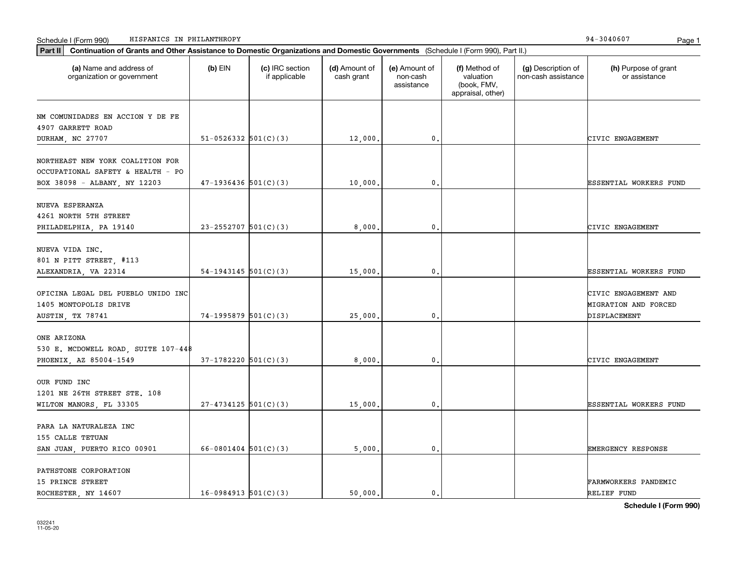| Continuation of Grants and Other Assistance to Domestic Organizations and Domestic Governments (Schedule I (Form 990), Part II.)<br>Part II |                          |                                  |                             |                                         |                                                                |                                           |                                                                     |
|---------------------------------------------------------------------------------------------------------------------------------------------|--------------------------|----------------------------------|-----------------------------|-----------------------------------------|----------------------------------------------------------------|-------------------------------------------|---------------------------------------------------------------------|
| (a) Name and address of<br>organization or government                                                                                       | $(b)$ EIN                | (c) IRC section<br>if applicable | (d) Amount of<br>cash grant | (e) Amount of<br>non-cash<br>assistance | (f) Method of<br>valuation<br>(book, FMV,<br>appraisal, other) | (g) Description of<br>non-cash assistance | (h) Purpose of grant<br>or assistance                               |
| NM COMUNIDADES EN ACCION Y DE FE<br>4907 GARRETT ROAD<br>DURHAM, NC 27707                                                                   | $51-0526332$ $501(C)(3)$ |                                  | 12,000.                     | 0.                                      |                                                                |                                           | CIVIC ENGAGEMENT                                                    |
| NORTHEAST NEW YORK COALITION FOR<br>OCCUPATIONAL SAFETY & HEALTH - PO<br>BOX 38098 - ALBANY, NY 12203                                       | $47-1936436$ 501(C)(3)   |                                  | 10,000.                     | 0.                                      |                                                                |                                           | ESSENTIAL WORKERS FUND                                              |
| NUEVA ESPERANZA<br>4261 NORTH 5TH STREET<br>PHILADELPHIA, PA 19140                                                                          | $23 - 2552707$ 501(C)(3) |                                  | 8,000,                      | $\mathbf{0}$                            |                                                                |                                           | CIVIC ENGAGEMENT                                                    |
| NUEVA VIDA INC.<br>801 N PITT STREET, #113<br>ALEXANDRIA, VA 22314                                                                          | $54-1943145$ $501(C)(3)$ |                                  | 15,000.                     | 0.                                      |                                                                |                                           | ESSENTIAL WORKERS FUND                                              |
| OFICINA LEGAL DEL PUEBLO UNIDO INC<br>1405 MONTOPOLIS DRIVE<br>AUSTIN, TX 78741                                                             | $74-1995879$ 501(C)(3)   |                                  | 25,000                      | 0.                                      |                                                                |                                           | CIVIC ENGAGEMENT AND<br><b>MIGRATION AND FORCED</b><br>DISPLACEMENT |
| ONE ARIZONA<br>530 E. MCDOWELL ROAD, SUITE 107-448<br>PHOENIX, AZ 85004-1549                                                                | $37-1782220$ 501(C)(3)   |                                  | 8,000,                      | $\mathbf{0}$ .                          |                                                                |                                           | CIVIC ENGAGEMENT                                                    |
| OUR FUND INC<br>1201 NE 26TH STREET STE. 108<br>WILTON MANORS, FL 33305                                                                     | $27 - 4734125$ 501(C)(3) |                                  | 15,000.                     | 0.                                      |                                                                |                                           | ESSENTIAL WORKERS FUND                                              |
| PARA LA NATURALEZA INC<br>155 CALLE TETUAN<br>SAN JUAN, PUERTO RICO 00901                                                                   | $66 - 0801404$ 501(C)(3) |                                  | 5,000.                      | 0.                                      |                                                                |                                           | <b>EMERGENCY RESPONSE</b>                                           |
| PATHSTONE CORPORATION<br>15 PRINCE STREET<br>ROCHESTER, NY 14607                                                                            | $16-0984913$ 501(C)(3)   |                                  | 50,000.                     | $\mathbf{0}$ .                          |                                                                |                                           | FARMWORKERS PANDEMIC<br>RELIEF FUND                                 |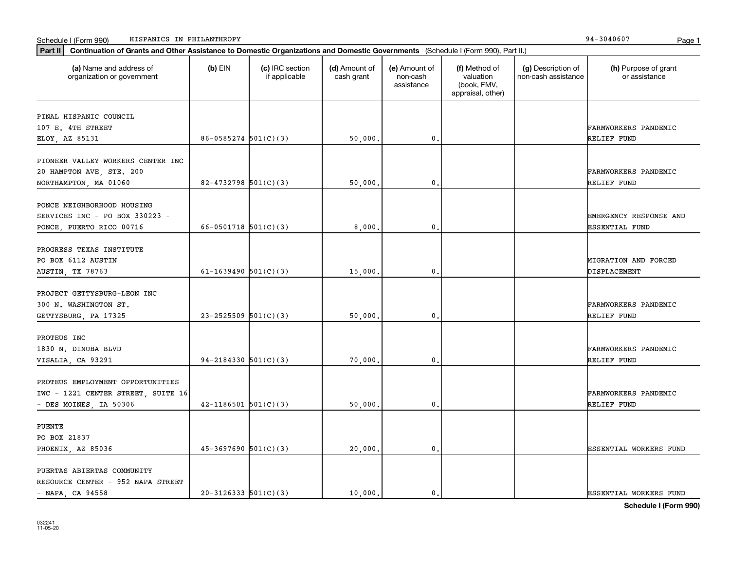| (a) Name and address of<br>organization or government | $(b)$ EIN                  | (c) IRC section<br>if applicable | (d) Amount of<br>cash grant | (e) Amount of<br>non-cash<br>assistance | (f) Method of<br>valuation<br>(book, FMV,<br>appraisal, other) | (g) Description of<br>non-cash assistance | (h) Purpose of grant<br>or assistance |
|-------------------------------------------------------|----------------------------|----------------------------------|-----------------------------|-----------------------------------------|----------------------------------------------------------------|-------------------------------------------|---------------------------------------|
| PINAL HISPANIC COUNCIL                                |                            |                                  |                             |                                         |                                                                |                                           |                                       |
| 107 E. 4TH STREET                                     |                            |                                  |                             |                                         |                                                                |                                           | <b>FARMWORKERS PANDEMIC</b>           |
| ELOY, AZ 85131                                        | $86 - 0585274$ 501(C)(3)   |                                  | 50,000.                     | 0.                                      |                                                                |                                           | RELIEF FUND                           |
| PIONEER VALLEY WORKERS CENTER INC                     |                            |                                  |                             |                                         |                                                                |                                           |                                       |
|                                                       |                            |                                  |                             |                                         |                                                                |                                           | <b>FARMWORKERS PANDEMIC</b>           |
| 20 HAMPTON AVE, STE. 200                              | 82-4732798 $501(C)(3)$     |                                  | 50,000,                     | 0.                                      |                                                                |                                           | RELIEF FUND                           |
| NORTHAMPTON, MA 01060                                 |                            |                                  |                             |                                         |                                                                |                                           |                                       |
| PONCE NEIGHBORHOOD HOUSING                            |                            |                                  |                             |                                         |                                                                |                                           |                                       |
| SERVICES INC - PO BOX 330223 -                        |                            |                                  |                             |                                         |                                                                |                                           | <b>EMERGENCY RESPONSE AND</b>         |
| PONCE, PUERTO RICO 00716                              | 66-0501718 $501(C)(3)$     |                                  | 8,000.                      | 0.                                      |                                                                |                                           | <b>ESSENTIAL FUND</b>                 |
|                                                       |                            |                                  |                             |                                         |                                                                |                                           |                                       |
| PROGRESS TEXAS INSTITUTE                              |                            |                                  |                             |                                         |                                                                |                                           |                                       |
| PO BOX 6112 AUSTIN                                    |                            |                                  |                             |                                         |                                                                |                                           | MIGRATION AND FORCED                  |
| AUSTIN, TX 78763                                      | 61-1639490 $501(C)(3)$     |                                  | 15,000.                     | $\mathbf{0}$ .                          |                                                                |                                           | DISPLACEMENT                          |
|                                                       |                            |                                  |                             |                                         |                                                                |                                           |                                       |
| PROJECT GETTYSBURG-LEON INC                           |                            |                                  |                             |                                         |                                                                |                                           |                                       |
| 300 N. WASHINGTON ST.                                 |                            |                                  |                             |                                         |                                                                |                                           | <b>FARMWORKERS PANDEMIC</b>           |
| GETTYSBURG, PA 17325                                  | $23 - 2525509$ 501(C)(3)   |                                  | 50,000.                     | $\mathbf{0}$                            |                                                                |                                           | RELIEF FUND                           |
| PROTEUS INC                                           |                            |                                  |                             |                                         |                                                                |                                           |                                       |
| 1830 N. DINUBA BLVD                                   |                            |                                  |                             |                                         |                                                                |                                           | <b>FARMWORKERS PANDEMIC</b>           |
| VISALIA, CA 93291                                     | $94 - 2184330$ $501(C)(3)$ |                                  | 70,000.                     | 0.                                      |                                                                |                                           | RELIEF FUND                           |
|                                                       |                            |                                  |                             |                                         |                                                                |                                           |                                       |
| PROTEUS EMPLOYMENT OPPORTUNITIES                      |                            |                                  |                             |                                         |                                                                |                                           |                                       |
| IWC - 1221 CENTER STREET, SUITE 16                    |                            |                                  |                             |                                         |                                                                |                                           | FARMWORKERS PANDEMIC                  |
| - DES MOINES, IA 50306                                | $42 - 1186501$ 501(C)(3)   |                                  | 50,000.                     | 0.                                      |                                                                |                                           | RELIEF FUND                           |
|                                                       |                            |                                  |                             |                                         |                                                                |                                           |                                       |
| <b>PUENTE</b>                                         |                            |                                  |                             |                                         |                                                                |                                           |                                       |
| PO BOX 21837                                          |                            |                                  |                             |                                         |                                                                |                                           |                                       |
| PHOENIX, AZ 85036                                     | $45-3697690$ 501(C)(3)     |                                  | 20,000.                     | 0.                                      |                                                                |                                           | ESSENTIAL WORKERS FUND                |
| PUERTAS ABIERTAS COMMUNITY                            |                            |                                  |                             |                                         |                                                                |                                           |                                       |
| RESOURCE CENTER - 952 NAPA STREET                     |                            |                                  |                             |                                         |                                                                |                                           |                                       |
| $-$ NAPA, CA 94558                                    | $20-3126333$ $501(C)(3)$   |                                  | 10.000.                     | $\mathbf{0}$ .                          |                                                                |                                           | <b>ESSENTIAL WORKERS FUND</b>         |
|                                                       |                            |                                  |                             |                                         |                                                                |                                           |                                       |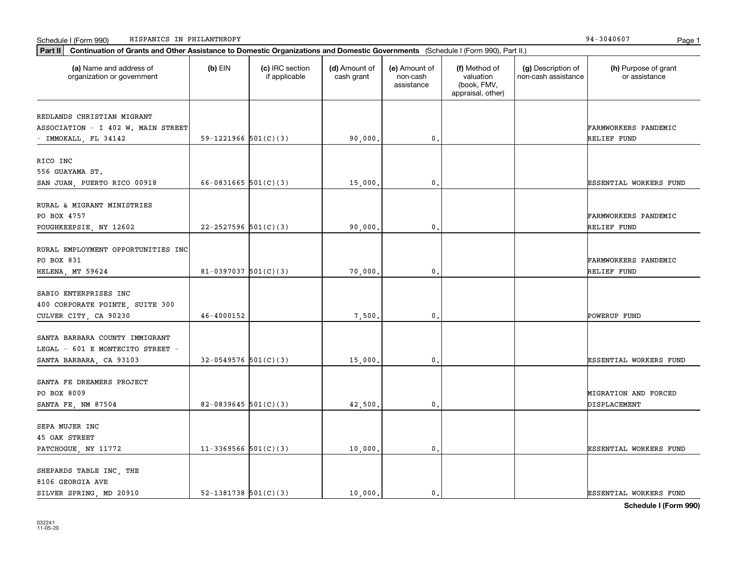032241 11-05-20

## Schedule I (Form 990) Page 1 HISPANICS IN PHILANTHROPY 94-3040607

organization or government

|                                    |                          |         | assistance | (book, FMV,<br>appraisal, other) |                               |
|------------------------------------|--------------------------|---------|------------|----------------------------------|-------------------------------|
| REDLANDS CHRISTIAN MIGRANT         |                          |         |            |                                  |                               |
| ASSOCIATION - I 402 W. MAIN STREET |                          |         |            |                                  | FARMWORKERS PANDEMIC          |
| - IMMOKALL, FL 34142               | 59-1221966 $501(C)(3)$   | 90,000  | 0,         |                                  | RELIEF FUND                   |
|                                    |                          |         |            |                                  |                               |
| RICO INC                           |                          |         |            |                                  |                               |
| 556 GUAYAMA ST.                    |                          |         |            |                                  |                               |
| SAN JUAN, PUERTO RICO 00918        | 66-0831665 $501(C)(3)$   | 15,000  | 0.         |                                  | <b>ESSENTIAL WORKERS FUND</b> |
| RURAL & MIGRANT MINISTRIES         |                          |         |            |                                  |                               |
| PO BOX 4757                        |                          |         |            |                                  | FARMWORKERS PANDEMIC          |
| POUGHKEEPSIE, NY 12602             | $22 - 2527596$ 501(C)(3) | 90,000  | 0.         |                                  | RELIEF FUND                   |
| RURAL EMPLOYMENT OPPORTUNITIES INC |                          |         |            |                                  |                               |
| PO BOX 831                         |                          |         |            |                                  | FARMWORKERS PANDEMIC          |
| HELENA, MT 59624                   | 81-0397037 $501(C)(3)$   | 70,000  | 0.         |                                  | RELIEF FUND                   |
|                                    |                          |         |            |                                  |                               |
| SABIO ENTERPRISES INC              |                          |         |            |                                  |                               |
| 400 CORPORATE POINTE, SUITE 300    |                          |         |            |                                  |                               |
| CULVER CITY, CA 90230              | 46-4000152               | 7,500.  | 0.         |                                  | POWERUP FUND                  |
| SANTA BARBARA COUNTY IMMIGRANT     |                          |         |            |                                  |                               |
| LEGAL - 601 E MONTECITO STREET -   |                          |         |            |                                  |                               |
| SANTA BARBARA, CA 93103            | $32-0549576$ 501(C)(3)   | 15,000  | 0.         |                                  | <b>ESSENTIAL WORKERS FUND</b> |
| SANTA FE DREAMERS PROJECT          |                          |         |            |                                  |                               |
| PO BOX 8009                        |                          |         |            |                                  | MIGRATION AND FORCED          |
| SANTA FE, NM 87504                 | 82-0839645 $501(C)(3)$   | 42,500  | 0.         |                                  | DISPLACEMENT                  |
|                                    |                          |         |            |                                  |                               |
| SEPA MUJER INC                     |                          |         |            |                                  |                               |
| 45 OAK STREET                      |                          |         |            |                                  |                               |
| PATCHOGUE, NY 11772                | $11-3369566$ $501(C)(3)$ | 10,000  | 0.         |                                  | <b>ESSENTIAL WORKERS FUND</b> |
| SHEPARDS TABLE INC, THE            |                          |         |            |                                  |                               |
| 8106 GEORGIA AVE                   |                          |         |            |                                  |                               |
| SILVER SPRING, MD 20910            | 52-1381738 $501(C)(3)$   | 10,000. | 0.         |                                  | <b>ESSENTIAL WORKERS FUND</b> |

**Part II Continuation of Grants and Other Assistance to Domestic Organizations and Domestic Governments**  (Schedule I (Form 990), Part II.)

if applicable

 $(b)$  EIN  $(c)$  IRC section

**(a) (b) (c) (d) (e) (f) (g) (h)** Name and address of

(d) Amount of cash grant

(e) Amount of non-cash

(f) Method of valuation

(g) Description of non-cash assistance

(h) Purpose of grant or assistance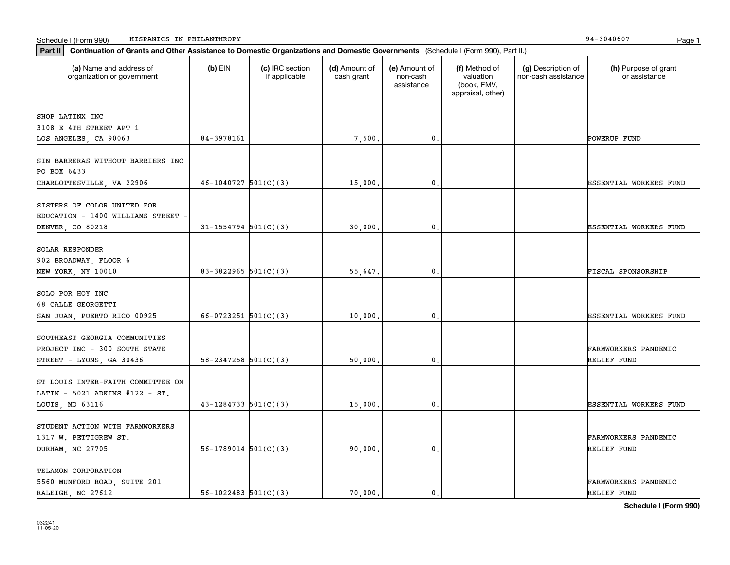| (a) Name and address of<br>organization or government                               | $(b)$ EIN                  | (c) IRC section<br>if applicable | (d) Amount of<br>cash grant | (e) Amount of<br>non-cash<br>assistance | (f) Method of<br>valuation<br>(book, FMV,<br>appraisal, other) | (g) Description of<br>non-cash assistance | (h) Purpose of grant<br>or assistance |
|-------------------------------------------------------------------------------------|----------------------------|----------------------------------|-----------------------------|-----------------------------------------|----------------------------------------------------------------|-------------------------------------------|---------------------------------------|
| SHOP LATINX INC                                                                     |                            |                                  |                             |                                         |                                                                |                                           |                                       |
| 3108 E 4TH STREET APT 1                                                             |                            |                                  |                             |                                         |                                                                |                                           |                                       |
| LOS ANGELES, CA 90063                                                               | 84-3978161                 |                                  | 7,500.                      | 0.                                      |                                                                |                                           | POWERUP FUND                          |
| SIN BARRERAS WITHOUT BARRIERS INC<br>PO BOX 6433                                    |                            |                                  |                             |                                         |                                                                |                                           |                                       |
| CHARLOTTESVILLE, VA 22906                                                           | $46-1040727$ 501(C)(3)     |                                  | 15,000                      | 0.                                      |                                                                |                                           | ESSENTIAL WORKERS FUND                |
| SISTERS OF COLOR UNITED FOR<br>EDUCATION - 1400 WILLIAMS STREET<br>DENVER, CO 80218 | $31 - 1554794$ 501(C)(3)   |                                  | 30,000                      | 0.                                      |                                                                |                                           | ESSENTIAL WORKERS FUND                |
|                                                                                     |                            |                                  |                             |                                         |                                                                |                                           |                                       |
| SOLAR RESPONDER                                                                     |                            |                                  |                             |                                         |                                                                |                                           |                                       |
| 902 BROADWAY, FLOOR 6                                                               |                            |                                  |                             |                                         |                                                                |                                           |                                       |
| NEW YORK, NY 10010                                                                  | 83-3822965 $501(C)(3)$     |                                  | 55,647.                     | 0.                                      |                                                                |                                           | FISCAL SPONSORSHIP                    |
| SOLO POR HOY INC                                                                    |                            |                                  |                             |                                         |                                                                |                                           |                                       |
| 68 CALLE GEORGETTI                                                                  |                            |                                  |                             |                                         |                                                                |                                           |                                       |
| SAN JUAN, PUERTO RICO 00925                                                         | $66 - 0723251$ 501(C)(3)   |                                  | 10,000.                     | 0.                                      |                                                                |                                           | ESSENTIAL WORKERS FUND                |
| SOUTHEAST GEORGIA COMMUNITIES                                                       |                            |                                  |                             |                                         |                                                                |                                           |                                       |
| PROJECT INC - 300 SOUTH STATE                                                       |                            |                                  |                             |                                         |                                                                |                                           | FARMWORKERS PANDEMIC                  |
| STREET - LYONS, GA 30436                                                            | $58 - 2347258$ $501(C)(3)$ |                                  | 50,000.                     | 0.                                      |                                                                |                                           | RELIEF FUND                           |
| ST LOUIS INTER-FAITH COMMITTEE ON                                                   |                            |                                  |                             |                                         |                                                                |                                           |                                       |
| LATIN - 5021 ADKINS #122 - ST.                                                      |                            |                                  |                             |                                         |                                                                |                                           |                                       |
| LOUIS, MO 63116                                                                     | $43 - 1284733$ $501(C)(3)$ |                                  | 15,000                      | 0.                                      |                                                                |                                           | ESSENTIAL WORKERS FUND                |
|                                                                                     |                            |                                  |                             |                                         |                                                                |                                           |                                       |
| STUDENT ACTION WITH FARMWORKERS                                                     |                            |                                  |                             |                                         |                                                                |                                           |                                       |
| 1317 W. PETTIGREW ST.                                                               |                            |                                  |                             |                                         |                                                                |                                           | FARMWORKERS PANDEMIC                  |
| DURHAM, NC 27705                                                                    | $56-1789014$ $501(C)(3)$   |                                  | 90,000.                     | 0.                                      |                                                                |                                           | RELIEF FUND                           |
| TELAMON CORPORATION                                                                 |                            |                                  |                             |                                         |                                                                |                                           |                                       |
| 5560 MUNFORD ROAD, SUITE 201                                                        |                            |                                  |                             |                                         |                                                                |                                           | FARMWORKERS PANDEMIC                  |
| RALEIGH, NC 27612                                                                   | $56 - 1022483$ $501(C)(3)$ |                                  | 70.000.                     | 0.                                      |                                                                |                                           | RELIEF FUND                           |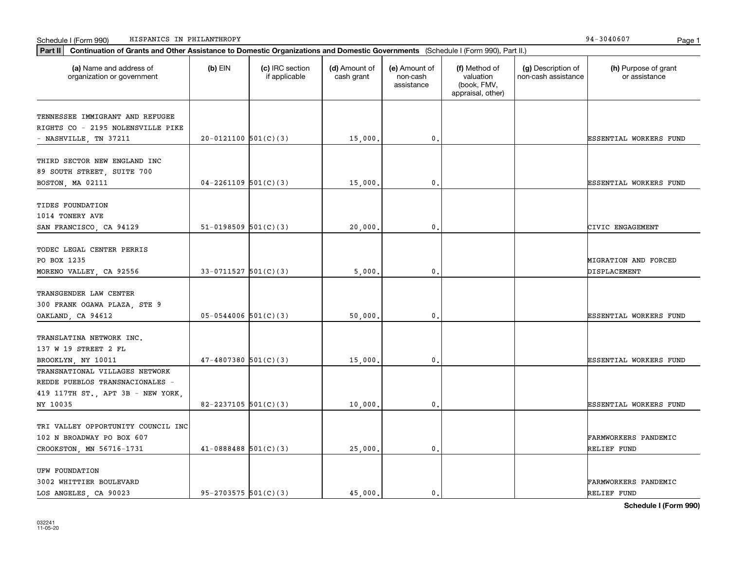| (a) Name and address of<br>organization or government                                                  | $(b)$ EIN                  | (c) IRC section<br>if applicable | (d) Amount of<br>cash grant | (e) Amount of<br>non-cash<br>assistance | (f) Method of<br>valuation<br>(book, FMV,<br>appraisal, other) | (g) Description of<br>non-cash assistance | (h) Purpose of grant<br>or assistance      |
|--------------------------------------------------------------------------------------------------------|----------------------------|----------------------------------|-----------------------------|-----------------------------------------|----------------------------------------------------------------|-------------------------------------------|--------------------------------------------|
| TENNESSEE IMMIGRANT AND REFUGEE                                                                        |                            |                                  |                             |                                         |                                                                |                                           |                                            |
| RIGHTS CO - 2195 NOLENSVILLE PIKE                                                                      |                            |                                  |                             |                                         |                                                                |                                           |                                            |
| - NASHVILLE, TN 37211                                                                                  | $20-0121100$ 501(C)(3)     |                                  | 15,000.                     | $\mathbf 0$ .                           |                                                                |                                           | <b>ESSENTIAL WORKERS FUND</b>              |
| THIRD SECTOR NEW ENGLAND INC<br>89 SOUTH STREET, SUITE 700<br>BOSTON, MA 02111                         | $04 - 2261109$ 501(C)(3)   |                                  | 15,000                      | 0.                                      |                                                                |                                           | ESSENTIAL WORKERS FUND                     |
|                                                                                                        |                            |                                  |                             |                                         |                                                                |                                           |                                            |
| TIDES FOUNDATION<br>1014 TONERY AVE                                                                    |                            |                                  |                             |                                         |                                                                |                                           |                                            |
| SAN FRANCISCO, CA 94129                                                                                | $51-0198509$ $501(C)(3)$   |                                  | 20,000                      | $\mathbf{0}$ .                          |                                                                |                                           | CIVIC ENGAGEMENT                           |
| TODEC LEGAL CENTER PERRIS<br>PO BOX 1235<br>MORENO VALLEY, CA 92556                                    | $33-0711527$ 501(C)(3)     |                                  | 5,000                       | $\mathbf 0$ .                           |                                                                |                                           | MIGRATION AND FORCED<br>DISPLACEMENT       |
|                                                                                                        |                            |                                  |                             |                                         |                                                                |                                           |                                            |
| TRANSGENDER LAW CENTER<br>300 FRANK OGAWA PLAZA, STE 9                                                 |                            |                                  |                             |                                         |                                                                |                                           |                                            |
| OAKLAND, CA 94612                                                                                      | $05-0544006$ 501(C)(3)     |                                  | 50,000.                     | $\mathbf{0}$                            |                                                                |                                           | ESSENTIAL WORKERS FUND                     |
| TRANSLATINA NETWORK INC.<br>137 W 19 STREET 2 FL                                                       |                            |                                  |                             |                                         |                                                                |                                           |                                            |
| BROOKLYN, NY 10011                                                                                     | $47 - 4807380$ 501(C)(3)   |                                  | 15,000                      | 0.                                      |                                                                |                                           | ESSENTIAL WORKERS FUND                     |
| TRANSNATIONAL VILLAGES NETWORK<br>REDDE PUEBLOS TRANSNACIONALES -<br>419 117TH ST., APT 3B - NEW YORK, |                            |                                  |                             |                                         |                                                                |                                           |                                            |
| NY 10035                                                                                               | $82 - 2237105$ 501(C)(3)   |                                  | 10,000                      | $\mathbf{0}$ .                          |                                                                |                                           | ESSENTIAL WORKERS FUND                     |
| TRI VALLEY OPPORTUNITY COUNCIL INC<br>102 N BROADWAY PO BOX 607<br>CROOKSTON, MN 56716-1731            | $41 - 0888488$ 501(C)(3)   |                                  | 25,000.                     | $\mathbf{0}$ .                          |                                                                |                                           | <b>FARMWORKERS PANDEMIC</b><br>RELIEF FUND |
| UFW FOUNDATION<br>3002 WHITTIER BOULEVARD<br>LOS ANGELES, CA 90023                                     | $95 - 2703575$ $501(C)(3)$ |                                  | 45,000.                     | $\mathbf{0}$ .                          |                                                                |                                           | FARMWORKERS PANDEMIC<br>RELIEF FUND        |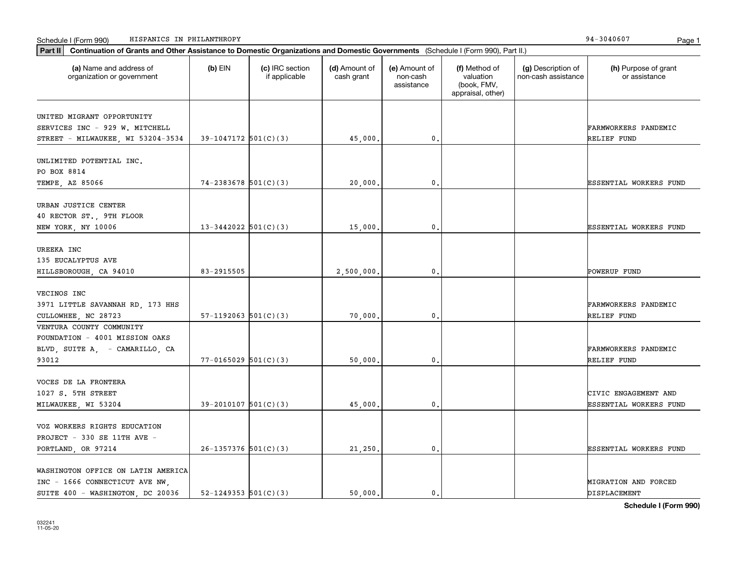| Part II   Continuation of Grants and Other Assistance to Domestic Organizations and Domestic Governments (Schedule I (Form 990), Part II.) |                          |                                  |                             |                                         |                                                                |                                           |                                       |
|--------------------------------------------------------------------------------------------------------------------------------------------|--------------------------|----------------------------------|-----------------------------|-----------------------------------------|----------------------------------------------------------------|-------------------------------------------|---------------------------------------|
| (a) Name and address of<br>organization or government                                                                                      | $(b)$ EIN                | (c) IRC section<br>if applicable | (d) Amount of<br>cash grant | (e) Amount of<br>non-cash<br>assistance | (f) Method of<br>valuation<br>(book, FMV,<br>appraisal, other) | (g) Description of<br>non-cash assistance | (h) Purpose of grant<br>or assistance |
| UNITED MIGRANT OPPORTUNITY                                                                                                                 |                          |                                  |                             |                                         |                                                                |                                           |                                       |
| SERVICES INC - 929 W. MITCHELL                                                                                                             |                          |                                  |                             |                                         |                                                                |                                           | FARMWORKERS PANDEMIC                  |
| STREET - MILWAUKEE, WI 53204-3534                                                                                                          | $39-1047172$ $501(C)(3)$ |                                  | 45,000.                     | 0.                                      |                                                                |                                           | RELIEF FUND                           |
|                                                                                                                                            |                          |                                  |                             |                                         |                                                                |                                           |                                       |
| UNLIMITED POTENTIAL INC.                                                                                                                   |                          |                                  |                             |                                         |                                                                |                                           |                                       |
| PO BOX 8814                                                                                                                                |                          |                                  |                             |                                         |                                                                |                                           |                                       |
| TEMPE, AZ 85066                                                                                                                            | $74 - 2383678$ 501(C)(3) |                                  | 20,000                      | 0.                                      |                                                                |                                           | ESSENTIAL WORKERS FUND                |
|                                                                                                                                            |                          |                                  |                             |                                         |                                                                |                                           |                                       |
| URBAN JUSTICE CENTER                                                                                                                       |                          |                                  |                             |                                         |                                                                |                                           |                                       |
| 40 RECTOR ST., 9TH FLOOR                                                                                                                   |                          |                                  |                             |                                         |                                                                |                                           |                                       |
| NEW YORK, NY 10006                                                                                                                         | $13 - 3442022$ 501(C)(3) |                                  | 15,000.                     | 0.                                      |                                                                |                                           | ESSENTIAL WORKERS FUND                |
|                                                                                                                                            |                          |                                  |                             |                                         |                                                                |                                           |                                       |
| UREEKA INC                                                                                                                                 |                          |                                  |                             |                                         |                                                                |                                           |                                       |
| 135 EUCALYPTUS AVE                                                                                                                         |                          |                                  |                             |                                         |                                                                |                                           |                                       |
| HILLSBOROUGH, CA 94010                                                                                                                     | 83-2915505               |                                  | 2,500,000,                  | 0.                                      |                                                                |                                           | POWERUP FUND                          |
|                                                                                                                                            |                          |                                  |                             |                                         |                                                                |                                           |                                       |
| VECINOS INC                                                                                                                                |                          |                                  |                             |                                         |                                                                |                                           |                                       |
| 3971 LITTLE SAVANNAH RD, 173 HHS                                                                                                           |                          |                                  |                             |                                         |                                                                |                                           | FARMWORKERS PANDEMIC                  |
| CULLOWHEE, NC 28723                                                                                                                        | $57-1192063$ $501(C)(3)$ |                                  | 70,000.                     | 0.                                      |                                                                |                                           | RELIEF FUND                           |
| VENTURA COUNTY COMMUNITY                                                                                                                   |                          |                                  |                             |                                         |                                                                |                                           |                                       |
| FOUNDATION - 4001 MISSION OAKS                                                                                                             |                          |                                  |                             |                                         |                                                                |                                           |                                       |
| BLVD, SUITE A, - CAMARILLO, CA                                                                                                             |                          |                                  |                             |                                         |                                                                |                                           | FARMWORKERS PANDEMIC                  |
| 93012                                                                                                                                      | $77 - 0165029$ 501(C)(3) |                                  | 50,000.                     | 0.                                      |                                                                |                                           | RELIEF FUND                           |
|                                                                                                                                            |                          |                                  |                             |                                         |                                                                |                                           |                                       |
| VOCES DE LA FRONTERA                                                                                                                       |                          |                                  |                             |                                         |                                                                |                                           |                                       |
| 1027 S. 5TH STREET                                                                                                                         |                          |                                  |                             |                                         |                                                                |                                           | CIVIC ENGAGEMENT AND                  |
| MILWAUKEE, WI 53204                                                                                                                        | $39 - 2010107$ 501(C)(3) |                                  | 45,000,                     | 0.                                      |                                                                |                                           | ESSENTIAL WORKERS FUND                |
|                                                                                                                                            |                          |                                  |                             |                                         |                                                                |                                           |                                       |
| VOZ WORKERS RIGHTS EDUCATION                                                                                                               |                          |                                  |                             |                                         |                                                                |                                           |                                       |
| PROJECT - 330 SE 11TH AVE -                                                                                                                |                          |                                  |                             |                                         |                                                                |                                           |                                       |
| PORTLAND, OR 97214                                                                                                                         | $26-1357376$ 501(C)(3)   |                                  | 21,250.                     | 0.                                      |                                                                |                                           | ESSENTIAL WORKERS FUND                |
| WASHINGTON OFFICE ON LATIN AMERICA                                                                                                         |                          |                                  |                             |                                         |                                                                |                                           |                                       |
| INC - 1666 CONNECTICUT AVE NW.                                                                                                             |                          |                                  |                             |                                         |                                                                |                                           | MIGRATION AND FORCED                  |
| SUITE 400 - WASHINGTON, DC 20036                                                                                                           | 52-1249353 $501(C)(3)$   |                                  | 50,000.                     | 0.                                      |                                                                |                                           | DISPLACEMENT                          |
|                                                                                                                                            |                          |                                  |                             |                                         |                                                                |                                           |                                       |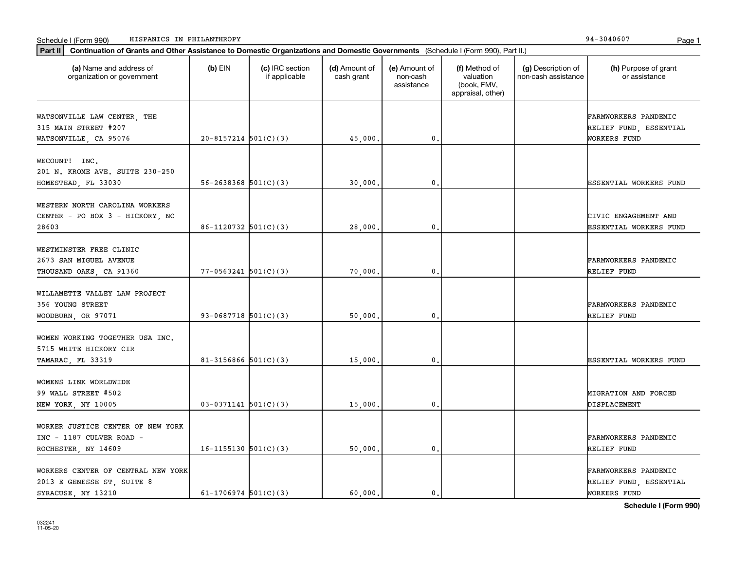| HISPANICS IN PHILANTHROPY<br>Schedule I (Form 990)                                                                                          |                            |                                  |                             |                                         |                                                                |                                           | 94-3040607<br>Page 1                                           |
|---------------------------------------------------------------------------------------------------------------------------------------------|----------------------------|----------------------------------|-----------------------------|-----------------------------------------|----------------------------------------------------------------|-------------------------------------------|----------------------------------------------------------------|
| Part II<br>Continuation of Grants and Other Assistance to Domestic Organizations and Domestic Governments (Schedule I (Form 990), Part II.) |                            |                                  |                             |                                         |                                                                |                                           |                                                                |
| (a) Name and address of<br>organization or government                                                                                       | $(b)$ EIN                  | (c) IRC section<br>if applicable | (d) Amount of<br>cash grant | (e) Amount of<br>non-cash<br>assistance | (f) Method of<br>valuation<br>(book, FMV,<br>appraisal, other) | (g) Description of<br>non-cash assistance | (h) Purpose of grant<br>or assistance                          |
| WATSONVILLE LAW CENTER, THE<br>315 MAIN STREET #207<br>WATSONVILLE, CA 95076                                                                | $20 - 8157214$ $501(C)(3)$ |                                  | 45,000.                     | 0.                                      |                                                                |                                           | FARMWORKERS PANDEMIC<br>RELIEF FUND, ESSENTIAL<br>WORKERS FUND |
| WECOUNT! INC.<br>201 N. KROME AVE. SUITE 230-250<br>HOMESTEAD, FL 33030                                                                     | $56 - 2638368$ $501(C)(3)$ |                                  | 30,000,                     | $\mathbf{0}$                            |                                                                |                                           | ESSENTIAL WORKERS FUND                                         |
| WESTERN NORTH CAROLINA WORKERS<br>CENTER - PO BOX 3 - HICKORY, NC<br>28603                                                                  | $86-1120732$ 501(C)(3)     |                                  | 28,000,                     | 0.                                      |                                                                |                                           | CIVIC ENGAGEMENT AND<br>ESSENTIAL WORKERS FUND                 |
| WESTMINSTER FREE CLINIC<br>2673 SAN MIGUEL AVENUE<br>THOUSAND OAKS, CA 91360                                                                | $77 - 0563241$ 501(C)(3)   |                                  | 70,000,                     | $\mathbf{0}$                            |                                                                |                                           | FARMWORKERS PANDEMIC<br>RELIEF FUND                            |
| WILLAMETTE VALLEY LAW PROJECT<br>356 YOUNG STREET<br>WOODBURN, OR 97071                                                                     | 93-0687718 $501(C)(3)$     |                                  | 50,000                      | $\mathbf{0}$                            |                                                                |                                           | FARMWORKERS PANDEMIC<br>RELIEF FUND                            |
| WOMEN WORKING TOGETHER USA INC.<br>5715 WHITE HICKORY CIR<br>TAMARAC, FL 33319                                                              | $81 - 3156866$ $501(C)(3)$ |                                  | 15,000.                     | $\mathbf{0}$                            |                                                                |                                           | ESSENTIAL WORKERS FUND                                         |
| WOMENS LINK WORLDWIDE<br>99 WALL STREET #502<br>NEW YORK, NY 10005                                                                          | $03-0371141$ 501(C)(3)     |                                  | 15,000,                     | 0.                                      |                                                                |                                           | MIGRATION AND FORCED<br>DISPLACEMENT                           |
| WORKER JUSTICE CENTER OF NEW YORK<br>INC - 1187 CULVER ROAD -<br>ROCHESTER NY 14609                                                         | $16 - 1155130$ $501(C)(3)$ |                                  | 50.000.                     | 0.                                      |                                                                |                                           | FARMWORKERS PANDEMIC<br>RELIEF FUND                            |

WORKERS CENTER OF CENTRAL NEW YORK FARMWORKERS PANDEMIC

2013 E GENESSE ST, SUITE 8 RELIEF FUND, ESSENTIAL SYRACUSE, NY 13210 61-1706974 501(C)(3) 60,000. 0. 0.

**Schedule I (Form 990)**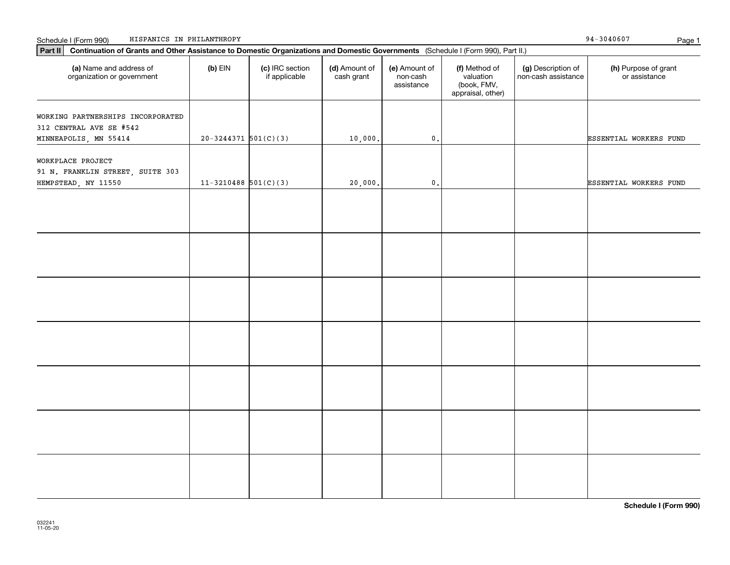| Part II Continuation of Grants and Other Assistance to Domestic Organizations and Domestic Governments (Schedule I (Form 990), Part II.) |                        |                                  |                             |                                         |                                                                |                                           |                                       |
|------------------------------------------------------------------------------------------------------------------------------------------|------------------------|----------------------------------|-----------------------------|-----------------------------------------|----------------------------------------------------------------|-------------------------------------------|---------------------------------------|
| (a) Name and address of<br>organization or government                                                                                    | $(b)$ EIN              | (c) IRC section<br>if applicable | (d) Amount of<br>cash grant | (e) Amount of<br>non-cash<br>assistance | (f) Method of<br>valuation<br>(book, FMV,<br>appraisal, other) | (g) Description of<br>non-cash assistance | (h) Purpose of grant<br>or assistance |
| WORKING PARTNERSHIPS INCORPORATED<br>312 CENTRAL AVE SE #542<br>MINNEAPOLIS, MN 55414                                                    | $20-3244371$ 501(C)(3) |                                  | 10,000.                     | $\mathfrak o$ .                         |                                                                |                                           | ESSENTIAL WORKERS FUND                |
| WORKPLACE PROJECT<br>91 N. FRANKLIN STREET, SUITE 303<br>HEMPSTEAD, NY 11550                                                             | $11-3210488$ 501(C)(3) |                                  | 20,000.                     | $\mathfrak o$ .                         |                                                                |                                           | ESSENTIAL WORKERS FUND                |
|                                                                                                                                          |                        |                                  |                             |                                         |                                                                |                                           |                                       |
|                                                                                                                                          |                        |                                  |                             |                                         |                                                                |                                           |                                       |
|                                                                                                                                          |                        |                                  |                             |                                         |                                                                |                                           |                                       |
|                                                                                                                                          |                        |                                  |                             |                                         |                                                                |                                           |                                       |
|                                                                                                                                          |                        |                                  |                             |                                         |                                                                |                                           |                                       |
|                                                                                                                                          |                        |                                  |                             |                                         |                                                                |                                           |                                       |
|                                                                                                                                          |                        |                                  |                             |                                         |                                                                |                                           |                                       |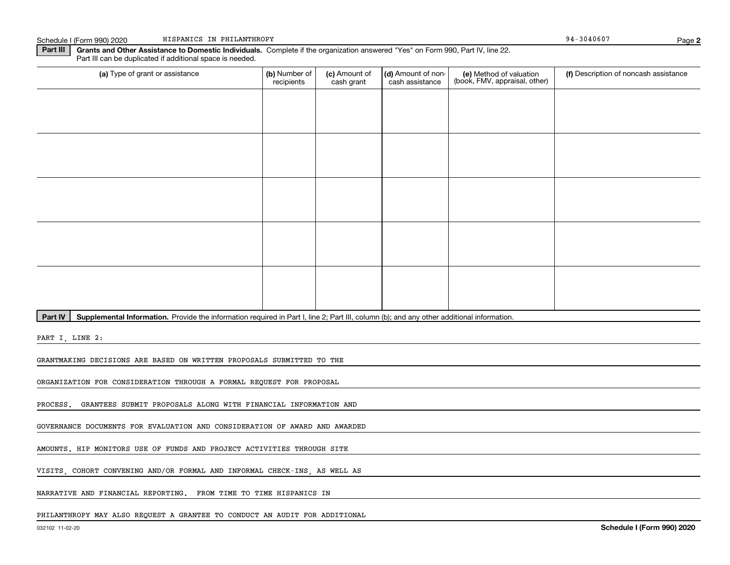Schedule I (Form 990) 2020 HISPANICS IN PHILANTHROPY NEWSLASH SCHEDULE 1 (Form 990) 2020 PAGES 194-3040607 HISPANICS IN PHILANTHROPY

**Part III | Grants and Other Assistance to Domestic Individuals. Complete if the organization answered "Yes" on Form 990, Part IV, line 22.** Part III can be duplicated if additional space is needed.

| (a) Type of grant or assistance | (b) Number of<br>recipients | (c) Amount of<br>cash grant | (d) Amount of non-<br>cash assistance | (e) Method of valuation<br>(book, FMV, appraisal, other) | (f) Description of noncash assistance |
|---------------------------------|-----------------------------|-----------------------------|---------------------------------------|----------------------------------------------------------|---------------------------------------|
|                                 |                             |                             |                                       |                                                          |                                       |
|                                 |                             |                             |                                       |                                                          |                                       |
|                                 |                             |                             |                                       |                                                          |                                       |
|                                 |                             |                             |                                       |                                                          |                                       |
|                                 |                             |                             |                                       |                                                          |                                       |
|                                 |                             |                             |                                       |                                                          |                                       |
|                                 |                             |                             |                                       |                                                          |                                       |
|                                 |                             |                             |                                       |                                                          |                                       |
|                                 |                             |                             |                                       |                                                          |                                       |
|                                 |                             |                             |                                       |                                                          |                                       |
|                                 |                             |                             |                                       |                                                          |                                       |

Part IV | Supplemental Information. Provide the information required in Part I, line 2; Part III, column (b); and any other additional information.

PART I, LINE 2:

GRANTMAKING DECISIONS ARE BASED ON WRITTEN PROPOSALS SUBMITTED TO THE

ORGANIZATION FOR CONSIDERATION THROUGH A FORMAL REQUEST FOR PROPOSAL

PROCESS. GRANTEES SUBMIT PROPOSALS ALONG WITH FINANCIAL INFORMATION AND

GOVERNANCE DOCUMENTS FOR EVALUATION AND CONSIDERATION OF AWARD AND AWARDED

AMOUNTS. HIP MONITORS USE OF FUNDS AND PROJECT ACTIVITIES THROUGH SITE

VISITS, COHORT CONVENING AND/OR FORMAL AND INFORMAL CHECK-INS, AS WELL AS

NARRATIVE AND FINANCIAL REPORTING. FROM TIME TO TIME HISPANICS IN

PHILANTHROPY MAY ALSO REQUEST A GRANTEE TO CONDUCT AN AUDIT FOR ADDITIONAL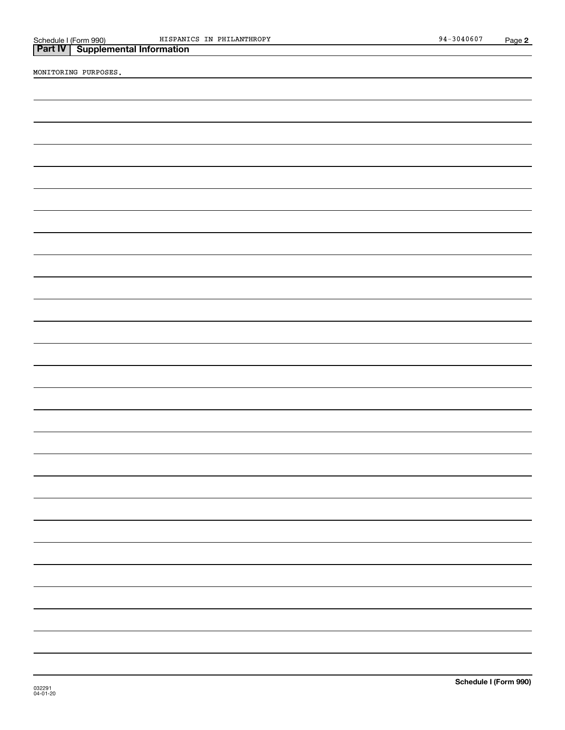|                       | <b>Part IV   Supplemental Information</b> |                |
|-----------------------|-------------------------------------------|----------------|
| Schedule I (Form 990) |                                           | <b>HISPANI</b> |

MONITORING PURPOSES.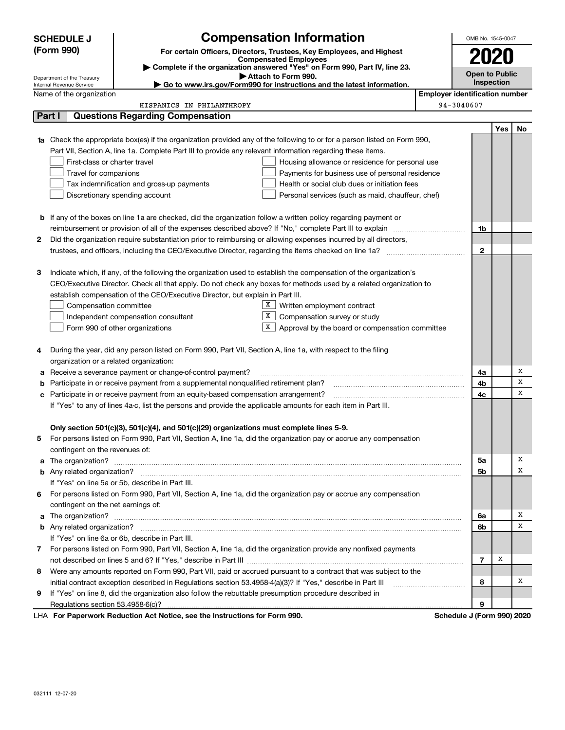| (Form 990)<br>For certain Officers, Directors, Trustees, Key Employees, and Highest<br><b>Compensated Employees</b><br>Complete if the organization answered "Yes" on Form 990, Part IV, line 23.<br>Attach to Form 990.<br>Department of the Treasury<br>Go to www.irs.gov/Form990 for instructions and the latest information.<br>Internal Revenue Service<br><b>Employer identification number</b><br>Name of the organization<br>94-3040607<br>HISPANICS IN PHILANTHROPY<br><b>Questions Regarding Compensation</b><br>Part I<br><b>1a</b> Check the appropriate box(es) if the organization provided any of the following to or for a person listed on Form 990,<br>Part VII, Section A, line 1a. Complete Part III to provide any relevant information regarding these items.<br>First-class or charter travel<br>Housing allowance or residence for personal use | 2020<br><b>Open to Public</b><br>Inspection |     |    |
|-------------------------------------------------------------------------------------------------------------------------------------------------------------------------------------------------------------------------------------------------------------------------------------------------------------------------------------------------------------------------------------------------------------------------------------------------------------------------------------------------------------------------------------------------------------------------------------------------------------------------------------------------------------------------------------------------------------------------------------------------------------------------------------------------------------------------------------------------------------------------|---------------------------------------------|-----|----|
|                                                                                                                                                                                                                                                                                                                                                                                                                                                                                                                                                                                                                                                                                                                                                                                                                                                                         |                                             |     |    |
|                                                                                                                                                                                                                                                                                                                                                                                                                                                                                                                                                                                                                                                                                                                                                                                                                                                                         |                                             |     |    |
|                                                                                                                                                                                                                                                                                                                                                                                                                                                                                                                                                                                                                                                                                                                                                                                                                                                                         |                                             |     |    |
|                                                                                                                                                                                                                                                                                                                                                                                                                                                                                                                                                                                                                                                                                                                                                                                                                                                                         |                                             |     |    |
|                                                                                                                                                                                                                                                                                                                                                                                                                                                                                                                                                                                                                                                                                                                                                                                                                                                                         |                                             |     |    |
|                                                                                                                                                                                                                                                                                                                                                                                                                                                                                                                                                                                                                                                                                                                                                                                                                                                                         |                                             |     |    |
|                                                                                                                                                                                                                                                                                                                                                                                                                                                                                                                                                                                                                                                                                                                                                                                                                                                                         |                                             | Yes | No |
|                                                                                                                                                                                                                                                                                                                                                                                                                                                                                                                                                                                                                                                                                                                                                                                                                                                                         |                                             |     |    |
|                                                                                                                                                                                                                                                                                                                                                                                                                                                                                                                                                                                                                                                                                                                                                                                                                                                                         |                                             |     |    |
|                                                                                                                                                                                                                                                                                                                                                                                                                                                                                                                                                                                                                                                                                                                                                                                                                                                                         |                                             |     |    |
| Travel for companions<br>Payments for business use of personal residence                                                                                                                                                                                                                                                                                                                                                                                                                                                                                                                                                                                                                                                                                                                                                                                                |                                             |     |    |
| Tax indemnification and gross-up payments<br>Health or social club dues or initiation fees                                                                                                                                                                                                                                                                                                                                                                                                                                                                                                                                                                                                                                                                                                                                                                              |                                             |     |    |
| Discretionary spending account<br>Personal services (such as maid, chauffeur, chef)                                                                                                                                                                                                                                                                                                                                                                                                                                                                                                                                                                                                                                                                                                                                                                                     |                                             |     |    |
|                                                                                                                                                                                                                                                                                                                                                                                                                                                                                                                                                                                                                                                                                                                                                                                                                                                                         |                                             |     |    |
| <b>b</b> If any of the boxes on line 1a are checked, did the organization follow a written policy regarding payment or                                                                                                                                                                                                                                                                                                                                                                                                                                                                                                                                                                                                                                                                                                                                                  |                                             |     |    |
|                                                                                                                                                                                                                                                                                                                                                                                                                                                                                                                                                                                                                                                                                                                                                                                                                                                                         | 1b                                          |     |    |
| Did the organization require substantiation prior to reimbursing or allowing expenses incurred by all directors,<br>2                                                                                                                                                                                                                                                                                                                                                                                                                                                                                                                                                                                                                                                                                                                                                   |                                             |     |    |
|                                                                                                                                                                                                                                                                                                                                                                                                                                                                                                                                                                                                                                                                                                                                                                                                                                                                         | $\mathbf 2$                                 |     |    |
|                                                                                                                                                                                                                                                                                                                                                                                                                                                                                                                                                                                                                                                                                                                                                                                                                                                                         |                                             |     |    |
| Indicate which, if any, of the following the organization used to establish the compensation of the organization's<br>З                                                                                                                                                                                                                                                                                                                                                                                                                                                                                                                                                                                                                                                                                                                                                 |                                             |     |    |
| CEO/Executive Director. Check all that apply. Do not check any boxes for methods used by a related organization to                                                                                                                                                                                                                                                                                                                                                                                                                                                                                                                                                                                                                                                                                                                                                      |                                             |     |    |
| establish compensation of the CEO/Executive Director, but explain in Part III.                                                                                                                                                                                                                                                                                                                                                                                                                                                                                                                                                                                                                                                                                                                                                                                          |                                             |     |    |
| X  <br>Compensation committee<br>Written employment contract                                                                                                                                                                                                                                                                                                                                                                                                                                                                                                                                                                                                                                                                                                                                                                                                            |                                             |     |    |
| X <br>Compensation survey or study<br>Independent compensation consultant                                                                                                                                                                                                                                                                                                                                                                                                                                                                                                                                                                                                                                                                                                                                                                                               |                                             |     |    |
| X  <br>Form 990 of other organizations<br>Approval by the board or compensation committee                                                                                                                                                                                                                                                                                                                                                                                                                                                                                                                                                                                                                                                                                                                                                                               |                                             |     |    |
|                                                                                                                                                                                                                                                                                                                                                                                                                                                                                                                                                                                                                                                                                                                                                                                                                                                                         |                                             |     |    |
| During the year, did any person listed on Form 990, Part VII, Section A, line 1a, with respect to the filing<br>4                                                                                                                                                                                                                                                                                                                                                                                                                                                                                                                                                                                                                                                                                                                                                       |                                             |     |    |
| organization or a related organization:                                                                                                                                                                                                                                                                                                                                                                                                                                                                                                                                                                                                                                                                                                                                                                                                                                 |                                             |     |    |
| Receive a severance payment or change-of-control payment?<br>а                                                                                                                                                                                                                                                                                                                                                                                                                                                                                                                                                                                                                                                                                                                                                                                                          | 4a                                          |     | Х  |
| Participate in or receive payment from a supplemental nonqualified retirement plan?<br>b                                                                                                                                                                                                                                                                                                                                                                                                                                                                                                                                                                                                                                                                                                                                                                                | 4b                                          |     | х  |
| Participate in or receive payment from an equity-based compensation arrangement?<br>c                                                                                                                                                                                                                                                                                                                                                                                                                                                                                                                                                                                                                                                                                                                                                                                   | 4с                                          |     | x  |
| If "Yes" to any of lines 4a-c, list the persons and provide the applicable amounts for each item in Part III.                                                                                                                                                                                                                                                                                                                                                                                                                                                                                                                                                                                                                                                                                                                                                           |                                             |     |    |
|                                                                                                                                                                                                                                                                                                                                                                                                                                                                                                                                                                                                                                                                                                                                                                                                                                                                         |                                             |     |    |
| Only section 501(c)(3), 501(c)(4), and 501(c)(29) organizations must complete lines 5-9.                                                                                                                                                                                                                                                                                                                                                                                                                                                                                                                                                                                                                                                                                                                                                                                |                                             |     |    |
| For persons listed on Form 990, Part VII, Section A, line 1a, did the organization pay or accrue any compensation                                                                                                                                                                                                                                                                                                                                                                                                                                                                                                                                                                                                                                                                                                                                                       |                                             |     |    |
| contingent on the revenues of:                                                                                                                                                                                                                                                                                                                                                                                                                                                                                                                                                                                                                                                                                                                                                                                                                                          |                                             |     |    |
| a The organization?                                                                                                                                                                                                                                                                                                                                                                                                                                                                                                                                                                                                                                                                                                                                                                                                                                                     | 5a                                          |     | х  |
| <b>b</b> Any related organization?                                                                                                                                                                                                                                                                                                                                                                                                                                                                                                                                                                                                                                                                                                                                                                                                                                      | 5b                                          |     | X  |
| If "Yes" on line 5a or 5b, describe in Part III.                                                                                                                                                                                                                                                                                                                                                                                                                                                                                                                                                                                                                                                                                                                                                                                                                        |                                             |     |    |
| For persons listed on Form 990, Part VII, Section A, line 1a, did the organization pay or accrue any compensation<br>6                                                                                                                                                                                                                                                                                                                                                                                                                                                                                                                                                                                                                                                                                                                                                  |                                             |     |    |
| contingent on the net earnings of:                                                                                                                                                                                                                                                                                                                                                                                                                                                                                                                                                                                                                                                                                                                                                                                                                                      |                                             |     |    |
| a                                                                                                                                                                                                                                                                                                                                                                                                                                                                                                                                                                                                                                                                                                                                                                                                                                                                       | 6a                                          |     | х  |
| <b>b</b> Any related organization?                                                                                                                                                                                                                                                                                                                                                                                                                                                                                                                                                                                                                                                                                                                                                                                                                                      | 6b                                          |     | X  |
| If "Yes" on line 6a or 6b, describe in Part III.                                                                                                                                                                                                                                                                                                                                                                                                                                                                                                                                                                                                                                                                                                                                                                                                                        |                                             |     |    |
| 7 For persons listed on Form 990, Part VII, Section A, line 1a, did the organization provide any nonfixed payments                                                                                                                                                                                                                                                                                                                                                                                                                                                                                                                                                                                                                                                                                                                                                      |                                             |     |    |
|                                                                                                                                                                                                                                                                                                                                                                                                                                                                                                                                                                                                                                                                                                                                                                                                                                                                         | 7                                           | х   |    |
| Were any amounts reported on Form 990, Part VII, paid or accrued pursuant to a contract that was subject to the<br>8                                                                                                                                                                                                                                                                                                                                                                                                                                                                                                                                                                                                                                                                                                                                                    |                                             |     |    |
| initial contract exception described in Regulations section 53.4958-4(a)(3)? If "Yes," describe in Part III                                                                                                                                                                                                                                                                                                                                                                                                                                                                                                                                                                                                                                                                                                                                                             | 8                                           |     | х  |
| If "Yes" on line 8, did the organization also follow the rebuttable presumption procedure described in<br>9                                                                                                                                                                                                                                                                                                                                                                                                                                                                                                                                                                                                                                                                                                                                                             |                                             |     |    |
| Regulations section 53.4958-6(c)?                                                                                                                                                                                                                                                                                                                                                                                                                                                                                                                                                                                                                                                                                                                                                                                                                                       | 9                                           |     |    |
| LHA For Paperwork Reduction Act Notice, see the Instructions for Form 990.<br>Schedule J (Form 990) 2020                                                                                                                                                                                                                                                                                                                                                                                                                                                                                                                                                                                                                                                                                                                                                                |                                             |     |    |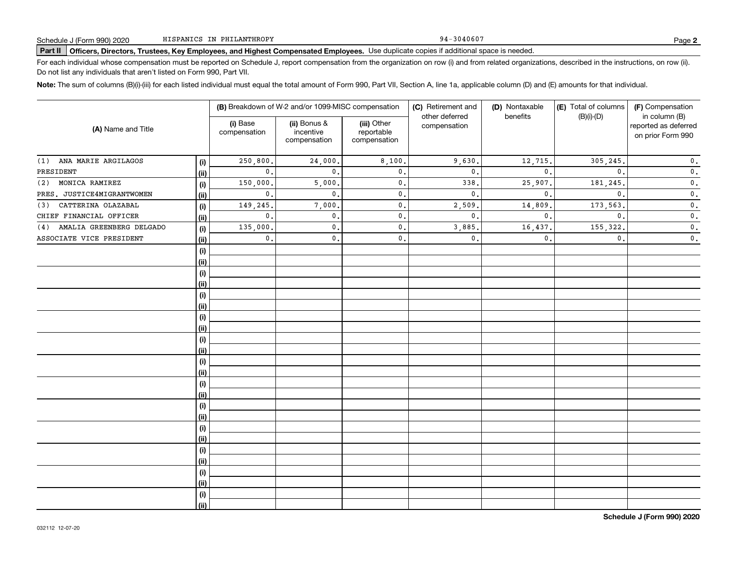94-3040607

# **Part II Officers, Directors, Trustees, Key Employees, and Highest Compensated Employees.**  Schedule J (Form 990) 2020 Page Use duplicate copies if additional space is needed.

For each individual whose compensation must be reported on Schedule J, report compensation from the organization on row (i) and from related organizations, described in the instructions, on row (ii). Do not list any individuals that aren't listed on Form 990, Part VII.

**Note:**  The sum of columns (B)(i)-(iii) for each listed individual must equal the total amount of Form 990, Part VII, Section A, line 1a, applicable column (D) and (E) amounts for that individual.

|                                 |      |                          | (B) Breakdown of W-2 and/or 1099-MISC compensation |                                           | (C) Retirement and             | (D) Nontaxable<br>benefits | (E) Total of columns | (F) Compensation                                           |  |
|---------------------------------|------|--------------------------|----------------------------------------------------|-------------------------------------------|--------------------------------|----------------------------|----------------------|------------------------------------------------------------|--|
| (A) Name and Title              |      | (i) Base<br>compensation | (ii) Bonus &<br>incentive<br>compensation          | (iii) Other<br>reportable<br>compensation | other deferred<br>compensation |                            | $(B)(i)-(D)$         | in column (B)<br>reported as deferred<br>on prior Form 990 |  |
| ANA MARIE ARGILAGOS<br>(1)      | (i)  | 250,800.                 | 24,000.                                            | 8,100.                                    | 9,630                          | 12,715.                    | 305,245.             | $\mathbf 0$ .                                              |  |
| PRESIDENT                       | (ii) | $\mathbf{0}$ .           | $\mathbf{0}$ .                                     | $\mathbf{0}$ .                            | $\mathbf{0}$                   | $\mathbf{0}$ .             | $\mathbf{0}$ .       | $\mathbf 0$ .                                              |  |
| MONICA RAMIREZ<br>(2)           | (i)  | 150,000.                 | 5,000                                              | $\mathbf{0}$ .                            | 338                            | 25,907.                    | 181, 245.            | $\mathbf 0$ .                                              |  |
| PRES. JUSTICE4MIGRANTWOMEN      | (ii) | $\mathbf{0}$ .           | $\mathbf{0}$ .                                     | $\mathbf{0}$ .                            | $\mathbf{0}$                   | $\mathbf{0}$ .             | $\mathbf{0}$ .       | $\mathbf 0$ .                                              |  |
| CATTERINA OLAZABAL<br>(3)       | (i)  | 149,245.                 | 7,000                                              | $\mathbf{0}$ .                            | 2,509                          | 14,809                     | 173,563.             | $\mathbf 0$ .                                              |  |
| CHIEF FINANCIAL OFFICER         | (ii) | $\mathbf{0}$ .           | 0.                                                 | $\mathbf{0}$ .                            | $\mathbf{0}$ .                 | $\mathbf{0}$ .             | $\mathbf{0}$ .       | $\mathbf 0$ .                                              |  |
| AMALIA GREENBERG DELGADO<br>(4) | (i)  | 135,000.                 | $\mathfrak{o}$ .                                   | $\mathfrak o$ .                           | 3,885                          | 16,437.                    | 155, 322.            | $\mathbf 0$ .                                              |  |
| ASSOCIATE VICE PRESIDENT        | (ii) | $\mathbf{0}$ .           | 0.                                                 | $\mathsf{0}\,$ .                          | $\mathbf{0}$ .                 | $\mathbf{0}$ .             | $\mathbf{0}$ .       | $\mathbf 0$ .                                              |  |
|                                 | (i)  |                          |                                                    |                                           |                                |                            |                      |                                                            |  |
|                                 | (ii) |                          |                                                    |                                           |                                |                            |                      |                                                            |  |
|                                 | (i)  |                          |                                                    |                                           |                                |                            |                      |                                                            |  |
|                                 | (ii) |                          |                                                    |                                           |                                |                            |                      |                                                            |  |
|                                 | (i)  |                          |                                                    |                                           |                                |                            |                      |                                                            |  |
|                                 | (ii) |                          |                                                    |                                           |                                |                            |                      |                                                            |  |
|                                 | (i)  |                          |                                                    |                                           |                                |                            |                      |                                                            |  |
|                                 | (ii) |                          |                                                    |                                           |                                |                            |                      |                                                            |  |
|                                 | (i)  |                          |                                                    |                                           |                                |                            |                      |                                                            |  |
|                                 | (ii) |                          |                                                    |                                           |                                |                            |                      |                                                            |  |
|                                 | (i)  |                          |                                                    |                                           |                                |                            |                      |                                                            |  |
|                                 | (ii) |                          |                                                    |                                           |                                |                            |                      |                                                            |  |
|                                 | (i)  |                          |                                                    |                                           |                                |                            |                      |                                                            |  |
|                                 | (ii) |                          |                                                    |                                           |                                |                            |                      |                                                            |  |
|                                 | (i)  |                          |                                                    |                                           |                                |                            |                      |                                                            |  |
|                                 | (ii) |                          |                                                    |                                           |                                |                            |                      |                                                            |  |
|                                 | (i)  |                          |                                                    |                                           |                                |                            |                      |                                                            |  |
|                                 | (ii) |                          |                                                    |                                           |                                |                            |                      |                                                            |  |
|                                 | (i)  |                          |                                                    |                                           |                                |                            |                      |                                                            |  |
|                                 | (ii) |                          |                                                    |                                           |                                |                            |                      |                                                            |  |
|                                 | (i)  |                          |                                                    |                                           |                                |                            |                      |                                                            |  |
|                                 | (ii) |                          |                                                    |                                           |                                |                            |                      |                                                            |  |
|                                 | (i)  |                          |                                                    |                                           |                                |                            |                      |                                                            |  |
|                                 | (ii) |                          |                                                    |                                           |                                |                            |                      |                                                            |  |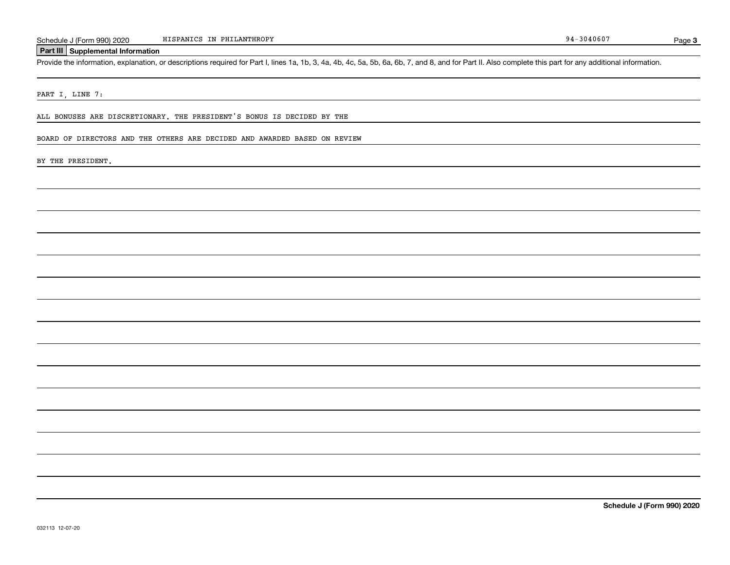## **Part III Supplemental Information**

Schedule J (Form 990) 2020 HISPANICS IN PHILANTHROPY<br>Part III Supplemental Information<br>Provide the information, explanation, or descriptions required for Part I, lines 1a, 1b, 3, 4a, 4b, 4c, 5a, 5b, 6a, 6b, 7, and 8, and f

PART I, LINE 7:

ALL BONUSES ARE DISCRETIONARY. THE PRESIDENT'S BONUS IS DECIDED BY THE

BOARD OF DIRECTORS AND THE OTHERS ARE DECIDED AND AWARDED BASED ON REVIEW

BY THE PRESIDENT.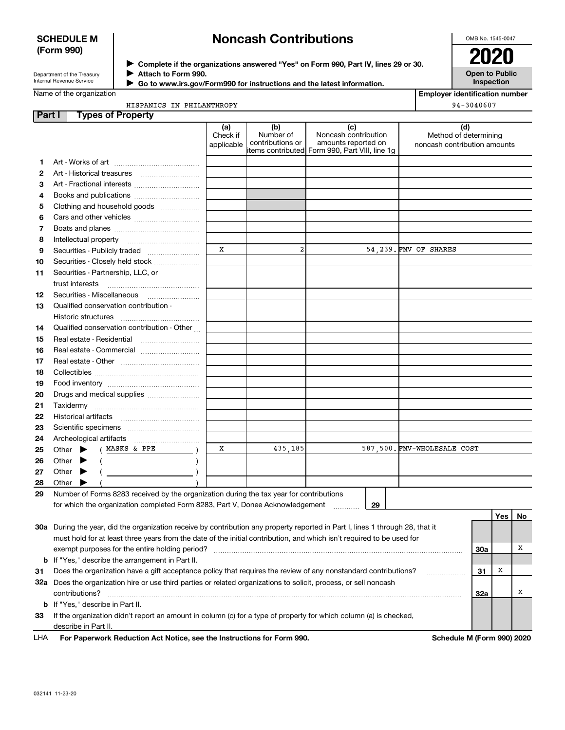## **SCHEDULE M (Form 990)**

# **Noncash Contributions**

OMB No. 1545-0047

Department of the Treasury Internal Revenue Service

**Complete if the organizations answered "Yes" on Form 990, Part IV, lines 29 or 30.** <sup>J</sup>**2020 Attach to Form 990.** J

**Open to Public Inspection**

| Name of the organization |
|--------------------------|

| Go to www.irs.gov/Form990 for instructions and the latest information. |
|------------------------------------------------------------------------|
|                                                                        |

**Employer identification number** 94-3040607

|  | HISPANICS IN PHILANTHROPY |  |
|--|---------------------------|--|
|  |                           |  |
|  |                           |  |

| Part I | <b>Types of Property</b>                                                                                                       |                               |                                      |                                                                                                      |                                                              |            |     |    |
|--------|--------------------------------------------------------------------------------------------------------------------------------|-------------------------------|--------------------------------------|------------------------------------------------------------------------------------------------------|--------------------------------------------------------------|------------|-----|----|
|        |                                                                                                                                | (a)<br>Check if<br>applicable | (b)<br>Number of<br>contributions or | (c)<br>Noncash contribution<br>amounts reported on<br>items contributed Form 990, Part VIII, line 1g | (d)<br>Method of determining<br>noncash contribution amounts |            |     |    |
| 1.     |                                                                                                                                |                               |                                      |                                                                                                      |                                                              |            |     |    |
| 2      |                                                                                                                                |                               |                                      |                                                                                                      |                                                              |            |     |    |
| З      | Art - Fractional interests                                                                                                     |                               |                                      |                                                                                                      |                                                              |            |     |    |
| 4      | Books and publications                                                                                                         |                               |                                      |                                                                                                      |                                                              |            |     |    |
| 5      | Clothing and household goods                                                                                                   |                               |                                      |                                                                                                      |                                                              |            |     |    |
| 6      |                                                                                                                                |                               |                                      |                                                                                                      |                                                              |            |     |    |
| 7      |                                                                                                                                |                               |                                      |                                                                                                      |                                                              |            |     |    |
| 8      |                                                                                                                                |                               |                                      |                                                                                                      |                                                              |            |     |    |
| 9      |                                                                                                                                | X                             | $\overline{a}$                       |                                                                                                      | 54,239. FMV OF SHARES                                        |            |     |    |
|        | Securities - Publicly traded<br>Securities - Closely held stock                                                                |                               |                                      |                                                                                                      |                                                              |            |     |    |
| 10     |                                                                                                                                |                               |                                      |                                                                                                      |                                                              |            |     |    |
| 11     | Securities - Partnership, LLC, or                                                                                              |                               |                                      |                                                                                                      |                                                              |            |     |    |
|        | trust interests                                                                                                                |                               |                                      |                                                                                                      |                                                              |            |     |    |
| 12     |                                                                                                                                |                               |                                      |                                                                                                      |                                                              |            |     |    |
| 13     | Qualified conservation contribution -                                                                                          |                               |                                      |                                                                                                      |                                                              |            |     |    |
|        | Historic structures                                                                                                            |                               |                                      |                                                                                                      |                                                              |            |     |    |
| 14     | Qualified conservation contribution - Other                                                                                    |                               |                                      |                                                                                                      |                                                              |            |     |    |
| 15     | Real estate - Residential                                                                                                      |                               |                                      |                                                                                                      |                                                              |            |     |    |
| 16     |                                                                                                                                |                               |                                      |                                                                                                      |                                                              |            |     |    |
| 17     |                                                                                                                                |                               |                                      |                                                                                                      |                                                              |            |     |    |
| 18     |                                                                                                                                |                               |                                      |                                                                                                      |                                                              |            |     |    |
| 19     |                                                                                                                                |                               |                                      |                                                                                                      |                                                              |            |     |    |
| 20     | Drugs and medical supplies                                                                                                     |                               |                                      |                                                                                                      |                                                              |            |     |    |
| 21     |                                                                                                                                |                               |                                      |                                                                                                      |                                                              |            |     |    |
| 22     |                                                                                                                                |                               |                                      |                                                                                                      |                                                              |            |     |    |
| 23     |                                                                                                                                |                               |                                      |                                                                                                      |                                                              |            |     |    |
| 24     |                                                                                                                                |                               |                                      |                                                                                                      |                                                              |            |     |    |
| 25     | ( MASKS & PPE<br>Other $\blacktriangleright$                                                                                   | x                             | 435,185                              |                                                                                                      | 587,500. FMV-WHOLESALE COST                                  |            |     |    |
| 26     | Other<br>▶                                                                                                                     |                               |                                      |                                                                                                      |                                                              |            |     |    |
| 27     | Other<br>▸                                                                                                                     |                               |                                      |                                                                                                      |                                                              |            |     |    |
| 28     | Other<br>▸                                                                                                                     |                               |                                      |                                                                                                      |                                                              |            |     |    |
| 29     | Number of Forms 8283 received by the organization during the tax year for contributions                                        |                               |                                      |                                                                                                      |                                                              |            |     |    |
|        | for which the organization completed Form 8283, Part V, Donee Acknowledgement                                                  |                               |                                      | 29                                                                                                   |                                                              |            |     |    |
|        |                                                                                                                                |                               |                                      |                                                                                                      |                                                              |            | Yes | No |
|        | 30a During the year, did the organization receive by contribution any property reported in Part I, lines 1 through 28, that it |                               |                                      |                                                                                                      |                                                              |            |     |    |
|        | must hold for at least three years from the date of the initial contribution, and which isn't required to be used for          |                               |                                      |                                                                                                      |                                                              |            |     |    |
|        |                                                                                                                                |                               |                                      |                                                                                                      |                                                              | <b>30a</b> |     | х  |
|        | <b>b</b> If "Yes," describe the arrangement in Part II.                                                                        |                               |                                      |                                                                                                      |                                                              |            |     |    |
| 31     | Does the organization have a gift acceptance policy that requires the review of any nonstandard contributions?                 |                               |                                      |                                                                                                      | .                                                            | 31         | х   |    |
|        | 32a Does the organization hire or use third parties or related organizations to solicit, process, or sell noncash              |                               |                                      |                                                                                                      |                                                              |            |     |    |
|        | contributions?                                                                                                                 |                               |                                      |                                                                                                      |                                                              | 32a        |     | х  |
|        | <b>b</b> If "Yes," describe in Part II.                                                                                        |                               |                                      |                                                                                                      |                                                              |            |     |    |
| 33     | If the organization didn't report an amount in column (c) for a type of property for which column (a) is checked,              |                               |                                      |                                                                                                      |                                                              |            |     |    |
|        | describe in Part II.                                                                                                           |                               |                                      |                                                                                                      |                                                              |            |     |    |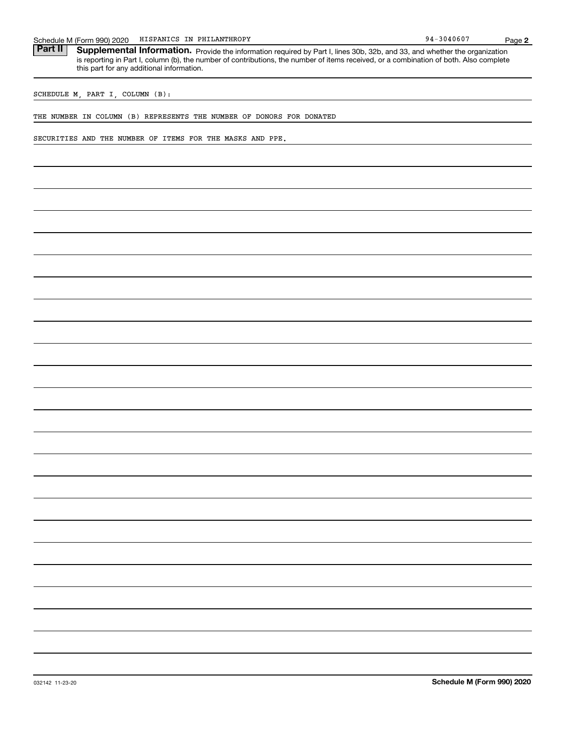| HISPANICS IN PHILANTHROPY<br>Schedule M (Form 990) 2020                                                                                                                                                                                                                                                                      | 94-3040607                 | Page 2 |
|------------------------------------------------------------------------------------------------------------------------------------------------------------------------------------------------------------------------------------------------------------------------------------------------------------------------------|----------------------------|--------|
| Part II<br>Supplemental Information. Provide the information required by Part I, lines 30b, 32b, and 33, and whether the organization<br>is reporting in Part I, column (b), the number of contributions, the number of items received, or a combination of both. Also complete<br>this part for any additional information. |                            |        |
| SCHEDULE M, PART I, COLUMN (B):                                                                                                                                                                                                                                                                                              |                            |        |
| THE NUMBER IN COLUMN (B) REPRESENTS THE NUMBER OF DONORS FOR DONATED                                                                                                                                                                                                                                                         |                            |        |
| SECURITIES AND THE NUMBER OF ITEMS FOR THE MASKS AND PPE.                                                                                                                                                                                                                                                                    |                            |        |
|                                                                                                                                                                                                                                                                                                                              |                            |        |
|                                                                                                                                                                                                                                                                                                                              |                            |        |
|                                                                                                                                                                                                                                                                                                                              |                            |        |
|                                                                                                                                                                                                                                                                                                                              |                            |        |
|                                                                                                                                                                                                                                                                                                                              |                            |        |
|                                                                                                                                                                                                                                                                                                                              |                            |        |
|                                                                                                                                                                                                                                                                                                                              |                            |        |
|                                                                                                                                                                                                                                                                                                                              |                            |        |
|                                                                                                                                                                                                                                                                                                                              |                            |        |
|                                                                                                                                                                                                                                                                                                                              |                            |        |
|                                                                                                                                                                                                                                                                                                                              |                            |        |
|                                                                                                                                                                                                                                                                                                                              |                            |        |
|                                                                                                                                                                                                                                                                                                                              |                            |        |
|                                                                                                                                                                                                                                                                                                                              |                            |        |
|                                                                                                                                                                                                                                                                                                                              |                            |        |
|                                                                                                                                                                                                                                                                                                                              |                            |        |
|                                                                                                                                                                                                                                                                                                                              |                            |        |
|                                                                                                                                                                                                                                                                                                                              |                            |        |
|                                                                                                                                                                                                                                                                                                                              |                            |        |
|                                                                                                                                                                                                                                                                                                                              |                            |        |
|                                                                                                                                                                                                                                                                                                                              |                            |        |
|                                                                                                                                                                                                                                                                                                                              |                            |        |
|                                                                                                                                                                                                                                                                                                                              |                            |        |
|                                                                                                                                                                                                                                                                                                                              |                            |        |
| 032142 11-23-20                                                                                                                                                                                                                                                                                                              | Schedule M (Form 990) 2020 |        |
|                                                                                                                                                                                                                                                                                                                              |                            |        |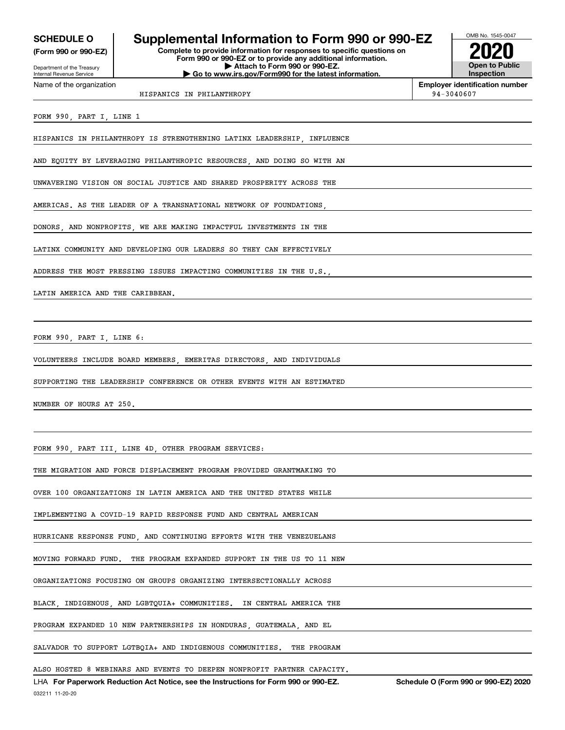**(Form 990 or 990-EZ)**

Department of the Treasury Internal Revenue Service Name of the organization

## **SCHEDULE O Supplemental Information to Form 990 or 990-EZ**

**Complete to provide information for responses to specific questions on Form 990 or 990-EZ or to provide any additional information. | Attach to Form 990 or 990-EZ. | Go to www.irs.gov/Form990 for the latest information.**



**Employer identification number**

HISPANICS IN PHILANTHROPY 94-3040607

FORM 990, PART I, LINE 1

HISPANICS IN PHILANTHROPY IS STRENGTHENING LATINX LEADERSHIP, INFLUENCE

AND EQUITY BY LEVERAGING PHILANTHROPIC RESOURCES, AND DOING SO WITH AN

UNWAVERING VISION ON SOCIAL JUSTICE AND SHARED PROSPERITY ACROSS THE

AMERICAS. AS THE LEADER OF A TRANSNATIONAL NETWORK OF FOUNDATIONS

DONORS, AND NONPROFITS, WE ARE MAKING IMPACTFUL INVESTMENTS IN THE

LATINX COMMUNITY AND DEVELOPING OUR LEADERS SO THEY CAN EFFECTIVELY

ADDRESS THE MOST PRESSING ISSUES IMPACTING COMMUNITIES IN THE U.S.,

LATIN AMERICA AND THE CARIBBEAN.

FORM 990, PART I, LINE 6:

VOLUNTEERS INCLUDE BOARD MEMBERS, EMERITAS DIRECTORS, AND INDIVIDUALS

SUPPORTING THE LEADERSHIP CONFERENCE OR OTHER EVENTS WITH AN ESTIMATED

NUMBER OF HOURS AT 250.

FORM 990, PART III, LINE 4D, OTHER PROGRAM SERVICES:

THE MIGRATION AND FORCE DISPLACEMENT PROGRAM PROVIDED GRANTMAKING TO

OVER 100 ORGANIZATIONS IN LATIN AMERICA AND THE UNITED STATES WHILE

IMPLEMENTING A COVID-19 RAPID RESPONSE FUND AND CENTRAL AMERICAN

HURRICANE RESPONSE FUND, AND CONTINUING EFFORTS WITH THE VENEZUELANS

MOVING FORWARD FUND. THE PROGRAM EXPANDED SUPPORT IN THE US TO 11 NEW

ORGANIZATIONS FOCUSING ON GROUPS ORGANIZING INTERSECTIONALLY ACROSS

BLACK, INDIGENOUS, AND LGBTQUIA+ COMMUNITIES. IN CENTRAL AMERICA THE

PROGRAM EXPANDED 10 NEW PARTNERSHIPS IN HONDURAS, GUATEMALA, AND EL

SALVADOR TO SUPPORT LGTBQIA+ AND INDIGENOUS COMMUNITIES. THE PROGRAM

ALSO HOSTED 8 WEBINARS AND EVENTS TO DEEPEN NONPROFIT PARTNER CAPACITY.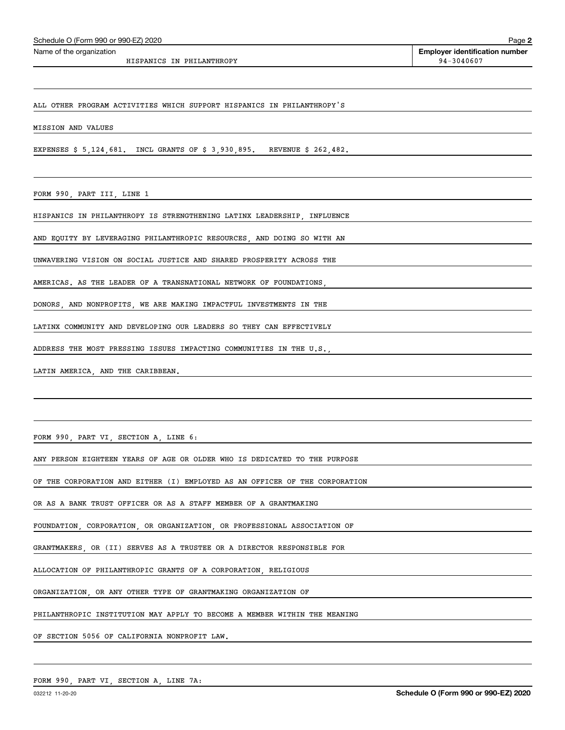HISPANICS IN PHILANTHROPY 94-3040607

ALL OTHER PROGRAM ACTIVITIES WHICH SUPPORT HISPANICS IN PHILANTHROPY'S

MISSION AND VALUES

EXPENSES \$ 5,124,681. INCL GRANTS OF \$ 3,930,895. REVENUE \$ 262,482.

FORM 990, PART III, LINE 1

HISPANICS IN PHILANTHROPY IS STRENGTHENING LATINX LEADERSHIP, INFLUENCE

AND EQUITY BY LEVERAGING PHILANTHROPIC RESOURCES, AND DOING SO WITH AN

UNWAVERING VISION ON SOCIAL JUSTICE AND SHARED PROSPERITY ACROSS THE

AMERICAS. AS THE LEADER OF A TRANSNATIONAL NETWORK OF FOUNDATIONS,

DONORS, AND NONPROFITS, WE ARE MAKING IMPACTFUL INVESTMENTS IN THE

LATINX COMMUNITY AND DEVELOPING OUR LEADERS SO THEY CAN EFFECTIVELY

ADDRESS THE MOST PRESSING ISSUES IMPACTING COMMUNITIES IN THE U.S.,

LATIN AMERICA, AND THE CARIBBEAN.

FORM 990, PART VI, SECTION A, LINE 6:

ANY PERSON EIGHTEEN YEARS OF AGE OR OLDER WHO IS DEDICATED TO THE PURPOSE

OF THE CORPORATION AND EITHER (I) EMPLOYED AS AN OFFICER OF THE CORPORATION

OR AS A BANK TRUST OFFICER OR AS A STAFF MEMBER OF A GRANTMAKING

FOUNDATION, CORPORATION, OR ORGANIZATION, OR PROFESSIONAL ASSOCIATION OF

GRANTMAKERS, OR (II) SERVES AS A TRUSTEE OR A DIRECTOR RESPONSIBLE FOR

ALLOCATION OF PHILANTHROPIC GRANTS OF A CORPORATION, RELIGIOUS

ORGANIZATION, OR ANY OTHER TYPE OF GRANTMAKING ORGANIZATION OF

PHILANTHROPIC INSTITUTION MAY APPLY TO BECOME A MEMBER WITHIN THE MEANING

OF SECTION 5056 OF CALIFORNIA NONPROFIT LAW.

FORM 990, PART VI, SECTION A, LINE 7A: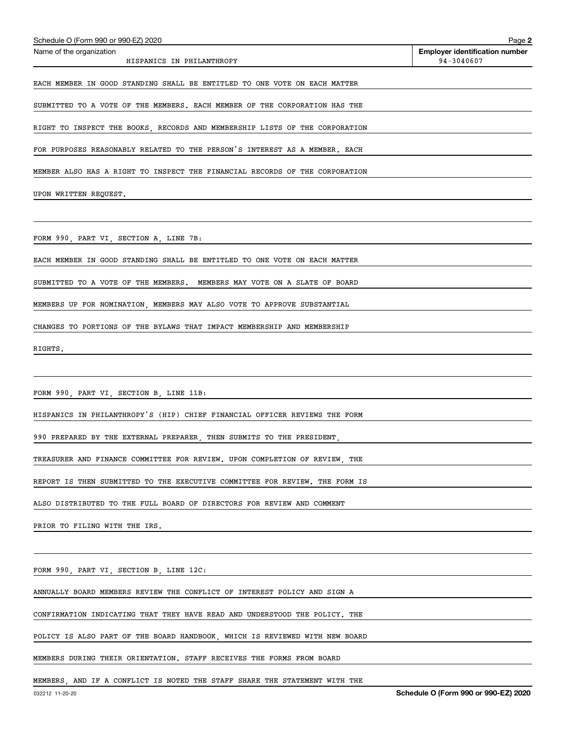| Schedule O (Form 990 or 990-EZ) 2020                                        | Page 2                                              |
|-----------------------------------------------------------------------------|-----------------------------------------------------|
| Name of the organization<br>HISPANICS IN PHILANTHROPY                       | <b>Employer identification number</b><br>94-3040607 |
| EACH MEMBER IN GOOD STANDING SHALL BE ENTITLED TO ONE VOTE ON EACH MATTER   |                                                     |
| SUBMITTED TO A VOTE OF THE MEMBERS. EACH MEMBER OF THE CORPORATION HAS THE  |                                                     |
| RIGHT TO INSPECT THE BOOKS, RECORDS AND MEMBERSHIP LISTS OF THE CORPORATION |                                                     |
| FOR PURPOSES REASONABLY RELATED TO THE PERSON'S INTEREST AS A MEMBER. EACH  |                                                     |
| MEMBER ALSO HAS A RIGHT TO INSPECT THE FINANCIAL RECORDS OF THE CORPORATION |                                                     |
| UPON WRITTEN REQUEST.                                                       |                                                     |
|                                                                             |                                                     |
| FORM 990, PART VI, SECTION A, LINE 7B:                                      |                                                     |
| EACH MEMBER IN GOOD STANDING SHALL BE ENTITLED TO ONE VOTE ON EACH MATTER   |                                                     |
| SUBMITTED TO A VOTE OF THE MEMBERS. MEMBERS MAY VOTE ON A SLATE OF BOARD    |                                                     |
| MEMBERS UP FOR NOMINATION, MEMBERS MAY ALSO VOTE TO APPROVE SUBSTANTIAL     |                                                     |
| CHANGES TO PORTIONS OF THE BYLAWS THAT IMPACT MEMBERSHIP AND MEMBERSHIP     |                                                     |
| RIGHTS.                                                                     |                                                     |
|                                                                             |                                                     |
| FORM 990, PART VI, SECTION B, LINE 11B:                                     |                                                     |
| HISPANICS IN PHILANTHROPY'S (HIP) CHIEF FINANCIAL OFFICER REVIEWS THE FORM  |                                                     |
| 990 PREPARED BY THE EXTERNAL PREPARER, THEN SUBMITS TO THE PRESIDENT,       |                                                     |
| TREASURER AND FINANCE COMMITTEE FOR REVIEW. UPON COMPLETION OF REVIEW, THE  |                                                     |
| REPORT IS THEN SUBMITTED TO THE EXECUTIVE COMMITTEE FOR REVIEW. THE FORM IS |                                                     |
| ALSO DISTRIBUTED TO THE FULL BOARD OF DIRECTORS FOR REVIEW AND COMMENT      |                                                     |
| PRIOR TO FILING WITH THE IRS.                                               |                                                     |
|                                                                             |                                                     |
| FORM 990, PART VI, SECTION B, LINE 12C:                                     |                                                     |
| ANNUALLY BOARD MEMBERS REVIEW THE CONFLICT OF INTEREST POLICY AND SIGN A    |                                                     |
| CONFIRMATION INDICATING THAT THEY HAVE READ AND UNDERSTOOD THE POLICY. THE  |                                                     |
| POLICY IS ALSO PART OF THE BOARD HANDBOOK, WHICH IS REVIEWED WITH NEW BOARD |                                                     |
| MEMBERS DURING THEIR ORIENTATION. STAFF RECEIVES THE FORMS FROM BOARD       |                                                     |
| MEMBERS, AND IF A CONFLICT IS NOTED THE STAFF SHARE THE STATEMENT WITH THE  |                                                     |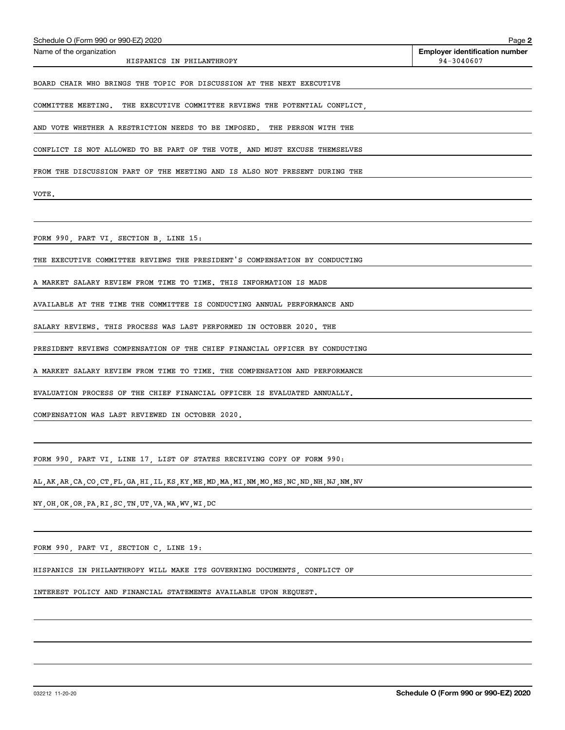| Schedule O (Form 990 or 990-EZ) 2020                                        | Page 2                                              |
|-----------------------------------------------------------------------------|-----------------------------------------------------|
| Name of the organization<br>HISPANICS IN PHILANTHROPY                       | <b>Employer identification number</b><br>94-3040607 |
| BOARD CHAIR WHO BRINGS THE TOPIC FOR DISCUSSION AT THE NEXT EXECUTIVE       |                                                     |
| COMMITTEE MEETING. THE EXECUTIVE COMMITTEE REVIEWS THE POTENTIAL CONFLICT.  |                                                     |
| AND VOTE WHETHER A RESTRICTION NEEDS TO BE IMPOSED. THE PERSON WITH THE     |                                                     |
| CONFLICT IS NOT ALLOWED TO BE PART OF THE VOTE, AND MUST EXCUSE THEMSELVES  |                                                     |
| FROM THE DISCUSSION PART OF THE MEETING AND IS ALSO NOT PRESENT DURING THE  |                                                     |
| VOTE.                                                                       |                                                     |
|                                                                             |                                                     |
| FORM 990, PART VI, SECTION B, LINE 15:                                      |                                                     |
| THE EXECUTIVE COMMITTEE REVIEWS THE PRESIDENT'S COMPENSATION BY CONDUCTING  |                                                     |
| A MARKET SALARY REVIEW FROM TIME TO TIME. THIS INFORMATION IS MADE          |                                                     |
| AVAILABLE AT THE TIME THE COMMITTEE IS CONDUCTING ANNUAL PERFORMANCE AND    |                                                     |
| SALARY REVIEWS. THIS PROCESS WAS LAST PERFORMED IN OCTOBER 2020. THE        |                                                     |
| PRESIDENT REVIEWS COMPENSATION OF THE CHIEF FINANCIAL OFFICER BY CONDUCTING |                                                     |
| A MARKET SALARY REVIEW FROM TIME TO TIME. THE COMPENSATION AND PERFORMANCE  |                                                     |
| EVALUATION PROCESS OF THE CHIEF FINANCIAL OFFICER IS EVALUATED ANNUALLY.    |                                                     |
| COMPENSATION WAS LAST REVIEWED IN OCTOBER 2020.                             |                                                     |
|                                                                             |                                                     |
| FORM 990, PART VI, LINE 17, LIST OF STATES RECEIVING COPY OF FORM 990:      |                                                     |

AL,AK,AR,CA,CO,CT,FL,GA,HI,IL,KS,KY,ME,MD,MA,MI,NM,MO,MS,NC,ND,NH,NJ,NM,NV

NY,OH,OK,OR,PA,RI,SC,TN,UT,VA,WA,WV,WI,DC

FORM 990, PART VI, SECTION C, LINE 19:

HISPANICS IN PHILANTHROPY WILL MAKE ITS GOVERNING DOCUMENTS, CONFLICT OF

INTEREST POLICY AND FINANCIAL STATEMENTS AVAILABLE UPON REQUEST.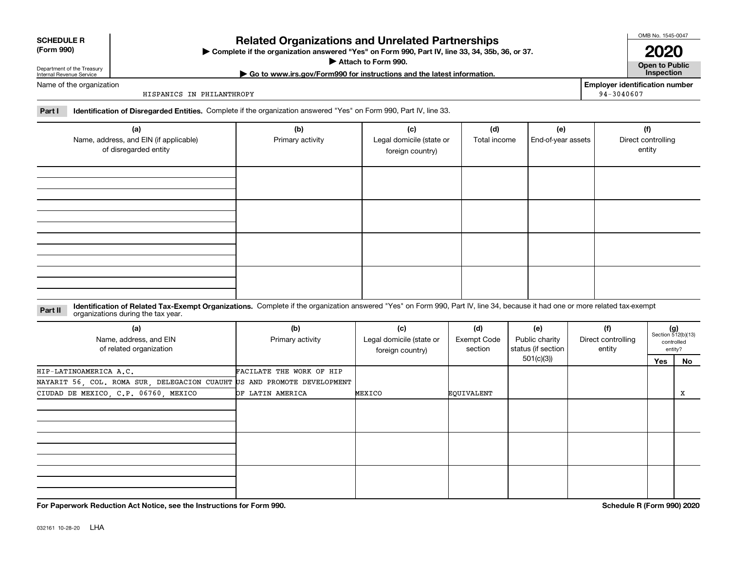| <b>SCHEDULE R</b> |  |
|-------------------|--|
|                   |  |

### **(Form 990)**

## **Related Organizations and Unrelated Partnerships**

**Complete if the organization answered "Yes" on Form 990, Part IV, line 33, 34, 35b, 36, or 37.** |

**Attach to Form 990.**  |

OMB No. 1545-0047

**Open to Public | Go to www.irs.gov/Form990 for instructions and the latest information. Inspection 2020**

**Employer identification number**

94-3040607

Department of the Treasury Internal Revenue Service Name of the organization

HISPANICS IN PHILANTHROPY

**Part I Identification of Disregarded Entities.**  Complete if the organization answered "Yes" on Form 990, Part IV, line 33.

| (a)<br>Name, address, and EIN (if applicable)<br>of disregarded entity | (b)<br>Primary activity | (c)<br>Legal domicile (state or<br>foreign country) | (d)<br>Total income | (e)<br>End-of-year assets | (f)<br>Direct controlling<br>entity |
|------------------------------------------------------------------------|-------------------------|-----------------------------------------------------|---------------------|---------------------------|-------------------------------------|
|                                                                        |                         |                                                     |                     |                           |                                     |
|                                                                        |                         |                                                     |                     |                           |                                     |
|                                                                        |                         |                                                     |                     |                           |                                     |
|                                                                        |                         |                                                     |                     |                           |                                     |

**Identification of Related Tax-Exempt Organizations.** Complete if the organization answered "Yes" on Form 990, Part IV, line 34, because it had one or more related tax-exempt **Part II** organizations during the tax year.

| (a)<br>Name, address, and EIN<br>of related organization                | (b)<br>Primary activity  | (c)<br>Legal domicile (state or<br>foreign country) | (d)<br><b>Exempt Code</b><br>section | (e)<br>Public charity<br>status (if section | (f)<br>Direct controlling<br>entity | $(g)$<br>Section 512(b)(13) | controlled<br>entity? |
|-------------------------------------------------------------------------|--------------------------|-----------------------------------------------------|--------------------------------------|---------------------------------------------|-------------------------------------|-----------------------------|-----------------------|
|                                                                         |                          |                                                     |                                      | 501(c)(3))                                  |                                     | Yes                         | No                    |
| HIP-LATINOAMERICA A.C.                                                  | FACILATE THE WORK OF HIP |                                                     |                                      |                                             |                                     |                             |                       |
| NAYARIT 56, COL. ROMA SUR, DELEGACION CUAUHT US AND PROMOTE DEVELOPMENT |                          |                                                     |                                      |                                             |                                     |                             |                       |
| CIUDAD DE MEXICO, C.P. 06760, MEXICO                                    | OF LATIN AMERICA         | MEXICO                                              | EQUIVALENT                           |                                             |                                     |                             | x                     |
|                                                                         |                          |                                                     |                                      |                                             |                                     |                             |                       |
|                                                                         |                          |                                                     |                                      |                                             |                                     |                             |                       |
|                                                                         |                          |                                                     |                                      |                                             |                                     |                             |                       |
|                                                                         |                          |                                                     |                                      |                                             |                                     |                             |                       |
|                                                                         |                          |                                                     |                                      |                                             |                                     |                             |                       |
|                                                                         |                          |                                                     |                                      |                                             |                                     |                             |                       |
|                                                                         |                          |                                                     |                                      |                                             |                                     |                             |                       |
|                                                                         |                          |                                                     |                                      |                                             |                                     |                             |                       |
|                                                                         |                          |                                                     |                                      |                                             |                                     |                             |                       |

**For Paperwork Reduction Act Notice, see the Instructions for Form 990. Schedule R (Form 990) 2020**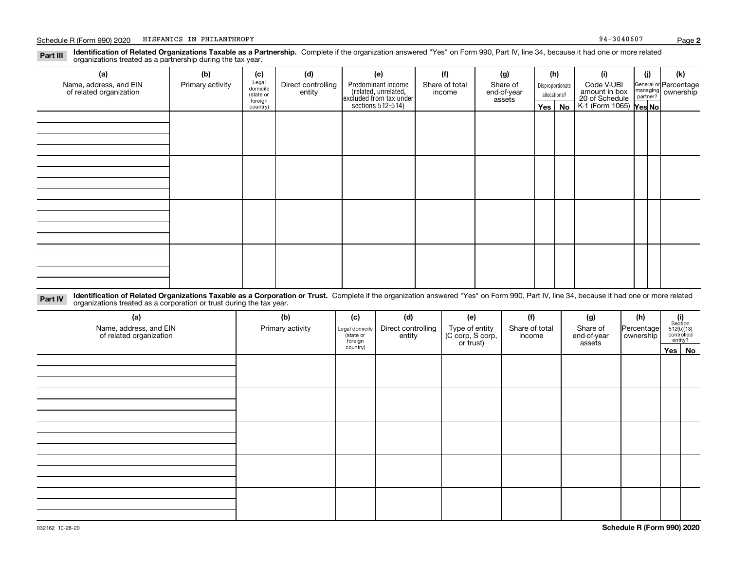#### **Identification of Related Organizations Taxable as a Partnership.** Complete if the organization answered "Yes" on Form 990, Part IV, line 34, because it had one or more related **Part III** organizations treated as a partnership during the tax year.

| (a)                                               | (b)              | (c)                  | (d)                          | (e)                                                                                        | (f)                      | (g)                     |              | (h)              | (i)                                                       | (j) | (k)                                                     |  |
|---------------------------------------------------|------------------|----------------------|------------------------------|--------------------------------------------------------------------------------------------|--------------------------|-------------------------|--------------|------------------|-----------------------------------------------------------|-----|---------------------------------------------------------|--|
| Name, address, and EIN<br>of related organization | Primary activity | Legal<br>domicile    | Direct controlling<br>entity | Predominant income<br>(related, unrelated,<br>excluded from tax under<br>sections 512-514) | Share of total<br>income | Share of<br>end-of-year |              | Disproportionate | Code V-UBI                                                |     | General or Percentage<br>managing ownership<br>partner? |  |
|                                                   |                  | (state or<br>foreign |                              |                                                                                            |                          | assets                  | allocations? |                  |                                                           |     |                                                         |  |
|                                                   |                  | country)             |                              |                                                                                            |                          |                         |              | Yes   No         | amount in box<br>20 of Schedule<br>K-1 (Form 1065) Yes No |     |                                                         |  |
|                                                   |                  |                      |                              |                                                                                            |                          |                         |              |                  |                                                           |     |                                                         |  |
|                                                   |                  |                      |                              |                                                                                            |                          |                         |              |                  |                                                           |     |                                                         |  |
|                                                   |                  |                      |                              |                                                                                            |                          |                         |              |                  |                                                           |     |                                                         |  |
|                                                   |                  |                      |                              |                                                                                            |                          |                         |              |                  |                                                           |     |                                                         |  |
|                                                   |                  |                      |                              |                                                                                            |                          |                         |              |                  |                                                           |     |                                                         |  |
|                                                   |                  |                      |                              |                                                                                            |                          |                         |              |                  |                                                           |     |                                                         |  |
|                                                   |                  |                      |                              |                                                                                            |                          |                         |              |                  |                                                           |     |                                                         |  |
|                                                   |                  |                      |                              |                                                                                            |                          |                         |              |                  |                                                           |     |                                                         |  |
|                                                   |                  |                      |                              |                                                                                            |                          |                         |              |                  |                                                           |     |                                                         |  |
|                                                   |                  |                      |                              |                                                                                            |                          |                         |              |                  |                                                           |     |                                                         |  |
|                                                   |                  |                      |                              |                                                                                            |                          |                         |              |                  |                                                           |     |                                                         |  |
|                                                   |                  |                      |                              |                                                                                            |                          |                         |              |                  |                                                           |     |                                                         |  |
|                                                   |                  |                      |                              |                                                                                            |                          |                         |              |                  |                                                           |     |                                                         |  |
|                                                   |                  |                      |                              |                                                                                            |                          |                         |              |                  |                                                           |     |                                                         |  |
|                                                   |                  |                      |                              |                                                                                            |                          |                         |              |                  |                                                           |     |                                                         |  |
|                                                   |                  |                      |                              |                                                                                            |                          |                         |              |                  |                                                           |     |                                                         |  |
|                                                   |                  |                      |                              |                                                                                            |                          |                         |              |                  |                                                           |     |                                                         |  |
|                                                   |                  |                      |                              |                                                                                            |                          |                         |              |                  |                                                           |     |                                                         |  |
|                                                   |                  |                      |                              |                                                                                            |                          |                         |              |                  |                                                           |     |                                                         |  |

**Identification of Related Organizations Taxable as a Corporation or Trust.** Complete if the organization answered "Yes" on Form 990, Part IV, line 34, because it had one or more related **Part IV** organizations treated as a corporation or trust during the tax year.

| (a)<br>Name, address, and EIN<br>of related organization | (b)<br>Primary activity | (c)<br>Legal domicile<br>(state or<br>foreign | (d)<br>Direct controlling<br>entity | (e)<br>Type of entity<br>(C corp, S corp,<br>or trust) | (f)<br>Share of total<br>income | (g)<br>Share of<br>end-of-year<br>assets | (h)<br>Percentage<br>ownership | $(i)$ Section<br>512(b)(13)<br>controlled<br>entity? |
|----------------------------------------------------------|-------------------------|-----------------------------------------------|-------------------------------------|--------------------------------------------------------|---------------------------------|------------------------------------------|--------------------------------|------------------------------------------------------|
|                                                          |                         | country)                                      |                                     |                                                        |                                 |                                          |                                | Yes   No                                             |
|                                                          |                         |                                               |                                     |                                                        |                                 |                                          |                                |                                                      |
|                                                          |                         |                                               |                                     |                                                        |                                 |                                          |                                |                                                      |
|                                                          |                         |                                               |                                     |                                                        |                                 |                                          |                                |                                                      |
|                                                          |                         |                                               |                                     |                                                        |                                 |                                          |                                |                                                      |
|                                                          |                         |                                               |                                     |                                                        |                                 |                                          |                                |                                                      |
|                                                          |                         |                                               |                                     |                                                        |                                 |                                          |                                |                                                      |
|                                                          |                         |                                               |                                     |                                                        |                                 |                                          |                                |                                                      |
|                                                          |                         |                                               |                                     |                                                        |                                 |                                          |                                |                                                      |
|                                                          |                         |                                               |                                     |                                                        |                                 |                                          |                                |                                                      |
|                                                          |                         |                                               |                                     |                                                        |                                 |                                          |                                |                                                      |
|                                                          |                         |                                               |                                     |                                                        |                                 |                                          |                                |                                                      |
|                                                          |                         |                                               |                                     |                                                        |                                 |                                          |                                |                                                      |
|                                                          |                         |                                               |                                     |                                                        |                                 |                                          |                                |                                                      |
|                                                          |                         |                                               |                                     |                                                        |                                 |                                          |                                |                                                      |
|                                                          |                         |                                               |                                     |                                                        |                                 |                                          |                                |                                                      |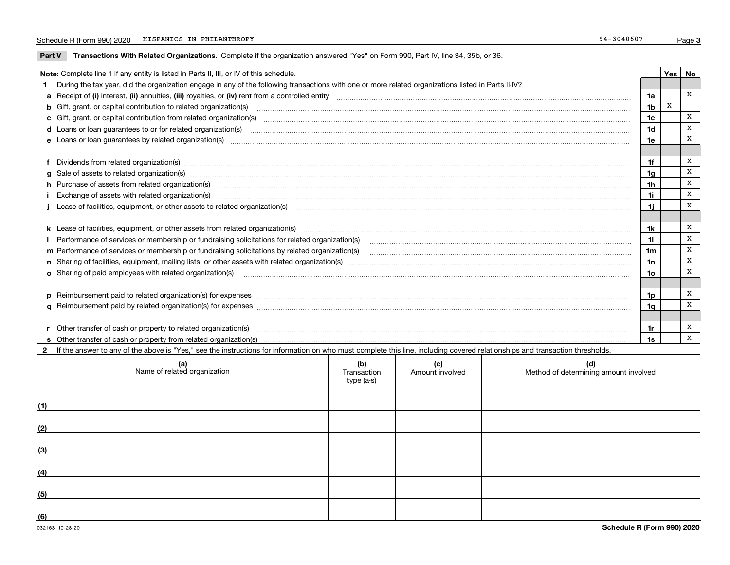### Schedule R (Form 990) 2020 HISPANICS IN PHILANTHROPY 34-3040607 HISPANICS IN PHILANTHROPY

**Part V** T**ransactions With Related Organizations.** Complete if the organization answered "Yes" on Form 990, Part IV, line 34, 35b, or 36.

| Note: Complete line 1 if any entity is listed in Parts II, III, or IV of this schedule. |                                                                                                                                                                                                                                |                |   |   |  |  |
|-----------------------------------------------------------------------------------------|--------------------------------------------------------------------------------------------------------------------------------------------------------------------------------------------------------------------------------|----------------|---|---|--|--|
|                                                                                         | 1 During the tax year, did the organization engage in any of the following transactions with one or more related organizations listed in Parts II-IV?                                                                          |                |   |   |  |  |
|                                                                                         |                                                                                                                                                                                                                                | 1a             |   | x |  |  |
|                                                                                         | b Gift, grant, or capital contribution to related organization(s) material contracts and contribution to related organization(s)                                                                                               | 1 <sub>b</sub> | x |   |  |  |
|                                                                                         | c Gift, grant, or capital contribution from related organization(s) manufaction(s) and contain an experimental contribution from related organization(s) manufaction contains and contribution from related organization(s) ma | 1c             |   | x |  |  |
|                                                                                         |                                                                                                                                                                                                                                | 1d             |   | x |  |  |
|                                                                                         |                                                                                                                                                                                                                                | 1e             |   | X |  |  |
|                                                                                         |                                                                                                                                                                                                                                |                |   |   |  |  |
|                                                                                         | f Dividends from related organization(s) manufactured contains and contained and contained contained and contained and contained and contained and contained and contained and contained and contained and contained and conta | 1f             |   | X |  |  |
|                                                                                         | g Sale of assets to related organization(s) www.assetsion.com/www.assetsion.com/www.assetsion.com/www.assetsion.com/www.assetsion.com/www.assetsion.com/www.assetsion.com/www.assetsion.com/www.assetsion.com/www.assetsion.co | 1a             |   | X |  |  |
|                                                                                         | h Purchase of assets from related organization(s) manufactured and content to content and content of assets from related organization(s)                                                                                       | 1 <sub>h</sub> |   | X |  |  |
|                                                                                         |                                                                                                                                                                                                                                | 11             |   | X |  |  |
|                                                                                         | Lease of facilities, equipment, or other assets to related organization(s) contraction contraction control and the set of facilities, equipment, or other assets to related organization(s) contraction control and the set of | 1i.            |   | x |  |  |
|                                                                                         |                                                                                                                                                                                                                                |                |   |   |  |  |
|                                                                                         | k Lease of facilities, equipment, or other assets from related organization(s) manufaction content and content to the content of facilities, equipment, or other assets from related organization(s) manufaction content and c | 1k             |   | х |  |  |
|                                                                                         |                                                                                                                                                                                                                                | 11             |   | x |  |  |
|                                                                                         | m Performance of services or membership or fundraising solicitations by related organization(s)                                                                                                                                | 1 <sub>m</sub> |   | X |  |  |
|                                                                                         |                                                                                                                                                                                                                                | 1n             |   | X |  |  |
|                                                                                         | <b>o</b> Sharing of paid employees with related organization(s)                                                                                                                                                                | 1o             |   | X |  |  |
|                                                                                         |                                                                                                                                                                                                                                |                |   |   |  |  |
|                                                                                         | p Reimbursement paid to related organization(s) for expenses [11111] [12] reasonal content of the separation (s) for expenses [11111] [12] reasonal content content of the separation (s) for expenses [1111] [12] reasonal co | 1p             |   | x |  |  |
|                                                                                         |                                                                                                                                                                                                                                | 1q             |   | X |  |  |
|                                                                                         |                                                                                                                                                                                                                                |                |   |   |  |  |
|                                                                                         | r Other transfer of cash or property to related organization(s)                                                                                                                                                                | 1r             |   | х |  |  |
|                                                                                         |                                                                                                                                                                                                                                | 1s             |   | X |  |  |
|                                                                                         | 2 If the answer to any of the above is "Yes," see the instructions for information on who must complete this line, including covered relationships and transaction thresholds.                                                 |                |   |   |  |  |

| (a)<br>Name of related organization | (b)<br>Transaction<br>type (a-s) | (c)<br>Amount involved | (d)<br>Method of determining amount involved |
|-------------------------------------|----------------------------------|------------------------|----------------------------------------------|
| (1)                                 |                                  |                        |                                              |
| (2)                                 |                                  |                        |                                              |
| (3)                                 |                                  |                        |                                              |
| (4)                                 |                                  |                        |                                              |
| (5)                                 |                                  |                        |                                              |
| (6)                                 |                                  |                        |                                              |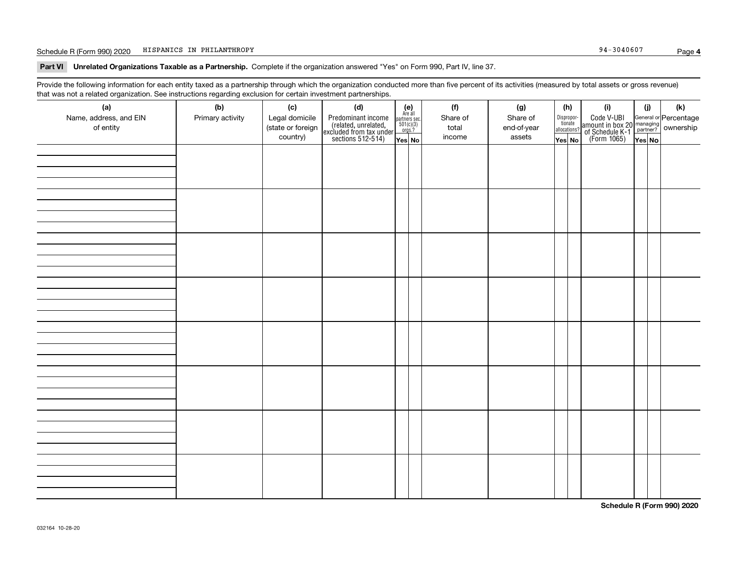### Schedule R (Form 990) 2020 HISPANICS IN PHILANTHROPY 34-3040607 HISPANICS IN PHILANTHROPY

**Part VI Unrelated Organizations Taxable as a Partnership. Complete if the organization answered "Yes" on Form 990, Part IV, line 37.** 

Provide the following information for each entity taxed as a partnership through which the organization conducted more than five percent of its activities (measured by total assets or gross revenue) that was not a related organization. See instructions regarding exclusion for certain investment partnerships.

| $\overline{\phantom{0}}$<br>(a)<br>Name, address, and EIN<br>of entity | ັ<br>ັ<br>(b)<br>Primary activity | (c)<br>Legal domicile<br>(state or foreign<br>country) | (d)<br>Predominant income<br>(related, unrelated,<br>excluded from tax under<br>sections 512-514) | (e)<br>Are all<br>$\begin{array}{c}\n\text{partners} & \text{sec.} \\ 501(c)(3) & \text{orgs.?} \n\end{array}$<br>Yes No | (f)<br>Share of<br>total<br>income | (g)<br>Share of<br>end-of-year<br>assets | (h)<br>Dispropor-<br>tionate<br>allocations?<br>Yes No | (i)<br>Code V-UBI<br>  amount in box 20 managing<br>  of Schedule K-1 partner? ownership<br>  of Schedule K-1 partner? ownership<br>  Yes No | (i)<br>Yes No | (k) |
|------------------------------------------------------------------------|-----------------------------------|--------------------------------------------------------|---------------------------------------------------------------------------------------------------|--------------------------------------------------------------------------------------------------------------------------|------------------------------------|------------------------------------------|--------------------------------------------------------|----------------------------------------------------------------------------------------------------------------------------------------------|---------------|-----|
|                                                                        |                                   |                                                        |                                                                                                   |                                                                                                                          |                                    |                                          |                                                        |                                                                                                                                              |               |     |
|                                                                        |                                   |                                                        |                                                                                                   |                                                                                                                          |                                    |                                          |                                                        |                                                                                                                                              |               |     |
|                                                                        |                                   |                                                        |                                                                                                   |                                                                                                                          |                                    |                                          |                                                        |                                                                                                                                              |               |     |
|                                                                        |                                   |                                                        |                                                                                                   |                                                                                                                          |                                    |                                          |                                                        |                                                                                                                                              |               |     |
|                                                                        |                                   |                                                        |                                                                                                   |                                                                                                                          |                                    |                                          |                                                        |                                                                                                                                              |               |     |
|                                                                        |                                   |                                                        |                                                                                                   |                                                                                                                          |                                    |                                          |                                                        |                                                                                                                                              |               |     |
|                                                                        |                                   |                                                        |                                                                                                   |                                                                                                                          |                                    |                                          |                                                        |                                                                                                                                              |               |     |
|                                                                        |                                   |                                                        |                                                                                                   |                                                                                                                          |                                    |                                          |                                                        |                                                                                                                                              |               |     |

**Schedule R (Form 990) 2020**